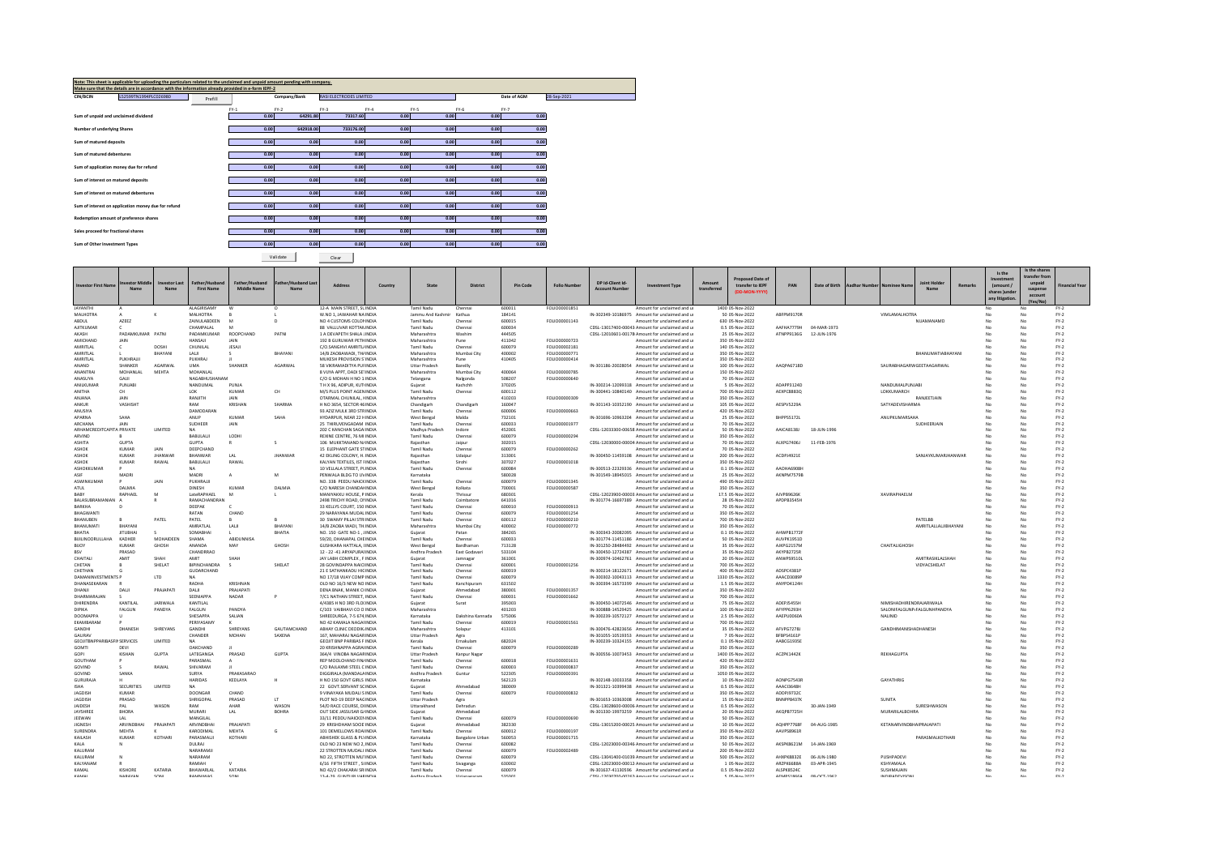|                                     | Note: This sheet is applicable for uploading the particulars related to the unclaimed and unpaid amount pending with company. |         |                |                    |                                |                |              |                |              |             |
|-------------------------------------|-------------------------------------------------------------------------------------------------------------------------------|---------|----------------|--------------------|--------------------------------|----------------|--------------|----------------|--------------|-------------|
|                                     | Make sure that the details are in accordance with the information already provided in e-form IEPF-2                           |         |                |                    |                                |                |              |                |              |             |
| CIN/BCIN                            | L52599TN1994PLC026980                                                                                                         | Prefill |                | Company/Bank       | <b>RASI ELECTRODES LIMITED</b> |                |              |                | Date of AGM  | 28-Sep-2021 |
|                                     |                                                                                                                               |         |                |                    |                                |                |              |                |              |             |
|                                     |                                                                                                                               |         | $FY-1$<br>0.00 | $FY-2$<br>64291.80 | $FY-3$<br>73317.60             | $FY-4$<br>0.00 | FY-5<br>0.00 | $FY-6$<br>0.00 | FY-7<br>0.00 |             |
|                                     | Sum of unpaid and unclaimed dividend                                                                                          |         |                |                    |                                |                |              |                |              |             |
| Number of underlying Shares         |                                                                                                                               |         | 0.00           | 642918.00          | 733176.00                      | 0.00           | 0.00         | 0.00           | 0.00         |             |
|                                     |                                                                                                                               |         |                |                    |                                |                |              |                |              |             |
| Sum of matured deposits             |                                                                                                                               |         | 0.00           | 0.00               | 0.00                           | 0.00           | 0.00         | 0.00           | 0.00         |             |
| Sum of matured debentures           |                                                                                                                               |         | 0.00           | 0.00               | 0.00                           | 0.00           | 0.00         | 0.00           | 0.00         |             |
|                                     |                                                                                                                               |         |                |                    |                                |                |              |                |              |             |
|                                     | Sum of application money due for refund                                                                                       |         | 0.00           | 0.00               | 0.00                           | 0.00           | 0.00         | 0.00           | 0.00         |             |
|                                     |                                                                                                                               |         |                |                    |                                |                |              |                |              |             |
|                                     | Sum of interest on matured deposits                                                                                           |         | 0.00           | 0.00               | 0.00                           | 0.00           | 0.00         | 0.00           | 0.00         |             |
|                                     | Sum of interest on matured debentures                                                                                         |         | 0.00           | 0.00               | 0.00                           | 0.00           | 0.00         | 0.00           | 0.00         |             |
|                                     |                                                                                                                               |         |                |                    |                                |                |              |                |              |             |
|                                     | Sum of interest on application money due for refund                                                                           |         | 0.00           | 0.00               | 0.00                           | 0.00           | 0.00         | 0.00           | 0.00         |             |
|                                     |                                                                                                                               |         |                |                    |                                |                |              |                |              |             |
|                                     | Redemption amount of preference shares                                                                                        |         | 0.00           | 0.00               | 0.00                           | 0.00           | 0.00         | 0.00           | 0.00         |             |
| Sales proceed for fractional shares |                                                                                                                               |         | 0.00           | 0.00               | 0.00                           | 0.00           | 0.00         | 0.00           | 0.00         |             |
|                                     |                                                                                                                               |         |                |                    |                                |                |              |                |              |             |
| Sum of Other Investment Types       |                                                                                                                               |         | 0.00           | 0.00               | 0.00                           | 0.00           | 0.00         | 0.00           | 0.00         |             |

Validate Clear

|                                           |                             |                      |                                   |                        |                   |                                                               |                                      |                                  |                  |                                            |                                                                                                 |                                                          |             |                                     |                                 |               |                      |                                     |                      |         |                       | Is the share:      |                  |
|-------------------------------------------|-----------------------------|----------------------|-----------------------------------|------------------------|-------------------|---------------------------------------------------------------|--------------------------------------|----------------------------------|------------------|--------------------------------------------|-------------------------------------------------------------------------------------------------|----------------------------------------------------------|-------------|-------------------------------------|---------------------------------|---------------|----------------------|-------------------------------------|----------------------|---------|-----------------------|--------------------|------------------|
|                                           |                             |                      |                                   |                        |                   |                                                               |                                      |                                  |                  |                                            |                                                                                                 |                                                          |             | <b>Proposed Date of</b>             |                                 |               |                      |                                     |                      |         | Is the                | ansfer from        |                  |
| <b>Investor First Name</b>                | estor Middle                | <b>Investor Last</b> | Father/Hushan                     | Father/Husband         | ather/Hushand Las | Address<br>Country                                            | State                                | District                         | Pin Code         | <b>Folio Number</b>                        | DP Id-Client Id                                                                                 | <b>Investment Type</b>                                   | Amount      | transfer to IEPF                    |                                 | Date of Birth | <b>Aadhar Number</b> | <b>Nominee Nam</b>                  | <b>Joint Hold</b>    | Remarks | Investmen<br>(amount/ | unpaid             | inancial Year    |
|                                           | Name                        | Nam                  | <b>First Name</b>                 | <b>Middle Name</b>     |                   |                                                               |                                      |                                  |                  |                                            | <b>Account Number</b>                                                                           |                                                          | transferred | (DD-MON-YYYY)                       |                                 |               |                      |                                     |                      |         | shares lunde          | suspense           |                  |
|                                           |                             |                      |                                   |                        |                   |                                                               |                                      |                                  |                  |                                            |                                                                                                 |                                                          |             |                                     |                                 |               |                      |                                     |                      |         | any litigation        | account<br>(Yes/No |                  |
| <b>JAYANTHI</b>                           |                             |                      | ALAGIRISAMY                       |                        | $\Omega$          | 12-A MAIN STREET, SLINDIA                                     | Tamil Nadı                           | Chennai                          | 600011           | FOLIO00001851                              |                                                                                                 | Amount for unclaimed and u                               |             | 1400 05-Nov-2022                    |                                 |               |                      |                                     |                      |         | No                    |                    | FY-2             |
| <b>MALHOTRA</b>                           |                             |                      | MALHOTRA                          | B                      |                   | W.NO 1, JAWAHAR NA INDIA                                      | Jammu And Kashmir                    | Kathua                           | 184141           |                                            | IN-302349-10186975 Amount for unclaimed and u                                                   |                                                          |             | 50 05-Nov-2022                      | ABFPM9170R                      |               |                      | VIMLAMALHOTRA                       |                      |         | No                    |                    | $FY-2$           |
| <b>ARDUI</b><br>AJITKUMAR                 | AZEEZ                       |                      | <b>ZAINUI ARDEEN</b><br>CHAMPALAL | M                      |                   | NO 4 CUSTOMS COLONINDIA<br>88 VALLUVAR KOTTANINDIA            | Tamil Nadı<br><b>Tamil Nadu</b>      | Chennai<br>Chennai               | 600015<br>600034 | FOLIO00001143                              | CDSL-13017400-00043 Amount for unclaimed and u                                                  | Amount for unclaimed and u                               |             | 630 05-Nov-2022<br>0.5 05-Nov-2022  | AAFHA7779H                      | 04-MAR-197    |                      |                                     | NUAMANAMO            | No      | No                    |                    | FY-2<br>$FY-2$   |
| AKASH                                     | PADAMKUMAR PATN             |                      | PADAMKUMAR                        | ROOPCHAND              | PATN              | 1 A DEVAPETH SHALA JINDIA                                     | Maharashtra                          | Washim                           | 444505           |                                            | CDSL-12010601-00178 Amount for unclaimed and u                                                  |                                                          |             | 25 05-Nov-2022                      | ATNPP9136G                      | 12-JUN-1976   |                      |                                     |                      | No      | No                    |                    | $FY-2$           |
| <b>AMICHAND</b>                           | <b>JAIN</b>                 |                      | <b>HANSAIL</b>                    | <b>JAIN</b>            |                   | 192 B GURUWAR PETHINDIA                                       | Maharashtra                          | Pune                             | 411042           | FOLIO00000723                              |                                                                                                 | Amount for unclaimed and u                               |             | 350 05-Nov-2022                     |                                 |               |                      |                                     |                      |         | No                    |                    | $FY-2$           |
| AMRITLAL                                  | c                           | DOSHI                | CHUNILAL                          | JESAJI                 |                   | C/O.SANGHVI AMRITL/INDIA                                      | <b>Tamil Nadu</b>                    | Chennai                          | 600079           | FOLIO00002181                              |                                                                                                 | Amount for unclaimed and u                               |             | 140 05-Nov-2022                     |                                 |               |                      |                                     |                      |         | No                    |                    | $FY-2$           |
| AMRITLAL                                  |                             | BHAYANI              | LALI                              |                        | BHAYANI           | 14/B ZAOBAWADI, TH/INDIA                                      | Maharashtra                          | Mumbai City                      | 400002           | FOLIO00000771                              |                                                                                                 | Amount for unclaimed and u                               |             | 350 05-Nov-2022                     |                                 |               |                      |                                     | BHANUMATIABHAYAN     |         | No                    |                    | $FY-2$           |
| AMRITLAL<br>ANAND                         | PUKHRAJJI<br><b>SHANKER</b> | <b>AGARWAI</b>       | PUKHRAJ<br><b>LIMA</b>            | SHANKER                | <b>AGARWAI</b>    | MUKESH PROVISION S'INDIA<br>58 VIKRAMADITYA PUEINDIA          | Maharashtra<br><b>Uttar Pradesh</b>  | Pune<br>Bareilly                 | 410405           | FOLIO00000414                              | IN-301186-20028054 Amount for unclaimed and u                                                   | Amount for unclaimed and u                               |             | 350 05-Nov-2022<br>100.05-Nov-2022  | AAOPA6718D                      |               |                      | SAURARHAGARWGFFTAAGARWAL            |                      | M.      | No<br>No              |                    | $FY-2$<br>$FY-2$ |
| <b>ANANTRA</b>                            | MOHANLAL                    | MEHTA                | <b>MOHANLA</b>                    |                        |                   | 8 VIJYA APPT, DADI SETINDIA                                   | Maharashtra                          | Mumbai City                      | 400064           | FOLIO00000785                              |                                                                                                 | Amount for unclaimed and u                               |             | 150 05-Nov-2022                     |                                 |               |                      |                                     |                      |         | No                    |                    | $FY-2$           |
| ANASUYA                                   | <b>GAIL</b>                 |                      | <b>NAGARHUSHANAN</b>              |                        |                   | C/O G MOHAN H NO 1: INDIA                                     | Telangana                            | Nalgonda                         | 508207           | FOLIO00000640                              |                                                                                                 | Amount for unclaimed and u                               |             | 70 05-Nov-2022                      |                                 |               |                      |                                     |                      |         | No                    |                    | $FY-2$           |
| ANII KUMAE                                | PUNJARI                     |                      | <b>NANDUMAL</b>                   | PUNIA                  |                   | TH X 96 ADIPLIR KUTUNDIA                                      | Guiarat                              | Kachchh                          | 370205           |                                            | IN-300214-12099318 Amount for unclaimed and u                                                   |                                                          |             | 5 05-Nov-2022                       | ADAPP3124D                      |               |                      | NANDUMALPUNIARI                     |                      | No      | No                    |                    | $FY-2$           |
| <b>ANITHA</b>                             | CH                          |                      | 10K                               | KUMAR                  | CH                | M/S PLUS POINT AGEN INDIA                                     | Tamil Nadu                           | Chennai                          | 600112           |                                            | IN-300441-10840140 Amount for unclaimed and u                                                   |                                                          |             | 700 05-Nov-2022                     | AEXPC8883Q                      |               |                      | LOKKUMARCH                          |                      |         | No                    |                    | $FY-2$           |
| ANJANA<br><b>ANKUR</b>                    | JAIN<br>VASHISHT            |                      | RANJITH<br><b>DAM</b>             | JAIN<br><b>KRISHAN</b> | SHARMA            | OTARMAL CHUNILAL, HNDIA<br>H NO 3654, SECTOR 46 INDIA         | Maharashtra<br>Chandigarh            | Chandigarh                       | 410203<br>160047 | FOLIO00000309                              | IN-301143-10352190 Amount for unclaimed and u                                                   | Amount for unclaimed and u                               |             | 350 05-Nov-2022<br>105 05-Nov-2022  | AFSPV5229A                      |               |                      | SATYADEVISHARMA                     | RANJEETJAIL          | M.      | No<br>No              |                    | $FY-2$<br>FY-2   |
| ANUSIYA                                   |                             |                      | DAMODARA                          |                        |                   | 93 4717 MULK 3RD STRINDIA                                     | Tamil Nadu                           | Chennai                          | 600006           | <b>EQUIO0000663</b>                        |                                                                                                 | Amount for unclaimed and u                               |             | 420 05-Nov-2022                     |                                 |               |                      |                                     |                      |         | No                    |                    | $FY-2$           |
| APARNA                                    | SAHA                        |                      | ANUP                              | KUMAR                  | SAHA              | HYDARPUR, NEAR 22 HINDIA                                      | West Bengal                          | Malda                            | 732101           |                                            | IN-301696-10963204 Amount for unclaimed and u                                                   |                                                          |             | 25 05-Nov-2022                      | BHPPS5172L                      |               |                      | ANUPKUMARSAHA                       |                      | No      | No                    |                    | $FY-2$           |
| ARCHANA                                   | <b>JAIN</b>                 |                      | SUDHEER                           | JAIN                   |                   | 25 THIRUVENGADAM: INDIA                                       | <b>Tamil Nadu</b>                    | Chennai                          | 600033           | FOLIO00001977                              |                                                                                                 | Amount for unclaimed and u                               |             | 70 05-Nov-2022                      |                                 |               |                      |                                     | SUDHEERJAIN          | No      | No                    |                    | $FY-2$           |
| ARHAMCREDITCAPITA PRIVATE<br>ARVIND       |                             | <b>LIMITED</b>       | <b>NA</b><br>BABULALII            | LODHI                  |                   | 202 C KANCHAN SAGAIINDIA<br>REXINE CENTRE, 76 MI INDIA        | Madhya Pradesh<br><b>Tamil Nadu</b>  | Indore<br>Chennai                | 452001<br>600079 | FOLIO00000294                              | CDSL-12033300-00658 Amount for unclaimed and u                                                  | Amount for unclaimed and u                               |             | 50 05-Nov-2022<br>350 05-Nov-2022   | AAICA8138J                      | 18-JUN-1996   |                      |                                     |                      |         | No                    |                    | $FY-2$<br>$FY-2$ |
| <b>ASHITA</b>                             | GUPTA                       |                      | <b>GUPTA</b>                      |                        |                   | 106 MUKKTANAND N/INDIA                                        | Raiasthan                            | Jaipur                           | 302015           |                                            | CDSL-12030000-00004 Amount for unclaimed and u                                                  |                                                          |             | 70 05-Nov-2022                      | ALXPG7406J                      | 11-FEB-1976   |                      |                                     |                      |         | No                    |                    | $FY-2$           |
| <b>ASHOP</b>                              | <b>KUMAR</b>                | JAIN                 | DEEPCHAND                         |                        |                   | 15 ELEPHANT GATE STINDIA                                      | Tamil Nadu                           | Chennai                          | 600079           | FOLIO00000262                              |                                                                                                 | Amount for unclaimed and u                               |             | 70 05-Nov-2022                      |                                 |               |                      |                                     |                      |         | No                    |                    | $FY-2$           |
| <b>ASHOP</b>                              | KUMAR                       | <b>JHANWA</b>        | BHANWAR                           | LAL                    | <b>JHANWAR</b>    | 42 EKLING COLONY, H. INDIA                                    | Raiasthan                            | Udaipur                          | 313001           |                                            | IN-300450-11459108 Amount for unclaimed and u                                                   |                                                          |             | 200 05-Nov-2022                     | ACDPJ4921E                      |               |                      |                                     | SANJAYKUMARJHANWAR   | No      | No                    |                    | $FY-2$           |
| <b>ASHOP</b>                              | <b>KUMAR</b>                | RAWAL                | BABULALII                         | RAWAL                  |                   | KALYAN TEXTILES, IST FINDIA                                   | Raiasthan                            | Sirohi                           | 307027           | FOLIO00001018                              |                                                                                                 | Amount for unclaimed and u                               |             | 350 05-Nov-2022                     |                                 |               |                      |                                     |                      |         | No                    |                    | $FY-2$           |
| <b>ASHOKKLIMAR</b><br>ASIF                | MADR                        |                      | <b>NA</b><br>MADRI                |                        | м                 | 10 VEH ALA STREET PLINDIA<br>PENWALA BLDG TO UVINDIA          | Tamil Nadu<br>Karnataka              | Chennai                          | 600084<br>580028 |                                            | IN-300513-22329336 Amount for unclaimed and u<br>IN-301549-18945015 Amount for unclaimed and u  |                                                          |             | 0.1.05-Nov-2022<br>25 05-Nov-2022   | <b>AAOHA6908F</b><br>AKNPM7579B |               |                      |                                     |                      |         | No<br>No              |                    | $FY-2$<br>$FY-2$ |
| <b>ASWINKUMAR</b>                         |                             | JAIN                 | PUKHRAJJI                         |                        |                   | NO. 33B PEEDU NAICKINDIA                                      | Tamil Nadu                           | Chennai                          | 600079           | FOLIO00001345                              |                                                                                                 | Amount for unclaimed and u                               |             | 490 05-Nov-2022                     |                                 |               |                      |                                     |                      |         | No                    |                    | $FY-2$           |
| ATLIL                                     | <b>DAIMIA</b>               |                      | <b>DINESH</b>                     | <b>KIJMAG</b>          | <b>DAIMIA</b>     | C/O NARESH CHANDALINDIA                                       | West Bengal                          | Kolkata                          | 700001           | FOLIO00000587                              |                                                                                                 | Amount for unclaimed and u                               |             | 350 05-Nov-2022                     |                                 |               |                      |                                     |                      |         | No                    |                    | $FY-2$           |
| <b>BARY</b>                               | RAPHAEL                     | M                    | LateRAPHAEL                       |                        |                   | MANIYAKKU HOUSE, P INDIA                                      | Kerala                               | Thrissur                         | 680301           |                                            | CDSL-12023900-00003. Amount for unclaimed and u                                                 |                                                          |             | 17.5 05-Nov-2022                    | AIVPR9626K                      |               |                      | ΧΑΛΙΒΑΡΗΔΕΙ Μ                       |                      |         | No                    |                    | $FY-2$           |
| BALASUBRAMANIAN                           |                             |                      | RAMACHANDRAN                      |                        |                   | 2498 TRICHY ROAD, ONNDIA                                      | <b>Tamil Nadu</b>                    | Coimbatore                       | 641016           |                                            | IN-301774-16697389 Amount for unclaimed and u                                                   |                                                          |             | 28 05-Nov-2022                      | APDPB3545H                      |               |                      |                                     |                      |         | No                    |                    | $FY-2$           |
| RARKHA<br>RHAGWANT                        |                             |                      | DEEPAK<br>RATAN                   | CHAND                  |                   | 33 KELLYS COURT, 150 INDIA<br>29 NARAYANA MUDALINDIA          | Tamil Nadu<br>Tamil Nadu             | Chennai<br>Chennai               | 600010<br>600079 | <b>EQUO0000913</b><br><b>FOLIO00001254</b> |                                                                                                 | Amount for unclaimed and u<br>Amount for unclaimed and u |             | 70.05-Nov-2022<br>350.05-Nov-2022   |                                 |               |                      |                                     |                      |         | No<br>No              |                    | FY-2<br>FY-2     |
| BHANUBEN                                  |                             | PATEL                | PATEL                             |                        |                   | 30 SWAMY PILLAI STRIINDIA                                     | <b>Tamil Nadu</b>                    | Chennai                          | 600112           | FOLIO00000210                              |                                                                                                 | Amount for unclaimed and u                               |             | 700 05-Nov-2022                     |                                 |               |                      |                                     | PATELBB              |         | No                    |                    | $FY-2$           |
| BHANUMATI                                 | BHAYANI                     |                      | AMRATLAL                          | LALI                   | BHAYANI           | 14/B ZAOBA WADI, TH.INDIA                                     | Maharashtra                          | Mumbai City                      | 400002           | FOLIO00000772                              |                                                                                                 | Amount for unclaimed and u                               |             | 350 05-Nov-2022                     |                                 |               |                      |                                     | AMRITLALLALJIBHAYANI | No      | No                    |                    | $FY-2$           |
| RHATIA                                    | <b>JITUBHAI</b>             |                      | SOMABHAI                          | - 11                   | BHATIA            | NO. 150 GATE NO-1 . JINDIA                                    | Guiarat                              | Patan                            | 384265           |                                            | IN-300343-20082095 Amount for unclaimed and u                                                   |                                                          |             | 0.1 05-Nov-2022                     | AHWPB1772F                      |               |                      |                                     |                      |         | No                    |                    | $FY-2$           |
| BUILINOORULLAHA                           | KADHER<br>KUMAR             | <b>MOHAIDEEN</b>     | SHAMA<br><b>ANANDA</b>            | ABIDUNNISA<br>MAY      |                   | 59/20, DHANAPAL CHEINDIA                                      | Tamil Nadu                           | Chennai                          | 600033           |                                            | IN-301774-11451186 Amount for unclaimed and u                                                   |                                                          |             | 50 05-Nov-2022                      | AUVPK1951D                      |               |                      |                                     |                      | No      | No                    |                    | $FY-2$           |
| <b>BUOY</b><br><b>RSV</b>                 | PRASAD                      | GHOSH                | CHANDRRAO                         |                        | GHOSH             | <b>GUSHKARA HATTALA, IINDIA</b><br>12 - 22 -41 ARYAPLIRAUNDIA | <b>West Bengal</b><br>Andhra Pradesh | Bardhamar<br><b>Fast Godavar</b> | 713128<br>533104 |                                            | IN-301250-28484492 Amount for unclaimed and u<br>IN-300450-12724387 Amount for unclaimed and u  |                                                          |             | 35 05-Nov-2022<br>35.05-Nov-2022    | AJKPG2157M<br>AKYPR2725R        |               |                      | CHAITALIGHOSH                       |                      | No      | No<br>No              |                    | $FY-2$<br>$FY-2$ |
| CHAITAL                                   | AMIT                        | SHAH                 | AMIT                              | SHAH                   |                   | JAY LABH COMPLEX . FINDIA                                     | Guiarat                              | Jamnagar                         | 361001           |                                            | IN-300974-10462761 Amount for unclaimed and u                                                   |                                                          |             | 20 05-Nov-2022                      | ANWPS9510L                      |               |                      |                                     | AMITRASIKLALSHAH     | No      | No                    |                    | $FY-2$           |
| CHETAN                                    |                             | SHELAT               | BIPINCHANDRA                      |                        | SHELAT            | 28 GOVINDAPPA NAICHNDIA                                       | <b>Tamil Nadu</b>                    | Chennai                          | 600001           | FOLIO00001256                              |                                                                                                 | Amount for unclaimed and u                               |             | 700 05-Nov-2022                     |                                 |               |                      |                                     | <b>VIDYACSHELAT</b>  |         | No                    |                    | $FY-2$           |
| CHETHAN                                   |                             |                      | <b>GUDARCHAND</b>                 |                        |                   | 21 F SATHANKADU HIGINDIA                                      | Tamil Nadu                           | Chennai                          | 600019           |                                            | IN-300214-18122671 Amount for unclaimed and u                                                   |                                                          |             | 400.05-Nov-2022                     | ADSPC4381P                      |               |                      |                                     |                      | No.     | No                    |                    | FY-2             |
| <b>DAMANINVESTMENTS P</b><br>DHANASEKARAN |                             | LTD                  | RADHA                             | KRISHNAN               |                   | NO 17/18 VIJAY COMP INDIA<br>OLD NO 16/3 NEW NO INDIA         | Tamil Nadu<br>Tamil Nadu             | Chennai<br>Kanchipuran           | 600079<br>631502 |                                            | IN-300302-10043113 Amount for unclaimed and u<br>IN-300394-16573399 Amount for unclaimed and u  |                                                          |             | 1330 05-Nov-2022<br>1.5 05-Nov-2022 | AAACD3089<br>ANYPD4124          |               |                      |                                     |                      |         | No<br>No              |                    | $FY-2$<br>$FY-2$ |
| DHANIL                                    | DAL II                      | ΡΒΑΙΔΡΑΤ             | DAL II                            | ΡΡΑΙΔΡΑΤΙ              |                   | DENA RNAK MANIK CHNDIA                                        | Guiarat                              | Ahmedahad                        | 380001           | <b>FOLIO00001357</b>                       |                                                                                                 | Amount for unclaimed and u                               |             | 350.05-Nov-2022                     |                                 |               |                      |                                     |                      |         | No                    |                    | $FY-2$           |
| DHARMARAIAN                               |                             |                      | SEENIAPPA                         | NADAR                  |                   | 7/C1 NATHAN STREET INDIA                                      | Tamil Nadu                           | Chennai                          | 600031           | EQUIO00001662                              |                                                                                                 | Amount for unclaimed and u                               |             | 700.05-Nov-2022                     |                                 |               |                      |                                     |                      |         | No                    |                    | FY-2             |
| DHIRENDRA                                 | KANTILAI                    | <b>JARIWALA</b>      | KANTILAL                          |                        |                   | 4/4385 H NO 3RD FLOUNDIA                                      | Guiarat                              | Surat                            | 395003           |                                            | IN-300450-14072546 Amount for unclaimed and u                                                   |                                                          |             | 75 05-Nov-2022                      | <b>ADEPISASSE</b>               |               |                      | NIMISHADHIRENDRAIARIWALA            |                      |         | No                    |                    | $FY-2$           |
| DIPIKA                                    | FALGUN                      | PANDYA               | <b>FALGUN</b>                     | PANDYA                 |                   | C/103 VAIBHAVI CO OINDIA                                      | Maharashtra                          |                                  | 401203           |                                            | IN-300888-14529425 Amount for unclaimed and u                                                   |                                                          |             | 100 05-Nov-2022                     | AFYPP6293H                      |               |                      | SALONIFALGUNP/FALGUNHPANDYA         |                      | No      | No                    |                    | $FY-2$           |
| DOOMAPPA<br>EKAMBARAM                     | $\cup$                      |                      | SHESAPPA<br>PERIYASAM             | SALIAN                 |                   | SHREEDURGA, 7-5 674 INDIA<br>NO 42 KAMALA NAGAFINDIA          | Karnataka<br><b>Tamil Nadu</b>       | Dakshina Kannada<br>Chennai      | 575006<br>600019 | FOLIO00001561                              | IN-300239-10572127 Amount for unclaimed and u                                                   | Amount for unclaimed and u                               |             | 2.5 05-Nov-2022<br>700 05-Nov-2022  | AAEPU0060A                      |               |                      | NALINID                             |                      | No      | No<br>No              |                    | $FY-2$<br>$FY-2$ |
| <b>GANDHI</b>                             | <b>DHANESH</b>              | SHREYANS             | <b>GANDHI</b>                     | SHREYANS               | GAUTAMCHAND       | ABHAY CLINIC DEODIK INDIA                                     | Maharashtra                          | Solapur                          | 413101           |                                            | IN-300476-42823656 Amount for unclaimed and u                                                   |                                                          |             | 35 05-Nov-2022                      | AFVPG7278                       |               |                      | <b>GANDHIMANISHADHANESH</b>         |                      | No      | No                    |                    | $FY-2$           |
| <b>GAURAV</b>                             |                             |                      | <b>CHANDER</b>                    | MOHAN                  | SAXENA            | 167 MAHARAI NAGARINDIA                                        | <b>Uttar Pradesh</b>                 | Agra                             |                  |                                            | IN-301055-10519353 Amount for unclaimed and u                                                   |                                                          |             | 7 05-Nov-2022                       | RERPS4161P                      |               |                      |                                     |                      | No      | No                    |                    | $FY-2$           |
| <b>GEOJITBNPPARIBASFINSERVICES</b>        |                             | LIMITED              | <b>NA</b>                         |                        |                   | <b>GEOJIT BNP PARIBAS FINDIA</b>                              | Kerala                               | Ernakulan                        | 682024           |                                            | IN-300239-10324155 Amount for unclaimed and u                                                   |                                                          |             | 0.1 05-Nov-2022                     | AABCG1935E                      |               |                      |                                     |                      |         | No                    |                    | $FY-2$           |
| GOMT                                      | DEV                         |                      | OAKCHAND                          |                        | <b>GLIPTA</b>     | 20 KRISHNAPPA AGRAHNDIA                                       | <b>Tamil Nadu</b>                    | Chennai                          | 600079           | FOLIO00000289                              |                                                                                                 | Amount for unclaimed and u                               |             | 350 05-Nov-2022                     | AC2PK1442K                      |               |                      |                                     |                      |         | No                    |                    | $FY-2$           |
| GOPI<br>GOUTHAM                           | <b>KISHAN</b>               | <b>GUPTA</b>         | <b>LATEGANGA</b><br>PARASMAL      | PRASAD                 |                   | 364/4 VINORA NAGARINDIA<br>REP MOOLCHAND FINAINDIA            | <b>Uttar Pradesh</b><br>Tamil Nadu   | Kannur Nagar<br>Chennai          | 600018           | FOLIO00001631                              | IN-300556-10073453 Amount for unclaimed and u                                                   | Amount for unclaimed and u                               |             | 1400 05-Nov-2022<br>420 05-Nov-2022 |                                 |               |                      | REKHAGUPTA                          |                      | No      | No<br>No              |                    | FY-2<br>$FY-2$   |
| GOVIND                                    |                             | RAWAL                | SHIVARAM                          |                        |                   | C/O RAJLAXMI STEEL C INDIA                                    | Tamil Nadu                           | Chennai                          | 600003           | FOLIO00000837                              |                                                                                                 | Amount for unclaimed and u                               |             | 350 05-Nov-2022                     |                                 |               |                      |                                     |                      |         | No                    |                    | $FY-2$           |
| GOVIND                                    | SANKA                       |                      | <b>SLIDVA</b>                     | PRAKASARAC             |                   | DIGGIRALA (MANDALAINDIA                                       | Andhra Pradesh                       | Guntur                           | 522305           | <b>FOLIO0000391</b>                        |                                                                                                 | Amount for unclaimed and u                               |             | 1050 05-Nov-2022                    |                                 |               |                      |                                     |                      |         | No                    |                    | $FY-2$           |
| <b>GURURAIA</b>                           |                             |                      | HARIDAS                           | <b>KEDLAYA</b>         |                   | H NO 150 GOVT GIRLS INDIA                                     | Karnataka                            |                                  | 562123           |                                            | IN-302148-10033358 Amount for unclaimed and u                                                   |                                                          |             | 10.05-Nov-2022                      | AONPG7543E                      |               |                      | <b>GAYATHRIG</b>                    |                      |         | No                    |                    | $FY-2$           |
| <b>ISHA</b>                               | SECURITIES<br>KUMAR         | <b>IMITED</b>        | <b>NA</b><br>DOONGAR              | CHAND                  |                   | 22 GOVT SERVANT SCINDIA                                       | Guiarat                              | Ahmedahar                        | 380009<br>600079 | FOLIO00000832                              | IN-301321-10399438 Amount for unclaimed and u                                                   |                                                          |             | 0.5 05-Nov-2022                     | AAAC13648H<br>ADDPI97320        |               |                      |                                     |                      | M.      | No<br>No              |                    | FY-2             |
| JAGDISH<br>JAGDISH                        | PRASAD                      |                      | SHRIGOPAL                         | PRASAD                 | LT                | 9 VINAYAKA MUDALI SINDIA<br>PLOT NO-19 DEEP NAGINDIA          | Tamil Nadu<br><b>Uttar Pradesh</b>   | Chennai<br>Agra                  |                  |                                            | IN-301653-10363008 Amount for unclaimed and u                                                   | Amount for unclaimed and u                               |             | 350 05-Nov-2022<br>15 05-Nov-2022   | BNNPP8437K                      |               |                      | SUNITA                              |                      | No      | No                    |                    | $FY-2$<br>$FY-2$ |
| JAIDESH                                   | PAL                         | WASON                | RAM                               | AHAR                   | WASON             | 54/D RACE COURSE, DHNDIA                                      | Uttarakhand                          | Dehradur                         |                  |                                            | CDSL-13028600-00006 Amount for unclaimed and u                                                  |                                                          |             | 0.5 05-Nov-2022                     |                                 | 30-JAN-1949   |                      |                                     | SURESHWASON          |         | No                    |                    | $FY-2$           |
| JAYSHREE                                  | BHORA                       |                      | MURARI                            | LAL                    | <b>BOHRA</b>      | OUT SIDE JASSUSAR G/INDIA                                     | Guiarat                              | Ahmedabad                        |                  |                                            | IN-301330-19973259 Amount for unclaimed and u                                                   |                                                          |             | 20 05-Nov-2022                      | AKQPB7725H                      |               |                      | MURARILALBOHRA                      |                      | No      | No                    |                    | $FY-2$           |
| <b>IFFWAN</b>                             | LAL                         |                      | MANGILAL                          |                        |                   | 33/11 PEDDU NAICKENINDIA                                      | <b>Tamil Nadu</b>                    | Chennai                          | 600079           | FOLIO00000690                              |                                                                                                 | Amount for unclaimed and u                               |             | 50 05-Nov-2022                      |                                 |               |                      |                                     |                      | No      | No                    |                    | $FY-2$           |
| JIGNESH                                   | ARVINDBHAI                  | PRAJAPAT             | ARVINDBHAI                        | PRAJAPATI              |                   | 29 KRISHDHAM SOCIE INDIA                                      | Guiarat                              | Ahmedabad                        | 382330           |                                            | CDSL-13015200-00025 Amount for unclaimed and u                                                  |                                                          |             | 10 05-Nov-2022                      | AQHPP7768F                      | 04-AUG-1985   |                      | KETANARVINDBHAIPRAJAPATI            |                      | No      | No                    |                    | $FY-2$           |
| <b>SURENDRA</b><br><b>KAILASH</b>         | <b>MEHTA</b><br>KUMAR       | KOTHARI              | KARODIMAL<br>PARASMALII           | MEHTA<br>KOTHARI       | G                 | 101 DEMELLOWS ROAHNDIA<br>ARHISHEK GLASS & PININDIA           | <b>Tamil Nadu</b><br>Karnataka       | Chennai<br>Bangalore Urban       | 600012<br>560053 | FOLIO00000197<br><b>FOLIO00001715</b>      |                                                                                                 | Amount for unclaimed and u<br>Amount for unclaimed and u |             | 350 05-Nov-2022<br>350.05-Nov-2022  | AAVPS8961R                      |               |                      |                                     | PARASMALKOTHARL      | No      | No<br>No              |                    | $FY-2$<br>FY-2   |
| KAI A                                     |                             |                      | DULRAI                            |                        |                   | OLD NO 23 NEW NO 2. INDIA                                     | Tamil Nadu                           | Chennai                          | 600082           |                                            | CDSL-12023000-00346 Amount for unclaimed and u                                                  |                                                          |             | 50 05-Nov-2022                      | AKSPK8621M                      | 14-JAN-1969   |                      |                                     |                      |         | No                    |                    | $FY-2$           |
| KALURAN                                   |                             |                      | NARARAMJI                         |                        |                   | 22 STROTTEN MUDALI INDIA                                      | Tamil Nadu                           | Chennai                          | 600079           | FOLIO00002489                              |                                                                                                 | Amount for unclaimed and u                               |             | 200 05-Nov-2022                     |                                 |               |                      |                                     |                      |         | No                    |                    | $FY-2$           |
| KAILIRAM                                  |                             |                      | <b>NAPARAM</b>                    |                        |                   | NO 22. STROTTEN MUTINDIA                                      | Tamil Nadu                           | Chennai                          | 600079           |                                            | CDSL-13041400-01039 Amount for unclaimed and u                                                  |                                                          |             | 500 05-Nov-2022                     | AHXPK8832E                      | 06-JUN-1980   |                      | PUSHPADEV                           |                      | No      | No                    |                    | $FY-2$           |
| ΚΔΙΥΔΝΑΜ                                  |                             |                      | RAMIAH                            |                        |                   | 6/16 FIFTH STREET SUNDIA                                      | Tamil Nadu                           | Siyaganga                        | 630002           |                                            | CDSL-12023000-00012-Amount for unclaimed and u                                                  |                                                          |             | 1.05-Nov-2022                       | ARZPK6688A                      | 03-APR-1945   |                      | <b>KSHYAMALA</b>                    |                      |         | No                    |                    | $FY-2$           |
| KAMAL<br>KAMAL                            | KISHORE<br>NARAYAN          | KATARIA<br>SONI      | <b>RHAWARIAI</b><br>RAMNIWAS      | KATARIA<br>SONI        |                   | NO 42/2 CHAKARAI SRIINDIA<br>13-4-29 GUNTURI VARINDIA         | Tamil Nadu<br>Andhra Pradesh         | Chennai<br>Vizianagaram          | 600079<br>535001 |                                            | IN-301637-41130596 Amount for unclaimed and u<br>CDSL-12030700-00262LAmount for unclaimed and u |                                                          |             | 0.5 05-Nov-2022<br>5.05-Nov-2022    | ALSPK85240<br>AFMPS1866A        | 08-OCT-1962   |                      | SUSHMAIAIN<br><b>INDIRADEVISONI</b> |                      |         | No<br>No.             |                    | $FY-2$<br>FY-2   |
|                                           |                             |                      |                                   |                        |                   |                                                               |                                      |                                  |                  |                                            |                                                                                                 |                                                          |             |                                     |                                 |               |                      |                                     |                      |         |                       |                    |                  |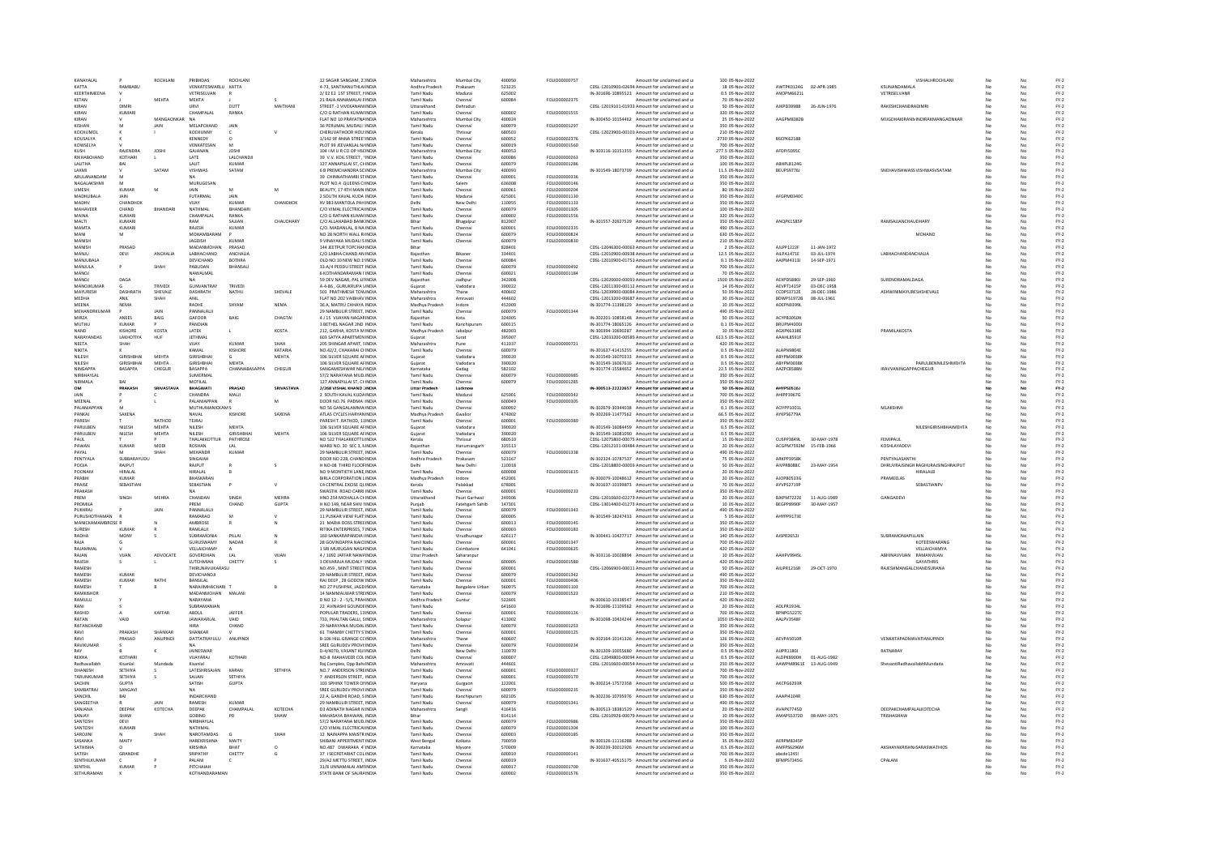| KANAYALAL               |                   | ROCHLANI         | PRIBHDAS                   | ROCHLAN                   |                |                                                       | Maharashtra                        | Mumbai City              | 400050           | FOLIO00000757                         | Amount for unclaimed and u                                                                        | 100 05-Nov-2022                     |                          |                            | VISHALHROCHLAN                        |          |                | $FY-2$           |
|-------------------------|-------------------|------------------|----------------------------|---------------------------|----------------|-------------------------------------------------------|------------------------------------|--------------------------|------------------|---------------------------------------|---------------------------------------------------------------------------------------------------|-------------------------------------|--------------------------|----------------------------|---------------------------------------|----------|----------------|------------------|
| KATTA                   | RAMBABL           |                  | VENKATESWARLU              | KATTA                     |                | 12 SAGAR SANGAM, 21 INDIA<br>4-73, SANTHANUTHLAIINDI/ | Andhra Pradesh                     | Prakasam                 | 523225           |                                       | CDSL-12010900-02694 Amount for unclaimed and u                                                    | 18 05-Nov-2022                      | AWTPK0124G               | 02-APR-1985                | KSUNANDAMAL                           |          |                | $FY-2$           |
| KEERTHIMEENA            |                   |                  | VETRISELVAN                |                           |                | 2/ E2 E2 1ST STREET, NINDIA                           | <b>Tamil Nadu</b>                  | Madurai                  | 625002           |                                       | IN-301696-10895523 Amount for unclaimed and u                                                     | 0.5 05-Nov-2022                     | ANOPM6621L               |                            | VETRISELVANR                          | No       | No             | $FY-2$           |
| KETAN                   |                   | MEHTA            | MEHTA                      |                           |                | 21 RAJA ANNAMALAI FINDIA                              | Tamil Nadu                         | Chennai                  | 600084           | FOLIO00002375                         | Amount for unclaimed and u                                                                        | 70 05-Nov-2022                      |                          |                            |                                       |          | No             | $FY-2$           |
| KIRAN                   | DIMR              |                  | URVI                       | DUTT                      | MAITHAN        | STREET -1 VIVEKANANIINDIA                             | Uttarakhand                        | Dehradur                 |                  |                                       | CDSL-12019101-01933 Amount for unclaimed and u                                                    | 50 05-Nov-2022                      | AJKPD3998B               | 26-JUN-1976                | RAKESHCHANDRADIMR                     |          |                | $FY-2$           |
| KIRAN                   | KUMARI            |                  | CHAMPALAI                  | RANKA                     |                | C/O G RATHAN KUMAFINDIA                               | Tamil Nadu                         | Chennai                  | soong            | FOLIO00001555                         | Amount for unclaimed and u                                                                        | 320 05-Nov-2022                     |                          |                            |                                       |          | No             | $FY-2$           |
| KIRAN                   |                   | MANGAONKAR       | NA                         |                           |                | FLAT NO 10 PRAYATNAINDIA                              | Maharashtra                        | Mumbai City              | 400024           |                                       | IN-300450-10154462 Amount for unclaimed and u                                                     | 25.05-Nov-2022                      | AAGPM8382B               |                            | MUGDHAKIRANNINDIRAKMANGAONKAR         |          | No             | FY-2             |
| KISHAN                  |                   | <b>JAIN</b>      | MELAPCHAND                 | <b>JAIN</b>               |                | 36 PERUMAL MUDALI : INDIA                             | Tamil Nadu                         | Chennai                  | 600079           | FOLIO00001297                         | Amount for unclaimed and u                                                                        | 350 05-Nov-2022                     |                          |                            |                                       |          | No             | $FY-2$           |
| KOCHUMOI                |                   |                  | KOCHUNNY                   |                           |                | CHERUVATHOOR HOU:INDIA                                | Kerala                             |                          | 680503           |                                       | CDSL-12023900-00101 Amount for unclaimed and u                                                    | 210 05-Nov-2022                     |                          |                            |                                       |          |                | $FY-2$           |
| KOUSALVA                |                   |                  | KENNEDY                    |                           |                | 1/142 9F ANNA STREETINDIA                             | Tamil Nadi                         | Chennai                  | 600052           | EQUO00002376                          | Amount for unclaimed and u                                                                        | 2730 05-Nov-2022                    | RSCPK6218R               |                            |                                       |          | No             | $FY-2$           |
| KOWSELYA                |                   |                  | VENKATESAN                 | M                         |                | PLOT 99 JEEVANLAL N/INDIA                             | <b>Tamil Nadu</b>                  | Chennai                  | 600019           | FOLIO00001560                         | Amount for unclaimed and u                                                                        | 700 05-Nov-2022                     |                          |                            |                                       |          | No             | $FY-2$           |
| KUSH                    | RAJENDRA          | JOSH             | GAJANAN                    | <b>JOSHI</b>              |                | 104   M U R CO OP HSCINDIA                            | Maharashtra                        | Mumbai City              | 400053           |                                       | IN-303116-10151355 Amount for unclaimed and u                                                     | 277.5 05-Nov-2022                   | AFDPJ50950               |                            |                                       |          | No             | $FY-2$           |
| RIKHABCHAND             | KOTHARI           |                  | LATE                       | LALCHANDI                 |                | 39 V.V. KOIL STREET, INDIA                            | Tamil Nadu                         | Chenna                   | 600086           | FOLIO0000026                          | Amount for unclaimed and u                                                                        | 350 05-Nov-2022                     |                          |                            |                                       |          |                | $FY-2$           |
| <b>LALITHA</b>          | RAI               |                  | <b>LALIT</b>               | KUMAR                     |                | 127 ANNAPILLALST CHINDIA                              | Tamil Nadu                         | Chennai                  | 600079           | FOLIO00001286                         | Amount for unclaimed and u                                                                        | 100 05-Nov-2022                     | ARHPLR124G               |                            |                                       |          | No             | $FY-2$<br>$FY-2$ |
| LAXMI                   |                   | SATAM            | VISHWAS                    | SATAM                     |                | 6 B PREMCHANDRA SCINDIA                               | Maharashtra                        | Mumbai City              | 400093           |                                       | IN-301549-18073709 Amount for unclaimed and u                                                     | 11.5 05-Nov-2022                    | BEUPS9776J               |                            | SNEHAVISHWASSVISHWASVSATAM            | No       | No             |                  |
| ARULANANDAM             |                   |                  |                            |                           |                | 39 CHINNATHAMBI STINDIA                               | Tamil Nadu                         | Chenna                   | 600001           | FOLIO00000336                         | Amount for unclaimed and u                                                                        | 350 05-Nov-2022                     |                          |                            |                                       |          |                | $FY-2$           |
| NAGALAKSHMI             |                   |                  | MURUGESAN                  |                           |                | PLOT NO.4 QUEENS CI INDIA                             | Tamil Nadu                         | Salem                    | 636008           | EQUIO0000146                          | Amount for unclaimed and u                                                                        | 350 05-Nov-2022                     |                          |                            |                                       |          | N <sub>e</sub> | $FY-2$           |
| <b>LIMESH</b>           | KUMAR             | M                | <b>JAIN</b>                | M                         | M              | <b>BEAUTY 17 4TH MAIN INDIA</b>                       | Tamil Nadu                         | Chennai                  | 600061           | EQUIO00000204                         | Amount for unclaimed and u                                                                        | 80.05-Nov-2022                      |                          |                            |                                       | M        | No             | FY-2             |
| MADHUBALA               | JAIN              |                  | <b>FUTARMAL</b>            | JAIN                      |                | 2 SOUTH KAVAL KUDA INDIA                              | Tamil Nadu                         | Madurai                  | 625001           | FOLIO00001130                         | Amount for unclaimed and u                                                                        | 350 05-Nov-2022                     | AFGPM0340C               |                            |                                       |          | No             | $FY-2$           |
| MADHV                   | CHANDHOL          |                  | <b>YALV</b>                | <b>KUMAR</b>              | CHANDHOK       | XV 983 MANTOLA PAH INDIA                              | Delhi                              | New Delh                 | 110055           | FOLIO00001133                         | Amount for unclaimed and u                                                                        | 350 05-Nov-2022                     |                          |                            |                                       |          | No             | $FY-2$           |
| MAHAVEER                | CHAND             | RHANDAR          | NATHMAL                    | RHANDAR                   |                | C/O VIMAL ELECTRICALINDIA                             | <b>Tamil Nadu</b>                  | Chenna                   | 600079           | EQUO00001305                          | Amount for unclaimed and u                                                                        | 100 05-Nov-2022                     |                          |                            |                                       |          |                | $FN-2$           |
| MAINA                   | KUMARI            |                  | CHAMPALAL                  | RANKA                     |                | C/O G RATHAN KUMAFINDIA                               | Tamil Nadu                         | Chennai                  | 600002           | FOLIO00001556                         | Amount for unclaimed and u                                                                        | 320 05-Nov-2022                     |                          |                            |                                       |          | No             | $FY-2$           |
| MALTI                   | KUMAR             |                  | RAM                        | SAJJAN                    | CHAUDHARY      | C/O ALLAHABAD BANK INDIA                              | Bihar                              | Bhagalpur                | 812007           |                                       | IN-301557-20927529 Amount for unclaimed and u                                                     | 350 05-Nov-2022                     | ANOPK1585P               |                            | RAMSAJJANCHAUDHARY                    |          | No             | $FY-2$           |
| MAMTA                   | KUMAR             |                  | RAJESH<br>MOHAMRARAM       | KUMAF                     |                | C/O. MADANLAL, 8 NA INDIA                             | Tamil Nadu<br>Tamil Nadu           | Chenna                   | 600001           | FOLIO00002335<br><b>FOLIO00000824</b> | Amount for unclaimed and u                                                                        | 490 05-Nov-2022                     |                          |                            |                                       |          |                | $FY-2$           |
| MANI                    | M                 |                  |                            |                           |                | NO 28 NORTH WALL RUNDIA                               |                                    | Chennai                  | 600079           |                                       | Amount for unclaimed and u                                                                        | 630 05-Nov-2022                     |                          |                            | MOHAND                                |          | No             | $FY-2$           |
| MANISH                  |                   |                  | <b>JAGDISH</b>             | KUMAR                     |                | 9 VINAYAKA MUDALI SINDIA                              | <b>Tamil Nadu</b>                  | Chennai                  | 600079           | FOLIO00000830                         | Amount for unclaimed and u                                                                        | 210 05-Nov-2022                     |                          |                            |                                       | No       | No             | $FY-2$           |
| MANISH<br>MANJU         | PRASAD            | <b>ANCHALIA</b>  | MADANMOHAN<br>LABHACHAND   | PRASAD<br><b>ANCHALLA</b> |                | 144 JEETPUR TOPCHANINDIA                              | Bihar                              |                          | 828401<br>334401 |                                       | CDSL-12046300-00063 Amount for unclaimed and u                                                    | 2 05-Nov-2022                       | AJLPP1222F<br>AILPA1471E | 11-JAN-1972<br>03-JUL-1974 | LABHACHANDANCHALIA                    | No<br>No | No<br>No       | $FY-2$<br>$FY-2$ |
| MANJUBALA               | DEVI              |                  | DEVICHAND                  | <b>BOTHRA</b>             |                | C/O LABHA CHAND AN INDIA<br>OLD NO:10 NEW NO:19NDIA   | Rajasthar<br><b>Tamil Nadu</b>     | Bikane<br>Chennai        | 600084           |                                       | CDSL-12010900-00938 Amount for unclaimed and u<br>CDSL-12010900-01751 Amount for unclaimed and u  | 12.5 05-Nov-2022<br>0.1 05-Nov-2022 | AAIPM4313J               | 14-SEP-1971                |                                       | M        |                | $FY-2$           |
|                         |                   |                  |                            |                           |                |                                                       |                                    |                          |                  |                                       |                                                                                                   |                                     |                          |                            |                                       |          | No<br>No       |                  |
| MANJULA<br><b>MANOJ</b> |                   | SHAH             | PABUDAN                    | BHANSAL                   |                | 33-A/4 PEDDU STREET INDIA<br>6 KOTHANDARAMAN I'INDIA  | Tamil Nadu<br><b>Tamil Nadu</b>    | Chennai                  | 600079<br>600021 | FOLIO00000492<br>FOLIO00001184        | Amount for unclaimed and u                                                                        | 700 05-Nov-2022<br>70 05-Nov-2022   |                          |                            |                                       |          |                | $FY-2$<br>$FY-2$ |
| MANOL                   | DAGA              |                  | NAWALMAL                   |                           |                | 59 DEV NAGAR, PAL LINNDIA                             |                                    | Chennai                  | 342008           |                                       | Amount for unclaimed and u                                                                        |                                     | AEXPD5880                | 29-SEP-1960                | SURENDRAMALDAGA                       |          | No             |                  |
| <b>MANOIKLIMAR</b>      |                   | TRIVEDL          | GUNVANTRAY                 | TRIVED                    |                | 4-4-86 GURUKRUPA VINDIA                               | Rajasthar<br>Guiarat               | Jodhpu<br>Vadodara       | 390022           |                                       | CDSL-12020000-00091/ Amount for unclaimed and u<br>CDSL-12011300-00112 Amount for unclaimed and u | 1500 05-Nov-2022<br>14 05-Nov-2022  | AFVPT1415P               | 03-DFC-1958                |                                       |          | No             | $FY-2$<br>FY-2   |
| MAYURESH                | <b>DASHRATH</b>   | SHEVALE          | DASHRATH                   | NATHU                     | SHEVALE        | 501 PRATHMESH TOWINDIA                                | Maharashtra                        | Thane                    | 400602           |                                       | CDSL-12039900-00084 Amount for unclaimed and u                                                    | 50 05-Nov-2022                      | CCDPS3712E               | 28-DEC-1986                | ASHWINIMAYURESHSHEVALE                |          | No             | $FY-2$           |
| MEDHA                   | ANIL              | SHAH             |                            |                           |                | FLAT NO 202 VAIBHAVINDIA                              | Maharashtra                        |                          | 444602           |                                       | CDSL-12013200-00687. Amount for unclaimed and u                                                   | 30 05-Nov-2022                      | <b>BDWPS1972B</b>        | 08-JUL-1961                |                                       |          |                | $FY-2$           |
| MEENA                   | <b>NEMA</b>       |                  | RADHE                      | SHYAM                     | <b>NEMA</b>    | 36 A MATRU CHHAYA INDIA                               | Madhya Pradesh                     | Indore                   | 452009           |                                       | IN-301774-11398129 Amount for unclaimed and u                                                     | 10 05-Nov-2022                      | <b>ADFPN93991</b>        |                            |                                       |          | No             | $FY-2$           |
| MEHANDRKUMAR            |                   |                  | PANNALALI                  |                           |                | 29 NAMBULIR STREET, INDIA                             | <b>Tamil Nadu</b>                  | Chennai                  | 600079           | FOLIO00001344                         | Amount for unclaimed and u                                                                        | 490 05-Nov-2022                     |                          |                            |                                       |          | No             | $FY-2$           |
| MIRZA                   | ANEES             | JAIN<br>BAIG     | GAFOOR                     | BAIG                      | CHAGTAI        | 4 J 15 VIJAYAN NAGARINDIA                             | Raiasthan                          | Kota                     | 324005           |                                       | IN-302201-10858148 Amount for unclaimed and u                                                     | 50 05-Nov-2022                      | ACYPB3050H               |                            |                                       |          | No             | $FY-2$           |
| MUTHU                   | KUMAF             |                  | PANDIAN                    |                           |                | 3 BETHEL NAGAR 2ND INDI                               | Tamil Nadu                         | Kanchipura               | 600115           |                                       | IN-301774-18065126 Amount for unclaimed and u                                                     | 0.1 05-Nov-2022                     | BRUPM4000.               |                            |                                       |          |                | $FY-2$           |
| <b>NAND</b>             | <b>KISHORE</b>    | KOSTA            | LATEK                      | $\mathsf{L}$              | KOSTA          | 212. GARHA, KOSTA M INDIA                             |                                    | Jabalou                  | 482003           |                                       | IN-300394-10690287 Amount for unclaimed and u                                                     | 10 05-Nov-2022                      | AGXPK6338F               |                            | PRAMILAKOSTA                          |          | No             |                  |
| NARAYANDAS              | LAKHOTIYA         | HUF              | <b>JETHMAL</b>             |                           |                | 603 SATYA APARTMEN INDIA                              | Madhya Prades<br>Gujarat           | Surat                    | 395007           |                                       | CDSL-12033200-00585 Amount for unclaimed and u                                                    | 613.5 05-Nov-2022                   | AAAHL8591F               |                            |                                       | No       | No             | $FY-2$<br>$FY-2$ |
| NEETA                   | SHAH              |                  | VIJAY                      | KUMAF                     |                | 205 SHINGAR APART, SINDIA                             | Maharashtra                        | Pune                     | 411037           | FOLIO00000721                         | Amount for unclaimed and u                                                                        | 420 05-Nov-2022                     |                          |                            |                                       |          | No             | $FY-2$           |
| <b>NIKITA</b>           |                   |                  | KAMAL                      | KISHORE                   | <b>KATARIA</b> | NO.42/2. CHAKARAI CHNDIA                              | <b>Tamil Nadu</b>                  | Chennai                  | 600079           |                                       | IN-301637-41415255 Amount for unclaimed and u                                                     | 0.5 05-Nov-2022                     | ALAPN9804F               |                            |                                       |          | N.             | $FY-2$           |
| <b>NILESH</b>           | <b>GIRISHRHAI</b> | <b>MFHTA</b>     | <b>GIRISHRHAI</b>          | $\epsilon$                | <b>MFHTA</b>   | 106 SILVER SOLIARE AFINDIA                            | Guiarat                            | Vadodara                 | 390020           |                                       | IN-301549-16070333 Amount for unclaimed and u                                                     | 0.5.05-Nov-2022                     | <b>ARYPMOD38K</b>        |                            |                                       |          | No             | FY-2             |
| NILESH                  | GIRISHBHAI        | <b>MEHTA</b>     | GIRISHBHAI                 | MEHTA                     |                | 106 SILVER SQUARE AFINDIA                             | Guiarat                            | Vadodara                 | 390020           |                                       | IN-301549-16067616 Amount for unclaimed and u                                                     | 0.5 05-Nov-2022                     | ABYPM0038K               |                            | PARULBENNILESHMEHTA                   | No       | No             | $FY-2$           |
| NINGAPPA                | <b>BASAPPA</b>    | CHEGUR           | BASAPPA                    | <b>CHANNABASAPPA</b>      | CHEGUR         | SANGAMESHWAR NIL/INDIA                                | Karnataka                          |                          | 582102           |                                       | IN-301774-15584652 Amount for unclaimed and u                                                     | 22.5 05-Nov-2022                    | AAZPC8588N               |                            | <b>IRAVVANINGAPPACHEGUR</b>           |          | No             | $FY-2$           |
| NIRRHAYLAI              |                   |                  | SUMERMAL                   |                           |                | 57/2 NARAYANA MUDUNDIA                                | Tamil Nadu                         | Gadag<br>Chenna          | 600079           | EQUIQ0000985                          | Amount for unclaimed and u                                                                        | 350 05-Nov-2022                     |                          |                            |                                       |          | No             | $FY-2$           |
| NIRMALA                 | RAI               |                  | MOTILAL                    |                           |                | 127 ANNAPILLAI ST. CHINDIA                            | <b>Tamil Nadu</b>                  | Chennai                  | 600079           | FOLIO00001285                         | Amount for unclaimed and u                                                                        | 350 05-Nov-2022                     |                          |                            |                                       |          | No             | $FY-2$           |
| <b>OM</b>               | PRAKASH           | <b>SRIVASTAV</b> | <b>BHAGWATI</b>            | PRASAD                    | SRIVASTAVA     | 2/268 VISHAL KHAND 1NDM                               | Uttar Pradesh                      | Lucknov                  |                  |                                       | IN-300513-22222657 Amount for unclaimed and u                                                     | 50 05-Nov-2022                      | AHYPS0516                |                            |                                       |          | No             | $FY-2$           |
| JAIN                    |                   |                  | CHANDRA                    | MALI                      |                | 2 SOUTH KAVAL KUDAINDI                                | Tamil Nadu                         | Madura                   | 625001           | FOLIO00000342                         | Amount for unclaimed and u                                                                        | 700 05-Nov-2022                     | AHIPP3967G               |                            |                                       |          |                | $FY-2$           |
| MEENAL                  |                   |                  | PALANIAPPAN                |                           | M              | DOOR NO.76 PADMA IINDIA                               | Tamil Nadu                         | Chenna                   | 600049           | FOLIO00000305                         | Amount for unclaimed and u                                                                        | 350 05-Nov-2022                     |                          |                            |                                       |          | No             | $FY-2$           |
| PALANIAPPAN             |                   |                  | <b>MUTHUMANICKAMS</b>      |                           |                | NO 56 GANGALAMMA INDIA                                | <b>Tamil Nadu</b>                  | Chennai                  | 600092           |                                       | IN-302679-30344038 Amount for unclaimed and u                                                     | 0.1 05-Nov-2022                     | AOYPP1001L               |                            | MLAKSHMI                              | No       | No             | $FY-2$           |
| PANKAJ                  | SAXENA            |                  | NAVAL                      | KISHORE                   | SAXENA         | ATLAS CYCLES HARYANINDIA                              | Madhya Pradesi                     | Gwalion                  | 474002           |                                       | IN-302269-11477562 Amount for unclaimed and u                                                     | 66.5 05-Nov-2022                    | <b>AYKPS6779A</b>        |                            |                                       |          |                | $FY-2$           |
| PARESH                  |                   | RATHOD           | TEJRAJ                     |                           |                | PARESH T. RATHOD, 11INDIA                             | Tamil Nadu                         | Chenna                   | 600001           | FOLIO00000389                         | Amount for unclaimed and u                                                                        | 350 05-Nov-2022                     |                          |                            |                                       |          | M.             | $FY-2$           |
| <b>PARLILREN</b>        | NII FSH           | <b>MFHTA</b>     | <b>NILESH</b>              | MEHTA                     |                | 106 SILVER SOLIARE AFINDIA                            | Guiarat                            | Vadodara                 | 390020           |                                       | IN-301549-16084459 Amount for unclaimed and u                                                     | 0.5.05-Nov-2022                     |                          |                            | <b>NILESHGIRISHRHAIMEHTA</b>          | No       | No             | FY-2             |
| PARULBEN                | NILESH            | <b>MEHTA</b>     | NILESH                     | <b>GIRISHBHA</b>          | MEHTA          | 106 SILVER SQUARE AFINDIA                             | Guiarat                            | Vadodara                 | 390020           |                                       | IN-301549-16081090 Amount for unclaimed and u                                                     | 0.5 05-Nov-2022                     |                          |                            |                                       |          | No.            | $FY-2$           |
| PAUL                    |                   |                  | THALAKKOTTUR               | PATHROSE                  |                | NO 522 THALAKKOTTU INDIA                              | Kerala                             | Thrissur                 | 680510           |                                       | CDSL-12075800-00075. Amount for unclaimed and u                                                   | 15 05-Nov-2022                      | CUSPP3849L               | 30-MAY-1978                | FEMIPAUL                              |          | No             | $FY-2$           |
| PAWAN                   | KUMAR             | MODI             | ROSHAN                     |                           |                | WARD NO. 30 SEC 3, NINDIA                             | Rajasthar                          | Hanumanga                | 335513           |                                       | CDSL-12012101-00484 Amount for unclaimed and u                                                    | 20 05-Nov-2022                      | ACGPM7592M               | 15-FEB-1966                | KOSHLAYADEV                           |          |                | $FY-2$           |
| PAYAL                   |                   | SHAH             | MEHANDR                    | KUMAR                     |                | 29 NAMBLILIR STREET INDIA                             | Tamil Nadu                         | Chennai                  | 600079           | <b>FOLIO00001338</b>                  | Amount for unclaimed and u                                                                        | 490.05-Nov-2022                     |                          |                            |                                       |          | No             | FY-2             |
| PENTYALA                | SUBBARAYUDU       |                  | SINGAIAH                   |                           |                | DOOR NO 228, CHAND INDIA                              | Andhra Pradesh                     | Prakasam                 | 523167           |                                       | IN-302324-10787537 Amount for unclaimed and u                                                     | 75 05-Nov-2022                      | <b>ARKPP39581</b>        |                            | PENTYALASANTHI                        |          | No             | $FY-2$           |
| POOJA                   | RAJPUT            |                  | RAJPUT                     |                           |                | H NO-08 THIRD FLOOFINDI                               |                                    | New Delh                 | 110018           |                                       | CDSL-12018800-00003 Amount for unclaimed and u                                                    | 50 05-Nov-2022                      | AIVPR8088C               | 23-MAY-1954                | DHRUVRAJSINGH RAGHURAJSINGHRAJPUT     |          |                | $FY-2$           |
| POONAM                  | HIRAI AI          |                  | HIRALAI                    |                           |                | NO 9 MONTIETH LANE. INDIA                             | Tamil Nadu                         | Chennai                  | 600008           | FOLIO00001615                         | Amount for unclaimed and u                                                                        | 20 05-Nov-2022                      |                          |                            | <b>HIRALALR</b>                       | No       | No             | $FY-2$           |
| PRABHI                  | <b>KUMAR</b>      |                  | BHASKARAN                  |                           |                | BIRLA CORPORATION LINDIA                              | Madhya Pradesh                     | Indore                   | 452001           |                                       | IN-300079-10048612 Amount for unclaimed and u                                                     | 20 05-Nov-2022                      | AJOPB0533G               |                            | PRAMEELAS                             | No       | No             | $FY-2$           |
| PRAISE                  | SEBASTIAN         |                  | SEBASTIAN                  |                           |                | C4 CENTRAL EXCISE QUINDIA                             | Kerala                             | Palakkad                 | 678001           |                                       | IN-301637-10199873 Amount for unclaimed and u                                                     | 70 05-Nov-2022                      | AYVPS2719P               |                            | <b>SEBASTIANPV</b>                    | No       | No             | $FY-2$           |
| PRAKASH                 |                   |                  |                            |                           |                | SWASTIK ROAD CARRI INDIA                              | Tamil Nadu                         | Chenna                   | 600001           | FOLIO00000233                         | Amount for unclaimed and u                                                                        | 350 05-Nov-2022                     |                          |                            |                                       |          |                | $FY-2$           |
| PREM                    | SINGH             | <b>MEHRA</b>     | CHANDAN                    | SINGH                     | MEHRA          | HNO 254 MOHALLA CHINDIA                               | Uttarakhand                        | Pauri Garhwal            | 249306           |                                       | CDSL-12010600-02273 Amount for unclaimed and u                                                    | 20 05-Nov-2022                      | BJKPM7222E               | 11-AUG-1989                | GANGADEVI                             | No       | No             | $FY-2$           |
| PROMILA                 |                   |                  |                            |                           | GUPTA          | H NO 149, NEAR SHIV IINDIA                            | Punjab                             | Fatehgarh Sahib          | 147301           |                                       | CDSL-13014400-01273 Amount for unclaimed and u                                                    |                                     |                          | 30-MAY-1957                |                                       | No       | No.            | $FY-2$           |
|                         |                   |                  |                            |                           |                |                                                       |                                    |                          | 600079           |                                       |                                                                                                   |                                     |                          |                            |                                       |          | No             | $FY-2$           |
|                         |                   |                  | PREM                       | CHAND                     |                |                                                       |                                    |                          |                  |                                       |                                                                                                   | 10 05-Nov-2022                      | BEGPP8990F               |                            |                                       |          |                |                  |
| PUKHRAJ                 |                   | JAIN             | PANNALALI                  | M                         |                | 29 NAMBULIR STREET, INDIA                             | <b>Tamil Nadu</b>                  | Chennai                  |                  | FOLIO00001343                         | Amount for unclaimed and u                                                                        | 490 05-Nov-2022                     |                          |                            |                                       |          |                |                  |
| PURUSHOTHAMAN           |                   |                  | RAMARAO                    |                           |                | 11 PUSKAR VIEW FLAT: INDIA                            | <b>Tamil Nadu</b>                  | Chennai                  | 600005           |                                       | IN-301549-18247433 Amount for unclaimed and u                                                     | 5 05-Nov-2022                       | AHYPP9173E               |                            |                                       |          | No             | $FY-2$           |
| MANICKAMAMBROSE B       |                   |                  | <b>AMRROSE</b>             |                           |                | 21 MARIA DOSS STREEINDIA                              | Tamil Nadu                         | Chennai                  | 600013           | FOU IO00000145                        | Amount for unclaimed and u                                                                        | 350.05-Nov-2022                     |                          |                            |                                       | No       | No             | FY-2             |
| SURESH                  | KUMAF             |                  | RAMLALII                   |                           |                | RITIKA ENTERPRISES, 7 INDIA                           | Tamil Nadu                         | Chennai                  | 600003           | FOLIO00000183                         | Amount for unclaimed and u                                                                        | 350 05-Nov-2022                     |                          |                            |                                       |          | No             | $FY-2$           |
| RADHA<br>RAIA           | MONY              |                  | SUBRAMONIA<br>GURUSWAMY    | PILLAI<br>NADAR           |                | 160 SANKARAPANDIA HNDIA<br>28 GOVINDAPPA NAICUNDIA    | Tamil Nadu<br>Tamil Nadu           | Virudhunaga<br>Chennai   | 626117<br>600001 | EQUO00001347                          | IN-300441-10427717 Amount for unclaimed and u<br>Amount for unclaimed and u                       | 140 05-Nov-2022<br>700 05-Nov-2022  | AJSPR2652J               |                            | SUBRAMONIAPILLAIN<br>KOTFFSWARANG     | No       | No             | $FY-2$<br>$FY-2$ |
|                         |                   |                  |                            |                           |                |                                                       |                                    |                          |                  |                                       |                                                                                                   |                                     |                          |                            |                                       |          |                |                  |
| RAJAMMAL<br>RAJAN       | VIJAN             | ADVOCATE         | VELLAICHAMY<br>GOVERDHAN   | LAL                       | VIJAN          | 1 SRI MURUGAN NAGAINDIA                               | <b>Tamil Nadu</b><br>Uttar Pradesh | Coimbatore<br>Saharanpur | 641041           | FOLIO00000625                         | Amount for unclaimed and u<br>IN-303116-10028894 Amount for unclaimed and u                       | 420 05-Nov-2022<br>10 05-Nov-2022   | AAHPV9945L               |                            | VELLAICHAMYA<br>ABHINAVVUAN RAMANVUAN | No<br>No | No<br>No       | $FY-2$           |
| RAJESH                  |                   |                  | LUTCHMIAH                  | CHETTY                    |                | 4 / 1092 JAFFAR NAW/INDIA<br>3 DEVARAJA MUDALY (INDIA | Tamil Nadu                         | Chennai                  | 600005           | FOLIO00001580                         | Amount for unclaimed and u                                                                        | 420 05-Nov-2022                     |                          |                            | <b>GAYATHRIS</b>                      |          |                | $FY-2$<br>$FY-2$ |
| RAMESH                  |                   |                  | THIRUNAVUKARASU            |                           |                | NO.459, MINT STREET INDIA                             | Tamil Nadu                         | Chennai                  | 600001           |                                       | CDSL-12066900-00011 Amount for unclaimed and u                                                    | 50 05-Nov-2022                      | AIUPR1216R               | 29-OCT-1970                | RAJESHMANGALCHANDSURANA               | No       | No             | $FY-2$           |
| RAMESH                  | KUMAF             |                  | DEVICHANDJI                |                           |                | 29 NAMBULIR STREET. INDIA                             | <b>Tamil Nadu</b>                  | Chennai                  | 600079           | FOLIO00001342                         | Amount for unclaimed and u                                                                        | 490 05-Nov-2022                     |                          |                            |                                       | No       | No             | $FY-2$           |
| RAMESH                  | KUMAF             | RATHI            | BANSILAL                   |                           |                | RAJ DEEP, 28 GODOW INDIA                              | <b>Tamil Nadu</b>                  | Chenna                   | 600001           | FOLIO00000406                         | Amount for unclaimed and u                                                                        | 350 05-Nov-2022                     |                          |                            |                                       |          |                | $FY-2$           |
| RAMESH                  |                   |                  | NARAIIMHACHARI T           |                           |                | NO 27 PUSHPAK, JAGD INDIA                             | Karnataka                          | <b>Bangalore Urba</b>    | 560075           | FOLIO00001103                         | Amount for unclaimed and u                                                                        | 700 05-Nov-2022                     |                          |                            |                                       |          | No             | $FY-2$           |
| RAMKISHOR               |                   |                  | MADANMOHAN                 | MALANI                    |                | 14 NAMMAI WAR STREINDIA                               | Tamil Nadu                         | Chennai                  | 600079           | <b>EQUO00001523</b>                   | Amount for unclaimed and u                                                                        | 210.05-Nov-2022                     |                          |                            |                                       | No       | No             | FY-2             |
| RAMULU                  |                   |                  | NARAYANA                   |                           |                | D NO 12 - 2 - 5/5, PRANNDIA                           | Andhra Pradesh                     | Guntur                   | 522601           |                                       | IN-300610-10338547 Amount for unclaimed and u                                                     | 420 05-Nov-2022                     |                          |                            |                                       | No       | No             | $FY-2$           |
| RAN                     |                   |                  | SUBRAMANIAN                |                           |                | 22 AVINASHI GOUNDEINDIA                               | Tamil Nadu                         |                          | 641603           |                                       | IN-301696-11109562 Amount for unclaimed and u                                                     | 20 05-Nov-2022                      | ADLPR1934                |                            |                                       |          | No             | $FY-2$           |
| RASHID                  |                   | KAFFAR           | ABDUL                      | JAFFER                    |                | POPULAR TRADERS, 13 INDIA                             | Tamil Nadu                         | Chenna                   | 600001           | FOLIO00000126                         | Amount for unclaimed and u                                                                        | 700 05-Nov-2022                     | BPNPG52270               |                            |                                       |          |                | $FY-2$           |
| RATAN                   | VAID              |                  | <b>JAWAHARLAL</b>          | VAID                      |                | 733, PHALTAN GALLI, SINDIA                            | Maharashtra                        | Solapur                  | 413002           |                                       | IN-301098-10424244 Amount for unclaimed and u                                                     | 1050 05-Nov-2022                    | AALPV3548F               |                            |                                       | No       | No             | $FY-2$           |
| RATANCHAND              |                   |                  | <b>HIRA</b>                | CHAND                     |                | 29 NARAYANA MUDALINDIA                                | Tamil Nadu                         | Chennai                  | 600079           | FOLIO00001253                         | Amount for unclaimed and u                                                                        | 350 05-Nov-2022                     |                          |                            |                                       |          | No             | $FY-2$           |
| RAVI                    | PRAKASH           | SHANKAR          | SHANKAP                    |                           |                | 61 THAMBY CHETTY S'INDIA                              | Tamil Nadu                         | Chenna                   | 600001           | FOLIO00000125                         | Amount for unclaimed and u                                                                        | 350 05-Nov-2022                     |                          |                            |                                       |          |                | $FY-2$           |
| RAVI                    | PRASAD            | <b>ANUPIND</b>   | DATTATRAYULU               | ANUPINDI                  |                | <b>B-106 HILL GRANGE CCINDIA</b>                      | Maharashtra                        | Thane                    | 400607           |                                       | IN-302164-10141326 Amount for unclaimed and u                                                     | 126 05-Nov-2022                     | <b>AFVPAS010R</b>        |                            | <b><i>VENKATAPADMAVATIANUPIND</i></b> | No       | No             | $FY-2$           |
| RAVIKUMAR               |                   |                  | <b>NA</b>                  |                           |                | SREE GURUDEV PROVI: INDIA                             | <b>Tamil Nadu</b>                  | Chennai                  | 600079           | FOLIO00000234                         | Amount for unclaimed and u                                                                        | 350 05-Nov-2022                     |                          |                            |                                       | No       | No             | $FY-2$           |
| RAY                     |                   | ĸ                | JAINESWAR                  |                           |                | D-4/4070, VASANT KUHNDIA                              |                                    | New Delh                 | 110070           |                                       | IN-301209-10055680 Amount for unclaimed and u                                                     | 0.5 05-Nov-2022                     | AJJPR1180J               |                            | RATNARAY                              |          | No             | $FY-2$           |
| REKHA                   | KOTHARI           |                  | <b>JAYARAJ</b>             | KOTHARI                   |                | NO-8 MAHAVEER COLINDIA                                | Tamil Nadu                         | Chenna                   | 600007           |                                       | CDSL-12049800-00094 Amount for unclaimed and u                                                    | 0.5 05-Nov-2022                     | ALDPK8900H               | 01-4106-1982               |                                       |          | No             | $FY-2$           |
| Radhavallahh            | Kisanlal          | Mundada          | Kisanlal                   |                           |                | Raj Complex, Opp Baht INDIA                           | Maharashtra                        | Amravat                  | 444601           |                                       | CDSL-12010600-00054(Amount for unclaimed and u                                                    | 250.05-Nov-2022                     | AAWPM8961F               | 13-4106-1949               | ShevantiRadhavallahhMundada           | M        | No             | FY-2             |
| DHANESH                 | SETHIYA           |                  | LATESHRISAJAN              | KARAN                     | SETHIYA        | NO.7 ANDERSON STREINDIA                               | Tamil Nadu                         | Chennai                  | 600001           | FOLIO00000327                         | Amount for unclaimed and u                                                                        | 700 05-Nov-2022                     |                          |                            |                                       | No       | No             | $FY-2$           |
| TARUNKUMAI              | SETHIYA           |                  | SAJJAN                     | SETHIYA                   |                | 7 ANDERSON STREET. INDIA                              | Tamil Nadu                         | Chennai                  | 600001           | FOLIO00000170                         | Amount for unclaimed and u                                                                        | 700 05-Nov-2022                     |                          |                            |                                       |          | No             | $FY-2$           |
| SACHIN                  | <b>GUPTA</b>      |                  | SATISH                     | GUPTA                     |                | 103 SPHINX TOWER ONNDIA                               | laryana                            | Gurgaor                  | 122001           |                                       | IN-300214-17572358 Amount for unclaimed and u                                                     | 500 05-Nov-2022                     | AKCPG6293F               |                            |                                       |          |                | $FY-2$           |
| SAMRATRAL               | SANGAVI           |                  | <b>NA</b>                  |                           |                | SREE GURUDEV PROVISION                                | Tamil Nadu                         | Chennai                  | 600079           | <b>EQUIO0000235</b>                   | Amount for unclaimed and u                                                                        | 350 05-Nov-2022                     |                          |                            |                                       |          | No             | $FY-2$           |
| SANCHIL                 | BAI               |                  | INDARCHAND                 |                           |                | 22 A. GANDHI ROAD, S INDIA                            | Tamil Nadu                         | Kanchipuram              | 602105           |                                       | IN-302236-10795976 Amount for unclaimed and u                                                     | 630 05-Nov-2022                     | AAAPI4104F               |                            |                                       |          | No             | $FY-2$           |
| <b>SANGEETH</b>         |                   | <b>JAIN</b>      | RAMESH                     | KUMAR                     |                | 29 NAMBULIR STREET, INDIA                             | Tamil Nadu                         |                          | 600079           | FOLIO00001341                         | ount for unclaimed and u                                                                          | 490 05-Nov-2022                     |                          |                            |                                       |          |                | $FY-2$           |
| SANJANA                 | DEEPAK            | <b>КОТЕСНА</b>   | DEEPAK                     | CHAMPALAL                 | KOTFCHA        | D3 ADINATH NAGAR N INDIA                              | Maharashtra                        | Sangli                   | 416416           |                                       | IN-300513-18381529 Amount for unclaimed and u                                                     | 20 05-Nov-2022                      | AVAPK7745D               |                            | ΠΕΕΡΑΚΟΗΔΜΡΑΙ ΑΙ ΚΟΤΕΟΗΔ              | No       | No             | $FY-2$           |
| SANJAY                  | SHAW              |                  | <b>GOBIND</b>              | PD                        | SHAW           | MAHASAYA BHAWAN, INDIA                                | Bihar                              |                          | 814114           |                                       | CDSL-12010926-00079 Amount for unclaimed and u                                                    | 10 05-Nov-2022                      | AMAPS5372D 08-MAY-1975   |                            | TRISHASHAW                            | No       | No             | $FY-2$           |
| SANTOSH                 | DEVI              |                  | NIRBHAYLAL                 |                           |                | 57/2 NARAYANA MUD INDIA                               | <b>Tamil Nadu</b>                  | Chennai                  | 600079           | FOLIO00000986                         | Amount for unclaimed and u                                                                        | 350 05-Nov-2022                     |                          |                            |                                       |          | No             | $FY-2$           |
| SANTOSH                 | KUMAR             |                  | NATHMAL                    |                           |                | C/O VIMAL ELECTRICALINDIA                             | Tamil Nadu                         | Chenna                   | 600079           | FOLIO00001304                         | Amount for unclaimed and u                                                                        | 100 05-Nov-2022                     |                          |                            |                                       |          |                | $FY-2$           |
| SAROJINI                |                   | <b>SHAI</b>      | NAROTAMOAS                 |                           | SHAH           | 12 NAINAPPA MAISTRINDIA                               | Tamil Nadu                         | Chenna                   | 600003           | FOLIO00000185                         | Amount for unclaimed and u                                                                        | 350 05-Nov-2022                     |                          |                            |                                       |          | N.             |                  |
| SASANKA                 | MAITY             |                  | HAREKRISHNA                | MAITY                     |                | SHIBANI APPERTMENT INDIA                              | <b>West Benga</b>                  | Kolkata                  | 700059           |                                       | IN-300126-11116288 Amount for unclaimed and u                                                     | 35 05-Nov-2022                      | AERPM8345P               |                            |                                       |          | No             | $FY-2$<br>$FY-2$ |
| SATHISHA                |                   |                  | KRISHNA                    | BHAT                      |                | NO.487 DWARAKA 41INDI/                                | Karnataka                          | Mysore                   | 570009           |                                       | IN-300239-30012926 Amount for unclaimed and u                                                     | 0.5 05-Nov-2022                     | AMFPS6296M               |                            | AKSHAYAKRISHN/SARASWATHIO!            |          |                | $FY-2$           |
| SATISH                  | GRANDH            |                  | SRIPATHY                   | CHETTY                    |                | 37   SECRETARIAT COL INDIA                            | <b>Tamil Nadu</b>                  | Chenna                   | 600010           | FOLIO00000141                         | Amount for unclaimed and u                                                                        | 700 05-Nov-2022                     | abcde12451               |                            |                                       |          |                | $FY-2$           |
| SENTHILKUMAR            |                   |                  | PALANE                     |                           |                | 29/42 METTU STREET INDIA                              | Tamil Nadu                         | Chennai                  | 600019           |                                       | IN-301637-40515175 Amount for unclaimed and u                                                     | 5.05-Nov-2022                       | REMPS7345G               |                            | <b>CPALANI</b>                        |          | No             | FY-2             |
| SENTHIL<br>SETHURAMAN   | <b>KUMAR</b>      |                  | PITCHAIAH<br>KOTHANDARAMAN |                           |                | 31/8 UNNAMALAI AMI INDIA<br>STATE BANK OF SAURAINDIA  | Tamil Nadu<br>Tamil Nadu           | Chennai<br>Chenna        | 600017<br>600002 | FOLIO00001700<br>FOLIO00001576        | Amount for unclaimed and u<br>Amount for unclaimed and u                                          | 350 05-Nov-2022<br>350 05-Nov-2022  |                          |                            |                                       |          | No             | $FY-2$<br>$FY-2$ |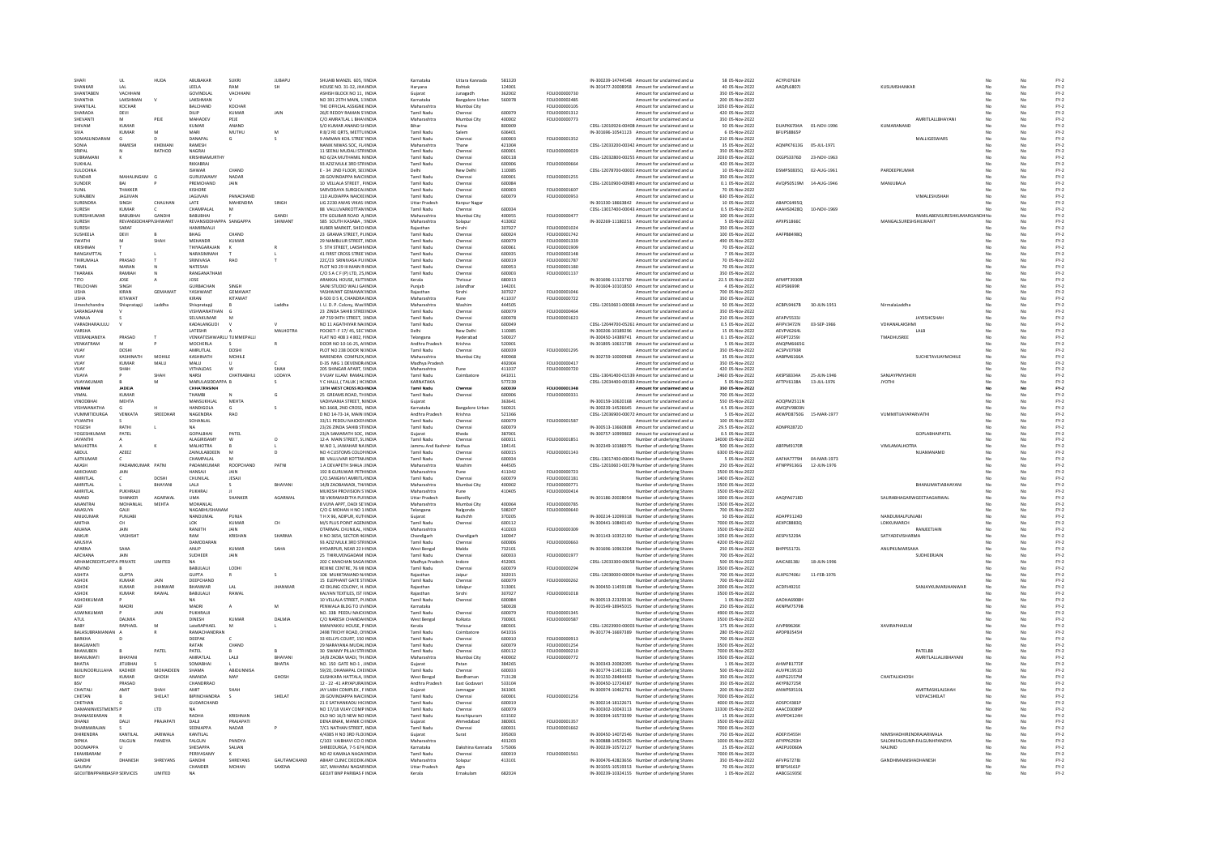|                                              | <b>UL</b>                        | HUDA            | <b>ABLIRAKAR</b>                    | SLIKRI               | <b>ILIRAPLE</b>         | SHUAIB MANZIL 605, NNDIA                                    | Karnataka                        | Uttara Kannada         | 581320           |                                | IN-300239-14744548 Amount for unclaimed and u                                                    | 58 05-Nov-2022                        | ACYPIO763H               |                            |                                                |              |          | $FY-2$           |
|----------------------------------------------|----------------------------------|-----------------|-------------------------------------|----------------------|-------------------------|-------------------------------------------------------------|----------------------------------|------------------------|------------------|--------------------------------|--------------------------------------------------------------------------------------------------|---------------------------------------|--------------------------|----------------------------|------------------------------------------------|--------------|----------|------------------|
| SHANKAR                                      | LAL                              |                 | LEELA                               | RAM                  | <b>SH</b>               | HOUSE NO. 31-32, JHA INDIA                                  | Harvana                          | Rohtak                 | 124001           |                                | IN-301477-20008958 Amount for unclaimed and u                                                    | 40 05-Nov-2022                        | AAQPL6807J               |                            | KUSUMSHANKAP                                   |              |          | $FY-2$           |
| SHANTABEN                                    | VACHHAN                          |                 | <b>GOVINDLAL</b>                    | VACHHAN              |                         | ASHISH BLOCK NO 11. INDIA                                   | Guiarat                          | Junagadh               | 362002           | FOLIO00000730                  | Amount for unclaimed and u                                                                       | 350 05-Nov-2022                       |                          |                            |                                                |              | No       | $FY-2$           |
| SHANTHA                                      | LAKSHMAN                         |                 | LAKSHMAN                            |                      |                         | NO 391 25TH MAIN, 11INDIA                                   | Karnataka                        | <b>Bangalore Urbar</b> | 560078           | FOLIO00002485                  | Amount for unclaimed and u                                                                       | 200 05-Nov-2022                       |                          |                            |                                                |              | No       | $FY-2$           |
| SHANTILAI                                    | KOCHAR                           |                 | <b>BALCHAND</b>                     | KOCHAR               |                         | THE OFFICIAL ASSIGNE INDIA                                  | Maharashtra                      | Mumbai City            |                  | <b>EQUIO00000105</b>           | Amount for unclaimed and u                                                                       | 1050.05-Nov-2022                      |                          |                            |                                                |              | No       | $FY-2$           |
| SHARADA<br>SHEVANT                           | DEVI                             | PEJE            | DILIP<br>MAHADEV                    | <b>KUMAR</b><br>PEJE | JAIN                    | 26/E REDDY RAMAN STINDIA<br>C/O AMRATLAL L BHAYINDIA        | Tamil Nadu                       | Chennai                | 600079<br>400002 | FOLIO00001312<br>FOLIO00000773 | Amount for unclaimed and u                                                                       | 420 05-Nov-2022<br>350 05-Nov-2022    |                          |                            | AMRITLALLBHAYAN                                |              | No       | $FY-2$<br>$FY-2$ |
| SHIVAM                                       | M<br>KUMAF                       |                 | KUMAR                               | ANAND                |                         | S/O KUMAR ANAND SHINDIA                                     | Maharashtra                      | Mumbai City<br>Patna   | 800009           |                                | Amount for unclaimed and u<br>CDSL-12010926-00408 Amount for unclaimed and u                     | 50 05-Nov-2022                        | DUAPK6704A               | 01-NOV-1996                | KUMARANAND                                     |              | No       | $FY-2$           |
| <b>SIVA</b>                                  | <b>KUMAR</b>                     | M               | MARI                                | MUTHU                | M                       | R 8/2 RE ORTS, METTU INDIA                                  | <b>Tamil Nadu</b>                | Salem                  | 636401           |                                | IN-301696-10541123 Amount for unclaimed and u                                                    | 6 05-Nov-2022                         | BFUPS8865P               |                            |                                                | No           | No       | $FY-2$           |
| SOMASUNDARAM                                 |                                  |                 | DANAPAL                             | G                    |                         | 9 AMMAN KOIL STREETINDIA                                    | Tamil Nadu                       | Chennai                | 600003           | FOLIO00001352                  | Amount for unclaimed and u                                                                       | 210 05-Nov-2022                       |                          |                            | MALLIGESWARS                                   | No           | No       | $FY-2$           |
| SONIA                                        | RAMESH                           | KHEMANI         | RAMESH                              |                      |                         | VANIK NIWAS SOC, FL/INDI/                                   | Maharashtra                      | Thane                  | 421004           |                                | CDSL-12033200-00342 Amount for unclaimed and u                                                   | 35 05-Nov-2022                        | AQNPK7613G               | 05-JUL-1971                |                                                |              |          | FY-2             |
| SRIPAL                                       |                                  | RATHOD          | NAGRAJ                              |                      |                         | 11 SEENU MUDALI STRINDIA                                    | Tamil Nadu                       | Chenna                 | 600001           | FOLIO00000029                  | Amount for unclaimed and u                                                                       | 350 05-Nov-2022                       |                          |                            |                                                |              | No       | $FY-2$           |
| SURRAMAN                                     |                                  |                 | KRISHNAMURTHY                       |                      |                         | NO 6/24 MUTHAMIL NINDIA                                     | Tamil Nadu                       | Chennai                | 600118           |                                | CDSL-12032800-00255 Amount for unclaimed and u                                                   | 2030 05-Nov-2022                      | CKGPS3376D               | 23-NOV-1963                |                                                |              | No       | $FY-2$           |
| SUKHLAL<br>SULOCHN.                          |                                  |                 | RKKABRAJ<br><b>ISHWAR</b>           | CHAND                |                         | 93 AZIZ MULK 3RD STRINDIA<br>E - 34 2ND FLOOR, SECINDIA     | Tamil Nadu                       | Chennai<br>New Delh    | 600006<br>110085 | FOLIO0000066                   | Amount for unclaimed and u<br>CDSL-12078700-00001 Amount for unclaimed and u                     | 420 05-Nov-2022<br>10 05-Nov-2022     | DSMPS0835Q               | 02-AUG-1961                | PARDEEPKUMA                                    | No           | No       | $FY-2$<br>$FY-2$ |
| SUNDAR                                       | MAHALINGAM                       | $\epsilon$      | <b>GURUSWAMY</b>                    | NADAR                |                         | 28 GOVINDAPPA NAICUNDIA                                     | Tamil Nadi                       | Chennai                | 600001           | FOLIO00001255                  | Amount for unclaimed and u                                                                       | 350 05-Nov-2022                       |                          |                            |                                                |              | No       | $FY-2$           |
| SUNDER                                       | RAI                              |                 | PREMCHAND                           | JAIN                 |                         | 10 VELLALA STREET, PINDIA                                   | Tamil Nadu                       | Chennai                | 600084           |                                | CDSL-12010900-00985 Amount for unclaimed and u                                                   | 0.1 05-Nov-2022                       | AVOPS0519M 14-AUG-1946   |                            | MANJUBALA                                      | No           | No       | $FY-2$           |
| SUNIL                                        | THAKKER                          |                 | KISHORE                             |                      |                         | SARVODAYA SURGICALINDIA                                     | Tamil Nadu                       | Chennai                | 600003           | FOLIO00001607                  | Amount for unclaimed and u                                                                       | 70 05-Nov-2022                        |                          |                            |                                                |              | No       | $FY-2$           |
| SURAJBEN                                     | <b>JAGJIVAN</b>                  |                 | <b>JAGJIVAN</b>                     | PANACHAND            |                         | 110 AUDIAPPA NAICKE INDIA                                   | Tamil Nadu                       | Chenna                 | 600079           | FOLIO00000953                  | Amount for unclaimed and u                                                                       | 630 05-Nov-2022                       |                          |                            | VIMALESHISHA                                   |              |          | $FY-2$           |
| SURENDRA                                     | <b>SINGH</b>                     | CHAUHAN         | LATE                                | MAHENDRA             | SINGH                   | LIG 2230 AWAS VIKAS IINDIA                                  | <b>Uttar Pradesh</b>             | Kanpur Naga            |                  |                                | IN-301330-18663842 Amount for unclaimed and u                                                    | 10 05-Nov-2022                        | ARAPC64950               |                            |                                                |              | No       | $FY-2$           |
| SURESH                                       | <b>KUMAR</b>                     |                 | CHAMPALAL                           | M                    |                         | 88 VALLUVARKOTTAMINDIA                                      | <b>Tamil Nadu</b>                | Chennai                | 600034           |                                | CDSL-13017400-00043 Amount for unclaimed and u                                                   | 0.5 05-Nov-2022                       | AAAHS0428Q               | 10-NOV-1969                |                                                |              | No       | $FY-2$           |
| SURESHKUMA<br>SURFSH                         | BABUBHA<br>REVANSIDDHAPP.SHIWANT | GANDH           | BABUBHAI<br>REVANSIDDHAPPA SANGAPPA |                      | <b>GANDI</b><br>SHIWANT | STH GOLIBAR ROAD A INDIA<br>585 SOUTH KASABA, SINDIA        | Maharashtra<br>Maharashtra       | Mumbai City<br>Solapur | 400055<br>413002 | FOLIO0000047                   | Amount for unclaimed and u<br>IN-302269-11180251 Amount for unclaimed and u                      | 100 05-Nov-2022<br>5 05-Nov-2022      | APXPS1866C               |                            | RAMILABENSURESHKUMARGA<br>MANGALSURESHSHILWANT | IDHNo<br>No. | No<br>No | $FY-2$<br>$FY-2$ |
| SURFSH                                       | SARAF                            |                 | HAMIRMALII                          |                      |                         | KURER MARKET, SHEOUNDIA                                     | Raiasthan                        | Sirohi                 | 307027           | EQUO00001024                   | Amount for unclaimed and u                                                                       | 350.05-Nov-2022                       |                          |                            |                                                | No.          | No       | $FY-2$           |
| SUSHEELA                                     | DEVI                             |                 | BHAG                                | CHAND                |                         | 23 GRAMA STREET, PLINDIA                                    | Tamil Nadu                       | Chennai                | 600024           | FOLIO00001742                  | Amount for unclaimed and u                                                                       | 100 05-Nov-2022                       | AAFPB8498Q               |                            |                                                | No           | No       | $FY-2$           |
| SWATHI                                       |                                  | SHAH            | MEHANDR                             | KUMAR                |                         | 29 NAMBULIR STREET, INDIA                                   | <b>Tamil Nadu</b>                | Chennai                | 600079           | FOLIO00001339                  | Amount for unclaimed and u                                                                       | 490 05-Nov-2022                       |                          |                            |                                                |              | No       | $FY-2$           |
| KRISHNAN                                     |                                  |                 | THIYAGARAJAN                        |                      |                         | 5 STH STREET, LAKSHNINDIA                                   | <b>Tamil Nad</b>                 | Chenna                 | 600061           | FOLIO00001909                  | Amount for unclaimed and u                                                                       | 70 05-Nov-2022                        |                          |                            |                                                |              | No       | $FY-2$           |
| RANGAVITTAL                                  |                                  |                 | NARASIMMAH                          |                      |                         | 41 FIRST CROSS STREETINDIA                                  | <b>Tamil Nadu</b>                | Chennai                | 600035           | FOLIO00002148                  | Amount for unclaimed and u                                                                       | 7 05-Nov-2022                         |                          |                            |                                                | No           | No       | $FY-2$           |
| THIRUMALA                                    | PRASAD                           |                 | SRINIVASA                           | <b>RAO</b>           |                         | 22C/23 SRINIVASA PUIINDIA                                   | <b>Tamil Nadu</b>                | Chennai                | 600019           | FOLIO00001787                  | Amount for unclaimed and u                                                                       | 70 05-Nov-2022                        |                          |                            |                                                |              | No       | $FY-2$           |
| TAMIL<br>THARAKA                             | MARAN<br>RAMIAH                  |                 | NATESAN<br>RANGANATHAM              |                      |                         | PLOT NO 29 III MAIN R INDIA                                 | Tamil Nad<br>Tamil Nadu          | Chenna                 | 600053<br>600003 | FOLIO00001180                  | Amount for unclaimed and u                                                                       | 70 05-Nov-2022                        |                          |                            |                                                |              |          | $FY-2$           |
| TITO                                         | JOSE                             |                 | JOSE                                |                      |                         | C/O S A C F (P) LTD, 25 INDIA<br>ARAKKAL HOUSE, KUTTINDIA   | Kerala                           | Chenna<br>Thrissur     | 680013           | FOLIO00001137                  | Amount for unclaimed and u<br>IN-301696-11123769 Amount for unclaimed and u                      | 350 05-Nov-2022<br>22.5 05-Nov-2022   | AFMPT3930R               |                            |                                                | No           | No<br>No | $FY-2$<br>$FY-2$ |
| TRILOCHAN                                    | SINGH                            |                 | GURBACHAN                           | SINGH                |                         | SAINI STUDIO WALI GAINDIA                                   | Punjab                           | Jalandhar              | 144201           |                                | IN-301604-10101850 Amount for unclaimed and u                                                    | 4 05-Nov-2022                         | AEIPS9699R               |                            |                                                | No           | No       | $FY-2$           |
| <b>USHA</b>                                  | KIRAN                            | <b>GEMAWAT</b>  | YASHWANT                            | GEMAWAT              |                         | YASHWANT GEMAWATINDI                                        | Rajastha                         | Sirohi                 | 307027           | <b>FOLIO00001046</b>           | mount for unclaimed and u                                                                        | 700 05-Nov-2022                       |                          |                            |                                                |              | No       | $FY-2$           |
| <b>LISHA</b>                                 | KITAWAT                          |                 | KIRAN                               | KITAWAT              |                         | B-503 D S K, CHANDRA INDIA                                  | Maharashtra                      | Pune                   | 411037           | EQLIQ00000722                  | Amount for unclaimed and u                                                                       | 350.05-Nov-2022                       |                          |                            |                                                |              | No       | FY-2             |
| Umeshchandra                                 | Shivpratapii                     | Laddha          | Shivpratapii                        |                      | Laddha                  | I. U. D. P. Colony, Wash NDIA                               | Maharashtra                      | Washim                 | 444505           |                                | CDSL-12010601-00068 Amount for unclaimed and u                                                   | 50 05-Nov-2022                        | ACBPL9467B               | 30-JUN-1951                | Nirmalal addha                                 | No           | No       | $FY-2$           |
| SARANGAPANI                                  |                                  |                 | VISHWANATHAN                        |                      |                         | 23 ZINDA SAHIB STREEINDIA                                   | <b>Tamil Nadu</b>                | Chennai                | 600079           | FOLIO0000046                   | Amount for unclaimed and u                                                                       | 350 05-Nov-2022                       |                          |                            |                                                |              | No       | $FY-2$           |
| VANAJA                                       |                                  |                 | SELVAKUMAR                          |                      |                         | AP 759 94TH STREET, 1INDIA                                  | Tamil Nadu                       | Chenna                 | 600078           | FOLIO00001623                  | Amount for unclaimed and u                                                                       | 210 05-Nov-2022                       | AFAPVS533                |                            | <b>JAYESHCSHA</b>                              |              |          | $FY-2$           |
| VARADHARAILILLI                              |                                  |                 | KADALANGUDI                         |                      |                         | NO 11 AGATHIYAR NA(INDIA                                    | Tamil Nadu                       | Chennai                | 600049           |                                | CDSL-12044700-05261 Amount for unclaimed and u                                                   | 0.5 05-Nov-2022                       | AFIPV3472N               | 03-SEP-1966                | <b>VDHANALAKSHMI</b>                           |              | No       | $FY-2$           |
| VARSHA<br>VEERANJANEYA                       | PRASAD                           |                 | LATESHR<br>VENKATESHWARLU TUMMEPALL |                      | MALHOTRA                | POCKET- F 17/45, SECTINDIA<br>FLAT NO 408 3 4 802, NNDIA    | Delhi<br>Telangana               | New Delhi<br>Hyderabac | 110085<br>50002  |                                | IN-300206-10189296 Amount for unclaimed and u<br>IN-300450-14389741 Amount for unclaimed and u   | 15 05-Nov-2022<br>0.1 05-Nov-2022     | AEVPV6264L<br>AFDPT2259. |                            | LALB<br>TMADHUSREE                             | No           | No       | $FY-2$<br>$FY-2$ |
| VENKATRAM                                    |                                  |                 | MOCHERLA                            |                      |                         | DOOR NO 10-16-25, AFINDIA                                   | Andhra Pradesh                   | Krishna                | 520001           |                                | IN-301895-10631708 Amount for unclaimed and u                                                    | 5 05-Nov-2022                         | ANOPM6665G               |                            |                                                |              | No       | $FY-2$           |
| VUAY                                         | DOSHI                            |                 | AMRUTLAL                            | DOSHI                |                         | PLOT NO 238 DOOR N(INDIA                                    | Tamil Nadu                       | Chennai                | 600039           | FOLIO00001295                  | Amount for unclaimed and u                                                                       | 350 05-Nov-2022                       | ACSPV0793R               |                            |                                                | No.          | No       | $FY-2$           |
| VUAY                                         | KASHINATH                        | MOHILE          | KASHINATH                           | MOHILE               |                         | NARENDRA COMPLEX, INDIA                                     | Maharashtra                      | Mumbai City            | 400068           |                                | IN-302759-10000968 Amount for unclaimed and u                                                    | 35 05-Nov-2022                        | AABPM6166A               |                            | SUCHETAVIJAYMOHILE                             | No           | No       | $FY-2$           |
| VUAY                                         | <b>KUMAR</b>                     | MALU            | MALU                                |                      |                         | <b>D-35 MIG 1 DEVENDR/INDIA</b>                             | Madhya Pradesh                   |                        | 492004           | FOLIO0000041                   | Amount for unclaimed and u                                                                       | 350 05-Nov-2022                       |                          |                            |                                                |              | No       | $FY-2$           |
| VIIAY                                        | <b><i><u>ЧАН</u></i></b>         |                 | <b>VITHALDAS</b>                    |                      | SHAH                    | 205 SHINGAR APART, SINDIA                                   | Maharashtra                      |                        | 411037           | FOLIO00000720                  | Amount for unclaimed and u                                                                       | 420 05-Nov-2022                       |                          |                            |                                                |              | No       | $FY-2$           |
| VUAYA<br>VUAYAKUMAR                          |                                  | SHAH<br>M       | NARSI<br>MARULASIDDAPPA B           | CHATRABHUJ           | LODAYA                  | 9 VIJAY ILLAM RAMALINDIA                                    | Tamil Nadu<br>KARNATAKA          | Coimbatore             | 641011<br>577239 |                                | CDSL-13041400-01539 Amount for unclaimed and u                                                   | 2460 05-Nov-2022<br>5 05-Nov-2022     | AXSPS8334A<br>AFTPV6138A | 25-JUN-1946<br>13-JUL-1976 | SANJAYPMYSHERI<br><b>JYOTHI</b>                | No           | No<br>No | $FY-2$<br>$FY-2$ |
| VIKRAN                                       | <b>JADEJA</b>                    |                 | CHHATRASINH                         |                      | s                       | Y C HALLI, (TALUK) HCINDIA<br>13TH WEST CROSS RO/INDI/      | Tamil Nadu                       | Chenna                 | 60003            | FOLIO00001348                  | CDSL-12034400-00183 Amount for unclaimed and u<br>Amount for unclaimed and u                     | 350 05-Nov-2022                       |                          |                            |                                                |              |          | $FY-2$           |
| VIMAL                                        | KUMAR                            |                 | THAMRI                              |                      | Ġ                       | 25 GREAMS ROAD, THINDIA                                     | Tamil Nadu                       | Chennai                | 600006           | FOLIO00000331                  | Amount for unclaimed and u                                                                       | 700 05-Nov-2022                       |                          |                            |                                                |              | No       | $FY-2$           |
| <b>VINODBHAI</b>                             | MEHTA                            |                 | MANSUKHLAL                          | MEHTA                |                         | VADHVANIA STREET, NINDIA                                    | Guiarat                          |                        | 363641           |                                | IN-300159-10620168 Amount for unclaimed and u                                                    | 550 05-Nov-2022                       | AOOPM2511N               |                            |                                                | No           | No       | $FY-2$           |
| <b>VISHWANATHA</b>                           |                                  |                 | <b>HANDIGOLA</b>                    |                      | s                       | NO.1668, 2ND CROSS, INDIA                                   | Karnataka                        | <b>Bangalore Urbar</b> | 560021           |                                | IN-300239-14526645 Amount for unclaimed and u                                                    | 4.5 05-Nov-2022                       | AMOPV9803N               |                            |                                                |              | No       | $FY-2$           |
| <b>VUMMITIDURGA</b>                          | VENKATA                          | SREEDHAR        | NAGENDRA                            | RAO                  |                         | D NO 14-73-14, MAIN IINDIA                                  | Andhra Pradesh                   | Krishna                | 521366           |                                | CDSL-12036900-00072 Amount for unclaimed and u                                                   | 5 05-Nov-2022                         | AKWPD8750G               | 15-MAR-1977                | VEIMMITHAVARARVATH                             |              | No       | $FY-2$           |
| <b>VYIANTHI</b>                              |                                  |                 | SOHANLAL                            |                      |                         | 33/11 PEDDU NAICKENINDIA                                    | Tamil Nadu                       | Chennai                | 600079           | EQUO00001587                   | Amount for unclaimed and u                                                                       | 100.05-Nov-2022                       |                          |                            |                                                | No.          | No       | FY-2             |
| YOGESH                                       | RATHI                            | ٠               | <b>NA</b>                           |                      |                         | 23/26 ZINDA SAHIB STIINDIA                                  | Tamil Nadu                       | Chennai                | 600079           |                                | IN-300513-13660808 Amount for unclaimed and u                                                    | 29.5 05-Nov-2022                      | ADNPR2872D               |                            |                                                | No           | No       | $FY-2$           |
| YOGESHKUMA                                   | PATEL                            |                 | GOPALBHA<br>ALAGIRISAMY             | PATEL                |                         | 23/A SAMARATH SOC. INDIA                                    | Gujarat                          | Kheda                  | 387001           |                                | IN-300757-10999802 Amount for unclaimed and u                                                    | 0.5 05-Nov-2022                       |                          |                            | <b>GOPLABHAIPATEL</b>                          |              | No       | $FY-2$           |
| JAYANTH<br><b>MALHOTRA</b>                   |                                  | ×               | <b>MAI HOTRA</b>                    |                      | $\circ$                 | 12-A MAIN STREET, SLINDIA<br>W NO 1 JAWAHAR NA INDIA        | Tamil Nadu<br>Jammu And Kashmir  | Chenna<br>Kathua       | 600011<br>184141 | FOLIO0000185:                  | Number of underlying Shares<br>IN-302349-10186975 Number of underlying Shares                    | 14000 05-Nov-2022<br>500 05-Nov-2022  | ARFPM9170R               |                            | VIMI AMAI HOTRA                                |              | No<br>No | $FY-2$<br>$FY-2$ |
| ABDUL                                        | AZEEZ                            |                 | ZAINULABDEEN                        |                      | n.                      | NO 4 CUSTOMS COLONINDIA                                     | <b>Tamil Nadu</b>                | Chennai                | 600015           | FOLIO00001143                  | Number of underlying Shares                                                                      | 6300 05-Nov-2022                      |                          |                            | NUAMANAMD                                      | No           | No       | $FY-2$           |
| AJITKUMAR                                    |                                  |                 | CHAMPALAL                           |                      |                         | 88 VALLUVAR KOTTANINDI                                      | Tamil Nadu                       |                        | 600034           |                                | CDSL-13017400-00043 Number of underlying Shares                                                  | 5 05-Nov-2022                         | AAFHA7779H               | 04-MAR-1973                |                                                |              |          | FY-2             |
|                                              | <b>ΡΑΓΛΑΜΚΙΜΑΒ</b>               |                 | PADAMKUMAR                          |                      | PATNI                   | 1 A DEVAPETH SHALA JINDIA                                   | Maharashtra                      | Washim                 | 444505           |                                | CDSL-12010601-00178 Number of underlying Shares                                                  | 250 05-Nov-2022                       | ATNPP9136G               | 12-JUN-1976                |                                                |              | No       | $FY-2$           |
| AKASH                                        |                                  | PATNI           |                                     | ROOPCHAND            |                         |                                                             | Maharashtra                      | Pune                   | 411042           | FOLIO00000723                  | Number of underlying Shares                                                                      |                                       |                          |                            |                                                |              | No       | $FY-2$           |
| AMICHAND                                     | JAIN                             |                 | HANSAJI                             | <b>JAIN</b>          |                         | 192 B GURUWAR PETHINDIA                                     |                                  |                        |                  |                                |                                                                                                  | 3500 05-Nov-2022                      |                          |                            |                                                |              | No       | $FY-2$           |
| AMRITLAL                                     |                                  | <b>DOSHI</b>    | CHUNILAL                            | JESAJI               |                         | C/O.SANGHVI AMRITL/INDIA                                    | Tamil Nadu                       | Chennai                | 600079           | FOLIO00002181                  | Number of underlying Shares                                                                      | 1400 05-Nov-2022                      |                          |                            |                                                |              |          |                  |
| AMRITLAL                                     |                                  | BHAYAN          | LALI                                |                      | BHAYAN                  | 14/B ZAOBAWADI, TH/INDI/                                    | Maharashtra                      | Mumbai City            | 400002           | FOLIO00000771                  | Number of underlying Shares                                                                      | 3500 05-Nov-2022                      |                          |                            | BHANUMATIABHAYAN                               |              |          | $FY-2$           |
| AMRITI AL                                    | <b>PUKHRAIII</b>                 |                 | PUKHRAJ                             |                      |                         | MUKESH PROVISION S'INDIA                                    | Maharashtra                      |                        | 410405           | FOLIO00000414                  | Number of underlying Share                                                                       | 3500 05-Nov-2022                      |                          |                            |                                                |              | No       | $FY-2$           |
| ANAND                                        | SHANKER                          | AGARWAI         | <b>UMA</b>                          | SHANKER              | AGARWAL                 | 58 VIKRAMADITYA PUFINDIA                                    | <b>Uttar Pradesh</b>             | Bareilly               |                  |                                | IN-301186-20028054 Number of underlying Shares                                                   | 1000 05-Nov-2022                      | AAQPA6718D               |                            | SAURABHAGARWGEETAAGARWAL                       | No           | No       | $FY-2$           |
| ANANTRA                                      | MOHANLAL                         | MEHTA           | MOHANLAI                            |                      |                         | 8 VUYA APPT, DADI SETINDIA                                  | Maharashtra                      | Mumbai City            | 400064           | FOLIO00000785                  | Number of underlying Shares                                                                      | 1500 05-Nov-2022                      |                          |                            |                                                |              | No       | $FY-2$           |
| ANASUYA<br><b>ANILKLIMAR</b>                 | GAJJI<br>PUNJABI                 |                 | NAGABHUSHAM<br>NANDUMAL             | PUNIA                |                         | C/O G MOHAN H NO 1: INDIA<br>T H X 96, ADIPUR, KUTHNDIA     | Telangana<br>Guiarat             | Nalgonda<br>Kachchh    | 508207<br>370205 | FOLIO00000640                  | Number of underlying Share                                                                       | 700 05-Nov-2022<br>50 05-Nov-2022     | ADAPP3124D               |                            | NANDUMALPUNIARI                                |              | No       | $FY-2$<br>$FY-2$ |
| ANITHA                                       | CH                               |                 | LOK                                 | <b>KUMAR</b>         | CH                      | M/S PLUS POINT AGEN INDIA                                   | <b>Tamil Nadu</b>                | Chennai                | 600112           |                                | IN-300214-12099318 Number of underlying Shares<br>IN-300441-10840140 Number of underlying Shares | 7000 05-Nov-2022                      | AEXPC8883Q               |                            | LOKKUMARCH                                     | No           | No       | $FY-2$           |
| ANJANA                                       | JAIN                             |                 | RANJITH                             | JAIN                 |                         | OTARMAL CHUNILAL, HNDIA                                     | Maharashtra                      |                        | 410203           | FOLIO00000309                  | Number of underlying Shares                                                                      | 3500 05-Nov-2022                      |                          |                            | RANJEETJAIN                                    | No           | No       | $FY-2$           |
| ANKUR                                        | VASHISHT                         |                 | RAM                                 | <b>KRISHAN</b>       | SHARMA                  | H NO 3654, SECTOR 46 INDIA                                  | Chandigarh                       | Chandigart             | 160047           |                                | IN-301143-10352190 Number of underlying Share                                                    | 1050 05-Nov-2022                      | AESPV5229A               |                            | SATYADEVISHARMA                                | No           | No       | $FY-2$           |
| ANUSIYA                                      |                                  |                 | DAMODARAN                           |                      |                         | 93 AZIZ MULK 3RD STRINDIA                                   | <b>Tamil Nadu</b>                | Chennai                | 600006           | FOLIO00000663                  | Number of underlying Share                                                                       | 4200 05-Nov-2022                      |                          |                            |                                                | No           | No       | $FY-2$           |
| APARNA<br>ARCHANA                            | SAHA<br>JAIN                     |                 | ANUP                                | KUMAR<br>JAIN        | SAHA                    | HYDARPUR, NEAR 22 HINDIA<br>25 THIRUVENGADAM : INDIA        | <b>West Bengal</b><br>Tamil Nadu | Malda<br>Chennai       | 732101<br>600033 | FOLIO00001977                  | IN-301696-10963204 Number of underlying Shares                                                   | 250 05-Nov-2022<br>700 05-Nov-2022    | BHPPS5172L               |                            | ANUPKUMARSAHA<br>SUDHEERJAIL                   | No           | No<br>No | $FY-2$           |
| ARHAMCREDITCAPITA PRIVATE                    |                                  | <b>LIMITED</b>  | SUDHEER                             |                      |                         | 202 C KANCHAN SAGAHNDIA                                     | Madhya Prades                    | Indore                 | 452001           |                                | Number of underlying Shares                                                                      | 500 05-Nov-2022                       | AAICA8138J               | 18-JUN-199                 |                                                |              | No       | $FY-2$           |
| ARVIND                                       |                                  |                 | <b>BABULAUL</b>                     | <b>LODHI</b>         |                         | REXINE CENTRE 76 MI INDIA                                   | Tamil Nadu                       | Chenna                 | 600079           | EQUIO0000294                   | CDSL-12033300-00658 Number of underlying Shares<br>Number of underlying Share:                   | 3500.05-Nov-2022                      |                          |                            |                                                |              | No       | $FY-2$<br>FY-2   |
| <b>ASHITA</b>                                | GUPTA                            |                 | <b>GUPTA</b>                        |                      | $\mathbf{S}$            | 106 MUKKTANAND N/INDIA                                      | Raiasthan                        | Jaipur                 | 302015           |                                | CDSL-12030000-00004 Number of underlying Shares                                                  | 700 05-Nov-2022                       | ALXPG7406J               | 11-FEB-1976                |                                                |              | No       | $FY-2$           |
| <b>ASHOP</b>                                 | KUMAF                            | JAIN            | DEEPCHAND                           |                      |                         | 15 ELEPHANT GATE STINDIA                                    | Tamil Nad                        |                        | 600079           | FOLIO00000262                  | Number of underlying Share                                                                       | 700 05-Nov-2022                       |                          |                            |                                                |              |          | FY-2             |
| ASHOK                                        | KUMAR                            | <b>IHANWAR</b>  | RHANWAR                             | $ \Delta $           | <b>IHANWAR</b>          | 42 EKLING COLONY, H. INDIA                                  | Raiasthan                        | Udaipu                 | 313001           |                                | IN-300450-11459108 Number of underlying Share:                                                   | 2000 05-Nov-2022                      | ACDPI4921F               |                            | <b>SANJAYKUMARIHANWAR</b>                      | No           | No       | $FY-2$           |
| ASHOK                                        | <b>KUMAR</b>                     | RAWAL           | BABULALII                           | RAWAL                |                         | KALYAN TEXTILES. IST FINDIA                                 | Raiasthan                        | Sirohi                 | 307027           | FOLIO00001018                  | Number of underlying Shares                                                                      | 3500 05-Nov-2022                      |                          |                            |                                                |              | No       | $FY-2$           |
| ASHOKKUMAR                                   |                                  |                 | <b>NA</b>                           |                      | M                       | 10 VELLALA STREET, PUNDIA                                   | <b>Tamil Nadu</b>                | Chenna                 | 600084           |                                | IN-300513-22329336 Number of underlying Shares                                                   | 1 05-Nov-2022                         | AAOHA6908F               |                            |                                                |              | No       | $FY-2$           |
| ASWINKLIMAR                                  | MADRI                            | JAIN            | MADRI<br>PUKHRAJJI                  |                      |                         | PENWALA BLDG TO UVINDIA<br>NO. 33B PEEDU NAICKINDIA         | Karnataka<br>Tamil Nadu          | Chenna                 | 580028<br>600079 | EQUO0001245                    | IN-301549-18945015 Number of underlying Shares<br>Number of underlying Share                     | 250 05-Nov-2022<br>4900 05-Nov-2022   | AKNPM7579I               |                            |                                                |              | No<br>No | $FY-2$           |
| ATLIL                                        | DALMIA                           |                 | <b>DINESH</b>                       | KUMAR                | DALMIA                  | C/O NARESH CHANDANINDIA                                     | West Bengal                      | Kolkata                | 700001           | FOLIO00000587                  | Number of underlying Shares                                                                      | 3500 05-Nov-2022                      |                          |                            |                                                | No           | No       | $FY-2$<br>$FY-2$ |
| BABY                                         | RAPHAEL                          |                 | LateRAPHAEL                         | M                    |                         | MANIYAKKU HOUSE, P INDIA                                    | Kerala                           | Thrissur               | 680301           |                                | CDSL-12023900-00003 Number of underlying Shares                                                  | 175 05-Nov-2022                       | AJVPB96268               |                            | <b>XAVIRAPHAELM</b>                            |              | No       | $FY-2$           |
| BALASUBRAMAN                                 |                                  |                 | RAMACHANDRAL                        |                      |                         | 2498 TRICHY ROAD, ONNDIA                                    | Tamil Nadu                       | Coimbator              | 641016           |                                | IN-301774-16697389 Number of underlying Share                                                    | 280 05-Nov-2022                       | APDPB3545H               |                            |                                                |              | No       | $FY-2$           |
| RARKHA                                       |                                  |                 | DEEPAK                              |                      |                         | 33 KELLYS COURT 150 INDIA                                   | Tamil Nadu                       | Chennai                | 600010           | <b>EQUO0000913</b>             | Number of underlying Share:                                                                      | 700 05-Nov-2022                       |                          |                            |                                                |              | No       | EY-2             |
| <b>BHAGWANTI</b>                             |                                  |                 | RATAN                               | CHAND                |                         | 29 NARAYANA MUDALINDIA                                      | Tamil Nadu                       | Chennai                | 600079           | FOLIO00001254                  | Number of underlying Shares                                                                      | 3500 05-Nov-2022                      |                          |                            |                                                |              | No       | $FY-2$           |
| BHANUBEN<br>RHANUMATI                        | RHAYANI                          | PATEL           | PATEL<br><b>AMRATIAL</b>            | LALI                 | RHAYANI                 | 30 SWAMY PILLAI STRIINDIA<br>14/B ZAOBA WADI. TH. INDIA     | <b>Tamil Nadu</b><br>Maharashtra | Chennai<br>Mumbai City | 600112<br>400002 | FOLIO00000210<br>FOLIO00000772 | Number of underlying Shares<br>Number of underlying Share                                        | 7000 05-Nov-2022<br>3500 05-Nov-2022  |                          |                            | PATELBB<br>AMRITI ALLAL IIRHAYAN               | No.          | No<br>No | $FY-2$<br>$FY-2$ |
| BHATIA                                       | <b>JITUBHAI</b>                  |                 | SOMABHAI                            | $\mathbf{L}$         | BHATIA                  | NO. 150 GATE NO-1 . JINDIA                                  | Guiarat                          | Patan                  | 384265           |                                | IN-300343-20082095 Number of underlying Share                                                    | 1 05-Nov-2022                         | AHWPB1772R               |                            |                                                | No           | No       | $FY-2$           |
| BUILINOORULLAHA                              | KADHER                           | MOHAIDEEN       | SHAMA                               | ABIDUNNISA           |                         | 59/20, DHANAPAL CHEINDIA                                    | Tamil Nadu                       | Chennai                | 600033           |                                | IN-301774-11451186 Number of underlying Shares                                                   | 500 05-Nov-2022                       | AUVPK1951D               |                            |                                                | No           | No       | $FY-2$           |
| BIJOY                                        | KUMAF                            | GHOSH           | ANANDA                              | MAY                  | <b>GHOSH</b>            | <b>GUSHKARA HATTALA, IINDIA</b>                             | <b>West Bengal</b>               | Bardhamar              | 713128           |                                | IN-301250-28484492 Number of underlying Shares                                                   | 350 05-Nov-2022                       | AJKPG2157N               |                            | CHAITALIGHOSI                                  |              | No       | $FY-2$           |
| <b>RSV</b>                                   | PRASAD                           |                 | CHANDRRAO                           |                      |                         | 12 - 22 -41 ARYAPURAIINDIA                                  | Andhra Pradesh                   | East Godavar           | 533104           |                                | IN-300450-12724387 Number of underlying Share                                                    | 350 05-Nov-2022                       | AKYPB2725R               |                            |                                                |              | No       | $FY-2$           |
| <b>CHAITALL</b>                              | AMIT                             | SHAH            | AMIT                                | SHAH                 |                         | <b>JAY LARH COMPLEX FINDIA</b>                              | Guiarat                          | Jamnagar               | 361001           |                                | IN-300974-10462761 Number of underlying Shares                                                   | 200.05-Nov-2022                       | ANWPS9510L               |                            | <b>AMITRASIKI AI SHAH</b>                      | No.          | No       | FY-2             |
| CHETAN                                       |                                  | SHELAT          | BIPINCHANDRA                        | $\sim$               | SHELAT                  | 28 GOVINDAPPA NAICHNDIA                                     | Tamil Nadu                       | Chennai                | 600001           | FOLIO00001256                  | Number of underlying Shares                                                                      | 7000 05-Nov-2022                      |                          |                            | VIDYACSHELAT                                   | No           | No       | $FY-2$           |
| CHETHAN<br><b>DAMANINVESTMENTS P</b>         |                                  | <b>LTD</b>      | GUDARCHAND<br><b>NA</b>             |                      |                         | 21 E SATHANKADU HIGINDIA<br>NO 17/18 VIJAY COMP INDIA       | <b>Tamil Nadu</b><br>Tamil Nadu  | Chenna<br>Chennai      | 600019<br>600079 |                                | IN-300214-18122671 Number of underlying Shares                                                   | 4000 05-Nov-2022<br>13300 05-Nov-2022 | ADSPC4381F<br>AAACD3089P |                            |                                                |              | No       | $FY-2$<br>$FY-2$ |
| DHANASEKARAN                                 |                                  |                 | RADHA                               | KRISHNAN             |                         | OLD NO 16/3 NEW NO INDIA                                    | <b>Tamil Nadu</b>                | Kanchipuram            | 631502           |                                | IN-300302-10043113 Number of underlying Shares<br>IN-300394-16573399 Number of underlying Shares | 15 05-Nov-2022                        | ANYPD4124H               |                            |                                                | No           | No       | $FY-2$           |
| DHANJI                                       | DALI                             | PRAJAPATI       | DALI                                | PRAJAPATI            |                         | DENA BNAK, MANIK CHNDIA                                     | Guiarat                          | Ahmedabad              | 380001           | FOLIO00001357                  | Number of underlying Shares                                                                      | 3500 05-Nov-2022                      |                          |                            |                                                |              | No       | $FY-2$           |
| DHARMARAJAN                                  |                                  |                 | SEENIAPPA                           | NADAR                |                         | 7/C1 NATHAN STREET, INDIA                                   | Tamil Nadu                       | Chennai                | 600031           | FOLIO00001662                  | Number of underlying Share                                                                       | 7000 05-Nov-2022                      |                          |                            |                                                |              |          | $FY-2$           |
| DHIRENDRA                                    | KANTILAI                         | <b>JARIWALA</b> | KANTILAL                            |                      |                         | 4/4385 H NO 3RD FLOUNDIA                                    | Gujarat                          | Surat                  | 395003           |                                | IN-300450-14072546 Number of underlying Shares                                                   | 750 05-Nov-2022                       | ADEPISASSH               |                            | NIMISHADHIRENDRAIARIWAI A                      |              | No       | $FY-2$           |
| DIPIKA                                       | FALGUN                           | PANDYA          | FALGUN                              | PANDYA               |                         | C/103 VAIBHAVI CO O INDIA                                   | Maharashtra                      |                        | 401203           |                                | IN-300888-14529425 Number of underlying Shares                                                   | 1000 05-Nov-2022                      | AFYPP6293H               |                            | SALONIFALGUNP/FALGUNHPANDYA                    | No           | No       | $FY-2$           |
| <b>DOOMAPPA</b>                              |                                  |                 | SHESAPPA                            | SALIAN               |                         | SHREEDURGA, 7-5 674 INDIA                                   | Karnataka                        | Dakshina Kannada       | 575006           |                                | IN-300239-10572127 Number of underlying Shares                                                   | 25 05-Nov-2022                        | AAEPU0060/               |                            | NALINID                                        |              |          | $FY-2$           |
| EKAMBARAM<br><b>GANDHI</b>                   | DHANESH                          | SHREYANS        | PERIYASAMY<br><b>GANDHI</b>         | SHREYANS             | <b>GALITAMCHAND</b>     | NO 42 KAMALA NAGAFINDIA<br>ARHAY CLINIC DEODIKUNDIA         | <b>Tamil Nadu</b><br>Maharashtra | Chenna<br>Solanur      | 600019<br>413101 | FOLIO00001563                  | Number of underlying Share<br>IN-300476-42823656 Number of underlying Shares                     | 7000 05-Nov-2022<br>350.05-Nov-2022   | AFVPG72781               |                            | <b>GANDHIMANISHADHANESH</b>                    | No.          | No       | $FY-2$<br>EY-2   |
| GAURAV<br><b>GEOJITBNPPARIBASFINSERVICES</b> |                                  | <b>LIMITED</b>  | CHANDER                             | <b>MOHAN</b>         | SAXENA                  | 167. MAHARAJ NAGARINDIA<br><b>GEOJIT BNP PARIBAS FINDIA</b> | <b>Uttar Pradesh</b>             | Agra                   | 682024           |                                | IN-301055-10519353 Number of underlying Shares<br>IN-300239-10324155 Number of underlying Shares | 70 05-Nov-2022<br>1 05-Nov-2022       | BFBPS4161P<br>AABCG1935E |                            |                                                |              |          | $FY-2$<br>$FY-2$ |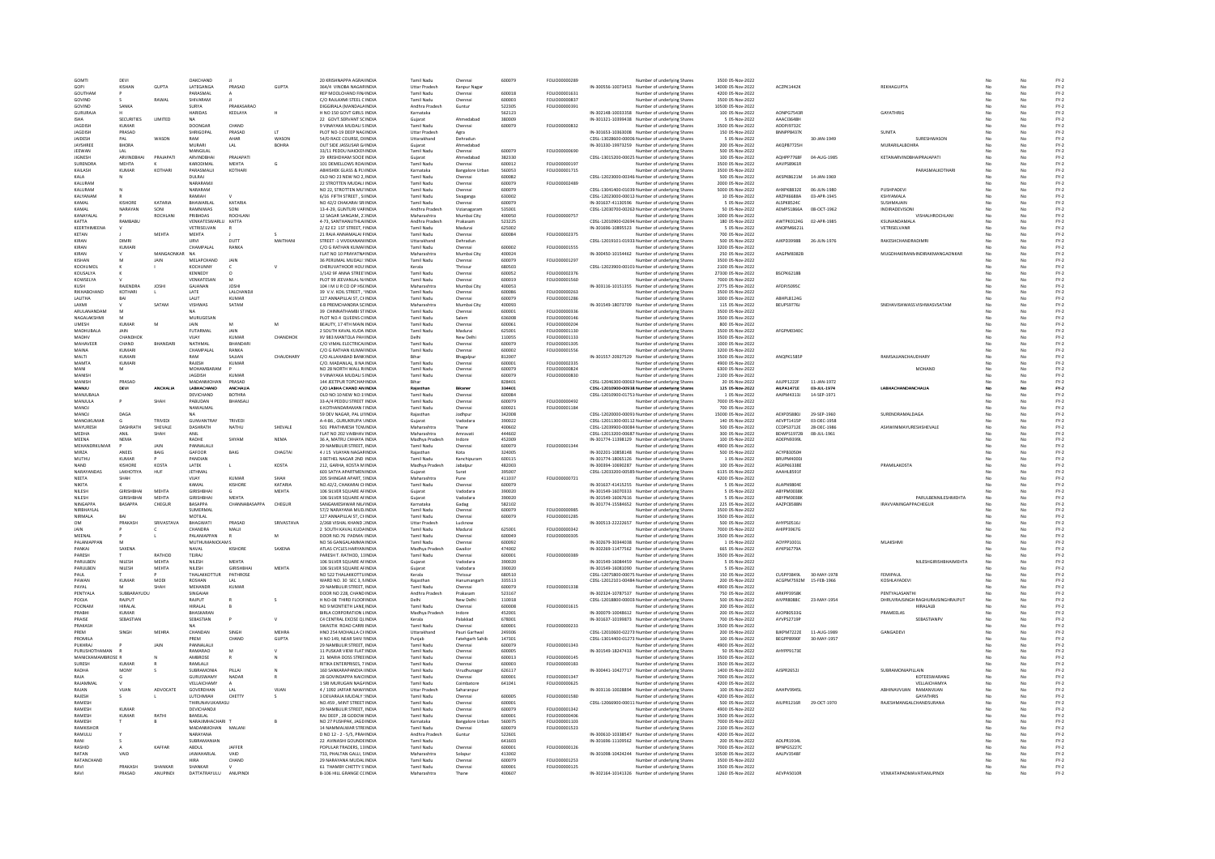|                           | DEVI                   |               | OAKCHAND                         |                 |              | 20 KRISHNAPPA AGRAHNDIA                               | Tamil Nadu                  | Chenna                 | 600079           | FOLIO00000289  | Number of underlying Shares                                                                      | 3500 05-Nov-2022                    |                   |             |                                                      |     |          | $FY-2$           |
|---------------------------|------------------------|---------------|----------------------------------|-----------------|--------------|-------------------------------------------------------|-----------------------------|------------------------|------------------|----------------|--------------------------------------------------------------------------------------------------|-------------------------------------|-------------------|-------------|------------------------------------------------------|-----|----------|------------------|
| GOMT<br>GOPI              | KISHAN                 | GUPTA         | <b>IATEGANGA</b>                 | PRASAD          | <b>GUPTA</b> | <b>164/4 VINORA NAGARINDIA</b>                        | Uttar Pradesh               |                        |                  |                | IN-300556-10073453 Number of underlying Shares                                                   | 14000 05-Nov-2022                   | ACZPK1442K        |             | REKHAGUPTA                                           |     |          |                  |
| GOUTHAM                   |                        |               | PARASMAL                         |                 |              | REP MOOLCHAND FIN/INDIA                               | Tamil Nadu                  | Kanpur Naga<br>Chennai | 600018           | FOLIO00001631  | Number of underlying Shares                                                                      | 4200 05-Nov-2022                    |                   |             |                                                      |     | No       | $FY-2$<br>$FY-2$ |
|                           |                        |               | SHIVARAM                         |                 |              | C/O RAJLAXMI STEEL C INDIA                            | Tamil Nadu                  |                        | 600003           | FOLIO00000837  |                                                                                                  | 3500 05-Nov-2022                    |                   |             |                                                      |     |          |                  |
| GOVIND<br>GOVIND          |                        | RAWAL         | <b>SLIRVA</b>                    | PRAKASARAC      |              |                                                       |                             | Chennai                |                  |                | Number of underlying Shares                                                                      |                                     |                   |             |                                                      |     | No       | $FY-2$           |
|                           | SANKA                  |               |                                  |                 |              | DIGGIRALA (MANDALA INDIA                              | Andhra Pradesl              | Guntu                  | 522305           | FOLIO00000391  | Number of underlying Share                                                                       | 10500 05-Nov-2022                   |                   |             |                                                      |     | No       | $FY-2$           |
| <b>GURURA IA</b>          |                        |               | <b>HARIDAS</b>                   | KEDLAYA         |              | H NO 150 GOVT GIRLS INDIA                             | Karnataka                   |                        | 562123           |                | IN-302148-10033358 Number of underlying Shares                                                   | 100 05-Nov-2022                     | AONPG7543R        |             | <b>GAYATHRIG</b>                                     | No. | No       | FY-2             |
| <b>ISHA</b>               | <b>SECURITIES</b>      | LIMITED       | <b>NA</b>                        |                 |              | 22 GOVT.SERVANT SCINDIA                               | Guiarat                     | Ahmedabac              | 380009           |                | IN-301321-10399438 Number of underlying Shares                                                   | 5 05-Nov-2022                       | AAACI3648H        |             |                                                      | No  | No       | $FY-2$           |
| JAGDISH<br><b>IAGDISH</b> | <b>KUMAR</b><br>PRASAD |               | <b>DOONGAF</b><br>SHRIGOPAL      | CHAND<br>PRASAD | IT.          | 9 VINAYAKA MUDALI SINDIA                              | Tamil Nadu<br>Uttar Pradesh | Chennai                | 600079           | FOLIO00000832  | Number of underlying Shares                                                                      | 3500 05-Nov-2022                    | ADDPJ9732C        |             | SUNITA                                               |     | No<br>No | $FY-2$<br>$FY-2$ |
|                           |                        |               |                                  |                 |              | PLOT NO-19 DEEP NAGINDIA                              |                             | Agra                   |                  |                | IN-301653-10363008 Number of underlying Shares                                                   | 150 05-Nov-2022                     | <b>BNNPP8437K</b> |             |                                                      |     |          |                  |
| JAIDESH                   | PAL                    | WASON         | RAM                              | AHAR            | WASON        | 54/D RACE COURSE, DHNDIA                              | Uttarakhand                 | Dehradun               |                  |                | CDSL-13028600-00006 Number of underlying Shares                                                  | 5 05-Nov-2022                       |                   | 30-JAN-1949 | SURESHWASON                                          | No  | No       | $FY-2$           |
| JAYSHREE                  | BHORA                  |               | MURARI                           | LAL             | BOHRA        | OUT SIDE JASSUSAR G/INDIA                             | Gujarat                     | Ahmedabad              |                  |                | IN-301330-19973259 Number of underlying Shares                                                   | 200 05-Nov-2022                     | AKQPB7725H        |             | <b>MURARILALBOHRA</b>                                | No  | No       | $FY-2$           |
| JEEWAN                    | LAL                    |               | MANGILAI                         |                 |              | 33/11 PEDDU NAICKENINDI                               | Tamil Nadu                  | Chennai                | 600079           | FOLIO00000690  | Number of underlying Shares                                                                      | 500 05-Nov-2022                     |                   |             |                                                      |     |          | $FY-2$           |
| JIGNESH                   | <b>ARVINDRHA</b>       | PRAJAPATI     | ARVINDBHAI                       | ΡΡΑΙΔΡΑΤ        |              | 29 KRISHDHAM SOCIE INDIA                              | Gujarat                     | Ahmedabac              | 382330           |                | CDSL-13015200-00025 Number of underlying Shares                                                  | 100 05-Nov-2022                     | AOHPP7768F        | 04-AUG-1985 | <b>KETANARVINDBHAIPRAJAPATI</b>                      |     | No       | $FY-2$           |
| SURENDRA                  | <b>MEHTA</b>           |               | KARODIMAL                        | <b>MEHTA</b>    | G            | 101 DEMELLOWS ROAHNDIA                                | <b>Tamil Nadu</b>           | Chennai                | 600012           | FOLIO00000197  | Number of underlying Shares                                                                      | 3500 05-Nov-2022                    | AAVPS8961R        |             |                                                      | No  | No       | $FY-2$           |
| KAILASH                   | KUMAR                  | KOTHAR        | PARASMALJI                       | KOTHARI         |              | ABHISHEK GLASS & PLYINDIA                             | Karnataka                   | <b>Bangalore Urbar</b> | 560053           | FOLIO00001715  | Number of underlying Shares                                                                      | 3500 05-Nov-2022                    |                   |             | PARASMALKOTHAR                                       |     | No       | $FY-2$           |
| KALA                      |                        |               | DULRAI                           |                 |              | OLD NO 23 NEW NO 2, INDIA                             | <b>Tamil Nadu</b>           | Chenna                 | 600082           |                | CDSL-12023000-00346 Number of underlying Shares                                                  | 500 05-Nov-2022                     | AKSPK8621M        | 14-JAN-1969 |                                                      |     | No       | $FY-2$           |
| KALURAM                   |                        |               | NARARAMII                        |                 |              | 22 STROTTEN MUDALLINDIA                               | Tamil Nadu                  | Chennai                | 600079           | FOLIO00002489  | Number of underlying Shares                                                                      | 2000 05-Nov-2022                    |                   |             |                                                      | No. | No       | EY-2             |
| KALURAM                   |                        |               | NARARAM                          |                 |              | NO 22. STROTTEN MUTINDIA                              | <b>Tamil Nadu</b>           | Chennai                | 600079           |                | CDSL-13041400-01039 Number of underlying Shares                                                  | 5000 05-Nov-2022                    | AHXPK8832E        | 06-JUN-1980 | PUSHPADEVI                                           | No  | No       | $FY-2$           |
| KALYANAN                  |                        |               | RAMIAH                           |                 |              | 6/16 FIFTH STREET . SUNDIA                            | <b>Tamil Nadu</b>           | Sivaganga              | 630002           |                | CDSL-12023000-00012 Number of underlying Shares                                                  | 10 05-Nov-2022                      | ARZPK6688A        | 03-APR-1945 | <b>KSHYAMALA</b>                                     | No  | No       | $FY-2$           |
| KAMAL                     | KISHORE                | KATARIA       | BHAWARLAL                        | KATARIA         |              | NO 42/2 CHAKARAI SRIINDI                              | Tamil Nadu                  | Chennai                | 600079           |                | IN-301637-41130596 Number of underlying Share                                                    | 5 05-Nov-2022                       | ALSPK85240        |             | SUSHMAJAIN                                           |     |          | $FY-2$           |
| KAMAL                     | NARAYAN                | SONI          | RAMNIWAS                         | SONI            |              | 13-4-29 GUNTURI VARINDIA                              | Andhra Pradesh              | Vizianagaran           | 535001           |                | CDSL-12030700-00262 Number of underlying Shares                                                  | 50 05-Nov-2022                      | AEMPS1866A        | 08-OCT-1962 | INDIRADEVISON                                        | No. | No       | $FY-2$           |
| KANAYALAL                 |                        | ROCHLANI      | PRIBHDAS                         | ROCHLANI        |              | 12 SAGAR SANGAM, 21 INDIA                             | Maharashtra                 | Mumbai City            | 400050           | FOLIO00000757  | Number of underlying Shares                                                                      | 1000 05-Nov-2022                    |                   |             | VISHALHROCHLANI                                      | No  | No       | $FY-2$           |
| KATTA                     | RAMBAB                 |               | VENKATESWARLU KATTA              |                 |              | 4-73, SANTHANUTHLAIINDI                               | Andhra Pradesh              | Prakasam               | 523225           |                | CDSL-12010900-02694 Number of underlying Shares                                                  | 180 05-Nov-2022                     | AWTPK0124G        | 02-APR-1985 | KSUNANDAMALA                                         |     |          | $FY-2$           |
| <b>KEERTHIMEENA</b>       |                        |               | VETRISELVAN                      |                 |              | 2/E2 E2 1ST STREET, NINDIA                            | <b>Tamil Nadu</b>           | Madurai                | 625002           |                | IN-301696-10895523 Number of underlying Share                                                    | 5 05-Nov-2022                       | ANOPM6621L        |             | VETRISELVANR                                         |     | No       | $FY-2$           |
| KETAN                     |                        | MEHTA         | <b>MEHTA</b>                     |                 |              | 21 RAJA ANNAMALAI FINDIA                              | <b>Tamil Nadu</b>           | Chennai                | 600084           | FOLIO00002375  | Number of underlying Shares                                                                      | 700 05-Nov-2022                     |                   |             |                                                      |     | No       | $FY-2$           |
| KIRAN                     | DIMRI                  |               | URVI                             | DUTT            | MAITHANI     | STREET -1 VIVEKANANIINDIA                             | Uttarakhand                 | Dehradun               |                  |                | CDSL-12019101-01933 Number of underlying Shares                                                  | 500 05-Nov-2022                     | AJKPD3998B        | 26-JUN-1976 | RAKESHCHANDRADIMRI                                   |     | No       | $FY-2$           |
| KIRAN                     | KUMARI                 |               | CHAMPALAL                        | RANKA           |              | C/O G RATHAN KUMAFINDIA                               | <b>Tamil Nadu</b>           | Chenna                 | 600002           | FOLIO00001555  | Number of underlying Shares                                                                      | 3200 05-Nov-2022                    |                   |             |                                                      |     | No       | $FY-2$           |
| KIRAN                     |                        | MANGAONKAR NA |                                  |                 |              | FLAT NO 10 PRAYATNAINDIA                              | Maharashtra                 | Mumbai City            | 400024           |                | IN-300450-10154462 Number of underlying Share                                                    | 250 05-Nov-2022                     | AAGPM8382F        |             | MUGDHAKIRANNINDIRAKMANGAONKAR                        |     | No       | EY-2             |
| KISHAN                    |                        | JAIN          | MELAPCHAND                       | <b>JAIN</b>     |              | 36 PERUMAL MUDALI : INDIA                             | Tamil Nadu                  | Chennai                | 600079           | FOLIO00001297  | Number of underlying Shares                                                                      | 3500 05-Nov-2022                    |                   |             |                                                      | No  | No       | $FY-2$           |
| KOCHUMOL                  |                        |               | KOCHUNNY                         |                 |              | CHERUVATHOOR HOU: INDIA                               | Kerala                      | Thrissur               | 680503           |                | CDSL-12023900-00101 Number of underlying Shares                                                  | 2100 05-Nov-2022                    |                   |             |                                                      |     | No       | $FY-2$           |
| KOUSALYA                  |                        |               | KENNEDY                          |                 |              | 1/142 9F ANNA STREETINDI                              | Tamil Nadi                  | Chenna                 | 600052           | FOLIO00002376  | Number of underlying Share                                                                       | 27300 05-Nov-2022                   | BSCPK6218B        |             |                                                      |     |          | $FY-2$           |
| KOWSELYA                  |                        |               | VENKATESAN                       | M               |              | PLOT 99 JEEVANLAL N/INDIA                             | Tamil Nadu                  | Chennai                | 600019           | FOLIO00001560  | Number of underlying Shares                                                                      | 7000 05-Nov-2022                    |                   |             |                                                      |     | No       | $FY-2$           |
| KLISH                     | RAJENDRA               | JOSH          | GAJANAN                          | <b>JOSHI</b>    |              | 104   M U R CO OP HSCINDIA                            | Maharashtra                 | Mumbai City            | 400053           |                | IN-303116-10151355 Number of underlying Shares                                                   | 2775 05-Nov-2022                    | AFDPJ5095C        |             |                                                      | No  | No       | $FY-2$           |
| RIKHABCHANI               | KOTHAR                 |               | LATE                             | LALCHANDI       |              | 39 V.V. KOIL STREET, VINDL                            | Tamil Nadu                  | Chennai                | 600086           | FOLIO00000263  | Number of underlying Shares                                                                      | 3500 05-Nov-2022                    |                   |             |                                                      |     | No       | $FY-2$           |
| LALITHA                   | RAI                    |               | LALIT                            | KUMAR           |              | 127 ANNAPILLAI ST, CHINDIA                            | <b>Tamil Nadu</b>           | Chennai                | 600079           | FOLIO00001286  | Number of underlying Share                                                                       | 1000 05-Nov-2022                    | ABHPL8124G        |             |                                                      |     | No       | $FY-2$           |
| LAXMI                     |                        | SATAM         | VISHWAS                          | SATAM           |              | 6 B PREMCHANDRA SCINDIA                               | Maharashtra                 | Mumbai City            | 400093           |                | IN-301549-18073709 Number of underlying Shares                                                   | 115 05-Nov-2022                     | BEUPS9776J        |             | SNEHAVISHWASSVISHWASVSATAM                           | No. | No       | $FY-2$           |
|                           |                        |               |                                  |                 |              |                                                       |                             |                        |                  |                |                                                                                                  |                                     |                   |             |                                                      |     |          |                  |
| ARULANANDAM               | M                      |               | <b>NA</b>                        |                 |              | 39 CHINNATHAMBI STINDIA                               | Tamil Nadu                  | Chennai                | 600001           | FOLIO00000336  | Number of underlying Shares                                                                      | 3500 05-Nov-2022                    |                   |             |                                                      | No  | No       | $FY-2$           |
| NAGALAKSHMI               |                        |               | MURUGESAN                        |                 |              | PLOT NO.4 QUEENS CHNDIA                               | <b>Tamil Nadu</b>           | Salem                  | 636008           | FOLIO00000146  | Number of underlying Shares                                                                      | 3500 05-Nov-2022                    |                   |             |                                                      |     | No       | $FY-2$           |
| UMESH                     | KUMAR                  | м             |                                  | M               | M            | BEAUTY, 17 4TH MAIN INDIA                             | <b>Tamil Nadu</b>           | Chenna                 | 600061           | FOLIO00000204  | Number of underlying Share                                                                       | 800 05-Nov-2022                     |                   |             |                                                      |     |          | $FY-2$           |
| MADHURALA                 | <b>JAIN</b>            |               | <b>FUTARMAL</b>                  | <b>JAIN</b>     |              | 2 SOUTH KAVAL KUDA INDIA                              | <b>Tamil Nadu</b>           | Madurai                | 625001           | EQUO00001130   | Number of underlying Shares                                                                      | 3500.05-Nov-2022                    | AFGPM0340C        |             |                                                      |     | No       | EY-2             |
| MADHV                     | CHANDHOK               |               | VIJAY                            | <b>KUMAR</b>    | CHANDHOK     | XV 983 MANTOLA PAH INDIA                              | Delhi                       | New Delh               | 110055           | FOLIO00001133  | Number of underlying Shares                                                                      | 3500 05-Nov-2022                    |                   |             |                                                      |     | No       | $FY-2$           |
| MAHAVEER                  | CHAND                  | BHANDAR       | NATHMAL                          | BHANDAR         |              | C/O VIMAL ELECTRICALINDI                              | Tamil Nadi                  | Chenna                 | 600079           | FOLIO00001305  | Number of underlying Share                                                                       | 1000 05-Nov-2022                    |                   |             |                                                      |     |          | $FY-2$           |
| MAINA                     | KUMARI                 |               | CHAMPALAL                        | RANKA           |              | C/O G RATHAN KUMAFINDIA                               | <b>Tamil Nadu</b>           | Chennai                | 600002           | FOLIO00001556  | Number of underlying Shares                                                                      | 3200 05-Nov-2022                    |                   |             |                                                      | No  | No       | $FY-2$           |
| MALTI                     | KUMARI                 |               | RAM                              | SAJJAN          | CHAUDHARY    | C/O ALLAHABAD BANKINDIA                               | Bihar                       | Bhagalou               | 812007           |                | IN-301557-20927529 Number of underlying Shares                                                   | 3500 05-Nov-2022                    | ANOPK1585F        |             | <b>RAMSAJJANCHAUDHARY</b>                            | No  | No       | $FY-2$           |
| MAMTA                     | KUMARI                 |               | RAJESH                           | KUMAR           |              | C/O. MADANLAL, 8 NA INDIA                             | Tamil Nadu                  | Chennai                | 600001           | FOLIO00002335  | Number of underlying Shares                                                                      | 4900 05-Nov-2022                    |                   |             |                                                      | No  | No       | $FY-2$           |
| MAN                       |                        |               | MOHAMBARAM                       |                 |              | NO 28 NORTH WALL RINDIA                               | Tamil Nadu                  | Chenna                 | 600079           | FOLIO00000824  | Number of underlying Shares                                                                      | 6300 05-Nov-2022                    |                   |             | MOHAND                                               |     |          | $FY-2$           |
| MANISH                    |                        |               | <b>JAGDISH</b>                   | <b>KUMAR</b>    |              | 9 VINAYAKA MUDALI SINDIA                              | <b>Tamil Nadu</b>           | Chennai                | 600079           | FOLIO00000830  | Number of underlying Shares                                                                      | 2100 05-Nov-2022                    |                   |             |                                                      | No  | No       | $FY-2$           |
| MANISH                    | PRASAD                 |               | MADANMOHAN                       | PRASAD          |              | 144 JEETPUR TOPCHAN INDIA                             | Bihar                       |                        | 828401           |                | CDSL-12046300-00063 Number of underlying Shares                                                  | 20 05-Nov-2022                      | AJLPP1222F        | 11-JAN-1972 |                                                      | No  | No       | $FY-2$           |
| MANJU                     | DEVI                   | ANCHALIA      | LABHACHAND                       | <b>ANCHALIA</b> |              | C/O LABHA CHAND AN INDIA                              | Rajasthar                   | Bikane                 | 334401           |                | CDSL-12010900-00938 Number of underlying Shares                                                  | 125 05-Nov-2022                     | AILPA14718        | 03-JUL-1974 | LABHACHANDANCHALIA                                   | No  | No       | $FY-2$           |
| MANILIRALA                |                        |               | DEVICHAND                        | <b>ROTHRA</b>   |              | OLD NO:10 NEW NO:19NDIA                               | <b>Tamil Nadu</b>           | Chenna                 | 600084           |                | CDSL-12010900-01751 Number of underlying Share                                                   | 1 05-Nov-2022                       | AAIPM4313J        | 14-SEP-1971 |                                                      |     | No       | $FY-2$           |
| <b>MANILIA</b>            |                        | SHAH          | PARLIDAN                         | <b>RHANSALL</b> |              | 33-A/4 PEDDU STREET INDIA                             | Tamil Nadu                  | Chennai                | 600079           | FOU IO00000492 | Number of underlying Shares                                                                      | 7000 05-Nov-2022                    |                   |             |                                                      |     | No       | FY-2             |
| MANOJ                     |                        |               | NAWALMAL                         |                 |              | 6 KOTHANDARAMAN I'INDIA                               | Tamil Nadu                  | Chennai                | 600021           | FOLIO00001184  | Number of underlying Shares                                                                      | 700 05-Nov-2022                     |                   |             |                                                      | No  | No       | $FY-2$           |
| MANO.                     | DAGA                   |               |                                  |                 |              | 59 DEV NAGAR, PAL LINDI                               | Rajasthan                   | Jodhpur                | 342008           |                | CDSL-12020000-00091 Number of underlying Share                                                   | 15000 05-Nov-2022                   | AEXPD5880J        | 29-SEP-1960 | SURENDRAMALDAG/                                      |     |          | $FY-2$           |
| <b>MANOIKLIMAR</b>        | $\mathbf{G}$           | TRIVED        | <b>GUNVANTRAY</b>                | TRIVEDL         |              | A-4-86 . GURUKRUPA VINDIA                             | Guiarat                     | Vadodara               | 390022           |                | CDSL-12011300-00112 Number of underlying Share                                                   | 140 05-Nov-2022                     | AFVPT1415P        | 03-DFC-1958 |                                                      |     | No       | $FY-2$           |
|                           | DASHRATH               | SHEVALE       | DASHRATH                         | NATHU           | SHEVALE      | 501 PRATHMESH TOWINDIA                                | Maharashtra                 | Thane                  | 400602           |                | CDSL-12039900-00084 Number of underlying Shares                                                  | 500 05-Nov-2022                     | CCDPS3712E        | 28-DEC-1986 | ASHWINIMAYURESHSHEVALE                               | No  | No       | $FY-2$           |
|                           |                        |               |                                  |                 |              |                                                       |                             |                        |                  |                |                                                                                                  |                                     |                   |             |                                                      |     |          |                  |
| MAYURESH                  |                        |               |                                  |                 |              |                                                       |                             |                        |                  |                |                                                                                                  |                                     |                   |             |                                                      |     |          |                  |
| <b>MEDHA</b>              | ANIL                   | SHAH          | ANIL                             |                 |              | FLAT NO 202 VAIBHAV INDIA                             | Maharashtra                 | Amravat                | 444602           |                | CDSL-12013200-00687. Number of underlying Shares                                                 | 300 05-Nov-2022                     | BDWPS1972B        | 08-JUL-1961 |                                                      |     | No       | $FY-2$           |
| MEENA                     | NEMA                   |               | RADHI                            | SHYAN           | <b>NEMA</b>  | 36 A, MATRU CHHAYA INDIA                              | Madhya Pradesł              | Indore                 | 452009           |                | IN-301774-11398129 Number of underlying Shares                                                   | 100 05-Nov-2022                     | ADEPN9399L        |             |                                                      |     |          | FY-2             |
| <b>MEHANDRKUMAR</b>       |                        | <b>JAIN</b>   | PANNALALI                        |                 |              | 29 NAMBULIR STREET. INDIA                             | Tamil Nadu                  | Chenna                 | 600079           | FOLIO00001344  | Number of underlying Share                                                                       | 4900 05-Nov-2022                    |                   |             |                                                      |     | No       | $FY-2$           |
| MIRZA                     | ANEES                  | BAIG          | GAFOOR                           | BAIG            | CHAGTA       | 4 J 15 VIJAYAN NAGARINDIA                             | Raiasthan                   | Kota                   | 324005           |                | IN-302201-10858148 Number of underlying Shares                                                   | 500 05-Nov-2022                     | ACYPB3050H        |             |                                                      |     | No       | $FY-2$           |
| MUTHU                     | KUMAR                  |               | PANDIAN                          |                 |              | 3 BETHEL NAGAR 2ND INDIA                              | Tamil Nadu                  | Kanchipurar            | 600115           |                | IN-301774-18065126 Number of underlying Shares                                                   | 1 05-Nov-2022                       | <b>BRUPM4000J</b> |             |                                                      |     | No       | $FY-2$           |
| NAND                      | <b>KISHORE</b>         | KOSTA         | LATEK                            |                 | KOSTA        | 212. GARHA, KOSTA M INDIA                             | Madhya Pradesł              | Jabalpu                | 482003           |                | IN-300394-10690287 Number of underlying Share                                                    | 100 05-Nov-2022                     | AGXPK6338E        |             | PRAMILAKOSTA                                         |     | No       | $FY-2$           |
| NARAYANDAS                | ΙΔΚΗΩΤΙΥΔ              | HUE           | <b>IFTHMAL</b>                   |                 |              | 603 SATYA APARTMEN INDIA                              | Guiarat                     | Surat                  | 395007           |                | CDSL-12033200-00585 Number of underlying Shares                                                  | 6135.05-Nov-2022                    | AAAHL8591F        |             |                                                      |     | No       | FY-2             |
| <b>NEETA</b>              | SHAH                   |               | VIJAY                            | <b>KUMAR</b>    | SHAH         | 205 SHINGAR APART, SINDIA                             | Maharashtra                 | Pune                   | 411037           | FOLIO00000721  | Number of underlying Shares                                                                      | 4200 05-Nov-2022                    |                   |             |                                                      |     | No       | $FY-2$           |
| NIKITA                    |                        |               | KAMAL                            | KISHORE         | KATARIA      | NO.42/2, CHAKARAI CHINDIA                             | Tamil Nadu                  | Chennai                | 600079           |                | IN-301637-41415255 Number of underlying Shares                                                   | 5 05-Nov-2022                       | <b>ALAPN98048</b> |             |                                                      |     | No       | $FY-2$           |
| NILESH                    | <b>GIRISHBHA</b>       | MEHTA         | <b>GIRISHBHA</b>                 |                 | MEHTA        | 106 SILVER SQUARE AFINDIA                             | Sujarat                     | Vadodara               | 390020           |                | IN-301549-16070333 Number of underlying Shares                                                   | 5 05-Nov-2022                       | ABYPM0038H        |             |                                                      |     |          | $FY-2$           |
| NILESH                    | GIRISHBHA              | MEHTA         | <b>GIRISHBHAI</b>                | <b>MEHTA</b>    |              | 106 SILVER SQUARE AFINDIA                             | Guiarat                     | Vadodara               | 390020           |                | IN-301549-16067616 Number of underlying Shares                                                   | 5 05-Nov-2022                       | ABYPM0038H        |             | PARULBENNILESHMEHTA                                  | No  | No       | $FY-2$           |
| NINGAPPA                  | BASAPPA                | CHEGUR        | BASAPPA                          | CHANNABASAPPA   | CHEGUR       | SANGAMESHWAR NIL/INDIA                                | Karnataka                   | Gadag                  | 582102           |                | IN-301774-15584652 Number of underlying Shares                                                   | 225 05-Nov-2022                     | AAZPC8588N        |             | <b>IRAVVANINGAPPACHEGUR</b>                          |     | No       | $FY-2$           |
| NIRBHAYLA                 |                        |               | SUMERMAL                         |                 |              | 57/2 NARAYANA MUDJINDI                                | Tamil Nadu                  | Chenna                 | 600079           | FOLIO00000985  | Number of underlying Shares                                                                      | 3500 05-Nov-2022                    |                   |             |                                                      |     |          | FY-2             |
| NIRMALA                   | RAI                    |               | MOTILAL                          |                 |              | 127 ANNAPILLAI ST, CHINDIA                            | <b>Tamil Nadu</b>           | Chennai                | 600079           | FOLIO00001285  | Number of underlying Share                                                                       | 3500 05-Nov-2022                    |                   |             |                                                      |     | No       | $FY-2$           |
| OM                        | PRAKASH                | SRIVASTAVA    | BHAGWATI                         | PRASAD          | SRIVASTAVA   | 2/268 VISHAL KHAND JINDIA                             | <b>Uttar Pradesh</b>        | Lucknov                |                  |                | IN-300513-22222657 Number of underlying Shares                                                   | 500 05-Nov-2022                     | AHYPS0516J        |             |                                                      |     | No       | $FY-2$           |
| <b>IAIN</b>               |                        |               | CHANDRA                          | MALII           |              | 2 SOUTH KAVAL KUDAINDIA                               | Tamil Nadu                  | Madura                 | 625001           | FOLIO00000342  | Number of underlying Shares                                                                      | 7000 05-Nov-2022                    | AHIPP3967G        |             |                                                      |     | No       | $FY-2$           |
| MEENA                     |                        |               | PALANIAPPAN                      |                 | M            | DOOR NO.76 PADMA IINDI                                | <b>Tamil Nadu</b>           | Chenna                 | 600049           | FOLIO00000305  | Number of underlying Share                                                                       | 3500 05-Nov-2022                    |                   |             |                                                      |     | No       | $FY-2$           |
| ΡΔΙ ΔΝΙΔΡΡΑΝ              | M                      |               | <b>MUTHUMANICKAMS</b>            |                 |              | NO 56 GANGALAMMA INDIA                                | Tamil Nadu                  | Chennai                | 600092           |                | IN-302679-30344038 Number of underlying Shares                                                   | 1.05-Nov-2022                       | AOYPP1001L        |             | MI AKSHM                                             |     | No       | EY-2             |
| PANKAJ                    | SAXENA                 |               | NAVAL                            | <b>KISHORE</b>  | SAXENA       | ATLAS CYCLES HARYANINDIA                              | Madhya Pradesh              | Gwalion                | 474002           |                | IN-302269-11477562 Number of underlying Shares                                                   | 665 05-Nov-2022                     | AYKPS6779A        |             |                                                      |     | No       | $FY-2$           |
| PARESH                    |                        | RATHOD        | TEJRAJ                           |                 |              | PARESH T. RATHOD, 11INDIA                             | <b>Tamil Nadu</b>           | Chennai                | 600001           | FOLIO00000389  | Number of underlying Shares                                                                      | 3500 05-Nov-2022                    |                   |             |                                                      |     | No       | $FY-2$           |
| PARULBEN                  | NILESH                 | MEHTA         | NILESH                           | MEHTA           |              | 106 SILVER SQUARE AFINDIA                             | Gujarat                     | Vadodara               | 390020           |                | IN-301549-16084459 Number of underlying Shares                                                   | 5 05-Nov-2022                       |                   |             | NILESHGIRISHBHAIMEHTA                                |     |          | $FY-2$           |
| PARULBEN                  | NILESH                 | <b>MEHTA</b>  | <b>NILESH</b>                    | GIRISHRHAI      | <b>MEHTA</b> | 106 SILVER SOLIARE AFINDIA                            | Gujarat                     | Vadodara               | 390020           |                | IN-301549-16081090 Number of underlying Share                                                    | 5 05-Nov-2022                       |                   |             |                                                      |     | No       | $FY-2$           |
| PAUL                      |                        |               | THALAKKOTTUR                     | PATHROSE        |              | NO 522 THALAKKOTTU INDIA                              | Kerala                      | Thrissur               | 680510           |                | CDSL-12075800-00075. Number of underlying Shares                                                 | 150 05-Nov-2022                     | CUSPP3849L        | 30-MAY-1978 | FEMIPAUL                                             | No  | No       | $FY-2$           |
| PAWA                      | KUMAR                  | <b>MOD</b>    | ROSHAN                           |                 |              | WARD NO. 30 SEC 3, NINDI                              | Rajasthar                   | Hanumangar             | 335513           |                | CDSL-12012101-00484 Number of underlying Shares                                                  | 200 05-Nov-2022                     | ACGPM7592M        | 15-FEB-1966 | KOSHLAYADEV                                          |     | No       |                  |
| ΡΑΥΔΙ                     |                        |               | MEHANDE                          | KUMAR           |              | 29 NAMBULIR STREET, INDIA                             | <b>Tamil Nadu</b>           | Chennai                | 600079           | FOLIO00001338  |                                                                                                  |                                     |                   |             |                                                      |     | No       | $FY-2$           |
| PENTYALA                  | SUBBARAYUDU            |               | SINGAIAH                         |                 |              | DOOR NO 228, CHAND INDIA                              | Andhra Pradesh              | Prakasam               | 523167           |                | Number of underlying Share<br>IN-302324-10787537 Number of underlying Shares                     | 4900 05-Nov-2022<br>750 05-Nov-2022 | ARKPP3958K        |             | PENTYALASANTHI                                       |     | No       | $FY-2$<br>$FY-2$ |
| POOIA                     | RAIPUT                 |               |                                  | R               |              |                                                       | Delhi                       |                        |                  |                |                                                                                                  |                                     |                   |             |                                                      | No  |          |                  |
| POONAN                    | <b>HIRALAL</b>         |               | RAJPUT<br><b>HIRALAL</b>         |                 |              | H NO-08 THIRD FLOOFINDIA<br>NO 9 MONTIETH LANE. INDIA | <b>Tamil Nadu</b>           | New Delhi<br>Chennai   | 110018<br>600008 | FOLIO00001615  | CDSL-12018800-00003 Number of underlying Shares                                                  | 500 05-Nov-2022<br>200 05-Nov-2022  | AIVPR8088C        | 23-MAY-1954 | DHRUVRAJSINGH RAGHURAJSINGHRAJPUT<br><b>HIRALALB</b> |     | No<br>No | $FY-2$           |
|                           | <b>KIJMAR</b>          |               |                                  |                 |              |                                                       |                             |                        |                  |                | Number of underlying Shares                                                                      |                                     |                   |             |                                                      |     |          | $FY-2$           |
| PRARH                     |                        |               | RHASKARAP                        | P               | $\mathsf{v}$ | BIRLA CORPORATION LINDIA                              | Madhya Prades               | Indore                 | 452001           |                | IN-300079-10048612 Number of underlying Shares                                                   | 200 05-Nov-2022                     | AJOPB0533G        |             | PRAMEELAS                                            | No  | No       | $FY-2$           |
| PRAISE                    | SEBASTIAN              |               | SEBASTIAN                        |                 |              | C4 CENTRAL EXCISE OL INDIA                            | Kerala                      | Palakkad               | 678001           |                | IN-301637-10199873 Number of underlying Shares                                                   | 700 05-Nov-2022                     | AYVPS2719P        |             | <b>SEBASTIANPV</b>                                   |     | No       | $FY-2$           |
| PRAKASH                   |                        |               | <b>NA</b>                        |                 |              | SWASTIK ROAD CARRI INDIA                              | Tamil Nadu                  | Chennai                | 600001           | FOLIO00000233  | Number of underlying Shares                                                                      | 3500 05-Nov-2022                    |                   |             |                                                      | No  | No       | $FY-2$           |
| PREM                      | SINGH                  | <b>MEHR</b>   | CHANDAM                          | SINGH           | <b>MEHRA</b> | HNO 254 MOHALLA CHINDIA                               | Uttarakhand                 | Pauri Garhwa           | 249306           |                | CDSL-12010600-02273 Number of underlying Shares                                                  | 200 05-Nov-2022                     | BJKPM7222E        | 11-AUG-1989 | GANGADEVI                                            | No. |          | $FY-2$           |
| PROMILA                   |                        |               | PREM                             | CHAND           | <b>GUPTA</b> | H NO 149, NEAR SHIV I INDIA                           | Puniab                      | Fatehgarh Sahib        | 147301           |                | CDSL-13014400-01273 Number of underlying Share                                                   | 100 05-Nov-2022                     | REGPPR990E        | 30-MAY-1957 |                                                      |     | No       | $FY-2$           |
| PUKHRAJ                   |                        | JAIN          | PANNALALI                        |                 |              | 29 NAMBULIR STREET, INDIA                             | <b>Tamil Nadu</b>           | Chennai                | 600079           | FOLIO00001343  | Number of underlying Shares                                                                      | 4900 05-Nov-2022                    |                   |             |                                                      | No  | No       | $FY-2$           |
| PURUSHOTHAMAN             |                        |               | RAMARAO                          | M               |              | 11 PUSKAR VIEW FLAT INDIA                             | Tamil Nadu                  | Chennai                | 600005           |                | IN-301549-18247433 Number of underlying Shares                                                   | 50 05-Nov-2022                      | AHYPP9173E        |             |                                                      | No  | No       | $FY-2$           |
| MANICKAMAMRROSE I         |                        |               | AMBROSE                          |                 |              | 21 MARIA DOSS STREEINDIA                              | <b>Tamil Nadu</b>           | Chennai                | 600013           | FOU 000000145  | Number of underlying Share                                                                       | 3500 05-Nov-2022                    |                   |             |                                                      |     | No       | $FY-2$           |
| SURESH                    | KUMAR                  |               | RAMLALI                          |                 |              | RITIKA ENTERPRISES, 7 INDIA                           | <b>Tamil Nadu</b>           | Chennai                | 600003           | FOLIO00000183  | Number of underlying Shares                                                                      | 3500 05-Nov-2022                    |                   |             |                                                      | No  | No       | $FY-2$           |
| RADHA                     | MONY                   |               | SUBRAMONIA                       | PILLAI          |              | 160 SANKARAPANDIA IINDIA                              | Tamil Nadu                  | Virudhunagar           | 626117           |                | IN-300441-10427717 Number of underlying Shares                                                   | 1400 05-Nov-2022                    | AJSPR2652J        |             | SUBRAMONIAPILLAIN                                    | No  | No       | $FY-2$           |
| RAJA                      |                        |               | <b>GURUSWAMY</b>                 | NADAR           |              | 28 GOVINDAPPA NAICHNDIA                               | <b>Tamil Nadu</b>           | Chennai                | 600001           | FOLIO00001347  | Number of underlying Shares                                                                      | 7000 05-Nov-2022                    |                   |             | KOTEESWARANG                                         | No  | No       | $FY-2$           |
| RAJAMMA                   |                        |               | VELLAICHAMY                      |                 |              | 1 SRI MURUGAN NAGAINDIA                               | <b>Tamil Nadu</b>           | Coimbatore             | 641041           | FOLIO00000625  | Number of underlying Share                                                                       | 4200 05-Nov-2022                    |                   |             | <b>VELLAICHAMYA</b>                                  |     | No       | $FY-2$           |
| RAIAN                     | VIIAN                  | ADVOCATE      | GOVERDHAN                        | A               | VIIAN        | 4 / 1092 IAFFAR NAW/INDIA                             | <b>Uttar Pradesh</b>        | Saharannur             |                  |                | IN-303116-10028894 Number of underlying Shares                                                   | 100 05-Nov-2022                     | AAHPV99451        |             | ARHINAVVIIAN RAMANVIIAN                              | No  | No       | EY-2             |
| RAJESH                    | S.                     |               | LUTCHMIAH                        | CHETTY          |              | 3 DEVARAJA MUDALY SINDIA                              | Tamil Nadu                  | Chennai                | 600005           | FOLIO00001580  | Number of underlying Shares                                                                      | 4200 05-Nov-2022                    |                   |             | <b>GAYATHRIS</b>                                     | No  | No       | $FY-2$           |
| RAMESH                    |                        |               | THIRUNAVUKARASL                  |                 |              | NO.459, MINT STREET INDI                              | Tamil Nadu                  | Chenna                 | 600001           |                | CDSL-12066900-00011 Number of underlying Shares                                                  | 500 05-Nov-2022                     | AIUPR1216R        | 29-OCT-1970 | RAJESHMANGALCHANDSURANA                              |     |          | FY-2             |
| RAMESH                    | KUMAR                  |               | DEVICHANDIL                      |                 |              | 29 NAMBULIR STREET, INDIA                             | Tamil Nadu                  | Chennai                | 600079           | FOLIO00001342  | Number of underlying Share                                                                       | 4900 05-Nov-2022                    |                   |             |                                                      |     | No       | $FY-2$           |
| RAMESH                    | KUMAR                  | RATHI         | BANSILAL                         |                 |              | RAJ DEEP . 28 GODOW INDIA                             | <b>Tamil Nadu</b>           | Chennai                | 600001           | FOLIO00000406  | Number of underlying Shares                                                                      | 3500 05-Nov-2022                    |                   |             |                                                      | No  | No       | $FY-2$           |
| RAMESH                    |                        |               | NARAJIMHACHARI T                 |                 |              | NO 27 PUSHPAK, JAGD INDIA                             | Karnataka                   | <b>Bangalore Urban</b> | 560075           | FOLIO00001103  | Number of underlying Shares                                                                      | 7000 05-Nov-2022                    |                   |             |                                                      |     | No       | $FY-2$           |
| RAMKISHOF                 |                        |               | MADANMOHAN                       | MALAN           |              | 14 NAMMALWAR STREINDL                                 | <b>Tamil Nadu</b>           | Chenna                 | 600079           | FOLIO00001523  | Number of underlying Shares                                                                      | 2100 05-Nov-2022                    |                   |             |                                                      |     |          | $FY-2$           |
| RAMULU                    |                        |               | NARAYANA                         |                 |              | D NO 12 - 2 - 5/5, PRAHNDIA                           | Andhra Pradesh              | Guntur                 | 522601           |                |                                                                                                  | 4200 05-Nov-2022                    |                   |             |                                                      |     | No       |                  |
| RANI                      |                        |               | SUBRAMANIAN                      |                 |              | 22 AVINASHI GOUNDEINDIA                               | Tamil Nadu                  |                        | 641603           |                | IN-300610-10338547 Number of underlying Shares<br>IN-301696-11109562 Number of underlying Shares | 200 05-Nov-2022                     | ADLPR1934L        |             |                                                      |     | No       | $FY-2$<br>$FY-2$ |
| RASHID                    |                        | KAFFAF        | ABDUL                            | JAFFER          |              | POPULAR TRADERS, 13 INDIA                             | <b>Tamil Nadu</b>           | Chenna                 | 600001           | FOLIO00000126  | Number of underlying Shares                                                                      | 7000 05-Nov-2022                    | BPNPG5227C        |             |                                                      |     | No       |                  |
| RATAN                     | VAID                   |               |                                  | VAID            |              | 733, PHALTAN GALLI, SINDIA                            | Maharashtra                 | Solapu                 | 413002           |                |                                                                                                  | 10500 05-Nov-2022                   | AALPV3548F        |             |                                                      |     |          | $FY-2$           |
| RATANCHAND                |                        |               | <b>JAWAHARLAL</b><br><b>MIRA</b> | CHAND           |              | 29 NARAYANA MUDALINDIA                                | Tamil Nadu                  | Chennai                | 600079           | FOUO00001253   | IN-301098-10424244 Number of underlying Shares<br>Number of underlying Shares                    | 3500.05-Nov-2022                    |                   |             |                                                      |     | No       | $FY-2$<br>EY-2   |
| RAVI                      | PRAKASH                | SHANKAR       | SHANKAR                          |                 |              | 61 THAMBY CHETTY S'INDIA                              | Tamil Nadu                  | Chennai                | 600001           | FOLIO00000125  | Number of underlying Shares                                                                      | 3500 05-Nov-2022                    |                   |             |                                                      |     | No       | $FY-2$           |
| RAVI                      | PRASAD                 | ANUPINDI      | DATTATRAYULU                     | <b>ANUPIND</b>  |              | <b>B-106 HILL GRANGE CCINDIA</b>                      | Maharashtra                 | Thane                  | 400607           |                | IN-302164-10141326 Number of underlying Shares                                                   | 1260 05-Nov-2022                    | AEVPAS010R        |             | VENKATAPADMAVATIANUPINDI                             |     |          | $FY-2$           |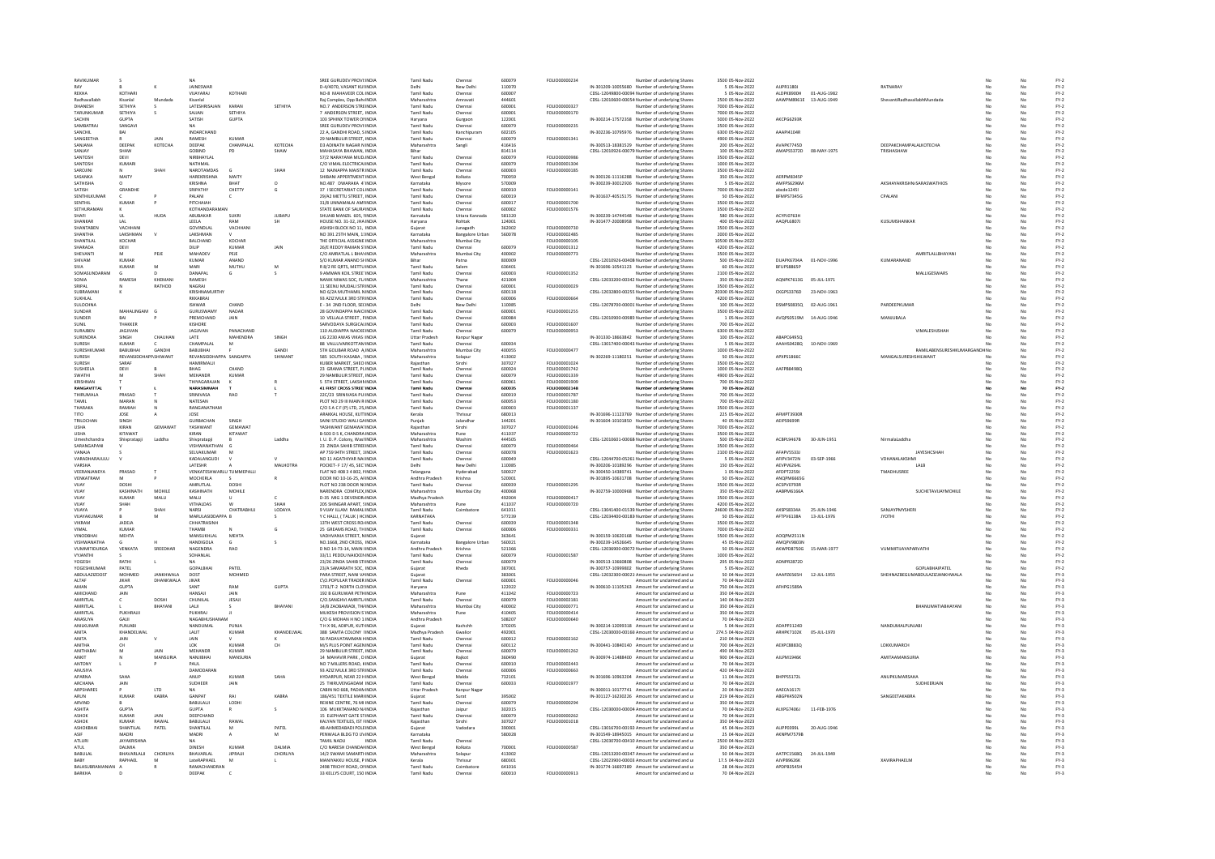| RAVIKUMAR                          |                            |                        |                                              |                         |                | SREE GURUDEV PROVI: INDIA                                    | <b>Tamil Nadu</b>                  | Chenna                             | 600079           | FOLIO00000234                   | Number of underlying Share:                                                                       | 3500 05-Nov-2022                      |                          |             |                             |                                     |    |          | $FY-2$           |
|------------------------------------|----------------------------|------------------------|----------------------------------------------|-------------------------|----------------|--------------------------------------------------------------|------------------------------------|------------------------------------|------------------|---------------------------------|---------------------------------------------------------------------------------------------------|---------------------------------------|--------------------------|-------------|-----------------------------|-------------------------------------|----|----------|------------------|
| REKHA                              | KOTHARI                    |                        | JAINESWAP<br>VIJAYARAJ                       | KOTHARI                 |                | D-4/4070, VASANT KUHNDIA<br>NO-8 MAHAVEER COLINDIA           | <b>Tamil Nadu</b>                  | New Delh<br>Chennai                | 110070<br>600007 |                                 | IN-301209-10055680 Number of underlying Share:<br>CDSL-12049800-00094 Number of underlying Shares | 5 05-Nov-2022<br>5 05-Nov-2022        | AJJPR1180J<br>ALDPK8900H | 01-AUG-1982 | RATNARAY                    |                                     | No | No       | $FY-2$<br>$FY-2$ |
| Radhavallabh                       | Kisanlal                   | Mundada                | Kisanlal                                     |                         |                | Raj Complex, Opp Baht INDIA                                  | Maharashtra                        | Amravati                           | 444601           |                                 | CDSL-12010600-00054 Number of underlying Shares                                                   | 2500 05-Nov-2022                      | AAWPM8961E               | 13-AUG-1949 | ShevantiRadhavallabhMundada |                                     |    | No       | $FY-2$           |
| DHANESH                            | SETHIYA                    |                        | LATESHRISAJAM                                | KARAN                   | SETHIYA        | NO.7 ANDERSON STREINDIA                                      | Tamil Nadu                         | Chennai                            | 600001           | FOLIO00000327                   | Number of underlying Shares                                                                       | 7000 05-Nov-2022                      |                          |             |                             |                                     |    |          | $FY-2$           |
| <b>TARUNKUMAR</b><br><b>SACHIN</b> | SETHIVA<br><b>GLIPTA</b>   |                        | SAJJAN<br>SATISH                             | SETHIVA<br>GUPTA        |                | 7 ANDERSON STREET. INDIA<br>103 SPHINX TOWER ONNEIA          | <b>Tamil Nadu</b><br>Harvana       | Chennai                            | 600001<br>122001 | FOLIO00000170                   | Number of underlying Share<br>IN-300214-17572358 Number of underlying Share:                      | 7000 05-Nov-2022<br>5000.05-Nov-2022  | AKCPG6293R               |             |                             |                                     |    |          | $FY-2$<br>$FY-2$ |
| SAMBATRAJ                          | SANGAV                     |                        | <b>NA</b>                                    |                         |                | SREE GURUDEV PROVI:INDIA                                     | Tamil Nadu                         | Gurgaor<br>Chennai                 | 600079           | FOLIO00000235                   | Number of underlying Shares                                                                       | 3500 05-Nov-2022                      |                          |             |                             |                                     |    | No       | $FY-2$           |
| SANCHI                             |                            |                        | <b>INDARCHAND</b>                            |                         |                | 22 A, GANDHI ROAD, S INDI                                    | Tamil Nad                          | Kanchipura                         | 602105           |                                 | IN-302236-10795976 Number of underlying Shares                                                    | 6300 05-Nov-2022                      | AAAPI41048               |             |                             |                                     |    |          | $FY-2$           |
| SANGEETHA<br>SANJANA               | DEEPAK                     | <b>JAIN</b><br>КОТЕСНА | RAMESH<br>DEEPAK                             | KUMAR<br>CHAMPALAL      | KOTECHA        | 29 NAMBULIR STREET, INDIA<br><b>D3 ADINATH NAGAR N INDIA</b> | Tamil Nadu<br>Maharashtra          | Chennai                            | 600079<br>416416 | FOLIO00001341                   | Number of underlying Share:<br>IN-300513-18381529 Number of underlying Shares                     | 4900 05-Nov-2022<br>200 05-Nov-2022   | AVAPK774SD               |             | DEEPAKCHAMPALALKOTECHA      |                                     | No |          | $FY-2$<br>$FY-2$ |
| SANJAY                             | SHAW                       |                        | GOBIND                                       | PD                      | SHAW           | MAHASAYA BHAWAN, INDIA                                       | Bihar                              | Sangli                             | 814114           |                                 | CDSL-12010926-00079 Number of underlying Shares                                                   | 100 05-Nov-2022                       | AMAPS5372D 08-MAY-1975   |             | TRISHASHAW                  |                                     |    | No       | $FY-2$           |
| SANTOSI                            | DEVI                       |                        | NIRBHAYLAL                                   |                         |                | 57/2 NARAYANA MUDINDIA                                       | Tamil Nadu                         | Chenna                             | 600079           | FOLIO0000098                    | Number of underlying Share:                                                                       | 3500 05-Nov-2022                      |                          |             |                             |                                     |    |          | FY-2             |
| SANTOSH                            | KUMAR                      |                        | NATHMAL                                      |                         |                | C/O VIMAL ELECTRICALINDIA                                    | Tamil Nadu                         | Chenna                             | 600079           | FOU IO00001304                  | Number of underlying Share                                                                        | 1000 05-Nov-2022                      |                          |             |                             |                                     |    |          | $FY-2$           |
| SAROJINI<br>SASANKA                | MAITY                      | <b>SHAF</b>            | NAROTAMDAS<br>HAREKRISHNA                    | MAITY                   | SHAH           | 12 NAINAPPA MAISTR INDIA<br>SHIBANI APPERTMENT INDIA         | Tamil Nadu<br>West Bengal          | Chennai<br>Kolkata                 | 600003<br>700059 | FOLIO00000185                   | Number of underlying Shares<br>IN-300126-11116288 Number of underlying Shares                     | 3500 05-Nov-2022<br>350 05-Nov-2022   | AERPM8345                |             |                             |                                     |    | No       | $FY-2$<br>$FY-2$ |
| SATHISHA                           |                            |                        | KRISHNA                                      | RHAT                    | $\Omega$       | NO.487 DWARAKA 41INDIA                                       | Karnataka                          | Mysore                             | 570009           |                                 | IN-300239-30012926 Number of underlying Share                                                     | 5 05-Nov-2022                         | AMFPS6296M               |             |                             | AKSHAYAKRISHN/SARASWATHIOS          |    |          | $FY-2$           |
| SATISH                             | <b>GRANDHE</b>             |                        | SRIPATHY                                     | CHETTY                  | c              | 37   SECRETARIAT COLINDIA                                    | Tamil Nadi                         | Chennai                            | 600010           | <b>FOLIO00000141</b>            | Number of underlying Share:                                                                       | 7000 05-Nov-2022                      | abrde124SI               |             |                             |                                     |    |          | $FY-2$           |
| SENTHILKUMAR<br>SENTHIL            | KUMAR                      |                        | PALANI<br>PITCHAIAH                          |                         |                | 29/A2 METTU STREET. INDIA<br>31/8 UNNAMALAI AMHNDIA          | Tamil Nadu<br>Tamil Nadu           | Chennai                            | 600019<br>600017 | FOLIO00001700                   | IN-301637-40515175 Number of underlying Shares                                                    | 50 05-Nov-2022<br>3500 05-Nov-2022    | BFMPS7345G               |             | CPALANI                     |                                     | No | No       | $FY-2$<br>$FY-2$ |
| SETHURAMA                          |                            |                        | KOTHANDARAM                                  |                         |                | STATE BANK OF SAURAINDIA                                     | Tamil Nad                          | Chennai<br>Chenna                  | 600002           | FOLIO00001576                   | Number of underlying Shares<br>Number of underlying Share:                                        | 3500 05-Nov-2022                      |                          |             |                             |                                     |    |          | $FY-2$           |
| SHAFL                              | <b>III</b>                 | HUDA                   | ABUBAKAR                                     | SUKRI                   | <b>JUBAPU</b>  | SHUAIB MANZIL 605, NNDIA                                     | Karnataka                          | Uttara Kannada                     | 581320           |                                 | IN-300239-14744548 Number of underlying Shares                                                    | 580 05-Nov-2022                       | ACYPI0763H               |             |                             |                                     | No | No       | $FY-2$           |
| SHANKAR                            | LAL                        |                        | LEELA                                        | RAM                     | SH             | HOUSE NO. 31-32, JHA INDIA                                   | Haryana                            | Rohtak                             | 124001           |                                 | IN-301477-20008958 Number of underlying Shares                                                    | 400 05-Nov-2022                       | AAQPL6807J               |             | KUSUMSHANKAP                |                                     |    | No       | $FY-2$           |
| SHANTABEN<br>SHANTHA               | VACHHAN<br><b>LAKSHMAN</b> |                        | GOVINDLAL<br><b>LAKSHMAN</b>                 | VACHHAM                 |                | ASHISH BLOCK NO 11, INDIA<br>NO 391 25TH MAIN, 11INDIA       | Gujarat<br>Karnataka               | Junagadh<br><b>Bangalore Urban</b> | 362002<br>560078 | FOLIO00000730<br>FOLIO00002485  | Number of underlying Shares<br>Number of underlying Share                                         | 3500 05-Nov-2022<br>2000 05-Nov-2022  |                          |             |                             |                                     |    |          | FY-2<br>$FY-2$   |
| SHANTILAL                          | KOCHAR                     |                        | <b>BALCHAND</b>                              | KOCHAR                  |                | THE OFFICIAL ASSIGNE INDIA                                   | Maharashtra                        | Mumbai City                        |                  | FOLIO00000105                   | Number of underlying Shares                                                                       | 10500 05-Nov-2022                     |                          |             |                             |                                     |    |          | $FY-2$           |
| SHARADA                            | DEVI                       |                        | DILIP<br>MAHADEV                             | KUMAR                   | JAIN           | 26/E REDDY RAMAN STINDIA                                     | Tamil Nadu                         | Chennai                            | 600079           | FOLIO00001312                   | Number of underlying Shares                                                                       | 4200 05-Nov-2022                      |                          |             |                             |                                     |    |          | $FY-2$           |
| SHEVANT<br>SHIVAM                  | KUMAR                      | PEJE                   | KUMAR                                        | PEJE<br>ANAND           |                | C/O AMRATLAL L BHAYINDIA<br>S/O KUMAR ANAND SHINDIA          | Maharashtra<br>Rihar               | Mumbai City<br>Patna               | 400002<br>800009 | FOLIO00000773                   | Number of underlying Share<br>CDSL-12010926-00408 Number of underlying Share:                     | 3500 05-Nov-2022<br>500.05-Nov-2022   | DUAPK6704A               | 01-NOV-1996 | KUMARANAND                  | AMRITLALLBHAYAN                     |    |          | $FY-2$<br>$FY-2$ |
| <b>SIVA</b>                        | <b>KUMAR</b>               | M                      | MARI                                         | MUTHU                   | M              | R 8/2 RE ORTS, METTU INDIA                                   | Tamil Nadu                         | Salem                              | 636401           |                                 | IN-301696-10541123 Number of underlying Shares                                                    | 60 05-Nov-2022                        | BFUPS8865P               |             |                             |                                     |    | No       | $FY-2$           |
| SOMASUNDARAM                       |                            |                        | DANAPAL                                      | G                       |                | 9 AMMAN KOIL STREETINDIA                                     | Tamil Nadu                         | Chennai                            | 600003           | FOLIO00001352                   | Number of underlying Shares                                                                       | 2100 05-Nov-2022                      |                          |             |                             | MALLIGESWARS                        |    |          | $FY-2$           |
| SONIA<br>SRIPAL                    | RAMESH                     | KHEMAN<br>RATHOD       | RAMESH<br>NAGRAI                             |                         |                | NANIK NIWAS SOC, FL/INDIA<br>11 SEENU MUDALI STRINDIA        | Maharashtra<br>Tamil Nadu          | Thane<br>Chennai                   | 421004<br>600001 | EQUO0000025                     | CDSL-12033200-00342 Number of underlying Share:<br>Number of underlying Share                     | 350 05-Nov-2022<br>3500 05-Nov-2022   | AQNPK7613G               | 05-JUL-1971 |                             |                                     |    |          | FY-2<br>$FY-2$   |
| SUBRAMANI                          |                            |                        | KRISHNAMURTHY                                |                         |                | NO 6/2A MUTHAMIL NINDIA                                      | Tamil Nadu                         | Chennai                            | 600118           |                                 | CDSL-12032800-00255. Number of underlying Shares                                                  | 20300 05-Nov-2022                     | CKGPS3376D               | 23-NOV-1963 |                             |                                     |    | No       | $FY-2$           |
| SUKHLAL                            |                            |                        | RKKABRAJ                                     |                         |                | 93 AZIZ MULK 3RD STRINDI                                     | Tamil Nadu                         | Chenna                             | 60000            | FOLIO00000664                   | Number of underlying Share:                                                                       | 4200 05-Nov-2022                      |                          |             |                             |                                     |    |          | FY-2             |
| <b>SULOCHNA</b>                    |                            | - 6                    | <b>ISHWAR</b>                                | CHAND                   |                | E - 34 2ND FLOOR, SECINDIA                                   | Delhi                              | New Delh                           | 110085           |                                 | CDSL-12078700-00001 Number of underlying Shares                                                   | 100 05-Nov-2022                       | <b>DSMPS0835Q</b>        | 02-AUG-1961 | PARDEEPKUMAF                |                                     |    |          | $FY-2$           |
| SUNDAR<br>SUNDER                   | MAHALINGAM<br>RAI          |                        | GURUSWAMY<br>PREMCHAND                       | NADAR<br>JAIN           |                | 28 GOVINDAPPA NAICHNDIA<br>10 VELLALA STREET, PINDIA         | <b>Tamil Nadu</b><br>Tamil Nadu    | Chennai<br>Chennai                 | 600001<br>600084 | FOLIO00001255                   | Number of underlying Shares<br>CDSL-12010900-00985 Number of underlying Shares                    | 3500 05-Nov-2022<br>1 05-Nov-2022     | AVQPS0519M               | 14-AUG-1946 | MANJUBALA                   |                                     |    |          | $FY-2$<br>$FY-2$ |
| SUNIL                              | THAKKER                    |                        | KISHORE                                      |                         |                | SARVODAYA SURGICALINDIA                                      | Tamil Nadu                         | Chennai                            | 600003           | FOLIO00001607                   | Number of underlying Shares                                                                       | 700 05-Nov-2022                       |                          |             |                             |                                     |    |          | $FY-2$           |
| <b>SUPARES</b>                     | JAGJIVAN                   |                        | <b>JAGJIVAN</b>                              | PANACHAND               |                | 110 AUDIAPPA NAICKEINDIA                                     | <b>Tamil Nadu</b>                  | Chennai                            | 600079           | FOLIO00000953                   | Number of underlying Share                                                                        | 6300 05-Nov-2022                      |                          |             |                             | VIMALESHISHAF                       |    |          | $FY-2$           |
| SURENDRA<br>SURESH                 | SINGH<br><b>KUMAR</b>      | <b>CHAUHAM</b>         | LATE<br>CHAMPALAL                            | MAHENDRA<br>M           | SINGH          | LIG 2230 AWAS VIKAS IINDIA<br>88 VALLUVARKOTTAMINDIA         | <b>Uttar Pradesh</b><br>Tamil Nadu | Kanpur Nagar<br>Chennai            | 600034           |                                 | IN-301330-18663842 Number of underlying Shares<br>CDSL-13017400-00043 Number of underlying Shares | 100 05-Nov-2022<br>5 05-Nov-2022      | ABAPC6495Q<br>AAAHS0428Q | 10-NOV-1969 |                             |                                     |    | No       | $FY-2$<br>$FY-2$ |
| SURESHKUM                          | BABUBHAI                   | GANDH                  | BABUBHAI                                     |                         | GANDI          | STH GOLIBAR ROAD A INDIA                                     | Maharashtra                        | Mumbai City                        | 400055           | FOLIO00000477                   | Number of underlying Share:                                                                       | 1000 05-Nov-2022                      |                          |             |                             | RAMILABENSURESHKUMARGA              |    |          | $FY-2$           |
| SURFSH                             | REVANSIDDHAPP SHIWANT      |                        | REVANSIDDHAPPA SANGAPPA                      |                         | SHIWANT        | 585 SOUTH KASABA . : INDIA                                   | Maharashtra                        | Solapur                            | 413002           |                                 | IN-302269-11180251 Number of underlying Share:                                                    | 50 05-Nov-2022                        | APXPS1866C               |             | MANGALSURESHSHILWANT        |                                     | Me |          | $FY-2$           |
| SURESH                             | SARAF<br>DEVI              |                        | <b>HAMIRMALII</b><br>BHAG                    | CHAND                   |                | KUBER MARKET, SHEO INDIA<br>23 GRAMA STREET, PLINDIA         | Raiasthan<br><b>Tamil Nadu</b>     | Sirohi                             | 307027<br>600024 | FOLIO00001024<br>FOLIO00001742  | Number of underlying Shares                                                                       | 3500 05-Nov-2022<br>1000 05-Nov-2022  | AAFPB8498Q               |             |                             |                                     |    | No<br>No | $FY-2$<br>$FY-2$ |
| SUSHEELA<br>SWATHI                 |                            | <b>SHAF</b>            | <b>MEHANDR</b>                               | <b>KUMAR</b>            |                | 29 NAMBULIR STREET. INDIA                                    | Tamil Nadu                         | Chennai<br>Chennai                 | 600079           | FOLIO00001339                   | Number of underlying Shares<br>Number of underlying Share                                         | 4900 05-Nov-2022                      |                          |             |                             |                                     |    |          | $FY-2$           |
| KRISHNAN                           |                            |                        | THIYAGARAJAN                                 |                         |                | 5 STH STREET, LAKSHNINDIA                                    | <b>Tamil Nadu</b>                  | Chennai                            | 600061           | FOLIO00001909                   | Number of underlying Share:                                                                       | 700 05-Nov-2022                       |                          |             |                             |                                     |    | No       | $FY-2$           |
| RANGAVITTAL<br>THIRUMALA           | PRASAD                     |                        | NARASIMMAH<br>SRINIVASA                      | RAO                     |                | 41 FIRST CROSS STREETINDIA<br>22C/23 SRINIVASA PUIINDIA      | Tamil Nadu<br>Tamil Nadu           | Chennai                            | 600035<br>600019 | FOLIO00002148<br>FOLIO00001787  | Number of underlying Shares<br>Number of underlying Shares                                        | 70 05-Nov-2022<br>700 05-Nov-2022     |                          |             |                             |                                     |    | No       | $FY-2$           |
| TAMIL                              | MARAN                      |                        | NATESAN                                      |                         |                | PLOT NO 29 III MAIN R INDIA                                  | Tamil Nadi                         | Chenna<br>Chennai                  | 600053           | FOLIO00001180                   | Number of underlying Share                                                                        | 700 05-Nov-2022                       |                          |             |                             |                                     |    |          | $FY-2$<br>$FY-2$ |
| THARAKA                            | RAMIAH                     |                        | RANGANATHAN                                  |                         |                | C/OSACE(PHTD. 25-INDIA                                       | Tamil Nadu                         | Chennai                            | 500003           | FOU 000001137                   | Number of underlying Share:                                                                       | 3500.05-Nov-2022                      |                          |             |                             |                                     |    |          | EY-2             |
| <b>TITO</b>                        | JOSE                       |                        | JOSE                                         |                         |                | ARAKKAL HOUSE. KUTTINDIA                                     | Kerala                             | Thrissur                           | 680013           |                                 | IN-301696-11123769 Number of underlying Shares                                                    | 225 05-Nov-2022                       | AFMPT3930F               |             |                             |                                     |    | No       | $FY-2$           |
| TRILOCHAN<br><b>LISHA</b>          | SINGH<br>KIRAN             | <b>GEMAWAT</b>         | GURBACHAN<br><b>YASHWANT</b>                 | SINGH<br>GEMAWAT        |                | SAINI STUDIO WALI GAINDIA<br>YASHWANT GEMAWATINDIA           | Punjab<br>Raiasthar                | Jalandha<br>Sirohi                 | 144201<br>307027 | FOU IO00001046                  | IN-301604-10101850 Number of underlying Share:<br>Number of underlying Shares                     | 40 05-Nov-2022<br>7000 05-Nov-2022    | AEIPS9699R               |             |                             |                                     |    |          | FY-2<br>$FY-2$   |
| <b>USHA</b>                        | KITAWAT                    |                        | KIRAN                                        | KITAWAT                 |                | B-503 D S K, CHANDRA INDIA                                   | Maharashtra                        | Pune                               | 411037           | FOLIO00000722                   | Number of underlying Shares                                                                       | 3500 05-Nov-2022                      |                          |             |                             |                                     |    | No       | $FY-2$           |
| Umeshchandra                       | Shivpratapji               | Laddha                 | Shivpratapji                                 |                         | Laddha         | I. U. D. P. Colony, WashINDIA                                | Maharashtra                        | Washim                             | 444505           |                                 | CDSL-12010601-00068 Number of underlying Shares                                                   | 500 05-Nov-2022                       | ACBPL9467B               | 30-JUN-1951 | NirmalaLaddha               |                                     |    | No       | $FY-2$           |
| SARANGAPANI<br>VANAJA              |                            |                        | VISHWANATHAN<br>SELVAKUMAR                   |                         |                | 23 ZINDA SAHIB STREEINDIA<br>AP 759 94TH STREET, 1INDIA      | Tamil Nadu<br>Tamil Nadu           | Chenna<br>Chenna                   | 600079<br>600078 | FOLIO0000046<br>FOLIO00001623   | Number of underlying Share:                                                                       | 3500 05-Nov-2022<br>2100 05-Nov-2022  | AFAPVS533                |             |                             | JAYESHCSHAI                         |    |          | $FY-2$           |
| VARADHARAJULU                      |                            |                        | KADALANGUDI                                  |                         |                | NO 11 AGATHIYAR NA(INDIA                                     | Tamil Nadu                         | Chennai                            | 600049           |                                 | Number of underlying Share<br>CDSL-12044700-05261 Number of underlying Shares                     | 5 05-Nov-2022                         | AFIPV3472N               | 03-SEP-1966 | VDHANALAKSHMI               |                                     |    | No       | FY-2<br>FY-2     |
| VARSHA                             |                            |                        | LATESHR                                      |                         | MALHOTRA       | POCKET- F 17/45, SECTINDIA                                   | Delhi                              | New Delh                           | 110085           |                                 | IN-300206-10189296 Number of underlying Shares                                                    | 150 05-Nov-2022                       | AEVPV6264                |             |                             | LALB                                |    |          | $FY-2$           |
| VEERANJANEYA<br>VENKATRAM          | PRASAD                     |                        | VENKATESHWARLU TUMMEPALLI<br><b>MOCHERLA</b> |                         |                | FLAT NO 408 3 4 802. NNDIA<br>DOOR NO 10-16-25 AFINDIA       | Telangana<br>Andhra Pradesh        | Hyderabad<br>Krishna               | 500027<br>520001 |                                 | IN-300450-14389741 Number of underlying Share                                                     | 1 05-Nov-2022<br>50.05-Nov-2022       | AFDPT2259J<br>ANOPM6665G |             | <b>TMADHLISRFF</b>          |                                     |    |          | $FY-2$<br>EY-2   |
| VUAY                               | DOSHI                      |                        | AMRUTLAL                                     | DOSHI                   |                | PLOT NO 238 DOOR N(INDIA                                     | Tamil Nadu                         | Chennai                            | 600039           | FOLIO00001295                   | IN-301895-10631708 Number of underlying Share:<br>Number of underlying Shares                     | 3500 05-Nov-2022                      | ACSPV0793R               |             |                             |                                     |    | No       | $FY-2$           |
| VUAY                               | KASHINATH                  | MOHILE                 | KASHINATH                                    | MOHILE                  |                | NARENDRA COMPLEX.INDIA                                       | Maharashtra                        | Mumbai City                        | 400068           |                                 | IN-302759-10000968 Number of underlying Shares                                                    | 350 05-Nov-2022                       | AABPM6166A               |             |                             | SUCHETAVUAYMOHILE                   |    |          | $FY-2$           |
| VIIAY                              | KUMAR                      | MALU                   | MALLI                                        |                         |                | <b>D-35 MIG 1 DEVENDR/INDIA</b>                              | Madhya Pradesh                     |                                    | 492004           | <b>FOLIO00000417</b>            | Number of underlying Share                                                                        | 3500 05-Nov-2022                      |                          |             |                             |                                     |    |          | $FY-2$           |
| VUAY<br>VUAYA                      | SHAH                       | SHAI                   | VITHALDAS<br>NARSI                           | <b>W</b><br>CHATRABHU.  | SHAH<br>LODAYA | 205 SHINGAR APART, SINDIA<br>9 VIJAY ILLAM RAMALIINDIA       | Maharashtra<br>Tamil Nadu          | Pune<br>Coimbatore                 | 411037<br>641011 | FOLIO00000720                   | Number of underlying Shares<br>CDSL-13041400-01539 Number of underlying Shares                    | 4200 05-Nov-2022<br>24600 05-Nov-2022 | AXSPS8334A               | 25-JUN-1946 | SANJAYPMYSHERI              |                                     |    | No<br>No | $FY-2$<br>$FY-2$ |
| VUAYAKUMAI                         |                            |                        | MARULASIDDAPPA B                             |                         |                | Y C HALLI, (TALUK) HCINDIA                                   | KARNATAKA                          |                                    | 577239           |                                 | CDSL-12034400-00183 Number of underlying Share:                                                   | 50 05-Nov-2022                        | AFTPV6138A               | 13-JUL-1976 |                             |                                     |    |          | FY-2             |
| VIKRAM                             | JADEJA                     |                        | CHHATRASINH                                  |                         |                | 13TH WEST CROSS ROJINDIA                                     | <b>Tamil Nadu</b>                  | Chenna                             | 600039           | FOLIO00001348                   | Number of underlying Share                                                                        | 3500 05-Nov-2022                      |                          |             |                             |                                     |    |          | $FY-2$           |
| VIMAL<br><b>VINODBHA</b>           | KUMAR<br>MEHTA             |                        | THAMBI<br>MANSUKHLAI                         | MEHTA                   | G              | 25 GREAMS ROAD, THINDIA<br>VADHVANIA STREET, NINDIA          | <b>Tamil Nadu</b>                  | Chennai                            | 600006<br>363641 | FOLIO00000331                   | Number of underlying Share:<br>IN-300159-10620168 Number of underlying Shares                     | 7000 05-Nov-2022<br>5500 05-Nov-2022  | AOOPM2511N               |             |                             |                                     |    |          | $FY-2$<br>$FY-2$ |
| VISHWANATHA                        |                            |                        | HANDIGOLA                                    |                         |                | NO.1668, 2ND CROSS, INDIA                                    | Gujarat<br>Karnataka               | <b>Bangalore Urba</b>              | 560021           |                                 | IN-300239-14526645 Number of underlying Share                                                     | 45 05-Nov-2022                        | AMOPV9803M               |             |                             |                                     |    |          | $FY-2$           |
| <b>VUMMITIDURGA</b>                | VENKATA                    | SREEDHAR               | NAGENDRA                                     | <b>RAO</b>              |                | D NO 14-73-14 MAIN UNDIA                                     | Andhra Pradesh                     | Krishna                            | 521366           |                                 | CDSL-12036900-00072 Number of underlying Share:                                                   | 50.05-Nov-2022                        | AKWPD8750G               | 15-MAR-1977 | <b>VIIMMITIIAYAPARVATHI</b> |                                     |    |          | EY-2             |
| VYJANTHI<br>YOGESH                 | RATHI                      |                        | SOHANLAL                                     |                         |                | 33/11 PEDDU NAICKENINDIA<br>23/26 ZINDA SAHIB STIINDIA       | Tamil Nadu<br>Tamil Nadu           | Chennai                            | 600079<br>600079 | FOLIO00001587                   | Number of underlying Shares<br>IN-300513-13660808 Number of underlying Shares                     | 1000 05-Nov-2022<br>295 05-Nov-2022   | ADNPR2872D               |             |                             |                                     |    | No       | $FY-2$<br>$FY-2$ |
| YOGESHKUMAR                        | PATEL                      |                        | <b>GOPALBHA</b>                              | PATEL                   |                | 23/A SAMARATH SOC, INDIA                                     | Gujarat                            | Chenna<br>Kheda                    | 387001           |                                 | IN-300757-10999802 Number of underlying Share                                                     | 5 05-Nov-2022                         |                          |             |                             | <b>GOPLABHAIPATEI</b>               |    |          | FY-2             |
| ARDULAZIZDOST                      | <b>MOHMED</b>              | ΙΔΝΚΗΜΑΙΑ              | DOST                                         | <b>MOHMED</b>           |                | PARA STREET NANI VAINDIA                                     | Guiarat                            |                                    | 383001           |                                 | CDSL-12032300-00021 Amount for unclaimed and u                                                    | 50.04-Nov-2023                        | <b>AAAP76565H</b>        | 12-JUL-1955 |                             | SHEHNAZREGI IMARDI II AZIZIANKHWALA |    |          | FY-3<br>FY-3     |
| ALTAF<br>AMAN                      | <b>JIKAR</b><br>GUPTA      | DHANKWALA              | JIKAR<br>SANT                                | RAM                     | <b>GUPTA</b>   | C\O.POPULAR TRADER INDIA<br>1701/T-2 NORTH CLOSINDIA         | Tamil Nadu<br>Haryana              | Chennai                            | 600001<br>122022 | FOLIO00000046                   | Amount for unclaimed and u<br>IN-300610-11105263 Amount for unclaimed and u                       | 70 04-Nov-2023<br>750 04-Nov-2023     | <b>AFHPG1589/</b>        |             |                             |                                     |    |          | FY-3             |
| <b>AMICHAND</b>                    | JAIN                       |                        | HANSAJI                                      | JAIN                    |                | 192 B GURUWAR PETHINDIA                                      | Maharashtra                        | Pune                               | 411042           | FOLIO00000723                   | Amount for unclaimed and u                                                                        | 350 04-Nov-2023                       |                          |             |                             |                                     |    |          | $FY-3$           |
| AMRITLAL                           |                            | DOSHI                  | CHUNILAL                                     | <b>JESAJI</b>           |                | C/O.SANGHVI AMRITL/INDIA                                     | Tamil Nadu                         | Chennai                            | 600079           | FOLIO00002181                   | Amount for unclaimed and u                                                                        | 140 04-Nov-2023                       |                          |             |                             |                                     |    |          | $FY-3$           |
| AMRITLAL                           |                            | BHAYANI                | LALI                                         |                         | RHAYANI        | 14/B ZAOBAWADI, TH/INDIA                                     | Maharashtra                        | Mumbai City                        | 400002           | FOLIO00000771                   | Amount for unclaimed and u                                                                        | 350 04-Nov-2023                       |                          |             |                             | <b><i>RHANLIMATIARHAYANI</i></b>    |    | No       | $FY-3$           |
| AMRITLAI<br><b>ANASIIVA</b>        | PUKHRAJI<br><b>GAIL</b>    |                        | PUKHRAJ<br><b>NAGARHUSHANAM</b>              |                         |                | MUKESH PROVISION S'INDIA<br>C/O G MOHAN H NO 1: INDIA        | Maharashtra<br>Andhra Pradesh      | Pune                               | 410405<br>508207 | FOLIO00000414<br>FOI IO00000640 | Amount for unclaimed and u<br>Amount for unclaimed and u                                          | 350 04-Nov-2023<br>70.04-Nov-2023     |                          |             |                             |                                     |    | No       | $FY-3$<br>EY-3   |
| ANILKUMAR                          | PUNJABI                    |                        | NANDUMAL                                     | PUNJA                   |                | T H X 96, ADIPUR, KUTINDIA                                   | Guiarat                            | Kachchh                            | 370205           |                                 | IN-300214-12099318 Amount for unclaimed and u                                                     | 5 04-Nov-2023                         | ADAPP3124D               |             | <b>NANDUMALPUNJABI</b>      |                                     |    | No       | $FY-3$           |
| ANITA                              | KHANDELWAL                 |                        | LALIT                                        | KUMAF                   | KHANDELWAL     | 388 SAMTA COLONY IINDIA                                      | Madhya Pradesh                     | Gwalion                            | 492001           |                                 | CDSL-12030000-00160 Amount for unclaimed and u                                                    | 274.5 04-Nov-2023                     | ARHPK7102K               | 05-JUL-1970 |                             |                                     |    |          | $FY-3$           |
| ANITA<br>ANITHA                    | JAIN<br>CH.                |                        | 10K                                          | KUMAR                   | CH             | 56 PADAVATAMMAN KINDIA<br>M/S PLUS POINT AGENINDIA           | Tamil Nadu<br>Tamil Nadu           | Chennai                            | 600012<br>600112 | FOLIO00002162                   | Amount for unclaimed and u<br>IN-300441-10840140 Amount for unclaimed and u                       | 210 04-Nov-2023<br>700 04-Nov-2023    | <b>AFXPCRRR3O</b>        |             | <b>LOKKLIMARCH</b>          |                                     |    |          | FY-3<br>$FY-3$   |
| ANITHABAI                          |                            | <b>JAIN</b>            | MEHANDR                                      | <b>KUMAR</b>            |                | 29 NAMBULIR STREET. INDIA                                    | Tamil Nadu                         | Chennai                            | 600079           | FOLIO00001262                   | Amount for unclaimed and u                                                                        | 490 04-Nov-2023                       |                          |             |                             |                                     |    | No       | $FY-3$           |
| ANKIT                              |                            | MANSU                  | NANJIBHA                                     | MANSURIA                |                | 14 MAHAVIR PARK, D INDI                                      | Gujarat                            | Rajkot                             | 360490           |                                 | IN-300974-11488400 Amount for unclaimed and u                                                     | 900 04-Nov-2023                       | AJLPM1946                |             | AMITAAMANSURI               |                                     |    |          | $FY-3$           |
| ANTONY                             |                            |                        | PAUL                                         |                         |                | NO 7 MILLERS ROAD, KINDIA                                    | Tamil Nadu                         | Chenna                             | 600010           | <b>EQUOR0002443</b>             | Amount for unclaimed and u                                                                        | 70 04-Nov-2023                        |                          |             |                             |                                     |    |          | $FY-3$           |
| ANUSIYA<br>APARNA                  | SAHA                       |                        | DAMODARAN<br>ANUP                            | KUMAF                   | SAHA           | 93 AZIZ MULK 3RD STRINDIA<br>HYDARPUR, NEAR 22 HINDIA        | <b>Tamil Nadu</b><br>West Bengal   | Chennai<br>Malda                   | 600006<br>732101 | FOLIO00000663                   | Amount for unclaimed and u<br>IN-301696-10963204 Amount for unclaimed and u                       | 420 04-Nov-2023<br>11 04-Nov-2023     | BHPPS5172L               |             | ANUPKUMARSAHA               |                                     |    | No       | $FY-3$<br>$FY-3$ |
| <b>ARCHANA</b>                     | JAIN                       |                        | SUDHEER                                      | JAIN                    |                | 25 THIRUVENGADAM INDIA                                       | <b>Tamil Nadu</b>                  | Chenna                             | 600033           | FOLIO00001977                   | Amount for unclaimed and u                                                                        | 70 04-Nov-2023                        |                          |             |                             | SUDHEERJAIN                         |    |          | $FY-3$           |
| <b>ARPSHARES</b>                   |                            | LTD                    |                                              |                         |                | CABIN NO 668, PADAMINDIA                                     | Uttar Pradesh                      | Kanpur Naga                        |                  |                                 | IN-300011-10177741 Amount for unclaimed and u                                                     | 20 04-Nov-2023                        | <b>AAFCA16171</b>        |             |                             |                                     |    |          | $FY-3$           |
| <b>ARIIN</b><br>ARVIND             | KUMAR                      | KARRA                  | GANPAT<br>BABULALII                          | <b>DAI</b><br>LODHI     | KARRA          | 186/451 TEXTILE MARHNDIA<br>REXINE CENTRE, 76 MI INDIA       | Guiarat<br><b>Tamil Nadu</b>       | Surat<br>Chennai                   | 395002<br>600079 | FOLIO00000294                   | IN-301127-16230226 Amount for unclaimed and u<br>Amount for unclaimed and u                       | 219 04-Nov-2023<br>350 04-Nov-2023    | ARGPK4502N               |             | SANGEETAKARRA               |                                     |    |          | $FY-3$<br>$FY-3$ |
| <b>ASHITA</b>                      | GUPTA                      |                        | GUPTA                                        |                         |                | 106 MUKKTANAND N/INDIA                                       | Rajasthar                          | Jaipur                             | 302015           |                                 | CDSL-12030000-00004 Amount for unclaimed and u                                                    | 70 04-Nov-2023                        | ALXPG7406J               | 11-FEB-1976 |                             |                                     |    |          | FY-3             |
| ASHOK                              | KUMAR                      | <b>JAIN</b>            | DEEPCHAND                                    |                         |                | 15 ELEPHANT GATE STINDIA                                     | Tamil Nadi                         | Chennai                            | 600079           | EQUIQ00000262                   | Amount for unclaimed and u                                                                        | 70 04-Nov-2023                        |                          |             |                             |                                     |    |          | $FY-3$           |
| ASHOK                              | <b>KUMAR</b>               | RAWAL<br>PATEL         | BABULALII                                    | RAWAL                   | PATEL          | KALYAN TEXTILES. IST FINDIA                                  | Raiasthan                          | Sirohi                             | 307027           | FOLIO00001018                   | Amount for unclaimed and u<br>CDSL-13016700-00192 Amount for unclaimed and u                      | 350 04-Nov-2023                       |                          |             |                             |                                     |    | No       | $FY-3$<br>$FY-3$ |
| ASHOKBHAI                          | SHANTILAL<br>MADRI         |                        | SHANTILAL<br>MADRI                           | M                       |                | 48-AHMEDABADI POLEINDIA<br>PENWALA BLDG TO UVINDIA           | Gujarat<br>Karnataka               | Vadodara                           | 390001<br>580028 |                                 | IN-301549-18945015 Amount for unclaimed and u                                                     | 45 04-Nov-2023<br>25 04-Nov-2023      | ALIPP0399L<br>AKNPM7579E | 20-AUG-1946 |                             |                                     |    | No       | $FY-3$           |
| ATLURI                             | <b>JAYAKRISHNA</b>         |                        | <b>NA</b>                                    |                         |                | TAMIL NADU<br><b>INDIA</b>                                   | <b>Tamil Nadu</b>                  | Chennai                            |                  |                                 | CDSL-12030700-00410 Amount for unclaimed and u                                                    | 2500 04-Nov-2023                      |                          |             |                             |                                     |    |          | $FY-3$           |
| ATUL<br>BABULAL                    | DALMIA<br>BHAVARLALJI      | <b>CHORLIYA</b>        | DINESH<br>BHAVARLAL                          | KUMAF<br><b>JIPRAJJ</b> | DALMIA         | C/O NARESH CHANDAHNDIA<br>14/2 SWAMI SAMARTI INDIA           | West Bengal                        | Kolkata                            | 700001<br>413002 | FOLIO00000587                   | Amount for unclaimed and u<br>CDSL-12013200-00347 Amount for unclaimed and u                      | 350 04-Nov-2023<br>50 04-Nov-2023     | AATPC1568Q               |             |                             |                                     |    |          | $FY-3$           |
| <b>BARY</b>                        | RAPHAEL                    |                        | <b>ATHRAPHAEL</b>                            | M                       | CHORLIYA       | MANIYAKKLI HOLISE, PJNDIA                                    | Maharashtra<br>Kerala              | Solapur<br>Thrissu                 | 680301           |                                 | CDSL-12023900-00003. Amount for unclaimed and u                                                   | 17.5 04-Nov-2023                      | AJVPB9626K               | 24-JUL-1949 | ΧΑΛΙΒΑΡΗΔΕΙ Μ               |                                     |    |          | $FY-3$<br>FY-3   |
| RAI ASURRAMANIAN A                 |                            |                        | RAMACHANDRAN                                 |                         |                | 2498 TRICHY ROAD ONNDIA                                      | Tamil Nadu                         | Coimbatore                         | 641016           |                                 | IN-301774-16697389 Amount for unclaimed and u                                                     | 28 04-Nov-2023                        | <b>APDPR3545H</b>        |             |                             |                                     |    |          | $FY-3$           |
| BARKHA                             |                            |                        | <b>DEEPAK</b>                                |                         |                | 33 KELLYS COURT, 150 INDIA                                   | Tamil Nadu                         | Chennai                            | 600010           | FOLIO00000913                   | Amount for unclaimed and u                                                                        | 70 04-Nov-2023                        |                          |             |                             |                                     |    |          | $FY-3$           |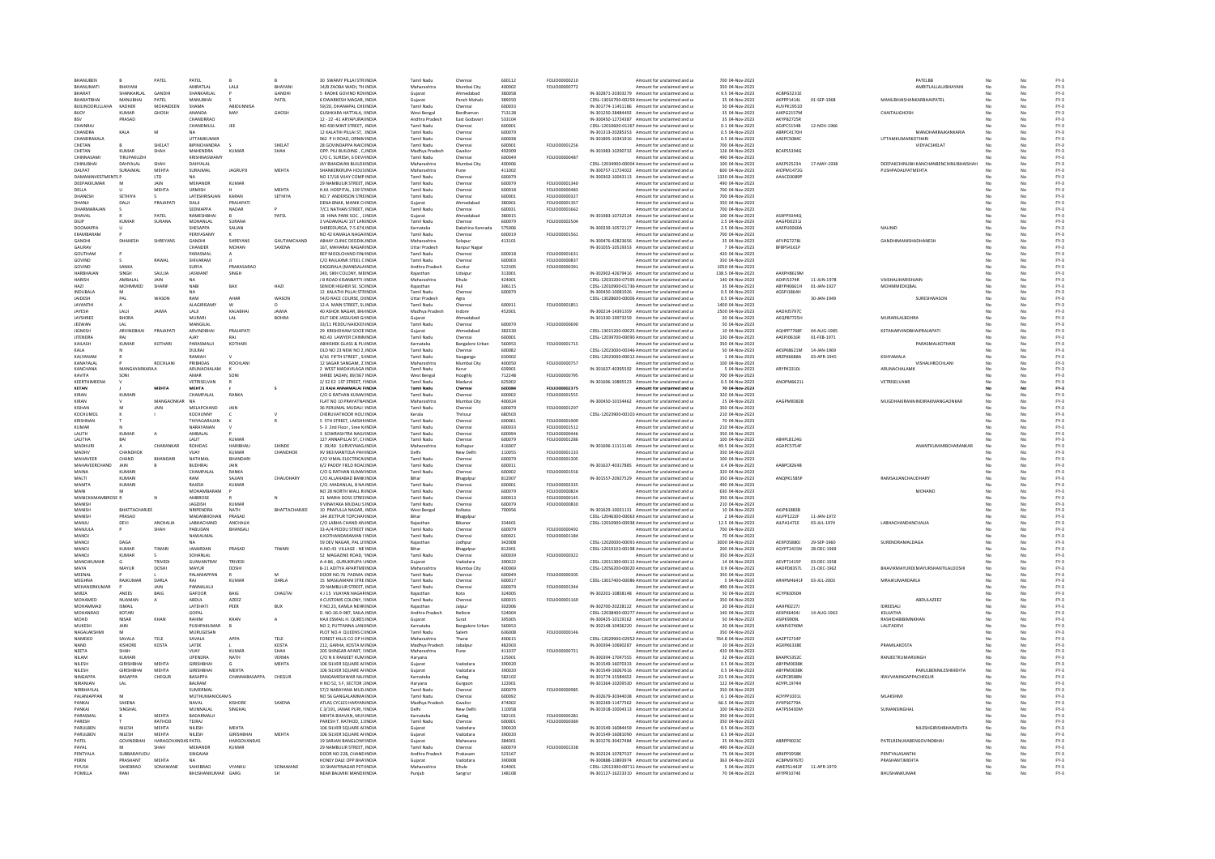| BHANUBEN                  |                                | PATEL                 | PATEL                     |                      |               | 30 SWAMY PILLAI STRIINDIA                                  | <b>Tamil Nadu</b>                | Chennai                | 600112           | FOLIO00000210                  | Amount for unclaimed and u                                                                       | 700 04-Nov-2023                      |                                |                            | PATELBB                               |     |          | $FY-3$           |
|---------------------------|--------------------------------|-----------------------|---------------------------|----------------------|---------------|------------------------------------------------------------|----------------------------------|------------------------|------------------|--------------------------------|--------------------------------------------------------------------------------------------------|--------------------------------------|--------------------------------|----------------------------|---------------------------------------|-----|----------|------------------|
| BHANUMATI                 | BHAYAN                         |                       | AMRATLAI                  | LALI                 | BHAYAN        | 14/B ZAOBA WADI, TH.INDIA                                  | Maharashtra                      | Mumbai City            | 400002           | FOLIO00000772                  | Amount for unclaimed and u                                                                       | 350 04-Nov-2023                      |                                |                            | AMRITLALLALJIBHAYANI                  |     |          | $FY-3$           |
| RHARAT                    | SHANKARLAL                     | GANDH                 | SHANKARLAI                |                      | <b>GANDHI</b> | <b>S RADHE GOVIND ROVINDIA</b>                             |                                  | Ahmedahar              | 380058           |                                | IN-302871-20303279 Amount for unclaimed and u                                                    | 9.5 04-Nov-2023                      | ACBPG5231E                     |                            |                                       |     |          | $FY-3$           |
| RHARATRHAL                | MANURHAL                       | PATFI                 | <b>MANURHAL</b>           |                      | PATFI         | 6 DWARKESH MAGAR INDIA                                     | Guiarat                          | Panch Mahals           | 389350           |                                | CDSL-13016700-00259 Amount for unclaimed and u                                                   | 35.04-Nov-2023                       | AKPPP1414L                     | 01-SEP-1968                | MANURHAISHANKARRHAIPATEL              | No  |          | $FY-3$<br>$FY-3$ |
| BUILINOORULLAHA<br>BIJOY  | KADHER<br>KUMAR                | MOHAIDEEN<br>GHOSH    | SHAMA<br>ANANDA           | ABIDUNNISA<br>MAY    | GHOSH         | 59/20, DHANAPAL CHEINDIA<br>GUSHKARA HATTALA, (INDIA       | <b>Tamil Nadu</b><br>West Bengal | Chennai<br>Bardhamar   | 600033<br>713128 |                                | IN-301774-11451186 Amount for unclaimed and u<br>IN-301250-28484492 Amount for unclaimed and u   | 50 04-Nov-2023<br>35 04-Nov-2023     | AUVPK1951D<br>AJKPG2157M       |                            | CHAITALIGHOSH                         |     | No       | $FY-3$           |
|                           | PRASAD                         |                       | CHANDRRAC                 |                      |               | 12 - 22 -41 ARYAPURAHNDIA                                  | Andhra Pradesh                   | East Godavar           | 533104           |                                | IN-300450-12724387 Amount for unclaimed and u                                                    | 35 04-Nov-2023                       | AKYPB2725R                     |                            |                                       |     |          | FY-3             |
| CHAINRA                   |                                |                       | CHANDMULL                 | JEE                  |               | NO 430 MINT STREET.: INDIA                                 | Tamil Nadu                       | Chennai                | 600001           |                                | CDSL-12010600-01267 Amount for unclaimed and u                                                   | 0.1 04-Nov-2023                      | ADIPC5154R                     | 12-NOV-1966                |                                       |     |          |                  |
| CHANDRA                   | KALA                           | M                     | <b>NA</b>                 |                      |               | 12 KALATHI PILLAI ST, 1INDIA                               | Tamil Nadu                       | Chennai                | 600079           |                                | IN-301313-20285353 Amount for unclaimed and u                                                    | 0.5 04-Nov-2023                      | ABRPC4170H                     |                            | MANOHARRAJKANKARIA                    |     |          | FY-3<br>FY-3     |
| CHANDRAKALA               |                                |                       | UTTAMKUMAI                |                      |               | 962 P H ROAD, ORNIMINDIA                                   | Tamil Nadu                       | Chennai                | 600038           |                                | IN-301895-10341916 Amount for unclaimed and u                                                    | 0.5 04-Nov-2023                      | AAEPC5084C                     |                            | UTTAMKUMARKOTHARI                     |     |          | $FY-3$           |
| CHETAN                    |                                | SHELAT                | <b>BIPINCHANDRA</b>       |                      | SHELAT        | 28 GOVINDAPPA NAICHNDIA                                    | <b>Tamil Nadu</b>                | Chenna                 | 600001           | FOLIO00001256                  | Amount for unclaimed and u                                                                       | 700 04-Nov-2023                      |                                |                            | VIDYACSHELAT                          |     |          | $FY-3$           |
| CHETAN                    | KUMAR                          | SHAH                  | MAHENDRA                  | KUMAR                | SHAH          | OPP PILLBUILDING CINDIA                                    | Madhya Pradesh                   | Gwalion                | 492009           | FOLIO00000487                  | IN-301983-10290732 Amount for unclaimed and u                                                    | 126 04-Nov-2023                      | BCAPSS394G                     |                            |                                       |     |          | $FV-2$<br>$FY-3$ |
| CHINNASAM<br>CHINUBHA     | <b>TIRUPAKUZHI</b><br>DAHYALAL | <b>SHAF</b>           | KRISHNASWAMY<br>DAHYALAL  |                      |               | C/O C. SURESH, 6 DEV/INDIA<br>JAY BHAGWAN BUILDIIINDIA     | Tamil Nadu<br>Maharashtra        | Chennai<br>Mumbai City | 600049<br>400006 |                                | Amount for unclaimed and u<br>CDSL-12034900-00004 Amount for unclaimed and u                     | 490 04-Nov-2023<br>100 04-Nov-2023   | AAEPS2523A                     | 17-MAY-1938                | DEEPAKCHINUBH KANCHANBENCHINUBHAISHAH |     | No       | $FY-3$           |
| DAI PAT                   | SURAIMAL                       | <b>MEHTA</b>          | SURAIMAL                  | <b>IAGRUPE</b>       | <b>MEHTA</b>  | <b>SHANKERKRUPA HOUSINDIA</b>                              | Maharashtra                      | Pune                   | 411002           |                                | IN-300757-11724022 Amount for unclaimed and u                                                    | 600 04-Nov-2023                      | AIOPM1472G                     |                            | ΡΙΙΝΗΡΑΠΑΙ ΡΑΤΜΕΗΤΑ                   |     |          | $FY-3$           |
| <b>DAMANINVESTMENTS P</b> |                                | <b>LTD</b>            | <b>NA</b>                 |                      |               | NO 17/18 VUAY COMP INDIA                                   | <b>Tamil Nadu</b>                | Chennai                | 600079           |                                | IN-300302-10043113 Amount for unclaimed and u                                                    | 1330 04-Nov-2023                     | AAACD3089P                     |                            |                                       |     | No       | $FY-3$           |
| DEEPAKKUMAR               | M                              | JAIN                  | MEHANDR                   | KUMAF                |               | 29 NAMBULIR STREET, INDIA                                  | Tamil Nadu                       | Chennai                | 600079           | FOLIO00001340                  | Amount for unclaimed and u                                                                       | 490 04-Nov-2023                      |                                |                            |                                       |     |          | $FY-3$           |
| DELLA                     |                                | MEHT/                 | URMISH                    |                      | MEHTA         | H.M. HOSPITAL, 139 STINDIA                                 | Tamil Nadu                       | Chenna                 | 600018           | FOLIO00000483                  | Amount for unclaimed and u                                                                       | 700 04-Nov-2023                      |                                |                            |                                       |     |          | FY-3             |
| DHANESH                   | <b>SETHIYA</b>                 |                       | LATESHRISAJAN             | KARAN                | SETHIYA       | NO.7 ANDERSON STREINDIA                                    | Tamil Nadu                       | Chennai                | 600001           | <b>FOLIO00000327</b>           | Amount for unclaimed and u                                                                       | 700 04-Nov-2023                      |                                |                            |                                       |     |          | $FY-3$           |
| DHANJI                    | DALI                           | PRAJAPAT              | DALI                      | PRAJAPATI            |               | DENA BNAK, MANIK CHNDIA                                    | Guiarat                          | Ahmedabad              | 380001           | FOLIO00001357                  | Amount for unclaimed and u                                                                       | 350 04-Nov-2023                      |                                |                            |                                       |     | No       | $FY-3$           |
| DHARMARAJAN<br>DHAVAL     |                                | PATEL                 | SEENIAPPA<br>RAMESHBHA    | NADAR                | PATEL         | 7/C1 NATHAN STREET, INDIA<br>18 HINA PARK SOC., 1 INDIA    | Tamil Nadu                       | Chennai<br>Ahmedabac   | 600031<br>380015 | FOLIO00001662                  | Amount for unclaimed and u<br>IN-301983-10732524 Amount for unclaimed and u                      | 700 04-Nov-2023<br>100 04-Nov-2023   | ASXPPS0440                     |                            |                                       |     | No       | $FY-3$<br>$FY-3$ |
| <b>DILIP</b>              | KUMAR                          | SURANA                | MOHANI AL                 | SURANA               |               | 3 VADAMALAL 1ST LANINDIA                                   | Tamil Nadu                       | Chennai                | 600079           | EQUIO00002504                  | Amount for unclaimed and u                                                                       | 2.5 04-Nov-2023                      | AAGPD02311                     |                            |                                       |     |          | $FY-3$           |
| DOOMAPPA                  |                                |                       | SHESAPPA                  | SALIAN               |               | SHREEDURGA, 7-5 674 INDIA                                  | Karnataka                        | Dakshina Kannada       | 575006           |                                | IN-300239-10572127 Amount for unclaimed and u                                                    | 2.5 04-Nov-2023                      | AAEPU0060A                     |                            | NALINID                               |     | No       | $FY-3$           |
| EKAMBARAM                 |                                |                       | PERIYASAMY                |                      |               | NO 42 KAMALA NAGAFINDIA                                    | <b>Tamil Nadu</b>                | Chennai                | 600019           | FOLIO00001561                  | Amount for unclaimed and u                                                                       | 700 04-Nov-2023                      |                                |                            |                                       |     | No       | $FY-3$           |
|                           | <b>DHANES</b>                  | SHREYANS              | GANDHI                    | SHREYAN:             | GAUTAMCHAND   | ABHAY CLINIC DEODIK INDI                                   | Maharashtra                      | Solapur                | 413101           |                                | IN-300476-42823656 Amount for unclaimed and u                                                    | 35 04-Nov-2023                       | AFVPG7278                      |                            | <b>GANDHIMANISHADHANESH</b>           |     |          | FY-3             |
| <b>GAURAV</b>             |                                |                       | CHANDER                   | <b>MOHAN</b>         | SAXENA        | 167 MAHARAI NAGARINDIA                                     | Uttar Pradesh                    | Kanpur Naga            |                  |                                | IN-301055-10519353 Amount for unclaimed and u                                                    | 7 04-Nov-2023                        | BFBPS4161P                     |                            |                                       |     |          | FY-3<br>FY-3     |
| GOUTHAM                   |                                |                       | PARASMAL                  |                      |               | REP MOOLCHAND FIN/INDIA                                    | Tamil Nadu                       | Chennai                | 600018           | FOLIO00001631                  | Amount for unclaimed and u                                                                       | 420 04-Nov-2023                      |                                |                            |                                       |     |          |                  |
| GOVIND<br>GOVIND          | SANKA                          | RAWAL                 | SHIVARAM<br><b>SLIRVA</b> | <b>PRAKASARAO</b>    |               | C/O RAJLAXMI STEEL C INDIA<br>DIGGIRALA (MANDALA INDIA     | Tamil Nadu<br>Andhra Pradesh     | Chenna<br>Guntu        | 600003<br>522305 | FOLIO00000837<br>FOLIO00000391 | Amount for unclaimed and u<br>Amount for unclaimed and u                                         | 350 04-Nov-2023<br>1050 04-Nov-2023  |                                |                            |                                       |     |          | $FY-3$<br>$FY-3$ |
| HARRHAIAN                 | <b>SINGH</b>                   | SAILIA                | <b>IASWANT</b>            | SINGH                |               | 240 SIKH COLONY MRINDIA                                    | Raiasthan                        | Udainur                | 313001           |                                | IN-302902-42679416 Amount for unclaimed and u                                                    | 138.5 04-Nov-2023                    | AAXPHR619M                     |                            |                                       |     |          | EY-3             |
| <b>HARISH</b>             | AMBALAL                        | JAIN                  | <b>NA</b>                 |                      |               | J B ROAD KISANBATTI (INDIA                                 | Maharashtra                      | Dhule                  | 424001           |                                | CDSL-12033200-07595 Amount for unclaimed and u                                                   | 140 04-Nov-2023                      | ADIPJ5374R                     | 11-JUN-1978                | VAISHALIHARISHJAIN                    |     | No       | $FY-3$           |
| HAZ                       | MOHMMED                        | SHARIF                | NABI                      | BAX                  | HAZI          | SENIOR HIGHER SE, SCHNDIA                                  | Raiasthan                        | Pali                   | 306115           |                                | CDSL-12010900-01736 Amount for unclaimed and u                                                   | 35 04-Nov-2023                       | ABYPH0661H                     | 01-JAN-1927                | MOHMMEDIOBAL                          |     |          | $FY-3$           |
| INDURALA                  |                                |                       | <b>NA</b>                 |                      |               | 12 KALATHI PILLAI STRINDIA                                 | Tamil Nadu                       | Chennai                | 600079           |                                | IN-300450-10081926 Amount for unclaimed and u                                                    | 0.5 04-Nov-2023                      | AGSPJ1864H                     |                            |                                       |     |          | $FY-3$           |
| JAIDESH                   | PAL                            | WASON                 | RAM                       | AHAR                 | WASON         | 54/D RACE COURSE, DHNDIA                                   | <b>Uttar Pradesh</b>             | Agra                   |                  |                                | CDSL-13028600-00006 Amount for unclaimed and u                                                   | 0.5 04-Nov-2023                      |                                | 30-JAN-1949                | SURESHWASON                           |     | No       | $FY-3$           |
| JAYANTHI<br>JAYESH        |                                | JAWU                  | <b>ALAGIRISAMY</b>        |                      | JAWIA         | 12-A MAIN STREET, SLINDIA<br>40 ASHOK NAGAR, BH/INDI       | Tamil Nadu                       | Chennai                | 600011<br>452001 | FOLIO00001851                  | Amount for unclaimed and u<br>IN-300214-14391359 Amount for unclaimed and u                      | 1400 04-Nov-2023<br>2500 04-Nov-2023 | AADHJ57970                     |                            |                                       |     | No       | $FY-3$<br>FY-3   |
| JAYSHREE                  | LALI<br>BHORA                  |                       | LALI<br>MURARI            | KALABH/<br>LAL       | <b>BOHRA</b>  | OUT SIDE JASSUSAR G/INDIA                                  | Madhya Pradesh                   | Indore<br>Ahmedaba     |                  |                                | IN-301330-19973259 Amount for unclaimed and u                                                    | 20 04-Nov-2023                       | AKQPB7725H                     |                            | <b>MURARILALBOHR/</b>                 |     |          | $FY-3$           |
| JEEWAN                    | LAL                            |                       | MANGILAL                  |                      |               | 33/11 PEDDU NAICKENINDIA                                   | <b>Tamil Nadu</b>                | Chennai                | 600079           | FOLIO00000690                  | Amount for unclaimed and u                                                                       | 50 04-Nov-2023                       |                                |                            |                                       |     |          | $FY-3$           |
| JIGNESH                   | ARVINDBHAI                     | PRAIAPAT              | ARVINDBHAI                | PRAJAPATI            |               | 29 KRISHDHAM SOCIE INDIA                                   | Gujarat                          | Ahmedabad              | 382330           |                                | CDSL-13015200-00025 Amount for unclaimed and u                                                   | 10 04-Nov-2023                       | AOHPP7768F                     | 04-AUG-1985                | KETANARVINDBHAIPRAJAPATI              |     | No       | $FY-3$           |
| JITENDRA                  | RAI                            |                       | <b>AIAY</b>               |                      |               | NO.43 LAWYER CHINNINDIA                                    | <b>Tamil Nad</b>                 | Chenna                 | 600001           |                                | CDSL-12039700-00090 Amount for unclaimed and u                                                   | 130 04-Nov-2023                      | AAEPJ0616R                     | 01-FEB-1971                |                                       |     |          | $FY-3$           |
| KAILASH                   | KUMAR                          | KOTHARI               | <b>PARASMALII</b>         | KOTHARI              |               | ARHISHEK GLASS & PLYINDIA                                  | Karnataka                        | <b>Bangalore Urbar</b> | 560053           | <b>FOLIO00001715</b>           | Amount for unclaimed and u                                                                       | 350 04-Nov-2023                      |                                |                            | PARASMALKOTHARL                       |     |          | $FY-3$           |
| KALA                      |                                |                       | <b>DULRAI</b>             |                      |               | OLD NO 23 NEW NO 2. INDIA                                  | Tamil Nadu                       | Chennai                | 600082           |                                | CDSL-12023000-00346 Amount for unclaimed and u                                                   | 50 04-Nov-2023                       | AKSPK8621M                     | 14-JAN-1969                |                                       |     | No       | $FY-3$           |
| KALYANAM                  |                                |                       | RAMIAH                    |                      |               | 6/16 FIFTH STREET, SUNDIA                                  | <b>Tamil Nadu</b>                | Sivaganga              | 630002           |                                | CDSL-12023000-00012 Amount for unclaimed and u                                                   | 1 04-Nov-2023                        | ARZPK6688A                     | 03-APR-1945                | KSHYAMALA                             |     |          | $FY-3$           |
| KANAYALA<br>KANCHANA      | MANGAYARKARAA                  | ROCHLAN               | PRIBHDAS<br>ARUNACHALAM   | ROCHLAN              |               | 12 SAGAR SANGAM, 21INDIA<br>2 WEST MADAVILAGA INDIA        | Maharashtra<br>Tamil Nadu        | Mumbai City<br>Karur   | 400050<br>639001 | FOLIO0000075                   | Amount for unclaimed and u<br>IN-301637-40395592 Amount for unclaimed and u                      | 100 04-Nov-2023<br>5 04-Nov-2023     | ARYPK3310J                     |                            | VISHALHROCHLAN<br>ARUNACHALAMK        |     |          | FY-3             |
| KAVITA                    | SONI                           |                       | AMAR                      | SONI                 |               | SHREE SADAN, 89/367 INDIA                                  | West Bengal                      | Hooghly                | 712248           | FOLIO00000795                  | Amount for unclaimed and u                                                                       | 700 04-Nov-2023                      |                                |                            |                                       |     | No       | FY-3<br>FY-3     |
| KEERTHIMEENA              |                                |                       | <b>VETRISELVAN</b>        |                      |               | 2/E2 E2 1ST STREET, MNDIA                                  | Tamil Nadu                       | Madura                 | 625002           |                                | IN-301696-10895523 Amount for unclaimed and u                                                    | 0.5 04-Nov-2023                      | ANOPM6621                      |                            | VETRISELVANI                          |     |          | $FY-3$           |
| KETAN                     |                                | <b>MEHTA</b>          | MEHTA                     |                      |               | 21 RAJA ANNAMALAI RINDIA                                   | Tamil Nadu                       | Chenna                 | 600084           | FOLIO00002375                  | Amount for unclaimed and u                                                                       | 70 04-Nov-2023                       |                                |                            |                                       |     |          | FY-3             |
| KIRAN                     | KUMARI                         |                       | CHAMPALAI                 | RANKA                |               | C/O G RATHAN KUMAFINDIA                                    | Tamil Nadu                       | Chennai                | 600002           | <b>FOUO00001555</b>            | Amount for unclaimed and u                                                                       | 320 04-Nov-2023                      |                                |                            |                                       |     |          | $FV-2$           |
| KIRAN                     |                                | MANGAONKAR NA         |                           |                      |               | FLAT NO 10 PRAYATNAINDIA                                   | Maharashtra                      | Mumbai City            | 400024           |                                | IN-300450-10154462 Amount for unclaimed and u                                                    | 25 04-Nov-2023                       | AAGPM8382E                     |                            | MUGDHAKIRANNINDIRAKMANGAONKAR         |     | No       | $FY-3$           |
| KISHAN<br>KOCHLIMOL       |                                | JAIN                  | MELAPCHAND<br>KOCHLINNY   | JAIN                 |               | 36 PERUMAL MUDALI : INDIA<br>CHERLIVATHOOR HOLLINDIA       | Tamil Nadu<br>Kerala             | Chenna<br>Thrissur     | 600079<br>680503 | FOLIO00001297                  | Amount for unclaimed and u<br>CDSL-12023900-00101 Amount for unclaimed and u                     | 350 04-Nov-2023<br>210 04-Nov-2023   |                                |                            |                                       |     |          | $FY-3$<br>$FY-3$ |
| KRISHNAN                  |                                |                       | THIYAGARAJAN              |                      |               | 5 STH STREET, LAKSHMINDIA                                  | <b>Tamil Nadu</b>                | Chennai                | 600061           | FOLIO00001909                  | Amount for unclaimed and u                                                                       | 70 04-Nov-2023                       |                                |                            |                                       |     | No       | $FY-3$           |
| <b>KUMAR</b>              |                                |                       | NARAYANAN                 |                      |               | S- 3 2nd Floor, Sree KrINDIA                               | Tamil Nadu                       | Chennai                | 600033           | FOLIO00001512                  | Amount for unclaimed and u                                                                       | 210 04-Nov-2023                      |                                |                            |                                       |     |          | $FY-3$           |
| LALITH                    | KUMAR                          |                       | AMBALAL                   |                      |               | 3 SOWRASHTRA NAGAINDI                                      | Tamil Nadu                       | Chenna                 | 600094           | FOLIO0000044                   | Amount for unclaimed and u                                                                       | 350 04-Nov-2023                      |                                |                            |                                       |     |          | FY-3             |
| LALITHA                   | BAI                            |                       | <b>LALIT</b>              | KUMAR                |               | 127 ANNAPILLAI ST, CHINDIA                                 | Tamil Nadu                       | Chenna                 | 600079           | FOLIO00001286                  | Amount for unclaimed and u                                                                       | 100 04-Nov-2023                      | ABHPL8124G                     |                            |                                       |     |          | $FY-3$           |
| MADHURI                   |                                | CHARANKAR             | ROHIDAS                   | HARIBHAU             | SHINDE        | E 39/40 SURVEYNAG/INDIA                                    | Maharashtra                      | Kolhapur               | 416007           |                                | IN-301696-11111146 Amount for unclaimed and u                                                    | 49.5 04-Nov-2023                     | AGAPCS754F                     |                            | ANANTKUMARBCHARANKAR                  | No. | No       | $FY-3$           |
| MADHV                     | CHANDHOI                       |                       | VIJAY                     | KUMAR                | CHANDHOK      | XV 983 MANTOLA PAH INDIA                                   | Delhi                            | New Delh               | 110055           | FOLIO00001133                  | Amount for unclaimed and u                                                                       | 350 04-Nov-2023                      |                                |                            |                                       |     | No       | $FY-3$           |
| MAHAVEER                  | CHAND                          |                       | NATHMAL                   | <b>BHANDAR</b>       |               | C/O VIMAL ELECTRICALINDIA                                  | <b>Tamil Nad</b>                 |                        | 600079           | FOLIO00001305                  | nount for unclaimed and u                                                                        | 100 04-Nov-2023                      |                                |                            |                                       |     |          | $FY-3$           |
| <b>MAHAVEERCHAND</b>      | <b>JAIN</b>                    |                       | <b>RUDHRAL</b>            | <b>IAIN</b>          |               | 6/2 PADDY FIELD ROAFINDIA                                  | Tamil Nadu                       | Chennai                | 600011           | FOLIO00001556                  | IN-301637-40317885 Amount for unclaimed and u                                                    | 0.4 04-Nov-2023                      | AARPCR264R                     |                            |                                       |     |          | $FY-3$<br>$FY-3$ |
| MAINA<br>MALTI            | KUMARI<br>KUMARI               |                       | CHAMPALAL<br>RAM          | RANKA<br>SAJJAN      | CHAUDHARY     | C/O G RATHAN KUMAFINDIA<br>C/O ALLAHABAD BANK INDIA        | Tamil Nadu<br>Bihar              | Chennai<br>Bhagalpu    | 600002<br>812007 |                                | Amount for unclaimed and u<br>IN-301557-20927529 Amount for unclaimed and u                      | 320 04-Nov-2023<br>350 04-Nov-2023   | ANOPK1585P                     |                            | RAMSAJJANCHAUDHAR1                    |     | No<br>No | $FY-3$           |
| MAMTA                     | KUMAR                          |                       | RAJESH                    | KUMAF                |               | C/O. MADANLAL, 8 NA INDIA                                  | Tamil Nad                        | Chenna                 | 600001           | FOLIO00002335                  | Amount for unclaimed and u                                                                       | 490 04-Nov-2023                      |                                |                            |                                       |     |          | FY-3             |
| MANI                      | M                              |                       | MOHAMRARAM                |                      |               | NO 28 NORTH WALL RUNDIA                                    | Tamil Nadu                       | Chenna                 | 600079           | <b>FOLIO00000824</b>           | Amount for unclaimed and u                                                                       | 630 04-Nov-2023                      |                                |                            | MOHAND                                |     |          |                  |
| MANICKAMAMBROSE R         |                                |                       | AMBROSE                   |                      | N             | 21 MARIA DOSS STREEINDIA                                   | Tamil Nadu                       | Chennai                | 600013           | FOLIO00000145                  | Amount for unclaimed and u                                                                       | 350 04-Nov-2023                      |                                |                            |                                       |     |          | FY-3<br>FY-3     |
| MANISH                    |                                |                       | JAGDISH                   | KUMAF                |               | 9 VINAYAKA MUDALI SINDIA                                   | Tamil Nadu                       | Chenna                 | 600079           | FOLIO00000830                  | Amount for unclaimed and u                                                                       | 210 04-Nov-2023                      |                                |                            |                                       |     |          | $FY-3$           |
| <b>MANISH</b>             | <b>BHATTACHARIEE</b>           |                       | NRIPENDRA                 | <b>NATH</b>          | BHATTACHARJEE | 10 PRAFULLA NAGAR, INDIA                                   | West Benga                       | Kolkata                | 700056           |                                | IN-301629-10031131 Amount for unclaimed and u                                                    | 10 04-Nov-2023                       | AKIPR1883P                     |                            |                                       |     |          | $FY-3$           |
| MANISH<br>MANJU           | PRASAD<br>DEVI                 | ANCHALIA              | ΜΑΠΑΝΜΟΗΑΝ<br>LABHACHAND  | PRASAD<br>ANCHAUA    |               | 144 IFFTPUR TOPCHANINDIA<br>C/O LABHA CHAND AN INDIA       | Rihar<br>Raiasthar               | Bhagalpu<br>Bikaner    | 334401           |                                | CDSL-12046300-00063 Amount for unclaimed and u<br>CDSL-12010900-00938 Amount for unclaimed and u | 2.04-Nov-2023<br>12.5 04-Nov-2023    | All PP1222F<br>AILPA1471E      | 11-JAN-1972<br>03-JUL-1974 | LABHACHANDANCHALIA                    |     | No       | EY-3<br>$FY-3$   |
| MANJULA                   |                                | SHAH                  | PABUDAN                   | BHANSALI             |               | 33-A/4 PEDDU STREET INDIA                                  | <b>Tamil Nadu</b>                | Chenna                 | 600079           | FOLIO00000492                  | Amount for unclaimed and u                                                                       | 700 04-Nov-2023                      |                                |                            |                                       |     |          | $FY-3$           |
| MANOL                     |                                |                       | NAWALMAL                  |                      |               | 6 KOTHANDARAMAN LINDIA                                     | Tamil Nadi                       | Chennai                | 600021           | FOLIO00001184                  | Amount for unclaimed and u                                                                       | 70 04-Nov-2023                       |                                |                            |                                       |     |          | $FY-3$           |
| MANOJ                     | DAGA                           |                       | <b>NA</b>                 |                      |               | 59 DEV NAGAR, PAL LINNDIA                                  | Raiasthan                        | Jodhour                | 342008           |                                | CDSL-12020000-00091/Amount for unclaimed and u                                                   | 3000 04-Nov-2023                     | AEXPD5880J                     | 29-SEP-1960                | SURENDRAMALDAGA                       |     | No       | $FY-3$           |
| MANOJ                     | KUMAR                          | TIWARI                | JANARDAN                  | PRASAD               | TIWAR         | H.NO.43 VILLAGE - NE'INDIA                                 | Bihar                            | Bhagalpu               | 812001           |                                | CDSL-12019103-00198 Amount for unclaimed and u                                                   | 200 04-Nov-2023                      | AGYPT2415N                     | 28-DEC-1969                |                                       |     |          | $FY-3$           |
| MANOJ                     | KUMAR                          |                       | SOHANLAL                  |                      |               | 52 MAGAZINE ROAD, 1INDIA                                   | Tamil Nadu                       | Chennai                | 600039           | FOLIO00000322                  | Amount for unclaimed and u                                                                       | 350 04-Nov-2023                      |                                |                            |                                       |     |          | FY-3             |
| <b>MANOIKUMAL</b>         | $\mathfrak{c}$                 | TRIVED                | GUNVANTRAY                | TRIVED               |               | A-4-86 . GURUKRUPA VINDIA                                  | Gujarat                          | Vadodara               | 390022           |                                | CDSL-12011300-00112 Amount for unclaimed and u                                                   | 14 04-Nov-2023                       | AFVPT1415P                     | 03-DEC-1958                |                                       |     |          | $FY-3$           |
| MAYA<br>MEENAL            | MAYUR                          | DOSHI                 | MAYUR<br>PALANIAPPAN      | DOSHI                |               | <b>B-11 ADITYA APARTMEINDIA</b><br>DOOR NO.76 PADMA IINDIA | Maharashtra<br>Tamil Nadu        | Mumbai City<br>Chennai | 400069<br>600049 | FOLIO00000305                  | CDSL-12056200-00020 Amount for unclaimed and u<br>Amount for unclaimed and u                     | 0.9 04-Nov-2023<br>350 04-Nov-2023   | AADPD8357L                     | 21-DEC-1962                | BHAVIKMAYURD(MAYURSHANTILALDOSHI      |     | No       | $FY-3$<br>$FY-3$ |
| MEGHNA                    | RAJKUMA                        | DARLA                 |                           | <b>KUMAF</b>         | DARLA         | 15 MASILAMANI STRE INDIA                                   | <b>Tamil Nad</b>                 | Chenna                 | 600017           |                                | CDSL-13017400-00086 Amount for unclaimed and u                                                   | 5 04-Nov-2023                        | ARHPM4641F                     | 03-JUL-2003                | MRAIKLIMARDARLI                       |     |          | $FY-3$           |
| MEHANDRKUMAR              |                                | <b>JAIN</b>           | PANNALAL II               |                      |               | 29 NAMBLILIR STREET INDIA                                  | Tamil Nadu                       | Chennai                | 600079           | FOU IO00001344                 | Amount for unclaimed and u                                                                       | 490 04-Nov-2023                      |                                |                            |                                       |     |          | $FY-3$           |
| MIRZA                     | ANEES                          | BAIG                  | GAFOOR                    | BAIG                 | CHAGTA        | 4 J 15 VUAYAN NAGARINDIA                                   | Raiasthan                        | Kota                   | 324005           |                                | IN-302201-10858148 Amount for unclaimed and u                                                    | 50 04-Nov-2023                       | ACYPB3050H                     |                            |                                       | No  | No       | $FY-3$           |
| MOHAMED                   | NUAMAN                         | А                     | ABDUL                     | AZEEZ                |               | 4 CUSTOMS COLONY, SINDIA                                   | Tamil Nadu                       | Chenna                 | 600015           | FOLIO00001169                  | Amount for unclaimed and u                                                                       | 350 04-Nov-2023                      |                                |                            | <b>ABDULAZEEZ</b>                     |     | No       | $FY-3$           |
| MOHAMMAI<br>MOHANRAO      | <b>ISMAIL</b><br>KOTAR         |                       | LATEHATI<br>GOPAL         | PEER                 | BUX           | P.NO.23, KAMLA NEHRINDIA<br>D. NO-26-9-987, SAILA INDIA    | kajasthar                        | Jaipur                 | 302006<br>524004 |                                | IN-302700-20228122 Amount for unclaimed and u                                                    | 20 04-Nov-2023                       | <b>AAHPI0227</b><br>ΔΕΚΡΚΕΔΩΔΙ |                            | IDREESALI<br>KSLIJATHA                |     |          | FY-3             |
| MOHD                      | NISAR                          | KHAN                  | RAHIM                     | KHAN                 | A             | HAJI ESMAIL H. QURES INDIA                                 | Andhra Pradesh<br>Gujarat        | Nellore<br>Surat       | 395005           |                                | CDSL-12038400-00277. Amount for unclaimed and u<br>IN-300425-10119162 Amount for unclaimed and u | 140 04-Nov-2023<br>50 04-Nov-2023    | ASIPK9909L                     | 14-AUG-1963                | RASHIDABIBIMNKHAM                     |     | No       | FY-3<br>FY-3     |
| <b>MUKESH</b>             | JAIN                           |                       | PUSHPAKUMAR               |                      |               | NO 2, PUTTANNA LANEINDIA                                   | Karnataka                        | <b>Bangalore Urba</b>  | 560053           |                                | IN-302148-10436220 Amount for unclaimed and u                                                    | 20 04-Nov-2023                       | AANPJ0740M                     |                            | LALITADEV                             |     |          | $FY-3$           |
| NAGALAKSHM                | M                              |                       | MURUGESAN                 |                      |               | PLOT NO.4 QUEENS CHNDIA                                    | <b>Tamil Nadu</b>                |                        | 636008           | EQUO00000146                   | Amount for unclaimed and u                                                                       | 350 04-Nov-2023                      |                                |                            |                                       |     |          | $FY-3$           |
| NAMDEO                    | SAVALA                         | TFLF                  | <b>SAVALA</b>             | <b>APPA</b>          | TFIF          | FOREST HILLS CO OP H INDIA                                 | Maharashtra                      | Thane                  | 400615           |                                | CDSL-12029900-02952LAmount for unclaimed and u                                                   | 764 8 04-Nov-2023                    | AA7PT2734P                     |                            |                                       |     |          | $FV-2$           |
| <b>NAND</b>               | <b>KISHORE</b>                 | KOSTA                 | LATEK                     |                      | <b>KOSTA</b>  | 212. GARHA, KOSTA M INDIA                                  | Madhya Pradesh                   | Jabalour               | 482003           |                                | IN-300394-10690287 Amount for unclaimed and u                                                    | 10 04-Nov-2023                       | AGXPK6338E                     |                            | PRAMILAKOSTA                          |     | No       | $FY-3$           |
| NEETA<br>NILAM            | SHAH<br>KUMARI                 |                       | VIJAY<br><b>UPENDRA</b>   | KUMAF                | SHAH<br>VERMA | 205 SHINGAR APART, SINDIA                                  | Maharashtra                      | Pune                   | 411037<br>125001 | FOLIO00000721                  | Amount for unclaimed and u                                                                       | 420 04-Nov-2023                      | <b>RAAPKS352C</b>              |                            | <b>RANIFFTKUMARSINGH</b>              |     |          | $FY-3$           |
| NILESH                    | GIRISHBHAI                     | MEHTA                 | GIRISHBHAI                | NATH<br>$\mathbb{G}$ | MEHTA         | C/O N K RANJEET KUM INDIA<br>106 SILVER SQUARE AFINDIA     | Haryana<br>Guiarat               | Vadodara               | 390020           |                                | IN-300394-17047555 Amount for unclaimed and u<br>IN-301549-16070333 Amount for unclaimed and u   | 32 04-Nov-2023<br>0.5 04-Nov-2023    | ABYPM0038K                     |                            |                                       |     | No       | $FY-3$<br>$FY-3$ |
| NILESH                    | GIRISHBHAI                     | MEHTA                 | GIRISHBHAI                | MEHTA                |               | 106 SILVER SQUARE AFINDIA                                  | Gujarat                          | Vadodara               | 390020           |                                | IN-301549-16067616 Amount for unclaimed and u                                                    | 0.5 04-Nov-2023                      | ABYPM0038K                     |                            | PARULBENNILESHMEHTA                   |     | No       | $FY-3$           |
| NINGAPPA                  | <b>BASAPPA</b>                 | CHEGUR                | BASAPPA                   | CHANNABASAPPA        | CHEGUR        | SANGAMESHWAR NIL/INDI                                      | Karnataka                        | Gadag                  | 582102           |                                | IN-301774-15584652 Amount for unclaimed and u                                                    | 22.5 04-Nov-2023                     | AAZPC8588N                     |                            | <b>IRAVVANINGAPPACHEGUR</b>           |     |          | FY-3             |
| NIRANIAN                  | LAL                            |                       | <b>BALRAM</b>             |                      |               | H NO 52, S F, SECTOR 2INDIA                                |                                  | Gurgao                 | 122001           |                                | IN-301364-10209530 Amount for unclaimed and u                                                    | 122 04-Nov-2023                      | ADYPL1974H                     |                            |                                       |     |          | $FY-3$           |
| NIRRHAYI AI               |                                |                       | SUMERMAL                  |                      |               | 57/2 NARAYANA MUDUNDIA                                     | Tamil Nadu                       | Chennai                | 600079           | EQUIO0000985                   | Amount for unclaimed and u                                                                       | 350.04-Nov-2023                      |                                |                            |                                       |     | No.      | EY-3             |
| PALANIAPPAN               |                                |                       | <b>MUTHUMANICKAMS</b>     |                      |               | NO 56 GANGALAMMA INDIA                                     | Tamil Nadu                       | Chennai                | 600092           |                                | IN-302679-30344038 Amount for unclaimed and u                                                    | 0.1 04-Nov-2023                      | AOYPP1001L                     |                            | MLAKSHMI                              |     | No       | $FY-3$           |
| PANKA.                    | SAXENA                         |                       | NAVAL                     | KISHORE              | SAXENA        | ATLAS CYCLES HARYANINDIA                                   | Madhya Prade                     | Gwalion                | 474002           |                                | N-302269-11477562 Amount for unclaimed and u                                                     | 66.5 04-Nov-2023                     | AYKPS6779A                     |                            |                                       |     |          | $FY-3$           |
|                           |                                |                       | MUNNALAL                  | SINGHAL              |               | C 3/191 JANAK PURL NNDIA                                   | Delhi                            | New Delh               | 110058           |                                | IN-301918-10004313 Amount for unclaimed and u                                                    | 100 04-Nov-2023                      | AATPSS430M                     |                            | SUMANSINGHAL                          |     |          | $FY-3$           |
| PANKAL                    | SINGHAL                        |                       | BADARMALI                 |                      |               | MEHTA BHAVAN, MUNINDIA                                     | Karnataka<br><b>Tamil Nadu</b>   | Gadag<br>Chennai       | 582101<br>600001 | FOLIO00000281<br>FOLIO00000389 | Amount for unclaimed and u                                                                       | 350 04-Nov-2023<br>350 04-Nov-2023   |                                |                            |                                       |     | No       | $FY-3$<br>$FY-3$ |
| PARASMAL                  |                                | <b>MEHTA</b>          |                           |                      |               |                                                            |                                  |                        |                  |                                | Amount for unclaimed and u                                                                       |                                      |                                |                            |                                       |     |          |                  |
| PARESH                    |                                | RATHOD                | TEJRAJ                    |                      |               | PARESH T. RATHOD, 11 INDIA                                 |                                  |                        |                  |                                |                                                                                                  |                                      |                                |                            |                                       |     |          |                  |
| PARULBEN<br>PARULBEN      | NILESH<br>NILFSH               | MEHTA<br><b>MEHTA</b> | NILESH<br><b>NILESH</b>   | MEHTA<br>GIRISHRHA   | MEHTA         | 106 SILVER SQUARE AFINDIA<br>106 SILVER SQUARE AFINDIA     | Gujarat                          | Vadodar<br>Vadodara    | 390020<br>390020 |                                | IN-301549-16084459 Amount for unclaimed and u                                                    | 0.5 04-Nov-2023                      |                                |                            | NILESHGIRISHBHAIMEHTA                 |     |          | FY-3             |
| PATEL                     | GOVINDBHAI                     | HARAGOVAN             | <b>AS PATEL</b>           | HARGOVANDAS          |               | 19 SARJAN BANGLOWSINDIA                                    | Gujarat<br>Gujarat               | Mahesana               | 384001           |                                | IN-301549-16081090 Amount for unclaimed and u<br>IN-301276-30427484 Amount for unclaimed and u   | 0.5 04-Nov-2023<br>35 04-Nov-2023    | ABRPP9023C                     |                            | PATELRENUKABENGOVINDBHA               |     |          | FY-3<br>FY-3     |
| PAYAL                     |                                |                       | MEHANDI                   | KUMAF                |               | 29 NAMBULIR STREET, INDIA                                  | Tamil Nad                        | Chennai                | 600079           | FOLIO0000133                   | Amount for unclaimed and u                                                                       | 490 04-Nov-2023                      |                                |                            |                                       |     |          | $FY-3$           |
| PENTYAL                   | SUBBARAYUDU                    |                       | SINGAIAH                  |                      |               | DOOR NO 228, CHAND INDIA                                   | Andhra Prades                    | Prakasar               | 523167           |                                | IN-302324-10787537 Amount for unclaimed and u                                                    | 75 04-Nov-2023                       | <b>ARKPP3958K</b>              |                            | PENTYALASANTHI                        |     |          | $FY-3$           |
| PERIN                     | PRASHANT                       | <b>MEHTA</b>          |                           |                      |               | HONEY DALE OPP RHA'INDIA                                   | Guiarat                          | Vadodara               | 390008           |                                | IN-300888-13893974 Amount for unclaimed and u                                                    | 363.04-Nov-2023                      | ACRPM9767D                     |                            | PRASHANTIMEHTA                        |     |          | $FV-2$           |
| PIYUSH<br>POMILLA         | SAHEBRAO<br>RANI               | SONAWANE              | SAHEBRAO<br>BHUSHANKUMAR  | VYANKU<br>GARG       | SONAWANE      | 10 SHANTINAGAR PETHNDIA<br>NEAR BALMIKI MANDIHNDIA         | Maharashtra<br>Punjab            | Dhule<br>Sangrur       | 424001<br>148108 |                                | CDSL-12013300-00711 Amount for unclaimed and u<br>IN-301127-16223310 Amount for unclaimed and u  | 5 04-Nov-2023<br>70 04-Nov-2023      | AWEPS1443F<br>AFYPR10748       | 11-APR-1979                | BHUSHANKUMAR                          |     |          | $FY-3$<br>$FY-3$ |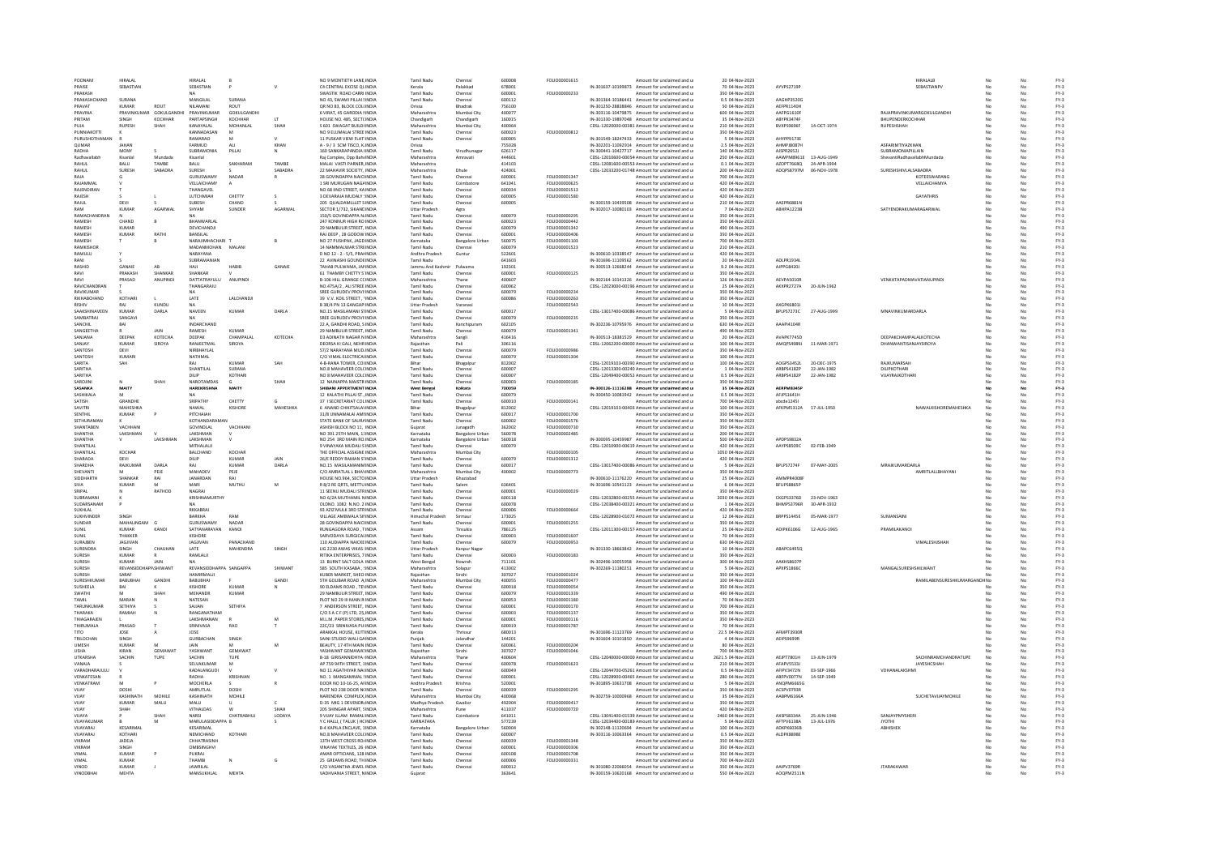| POONAM                   |                     | HIRALAL                     |                | HIRALAL                    |                    |               | NO 9 MONTIETH LANE. INDIA                                       | <b>Tamil Nadu</b>                | Chennai                | 600008           | FOLIO00001615                  | Amount for unclaimed and u                                                                      | 20 04-Nov-2023                     |                           |             | <b>HIRALALB</b>             | No        |          | $FY-3$           |
|--------------------------|---------------------|-----------------------------|----------------|----------------------------|--------------------|---------------|-----------------------------------------------------------------|----------------------------------|------------------------|------------------|--------------------------------|-------------------------------------------------------------------------------------------------|------------------------------------|---------------------------|-------------|-----------------------------|-----------|----------|------------------|
| PRAISE                   |                     | SEBASTIAN                   |                | SEBASTIAN                  |                    |               | C4 CENTRAL EXCISE QUINDIA                                       | Kerala                           | Palakkad               | 678001           |                                | IN-301637-10199873 Amount for unclaimed and u                                                   | 70 04-Nov-2023                     | AYVPS2719P                |             | SEBASTIANPV                 |           |          | $FY-3$           |
| PRAKASH                  |                     |                             |                |                            |                    |               | SWASTIK ROAD CARRI INDIA                                        | <b>Tamil Nadu</b>                | Chenna                 | 600001           | FOLIO00000233                  | mount for unclaimed and u                                                                       | 350 04-Nov-2023                    |                           |             |                             |           |          | $FY-3$           |
|                          | PRAKASHCHAND        | SURANA                      | ROUT           | MANGILAL.                  | SURANA             |               | NO 43, SWAMLPH LALSINDIA                                        | Tamil Nadu                       | Chennai                | 600112           |                                | IN-301364-10186441 Amount for unclaimed and u                                                   | 0.5.04-Nov-2023                    | AAGHP3520G                |             |                             | No.       | No       | $FY-3$<br>$FY-3$ |
| PRAVAT<br>PRAVINA        |                     | <b>KUMAR</b><br>PRAVINKUMAR | GOKULGANDHI    | NILAMANI<br>PRAVINKUMAR    | ROUT<br>GOKULGANDH |               | OR NO 83, BLOCK COL(INDIA<br>6 VIRAT, 45 GARODIA NNDIA          | Orissa<br>Maharashtra            | Bhadrak<br>Mumbai City | 756100<br>400077 |                                | IN-301250-28838846 Amount for unclaimed and u<br>IN-303116-10479875 Amount for unclaimed and u  | 50 04-Nov-2023<br>600 04-Nov-2023  | AEFPR1140H<br>AAFPG1610F  |             | RAJAPRAVINKUMARGOKULGANDH   | No        | No       | $FY-3$           |
| PRITAM                   |                     | SINGH                       | KOCHHAR        | PARTAPSINGH                | KOCHHAR            | $\mathbf{1}$  | HOUSE NO. 485, SECTCINDIA                                       | Chandigarh                       | Chandigart             | 160015           |                                | IN-301330-19897048 Amount for unclaimed and u                                                   | 35 04-Nov-2023                     | ABYPK3474F                |             | BHUPENDERKOCHHAR            |           |          | FY-3             |
| PLIIA                    |                     | <b>RUPESH</b>               | SHAH           | KANAYALAL                  | MOHANLAL           | SHAH          | S 601 SWAGAT BUILDI INDIA                                       | Maharashtra                      | Mumbai City            | 400064           |                                | CDSL-12020000-00381 Amount for unclaimed and u                                                  | 210 04-Nov-2023                    | BVXPS9696F                | 14-OCT-1974 | RUPESHSHAH                  |           |          | FY-3<br>FY-3     |
| PUNNIAKOTTI              |                     |                             |                | KANNADASAN                 | M                  |               | NO 9 ELUMALAI STREE INDIA                                       | Tamil Nadu                       | Chennai                | 600023           | FOLIO00000812                  | Amount for unclaimed and u                                                                      | 350 04-Nov-2023                    |                           |             |                             |           | No       |                  |
|                          | PURUSHOTHAMAM       |                             |                | RAMARAO<br>FARMUD          |                    |               | 11 PUSKAR VIEW FLAT: INDI                                       | Tamil Nadu                       | Chennai                | 600005           |                                | IN-301549-18247433 Amount for unclaimed and u                                                   | 5 04-Nov-2023                      | AHYPP91738<br>AHMP ISOS7E |             | <b>ASFARIMTIYAZKHAN</b>     |           |          | $FY-3$           |
| OUMAR<br>RADHA           |                     | <b>JAHAN</b><br>MONY        |                | <b>SLIBRAMONIA</b>         | PILLAL             | KHAN          | A - 9 / 3 SCM TISCO, KINDIA<br>160 SANKARAPANDIA UNDIA          | Orissa<br>Tamil Nadu             | Virudhunaga            | 755028<br>626117 |                                | IN-302201-11092914 Amount for unclaimed and u<br>IN-300441-10427717 Amount for unclaimed and u  | 2.5 04-Nov-2023<br>140.04-Nov-2023 | AISPR26521                |             | SURRAMONIAPILLAIN           | No        | No       | $FY-3$<br>EY-3   |
| Radhavallabh             |                     | Kisanlal                    | Mundada        | Kisanlal                   |                    |               | Rai Complex, Opp Baht INDIA                                     | Maharashtra                      | Amravati               | 444601           |                                | CDSL-12010600-00054 Amount for unclaimed and u                                                  | 250 04-Nov-2023                    | AAWPM8961E                | 13-AUG-1949 | ShevantiRadhavallabhMundada | No        | No       | $FY-3$           |
| RAHUL                    |                     | <b>BALU</b>                 | TAMBE          | BALU                       | SAKHARAM           | TAMBE         | MALAI VASTI PARNER. INDIA                                       | Maharashtra                      |                        | 414103           |                                | CDSL-12081600-00553 Amount for unclaimed and u                                                  | 0.1 04-Nov-2023                    | AZOPT7668Q                | 24-APR-1994 |                             |           |          | $FY-3$           |
| RAHLIL                   |                     | SURFSH                      | SARADRA        | SURESH                     |                    | SABADRA       | 22 MAHAVIR SOCIETY INDIA                                        | Maharashtra                      | Dhule                  | 424001           |                                | CDSL-12033200-01748 Amount for unclaimed and u                                                  | 200 04-Nov-2023                    | ADQPS8797M                | 06-NOV-1978 | SURESHSHIVLALSABADRA        | No        |          | $FY-3$           |
| RAJA                     |                     |                             |                | GURUSWAMY                  | NADAR              |               | 28 GOVINDAPPA NAICHNDIA                                         | <b>Tamil Nadu</b>                | Chennai                | 600001           | FOLIO00001347                  | Amount for unclaimed and u                                                                      | 700 04-Nov-2023                    |                           |             | KOTEESWARANG                | No        | No       | $FY-3$           |
| RAJAMMAL                 |                     |                             |                | VELLAICHAMY                |                    |               | 1 SRI MURUGAN NAGAINDIA                                         | <b>Tamil Nadu</b>                | Coimbatore             | 641041           | FOLIO00000625                  | Amount for unclaimed and u                                                                      | 420 04-Nov-2023                    |                           |             | <b>VELLAICHAMYA</b>         | No        | No       | $FY-3$           |
| RAJENDIRAN               |                     |                             |                | THANGAVEL                  |                    |               | NO 68 IIND STREET, KAINDI                                       | Tamil Nadu                       | Chenna                 | 600034           | FOLIO00001513                  | Amount for unclaimed and u                                                                      | 420 04-Nov-2023                    |                           |             |                             |           |          | FY-3             |
| RAJESH                   |                     |                             |                | LUTCHMIAH                  | CHETTY             |               | 3 DEVARAJA MUDALY SINDIA                                        | <b>Tamil Nadu</b>                | Chenna                 | 600005           | FOLIO00001580                  | Amount for unclaimed and u                                                                      | 420 04-Nov-2023                    |                           |             | <b>GAYATHRIS</b>            |           |          | $FY-3$           |
| RAJUL                    |                     | DEVI                        |                | SUBESH                     | CHAND              |               | 205 QUALDAMLLLET SINDIA                                         | <b>Tamil Nadu</b>                | Chennai                | 600005           |                                | IN-300159-10439508 Amount for unclaimed and u                                                   | 210 04-Nov-2023                    | AAEPR6881N                |             |                             | No.       | No       | $FY-3$           |
| RAM                      |                     | KUMAR                       | AGARWAL        | SHYAM                      | SUNDER             | AGARWAL       | SECTOR 1/732, SIKANDINDIA                                       | Uttar Pradesh                    | Agra                   |                  |                                | IN-302017-10080103 Amount for unclaimed and u                                                   | 7 04-Nov-2023                      | ABHPA1223B                |             | SATYENDRAKUMARAGARWAI       | No        | No       | $FY-3$           |
| RAMESH                   | <b>PAMACHANDRAN</b> | CHAND                       | $\mathsf{R}$   | RHANWARI AI                |                    |               | 150/5 GOVINDAPPA NJINDIA<br>247 KONNUR HIGH RO INDIA            | <b>Tamil Nadu</b><br>Tamil Nadu  | Chenna                 | 600079<br>600023 | FOLIO00000295<br>FOLIO00000442 | mount for unclaimed and u<br>Amount for unclaimed and u                                         | 350 04-Nov-2023<br>350.04-Nov-2023 |                           |             |                             |           |          | $FY-3$<br>$FY-3$ |
| <b>RAMESH</b>            |                     | <b>KUMAR</b>                |                | DEVICHANDJI                |                    |               | 29 NAMBULIR STREET. INDIA                                       | Tamil Nadu                       | Chennai                | 600079           | FOLIO00001342                  | Amount for unclaimed and u                                                                      | 490 04-Nov-2023                    |                           |             |                             | No        | No       | $FY-3$           |
| RAMESH                   |                     | KUMAR                       | RATHI          | BANSILAL                   |                    |               | RAJ DEEP, 28 GODOW INDIA                                        | <b>Tamil Nadu</b>                | Chenna                 | 600001           | FOLIO00000406                  | Amount for unclaimed and u                                                                      | 350 04-Nov-2023                    |                           |             |                             |           | No       | $FY-3$           |
| RAMESH                   |                     |                             |                | NARAJIMHACHARI             |                    |               | NO 27 PUSHPAK, JAGD INDI                                        | Karnataka                        | <b>Bangalore Urba</b>  | 560075           | FOLIO00001103                  | mount for unclaimed and u                                                                       | 700 04-Nov-2023                    |                           |             |                             |           |          | FY-3             |
| RAMKISHOR                |                     |                             |                | MADANMOHAN MALAN           |                    |               | 14 NAMMAI WAR STREINDIA                                         | Tamil Nadu                       | Chenna                 | 600079           | FOLIO00001523                  | Amount for unclaimed and u                                                                      | 210.04-Nov-2023                    |                           |             |                             |           |          |                  |
| RAMULU                   |                     | Y                           |                | NARAYANA                   |                    |               | D NO 12 - 2 - 5/5, PRAHNDIA                                     | Andhra Pradesh                   | Guntur                 | 522601           |                                | IN-300610-10338547 Amount for unclaimed and u                                                   | 420 04-Nov-2023                    |                           |             |                             | No        | No       | FY-3<br>FY-3     |
| RANI                     |                     |                             |                | SUBRAMANIAN                |                    |               | 22 AVINASHI GOUNDEINDIA                                         | Tamil Nadu                       |                        | 641603           |                                | IN-301696-11109562 Amount for unclaimed and u                                                   | 20 04-Nov-2023                     | ADLPR1934                 |             |                             |           |          | $FY-3$           |
| RASHID                   |                     | <b>GANAIF</b>               | AR             | HAIL                       | HABIB              | <b>GANAIR</b> | TAHAB PULWAMA, JANNDIA                                          | Jammu And Kash                   | Pulwama                | 192301           |                                | IN-300513-12668244 Amount for unclaimed and u                                                   | 9.2 04-Nov-2023                    | AJPPG8420.                |             |                             |           |          | $FY-3$           |
| RAVI                     |                     | PRAKASH                     | SHANKAR        | SHANKAR                    |                    |               | 61 THAMRY CHETTY S'INDIA                                        | Tamil Nadu                       | Chennai                | 600001           | FOLIO00000125                  | Amount for unclaimed and u                                                                      | 350.04-Nov-2023                    |                           |             |                             | No        | No       | EY-3             |
| RAVI                     | RAVICHANDRAM        | PRASAD                      | ANUPINDI       | DATTATRAYULU<br>THANGARAJU | ANUPINDI           |               | <b>B-106 HILL GRANGE CCINDIA</b><br>NO.475A/2 . ALI STREE INDIA | Maharashtra<br><b>Tamil Nadu</b> | Thane<br>Chenna        | 400607<br>600062 |                                | IN-302164-10141326 Amount for unclaimed and u<br>CDSL-12023000-00196 Amount for unclaimed and u | 126 04-Nov-2023<br>25 04-Nov-2023  | AFVPAS010R<br>AKXPR2727A  | 20-JUN-1962 | VENKATAPADMAVATIANUPINDI    | No        | No       | $FY-3$<br>$FY-3$ |
| RAVIKLIMAR               |                     |                             |                | <b>NA</b>                  |                    |               | SREE GURUDEV PROVI: INDIA                                       | Tamil Nadu                       | Chenna                 | 600079           | <b>EQUIO0000234</b>            | Amount for unclaimed and u                                                                      | 350 04-Nov-2023                    |                           |             |                             | No.       | No       | $FY-3$           |
| RIKHABCHAND              |                     | KOTHARI                     |                | LATE                       | LALCHANDJI         |               | 39 V.V. KOIL STREET, 'INDIA                                     | <b>Tamil Nadu</b>                | Chenna                 | 600086           | FOLIO00000263                  | Amount for unclaimed and u                                                                      | 350 04-Nov-2023                    |                           |             |                             |           | No       | $FY-3$           |
| RISHIV                   |                     | RAJ                         | KUNDU          | <b>NA</b>                  |                    |               | B 38/4 PN 13 GANGAPIINDIA                                       | Uttar Pradesh                    | Varanasi               |                  | FOLIO00002543                  | Amount for unclaimed and u                                                                      | 10 04-Nov-2023                     | AXGPK6801                 |             |                             |           | No       | $FY-3$           |
|                          | SAAKSHINAVEEN       | KUMAR                       | DARLA          | NAVEEN                     | KUMAR              | DARLA         | NO.15 MASILAMANI STINDIA                                        | Tamil Nadu                       | Chenna                 | 600017           |                                | CDSL-13017400-00086 Amount for unclaimed and u                                                  | 5 04-Nov-2023                      | BPLPS7273C                | 27-AUG-1999 | MNAVINKUMARDARLA            |           |          | FY-3             |
| SAMRATRAL                |                     | SANGAVI                     |                |                            |                    |               | SREE GURUDEV PROVI:INDIA                                        | <b>Tamil Nadu</b>                | Chenna                 | 600079           | FOLIO00000239                  | Amount for unclaimed and u                                                                      | 350 04-Nov-2023                    |                           |             |                             |           |          | $FY-3$           |
| SANCHIL                  |                     | BAI                         |                | INDARCHAND                 |                    |               | 22 A. GANDHI ROAD, S INDIA                                      | <b>Tamil Nadu</b>                | Kanchipuran            | 602105           |                                | IN-302236-10795976 Amount for unclaimed and u                                                   | 630 04-Nov-2023                    | AAAPI4104R                |             |                             |           |          | $FY-3$           |
| SANGEETHA                |                     |                             | <b>JAIN</b>    | RAMESH                     | KUMAR              |               | 29 NAMBULIR STREET, INDIA                                       | Tamil Nadu                       | Chennai                | 600079           | FOLIO00001341                  | Amount for unclaimed and u                                                                      | 490 04-Nov-2023                    |                           |             |                             |           | No       | $FY-3$           |
| SANJANA                  |                     | DEEPAK                      | КОТЕСНА        | DEEPAK                     | CHAMPALA           | KOTECHA       | <b>D3 ADINATH NAGAR N INDIA</b>                                 | Maharashtr                       | Sangli                 | 416416           |                                | IN-300513-18381529 Amount for unclaimed and u                                                   | 20 04-Nov-2023                     | AVAPK7745D                |             | DEEPAKCHAMPALALKOTECH       |           |          | $FY-3$           |
| SANIAY                   |                     | KUMAR                       | <b>SIROYA</b>  | <b>RANIFFTMAL</b>          | SIROVA             |               | DEORSA KLGALL NEHR INDIA                                        | Raiasthan                        | Pali                   | 306116           |                                | CDSL-12062200-00000 Amount for unclaimed and u                                                  | 100.04-Nov-2023                    | AMOPS4989J                | 11-MAR-1971 | DHANWANTISAN JAYSIROYA      | No.       |          | $FY-3$<br>$FY-3$ |
| SANTOSH<br>SANTOSH       |                     | DEVI<br>KUMARI              |                | NIRBHAYLAL<br>NATHMAL      |                    |               | 57/2 NARAYANA MUDJINDIA<br>C/O VIMAL ELECTRICALINDIA            | Tamil Nadu<br>Tamil Nadu         | Chennai<br>Chenna      | 600079<br>600079 | FOLIO00000986<br>FOLIO00001304 | Amount for unclaimed and u<br>Amount for unclaimed and u                                        | 350 04-Nov-2023<br>100 04-Nov-2023 |                           |             |                             | No        | No<br>No | $FY-3$           |
| SARITA                   |                     | SAH                         |                |                            | KUMAR              | SAF           | 4-B-RANA TOWER, COLINDIA                                        | Bihar                            | Bhagalpu               | 812002           |                                | CDSL-12019103-00390 Amount for unclaimed and u                                                  | 100 04-Nov-2023                    | AOGPS3452L                | 20-DEC-1975 | RAJKUMARSAH                 |           |          | FY-3             |
| SARITHA                  |                     |                             |                | SHANTILAL                  | SURANA             |               | NO 8 MAHAVEER COLCINDIA                                         | Tamil Nadu                       | Chenna                 | 600007           |                                | CDSL-12013300-00240 Amount for unclaimed and u                                                  | 1 04-Nov-2023                      | ARRPS4182P                | 22-JAN-1982 | DILIPKOTHARI                | No        |          |                  |
| SARITHA                  |                     |                             |                | DILIP                      | <b>KOTHAR</b>      |               | NO 8 MAHAVEER COLCINDIA                                         | Tamil Nadu                       | Chenna                 | 600007           |                                | CDSL-12049400-00052 Amount for unclaimed and u                                                  | 0.5 04-Nov-2023                    | ARBPS4182P                | 22-JAN-1982 | VIJAYRAJKOTHAR              | No        | No       | FY-3<br>FY-3     |
| SAROJIN                  |                     |                             |                | NAROTAMDAS                 |                    | SHAH          | 12 NAINAPPA MAISTR INDIA                                        | Tamil Nadu                       | Chenna                 | 600003           | FOLIO00000185                  | Amount for unclaimed and u                                                                      | 350 04-Nov-2023                    |                           |             |                             |           |          | $FY-3$           |
| SASANKA                  |                     | MAITY                       |                | <b>HAREKRISHNA</b>         | MAITY              |               | SHIBANI APPERTMENT INDIA                                        | West Benga                       | Kolkata                | 700059           |                                | IN-300126-11116288 Amount for unclaimed and u                                                   | 35 04-Nov-2023                     | <b>AFRPMRRASS</b>         |             |                             |           |          | FY-3             |
| SASHIKALA                |                     | M                           |                | <b>NA</b>                  |                    |               | 12 KALATHLPILLALST INDIA                                        | Tamil Nadu                       | Chenna                 | 600079           |                                | IN-300450-10081942 Amount for unclaimed and u                                                   | 0.5.04-Nov-2023                    | AFIPS1641H                |             |                             |           | No       | $FV-2$           |
| SATISH                   |                     | GRANDHE                     |                | SRIPATHY                   | CHETTY             |               | 37   SECRETARIAT COL INDIA                                      | Tamil Nadu                       | Chennai                | 600010           | FOLIO00000141                  | Amount for unclaimed and u                                                                      | 700 04-Nov-2023                    | abcde1245                 |             |                             |           | No       | $FY-3$           |
| SAVITRI<br>SENTHIL       |                     | MAHESHKA<br>KUMAR           |                | NAWAL<br>PITCHAIAH         | KISHORE            | MAHESHKA      | 6 ANAND CHIKITSALAYINDIA<br>31/8 UNNAMALALAMUNDIA               | Bihar<br>Tamil Nadu              | Bhagalpu<br>Chennai    | 812002<br>600017 | EQUO00001700                   | CDSL-12019103-00403 Amount for unclaimed and u<br>Amount for unclaimed and u                    | 100 04-Nov-2023<br>350 04-Nov-2023 | AFKPM5312A                | 17-JUL-1950 | NAWALKISHOREMAHESHKA        |           |          | $FY-3$<br>$FY-3$ |
| SETHURAMAN               |                     | к                           |                | KOTHANDARAMAI              |                    |               | STATE BANK OF SAURAINDIA                                        | <b>Tamil Nadu</b>                | Chennai                | 600002           | FOLIO00001576                  | Amount for unclaimed and u                                                                      | 350 04-Nov-2023                    |                           |             |                             |           | No       | $FY-3$           |
| SHANTABEN                |                     | VACHHANI                    |                | GOVINDLAL                  | VACHHAN            |               | ASHISH BLOCK NO 11, INDIA                                       | Gujarat                          | Junagadh               | 362002           | FOLIO00000730                  | Amount for unclaimed and u                                                                      | 350 04-Nov-2023                    |                           |             |                             |           | No       | $FY-3$           |
| <b>SHANTHA</b>           |                     | LAKSHMAN                    |                | LAKSHMAN                   |                    |               | NO 391 25TH MAIN, 11INDI                                        | Karnataka                        | <b>Bangalore Urba</b>  | 560078           | FOLIO00002485                  | Amount for unclaimed and u                                                                      | 200 04-Nov-2023                    |                           |             |                             |           |          | FY-3             |
| SHANTHA                  |                     | V                           | LAKSHMAN       | <b>LAKSHMAN</b>            |                    |               | NO 254 3RD MAIN ROINDIA                                         | Karnataka                        | <b>Bangalore Urbar</b> | 560018           |                                | IN-300095-10459987 Amount for unclaimed and u                                                   | 500 04-Nov-2023                    | APDPS9832A                |             |                             |           |          | $FY-3$           |
| SHANTILAL                |                     |                             |                | MITHALALI                  |                    |               | 9 VINAYAKA MUDALI SINDIA                                        | <b>Tamil Nadu</b>                | Chennai                | 600079           |                                | CDSL-12010900-00619 Amount for unclaimed and u                                                  | 420 04-Nov-2023                    | AAYPS8509C                | 02-FEB-1949 |                             | No.       | No       | $FY-3$           |
| SHANTILAI                |                     | KOCHAR                      |                | BALCHAND                   | KOCHAR             |               | THE OFFICIAL ASSIGNE INDIA                                      | Maharashtra                      | Mumbai City            |                  | FOLIO00000105                  | Amount for unclaimed and u                                                                      | 1050 04-Nov-2023                   |                           |             |                             |           | No       | $FY-3$           |
| SHARADA                  |                     |                             |                | DILIP                      | KUMAR              | JAIN          | 26/E REDDY RAMAN STINDIA                                        | <b>Tamil Nadu</b>                | Chenna                 | 600079           | FOLIO00001312                  | Amount for unclaimed and u                                                                      | 420 04-Nov-2023                    |                           |             |                             |           |          | $FY-3$           |
| SHARDHA                  |                     | RAIKUMAR                    | <b>DARLA</b>   | RAI                        | KUMAR              | DARLA         | NO.15 MASILAMANIMINDIA                                          | Tamil Nadu                       | Chennai                | 600017           |                                | CDSL-13017400-00086 Amount for unclaimed and u                                                  | 5 04-Nov-2023                      | RPI PS7274F               | 07-MAY-2005 | MRAIKUMARDARLA              |           |          | $FY-3$           |
| SHEVANTI                 |                     | M                           | PEJE           | MAHADEV                    | PEJE               |               | C/O AMRATLAL L BHAYINDIA                                        | Maharashtra                      | Mumbai City            | 400002           | FOLIO00000773                  | Amount for unclaimed and u                                                                      | 350 04-Nov-2023                    |                           |             | AMRITLALLBHAYANI            | No        | No       | $FY-3$           |
| SIDDHARTH                |                     | SHANKAR                     | RAI            | JANARDAN                   | RAI                |               | HOUSE NO.964, SECTO INDIA                                       | <b>Uttar Pradesh</b>             | Ghaziabad              |                  |                                | IN-300610-11176220 Amount for unclaimed and u                                                   | 25 04-Nov-2023                     | AMMPR4008                 |             |                             |           | No       | $FY-3$           |
| SIVA<br>SRIPAL           |                     | KUMAR                       | RATHOD         | MARI<br>NAGRAI             | MUTHU              | M             | R 8/2 RE QRTS, METTU INDI<br>11 SEENU MUDALI STRINDIA           | Tamil Nadu<br><b>Tamil Nadu</b>  | Salem                  | 636401<br>600001 | FOLIO00000029                  | IN-301696-10541123 Amount for unclaimed and u                                                   | 6 04-Nov-2023<br>350 04-Nov-2023   | BFUPS8865P                |             |                             |           |          | FY-3             |
| SUBRAMAN                 |                     |                             |                | KRISHNAMURTHY              |                    |               | NO 6/2A MUTHAMIL NINDIA                                         | Tamil Nadu                       | Chenna<br>Chenna       | 600118           |                                | Amount for unclaimed and u<br>CDSL-12032800-00255 Amount for unclaimed and u                    | 2030 04-Nov-2023                   | CKGPS3376D                | 23-NOV-1963 |                             |           | No       | FY-3<br>FY-3     |
| SUDARSANAM               |                     |                             |                |                            |                    |               |                                                                 |                                  | Chenna                 | 600078           |                                |                                                                                                 |                                    |                           | 30-APR-1932 |                             |           |          | $FY-3$           |
| <b>SUKHLAL</b>           |                     |                             |                |                            |                    |               |                                                                 |                                  |                        |                  |                                |                                                                                                 |                                    |                           |             |                             |           |          | $FY-3$           |
| SUKHVINDER               |                     |                             |                |                            |                    |               | OLDNO. 1082 N.NO. 2 INDI                                        | Tamil Nadu                       |                        | 600006           |                                | CDSL-12038400-00321 Amount for unclaimed and u                                                  | 1 04-Nov-2023                      | BHMPS3796R                |             |                             |           |          | EY-3             |
| SUNDAR                   |                     | SINGH                       |                | RKKABRAJ<br>RARKHA         | RAM                |               | 93 AZIZ MULK 3RD STRINDIA<br>VILLAGE AMBWALA SINDIA             | Tamil Nadu<br>Himarhal Pradesh   | Chenna<br>Sirmaur      | 173025           | FOLIO00000664                  | Amount for unclaimed and u<br>CDSL-12028900-01072 Amount for unclaimed and u                    | 420 04-Nov-2023<br>12.04-Nov-2023  | BRPPS144SF                | 05-MAR-1977 | SUMANSAINE                  | No.       | No       |                  |
|                          |                     | MAHALINGAM                  |                | GURUSWAMY                  | NADAR              |               | 28 GOVINDAPPA NAICHNDIA                                         | Tamil Nadu                       | Chennai                | 600001           | FOLIO00001255                  | Amount for unclaimed and u                                                                      | 350 04-Nov-2023                    |                           |             |                             | No        | No       | $FY-3$           |
| SUNIL                    |                     | <b>KUMAR</b>                | KANO           | SATYANARAYAN               | KANOI              |               | RUNGAGORA ROAD . TINDIA                                         | Assam                            | Tinsukia               | 786125           |                                | CDSL-12011300-00157 Amount for unclaimed and u                                                  | 25 04-Nov-2023                     | ADIPK6106G                | 12-AUG-1965 | PRAMILAKANOI                |           |          | $FY-3$           |
| SUNIT                    |                     | THAKKER                     |                | KISHORE                    |                    |               | SARVODAYA SURGICALINDIA                                         | Tamil Nadu                       | Chenna                 | 600003           | <b>FOU IO00001607</b>          | Amount for unclaimed and u                                                                      | 70 04-Nov-2023                     |                           |             |                             | No        |          | $FY-3$           |
| SURAJBEN                 |                     | JAGJIVAN                    |                | JAGJIVAN                   | PANACHAND          |               | 110 AUDIAPPA NAICKE INDIA                                       | <b>Tamil Nadu</b>                | Chennai                | 600079           | FOLIO00000953                  | Amount for unclaimed and u                                                                      | 630 04-Nov-2023                    |                           |             | VIMALESHISHAH               | No        | No       | $FY-3$           |
| SURENDRA                 |                     | SINGH                       | CHAUHAN        | LATE                       | <b>MAHENDRA</b>    | SINGH         | LIG 2230 AWAS VIKAS IINDIA                                      | Uttar Pradesh                    | Kanpur Naga            |                  |                                | IN-301330-18663842 Amount for unclaimed and u                                                   | 10 04-Nov-2023                     | ABAPC6495Q                |             |                             |           | No       | $FY-3$           |
| <b>SURESH</b><br>SURESH  |                     | KUMAR<br>KUMAR              | JAIN           | RAMLALII                   |                    |               | RITIKA ENTERPRISES, 7 INDIA                                     | Tamil Nadu                       | Chennai                | 600003           | FOLIO00000183                  | Amount for unclaimed and u                                                                      | 350 04-Nov-2023                    | AAKHS8607F                |             |                             |           |          | FY-3             |
| SURESH                   |                     | REVANSIDDHAPP.SHIWANT       |                | REVANSIDDHAPPA SANGAPPA    |                    | SHIWANT       | 13 BURNT SALT GOLA INDIA<br>585 SOUTH KASABA .: INDIA           | West Benga<br>Maharashtra        | Howrah<br>Solapur      | 711101<br>413002 |                                | IN-302496-10055958 Amount for unclaimed and u<br>IN-302269-11180251 Amount for unclaimed and u  | 300 04-Nov-2023<br>5 04-Nov-2023   | APXPS1866C                |             | MANGALSURESHSHILWANT        | No.       | No.      | $FY-3$<br>$FY-3$ |
| SURESH                   |                     | SARAF                       |                | HAMIRMALII                 |                    |               | KUBER MARKET, SHEO INDIA                                        | Raiasthan                        | Sirohi                 | 307027           | FOLIO00001024                  | Amount for unclaimed and u                                                                      | 350 04-Nov-2023                    |                           |             |                             |           | No       | $FY-3$           |
|                          | SURESHKUMAR         | RABURHA                     | GANDH          | <b>BABUBHAI</b>            |                    | <b>GAND</b>   | <b>STH GOLIBAR ROAD A INDIA</b>                                 | Maharashtr                       | Mumbai City            | 400055           | FOLIO00000477                  | mount for unclaimed and u                                                                       | 100 04-Nov-2023                    |                           |             | RAMILABENSURESHKUMARGAN     | <b>HN</b> |          | $FY-3$           |
| <b>SUSHEELA</b>          |                     | RAI                         |                | KISHORE                    | KUMAR              |               | 90 FLDAMS ROAD TENNOIA                                          | Tamil Nadu                       | Chenna                 | 600018           | FOI IO00000054                 | Amount for unclaimed and u                                                                      | 350.04-Nov-2023                    |                           |             |                             | No.       |          | $FY-3$           |
| SWATHI                   |                     | M                           | <b>SHAH</b>    | MEHANDR                    | <b>KUMAR</b>       |               | 29 NAMBULIR STREET. INDIA                                       | Tamil Nadu                       | Chennai                | 600079           | FOLIO00001339                  | Amount for unclaimed and u                                                                      | 490 04-Nov-2023                    |                           |             |                             |           | No       | $FY-3$           |
| TAMIL                    |                     | MARAN                       |                | NATESAN                    |                    |               | PLOT NO 29 III MAIN R INDIA                                     | <b>Tamil Nadu</b>                | Chenna                 | 600053           | FOLIO00001180                  | Amount for unclaimed and u                                                                      | 70 04-Nov-2023                     |                           |             |                             |           | No       | $FY-3$           |
|                          | TARUNKUMAR          | SETHIYA                     |                | SAJJAN                     | SETHIYA            |               | 7 ANDERSON STREET, INDIA                                        | Tamil Nadu                       | Chenna                 | 600001           | FOLIO00000170                  | mount for unclaimed and u                                                                       | 700 04-Nov-2023                    |                           |             |                             |           |          | FY-3             |
| THARAKA                  |                     | RAMIAH                      |                | RANGANATHAM                |                    |               | C/O S A C F (P) LTD, 25, INDIA                                  | <b>Tamil Nadu</b>                | Chenna                 | 600003           | FOI IO00001137                 | Amount for unclaimed and u                                                                      | 350 04-Nov-2023                    |                           |             |                             |           |          |                  |
| THIAGARAJEN<br>THIRUMALA |                     | PRASAD                      |                | LAKSHMANAN                 | RAO                | M             | M.L.M. PAPER STORES, INDIA<br>22C/23 SRINIVASA PUIINDI          | Tamil Nadu<br>Tamil Nadu         | Chenna<br>Chenna       | 600001<br>600019 | FOLIO00000116<br>FOLIO00001787 | Amount for unclaimed and u<br>Amount for unclaimed and u                                        | 350 04-Nov-2023<br>70 04-Nov-2023  |                           |             |                             |           | No<br>No | FY-3<br>FY-3     |
| <b>CITY</b>              |                     | JOSE                        |                | SRINIVASA<br>JOSE          |                    |               | ARAKKAL HOUSE, KUTTINDIA                                        | Kerala                           | Thrissu                | 680013           |                                |                                                                                                 | 22.5 04-Nov-2023                   | <b>AFMPT3930R</b>         |             |                             |           |          | $FY-3$           |
| <b>TRILOCHAN</b>         |                     | SINGH                       |                | <b>GURRACHAN</b>           | <b>SINGH</b>       |               | SAINI STUDIO WALLGAINDIA                                        | Puniab                           | lalandha               | 144201           |                                | IN-301696-11123769 Amount for unclaimed and u<br>IN-301604-10101850 Amount for unclaimed and u  | 4.04-Nov-2023                      | AFIPS9699R                |             |                             | No.       | No       | $FY-3$<br>EY-3   |
| <b>UMESH</b>             |                     | <b>KUMAR</b>                |                | JAIN                       |                    | M             | BEAUTY, 17 4TH MAIN INDIA                                       | Tamil Nadu                       | Chennai                | 600061           | FOLIO00000204                  | Amount for unclaimed and u                                                                      | 80 04-Nov-2023                     |                           |             |                             |           | No       | $FY-3$           |
| <b>USHA</b>              |                     | KIRAN                       | <b>GEMAWAT</b> | YASHWANT                   | <b>GEMAWAT</b>     |               | YASHWANT GEMAWATINDIA                                           | Raiasthan                        | Sirohi                 | 307027           | FOLIO00001046                  | Amount for unclaimed and u                                                                      | 700 04-Nov-2023                    |                           |             |                             |           |          | $FY-3$           |
| <b>LITKARSHA</b>         |                     | SACHIN                      | TUPE           | SACHIN                     | TUPE               |               | <b>B-18 GIRISANNIDHYA (INDIA</b>                                | Maharashtra                      | Thane                  | 400604           |                                | CDSL-12040000-00000 Amount for unclaimed and u                                                  | 2621.5 04-Nov-2023                 | AFIPT7801H                | 13-JUN-1979 | SACHINRAMCHANDRATUPE        | No        |          | $FY-3$           |
| VANAJA                   |                     |                             |                | SELVAKUMAR                 | M                  |               | AP 759 94TH STREET, 1INDIA                                      | <b>Tamil Nadu</b>                | Chenna                 | 600078           | FOLIO00001623                  | Amount for unclaimed and u                                                                      | 210 04-Nov-2023                    | AFAPVSS33J                |             | JAYESHCSHAH                 |           | No       | $FY-3$           |
|                          | VARADHARAJULU       |                             |                | KADALANGUDI                |                    |               | NO 11 AGATHIYAR NA(INDIA                                        | Tamil Nadu                       | Chenna                 | 600049           |                                | CDSL-12044700-05261 Amount for unclaimed and u                                                  | 0.5 04-Nov-2023                    | AFIPV3472N                | 03-SEP-1966 | VDHANALAKSHMI               |           | No       | $FY-3$           |
| VENKATESAN               |                     |                             |                | RADHA                      | <b>KRISHNAM</b>    |               | NO. 1 MANGAMMAL SINDI                                           | Tamil Nadu                       | Chenna                 | 600001           |                                | CDSL-12028900-00465 Amount for unclaimed and u                                                  | 280 04-Nov-2023                    | ABFPV0077N                | 14-SEP-1949 |                             |           |          | FY-3             |
| VENKATRAM                |                     | M                           |                | MOCHERLA                   |                    |               | DOOR NO 10-16-25, AFINDIA                                       | Andhra Prades                    | Krishna                | 520001           |                                | IN-301895-10631708 Amount for unclaimed and u                                                   | 5 04-Nov-2023                      | <b>ANOPM6665G</b>         |             |                             |           |          | $FY-3$           |
| VIIAY                    |                     | DOSHI                       | MOHILE         | AMRUTLAL                   | <b>DOSHI</b>       |               | PLOT NO 238 DOOR NUNDIA                                         | Tamil Nadu                       | Chennai                | 600039           | EQUO00001295                   | Amount for unclaimed and u                                                                      | 350.04-Nov-2023                    | ACSPV0793R                |             |                             | No        | No       | EY-3             |
| VUAY<br>VUAY             |                     | KASHINATH<br><b>KUMAR</b>   | MALU           | KASHINATH<br>MALU          | <b>MOHILE</b>      |               | NARENDRA COMPLEX.INDIA<br>D-35 MIG 1 DEVENDR/INDIA              | Maharashtra<br>Madhya Pradesh    | Mumbai City<br>Gwalion | 400068<br>492004 | FOLIO00000417                  | IN-302759-10000968 Amount for unclaimed and u<br>Amount for unclaimed and u                     | 35 04-Nov-2023<br>350 04-Nov-2023  | AABPM6166A                |             | SUCHETAVIJAYMOHILE          |           | No       | $FY-3$           |
| VIIAY                    |                     | SHAH                        |                | VITHALDAS                  |                    | SHAH          | 205 SHINGAR APART SINDIA                                        | Maharashtra                      | Pune                   | 411037           | <b>FOLIO00000720</b>           | Amount for unclaimed and u                                                                      | 420 04-Nov-2023                    |                           |             |                             |           | No       | $FY-3$<br>$FY-3$ |
| VUAYA                    |                     |                             | <b>SHAH</b>    | NARSI                      | CHATRABHUJ         | LODAYA        | 9 VIJAY ILLAM RAMALINDIA                                        | Tamil Nadu                       | Coimbatore             | 641011           |                                | CDSL-13041400-01539 Amount for unclaimed and u                                                  | 2460 04-Nov-2023                   | AXSPS8334A                | 25-JUN-1946 | SANJAYPMYSHERI              | No        | No       | $FY-3$           |
| VUAYAKUMAR               |                     |                             |                | MARULASIDDAPPA B           |                    |               | Y C HALLI, (TALUK) HCINDIA                                      | KARNATAKA                        |                        | 577239           |                                | CDSL-12034400-00183 Amount for unclaimed and u                                                  | 5 04-Nov-2023                      | AFTPV6138A                | 13-JUL-1976 | <b>JYOTHI</b>               |           | No       | $FY-3$           |
| VUAYARA                  |                     | KESARIMAI                   |                | KESARIMAL                  |                    |               | B-4 KAPILA ENCLAVE, 1INDIA                                      | Karnataka                        | <b>Bangalore Url</b>   | 560004           |                                | IN-302148-11120694 Amount for unclaimed and u                                                   | 100 04-Nov-2023                    | ADKPK6036E                |             | ABHISHEI                    |           |          | FY-3             |
| VIIAVARAI                |                     | KOTHARI                     |                | <b>NEMICHAND</b>           | KOTHARI            |               | NO 8 MAHAVEER COLCINDIA                                         | Tamil Nadu                       | Chenna                 | 600007           |                                | IN-303116-10063364 Amount for unclaimed and u                                                   | 0.5 04-Nov-2023                    | ALDPK8898F                |             |                             |           |          |                  |
| VIKRAM                   |                     | JADEJA                      |                | CHHATRASINH                |                    |               | 13TH WEST CROSS ROJINDIA                                        | Tamil Nadu                       | Chennai                | 600039           | FOLIO00001348                  | Amount for unclaimed and u                                                                      | 350 04-Nov-2023                    |                           |             |                             |           | No       | FY-3<br>FY-3     |
| <b>VIKRAM</b>            |                     | SINGH                       |                | OMBSINGHVI                 |                    |               | VINAYAK TEXTILES, 26 INDIA                                      | Tamil Nadu                       | Chenna                 | 600001           | FOLIO00000306                  | Amount for unclaimed and u                                                                      | 350 04-Nov-2023                    |                           |             |                             |           |          | $FY-3$           |
| <b>IAMIV</b>             |                     | KUMAR                       |                | PUKRAJ                     |                    |               | AMAR OPTICIANS, 128 INDIA                                       | <b>Tamil Nadu</b>                | Chenna                 | 600108           | FOLIO00001708                  | Amount for unclaimed and u                                                                      | 350 04-Nov-2023                    |                           |             |                             |           |          | $FY-3$           |
| VIMAL<br>VINOD           |                     | KUMAR<br><b>KUMAR</b>       |                | THAMRI<br><b>JAWRILAL</b>  | $\mathbf{N}$       |               | 25 GREAMS ROAD THINDIA<br>C/O VASANTHA JEWEL INDIA              | Tamil Nadu<br>Tamil Nadu         | Chenna<br>Chennai      | 600006<br>600012 | <b>FOLIO00000331</b>           | Amount for unclaimed and u<br>IN-301080-22066054 Amount for unclaimed and u                     | 700.04-Nov-2023<br>350 04-Nov-2023 | AAIPV3769R                |             | <b>JTARAKAWAR</b>           |           |          | EY-3<br>$FY-3$   |
| <b>VINODBHA</b>          |                     | MEHTA                       |                | MANSUKHLAL                 | <b>MEHTA</b>       |               | VADHVANIA STREET, NINDIA                                        | Gujarat                          |                        | 363641           |                                | IN-300159-10620168 Amount for unclaimed and u                                                   | 550 04-Nov-2023                    | AOOPM2511N                |             |                             |           |          | $FY-3$           |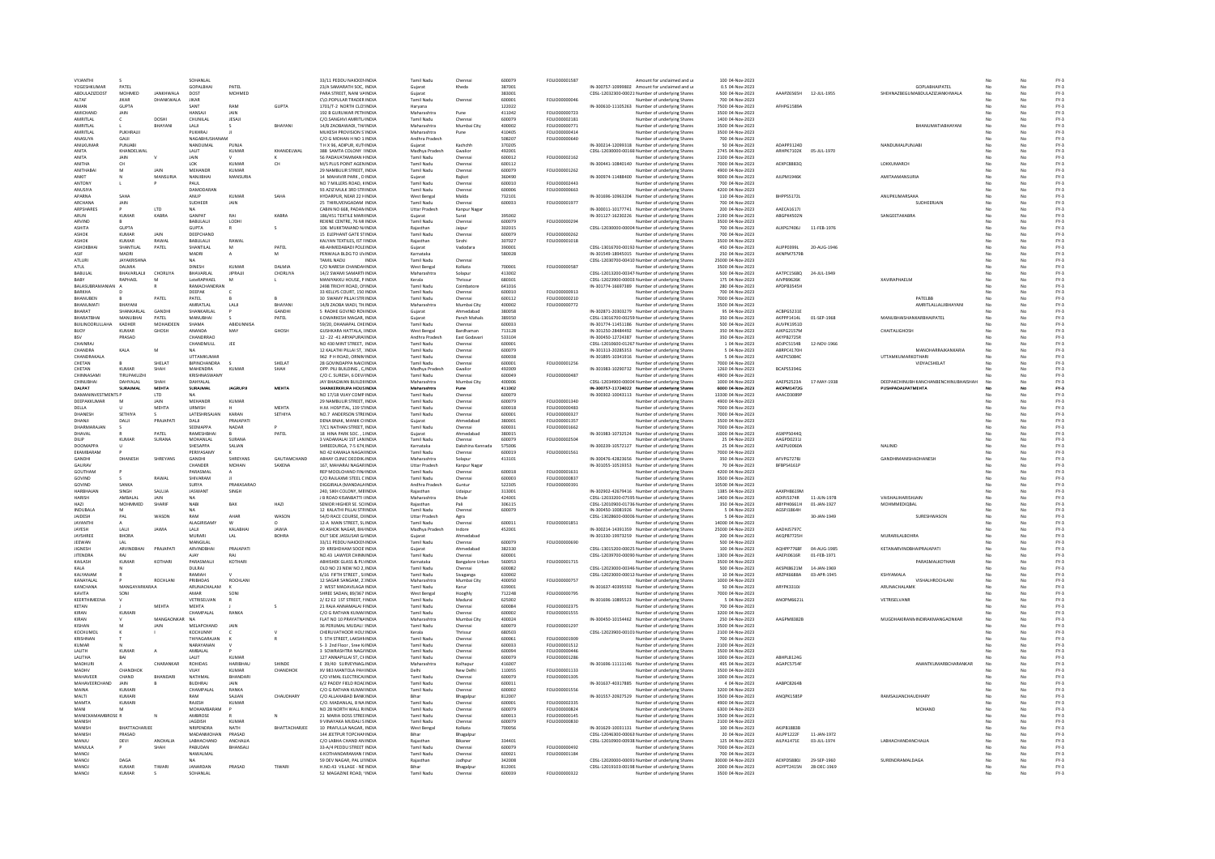| VYJANTH<br>YOGESHKUMAF<br>ABDULAZIZDOST |                       |               |                               |                  |               | 33/11 PEDDU NAICKENINDIA                              |                         |                       |                  |                       |                                                                                                  | 100 04-Nov-2023                      |                   |              |                                                  |    |                | $FY-3$           |
|-----------------------------------------|-----------------------|---------------|-------------------------------|------------------|---------------|-------------------------------------------------------|-------------------------|-----------------------|------------------|-----------------------|--------------------------------------------------------------------------------------------------|--------------------------------------|-------------------|--------------|--------------------------------------------------|----|----------------|------------------|
|                                         |                       |               | SOHANLAI                      |                  |               |                                                       | <b>Tamil Nadu</b>       | Chenna                | 600079           | FOLIO00001587         | Amount for unclaimed and u                                                                       |                                      |                   |              |                                                  |    |                |                  |
|                                         | PATEL<br>MOHMED       | JANKHWALA     | GOPALBHAI<br>DOST             | PATEL<br>MOHMED  |               | 23/A SAMARATH SOC, INDIA<br>PARA STREET, NANI VAINDIA | Gujarat                 | Kheda                 | 38700<br>383001  |                       | IN-300757-10999802 Amount for unclaimed and u<br>CDSL-12032300-00021 Number of underlying Shares | 0.5 04-Nov-2023<br>500 04-Nov-2023   | AAAPZ6565H        | 12-JUL-1955  | GOPLABHAIPATEL<br>SHEHNAZBEGUMABDULAZIZJANKHWALA | No | No             | $FY-3$<br>$FY-3$ |
|                                         |                       |               |                               |                  |               |                                                       | Guiarat                 |                       |                  |                       |                                                                                                  |                                      |                   |              |                                                  |    |                |                  |
| ALTAF                                   | JIKAR                 | DHANKWALA     | JIKAR                         |                  |               | C\O.POPULAR TRADER INDIA                              | Tamil Nadu              | Chenna                | 600001           | FOLIO00000046         | Number of underlying Shares                                                                      | 700 04-Nov-2023                      |                   |              |                                                  |    | No             | $FY-3$           |
| AMAN                                    | GUPTA                 |               |                               | RAM              | GUPTA         | 1701/T-2 NORTH CLOSINDIA                              | Haryana                 |                       | 122022           |                       | IN-300610-11105263 Number of underlying Shares                                                   | 7500 04-Nov-2023                     | AFHPG1589/        |              |                                                  |    |                | $FY-3$           |
| <b>AMICHANE</b>                         | <b>JAIN</b>           |               | HANSAIL                       | <b>LAIN</b>      |               | 192 B GURUWAR PETHINDIA                               | Maharashtr              | Pune                  | 411042           | <b>FOLIO00000723</b>  | Number of underlying Share                                                                       | 3500 04-Nov-2023                     |                   |              |                                                  |    |                | $FY-3$           |
| AMRITI AL                               | c                     | DOSHI         | CHUNILAI                      | <b>IFSAI</b>     |               | C/O SANGHVI AMRITI (INDIA                             | Tamil Nadu              | Chennai               | 600079           | FOLIO00002181         | Number of underlying Shares                                                                      | 1400.04-Nov-2023                     |                   |              |                                                  |    | No             | FY-3             |
| AMRITLAL                                |                       | RHAYANI       | LALI                          |                  | BHAYANI       | 14/B ZAOBAWADI, THAINDIA                              | Maharashtra             | Mumbai City           | 400002           | FOLIO00000771         | Number of underlying Shares                                                                      | 3500 04-Nov-2023                     |                   |              | BHANUMATIABHAYAN                                 |    | No             | $FY-3$           |
| AMRITLA                                 | PUKHRAJJ              |               | PUKHRAJ                       |                  |               | MUKESH PROVISION S'INDIA                              | Maharashtra             | Pune                  | 410405           | FOLIO00000414         | Number of underlying Share:                                                                      | 3500 04-Nov-2023                     |                   |              |                                                  |    |                | $FY-3$           |
| <b>ANASIIVA</b>                         | <b>GAIL</b>           |               | NAGARHUSHANAM                 |                  |               | C/O G MOHAN H NO 1: INDIA                             | Andhra Pradesh          |                       | 508207           | FOLIO00000640         | Number of underlying Shares                                                                      | 700 04-Nov-2023                      |                   |              |                                                  |    | No             | $FY-3$           |
| ANILKUMAR                               | PUNJABI               |               | NANDUMAL                      | PUNJA            |               | T H X 96, ADIPUR, KUTIINDIA                           | Guiarat                 | Kachchh               | 370205           |                       | IN-300214-12099318 Number of underlying Shares                                                   | 50 04-Nov-2023                       | ADAPP3124D        |              | NANDUMALPUNJAB                                   |    | No             | $FY-3$           |
| ANITA                                   | KHANDELWAL            |               | LALIT                         | KUMAR            | KHANDELWAL    | 388 SAMTA COLONY IINDIA                               | Madhya Pradesh          | Gwalion               | 492001           |                       | CDSL-12030000-00160 Number of underlying Shares                                                  | 2745 04-Nov-2023                     | ARHPK7102K        | 05-JUL-1970  |                                                  |    | No             | $FY-3$           |
| ANITA                                   | JAIN                  |               |                               |                  |               | 56 PADAVATAMMAN KINDIA                                | Tamil Nadu              | Chenna                | 600012           | FOLIO00002162         | Number of underlying Shares                                                                      | 2100 04-Nov-2023                     |                   |              |                                                  |    |                | $FY-3$           |
| ANITHA                                  | cн                    |               | $\Omega$                      | KUMAR            | CH            | M/S PLUS POINT AGEN INDIA                             | Tamil Nadu              | Chenna                | 600112           |                       | IN-300441-10840140 Number of underlying Shares                                                   | 7000 04-Nov-2023                     | AEXPC8883Q        |              | LOKKUMARCH                                       |    |                | $FY-3$           |
| ANITHABAI                               | M                     | JAIN          | MEHANDR                       | KUMAR            |               | 29 NAMBULIR STREET, INDIA                             | Tamil Nadu              | Chenna                | 600079           | FOLIO00001262         | Number of underlying Shares                                                                      | 4900 04-Nov-2023                     |                   |              |                                                  |    | No             | $FY-3$           |
| ANKIT                                   |                       | MANSURIA      | NANJIBHAI                     | MANSURIA         |               | 14 MAHAVIR PARK, D INDIA                              |                         | Rajkot                | 360490           |                       | IN-300974-11488400 Number of underlying Shares                                                   | 9000 04-Nov-2023                     | AJLPM1946K        |              | AMITAAMANSURI                                    |    |                | $FY-3$           |
|                                         |                       |               |                               |                  |               |                                                       | Gujarat                 |                       |                  | FOLIO00002443         |                                                                                                  |                                      |                   |              |                                                  |    |                |                  |
| ANTONY                                  |                       |               | PAUL                          |                  |               | NO 7 MILLERS ROAD, KINDIA                             | <b>Tamil Nadu</b>       | Chenna                | 600010           |                       | Number of underlying Share:                                                                      | 700 04-Nov-2023                      |                   |              |                                                  |    |                | $FY-3$           |
| <b>ANLISIYA</b>                         |                       |               | DAMODARAN                     |                  |               | 93 4717 MULK 3RD STRINDIA                             | Tamil Nadu              | Chenna                | 600006           | FOLIO00000663         | Number of underlying Shares                                                                      | 4200.04-Nov-2023                     |                   |              |                                                  |    | No             | FY-3             |
| APARNA                                  | SAHA                  |               | ANUP                          | <b>KUMAR</b>     | SAHA          | HYDARPUR, NEAR 22 HINDIA                              | West Benga              | Malda                 | 732101           |                       | IN-301696-10963204 Number of underlying Shares                                                   | 110 04-Nov-2023                      | BHPPS5172L        |              | ANUPKUMARSAHA                                    |    | No             | $FY-3$           |
| <b>ARCHANA</b>                          | JAIN                  |               | SUDHEER                       | JAIN             |               | 25 THIRUVENGADAM INDIA                                | Tamil Nadu              | Chennai               | 600033           | FOLIO00001977         | Number of underlying Shares                                                                      | 700 04-Nov-2023                      |                   |              | SUDHEERJAIN                                      |    | No             | $FY-3$           |
| ARPSHARE:                               |                       | LTD           |                               |                  |               | CABIN NO 668, PADAMINDIA                              | Uttar Pradesh           | Kanpur Naga           |                  |                       | IN-300011-10177741 Number of underlying Shares                                                   | 200 04-Nov-2023                      | AAECA1617J        |              |                                                  |    |                | $FY-3$           |
| ARUN                                    | KUMAR                 | KABRA         | GANPAT                        | RAI              | KABRA         | 186/451 TEXTILE MARHNDIA                              | Guiarat                 | Surat                 | 395002           |                       | IN-301127-16230226 Number of underlying Shares                                                   | 2190 04-Nov-2023                     | ABGPK4502N        |              | SANGEETAKABRA                                    |    | No             | $FY-3$           |
| ARVIND                                  |                       |               | BABULALII                     | LODHI            |               | REXINE CENTRE, 76 MI INDIA                            | Tamil Nadu              | Chennai               | 600079           | FOLIO00000294         | Number of underlying Shares                                                                      | 3500 04-Nov-2023                     |                   |              |                                                  |    | No             | $FY-3$           |
| ASHITA                                  | GUPTA                 |               | GUPTA                         |                  |               | 106 MUKKTANAND N/INDIA                                |                         | Jaipur                | 302015           |                       | CDSL-12030000-00004 Number of underlying Shares                                                  | 700 04-Nov-2023                      | ALXPG7406J        | 11-FEB-1976  |                                                  |    |                | $FY-3$           |
| ASHOK                                   | KUMAR                 | <b>JAIN</b>   | DEEPCHAND                     |                  |               | 15 ELEPHANT GATE STINDIA                              | Tamil Nadu              | Chenna                | 600079           | <b>FOU IO00000262</b> | Number of underlying Share:                                                                      | 700 04-Nov-2023                      |                   |              |                                                  |    | No             | $FY-3$           |
| ASHOK                                   | <b>KUMAR</b>          | RAWAL         | BABULALII                     | RAWAL            |               | KALYAN TEXTILES. IST FINDIA                           | Raiasthan               | Sirohi                | 307027           | FOLIO00001018         | Number of underlying Shares                                                                      | 3500 04-Nov-2023                     |                   |              |                                                  |    | No             | $FY-3$           |
|                                         | SHANTILAL             |               |                               |                  | PATEL         |                                                       |                         |                       |                  |                       | CDSL-13016700-00192 Number of underlying Shares                                                  |                                      | ALIPP0399L        |              |                                                  |    |                | $FY-3$           |
| ASHOKBHA<br>ASIR                        | MADRI                 | PATEL         | SHANTILAL                     | M                |               | 48-AHMEDABADI POLEINDIA                               | Gujarat                 | Vadodara              | 390001<br>580028 |                       |                                                                                                  | 450 04-Nov-2023                      | AKNPM7579B        | 20-AUG-1946  |                                                  |    | No<br>No       |                  |
| <b>ATLURE</b>                           | <b>IAYAKRISHNA</b>    |               | MADRI<br><b>NA</b>            |                  |               | PENWALA BLDG TO UVINDIA<br>TAMIL NADLL                | Karnataka<br>Tamil Nadu | Chenna                |                  |                       | IN-301549-18945015 Number of underlying Share:                                                   | 250 04-Nov-2023<br>25000.04-Nov-2023 |                   |              |                                                  |    | No             | $FY-3$<br>FY-3   |
|                                         |                       |               |                               |                  |               | <b>INDIA</b>                                          |                         |                       |                  |                       | CDSL-12030700-00410 Number of underlying Shares                                                  |                                      |                   |              |                                                  |    |                |                  |
| ATUL                                    | DALMIA                |               | <b>DINESH</b>                 | <b>KUMAR</b>     | DALMIA        | C/O NARESH CHANDANINDIA                               | West Bengal             | Kolkata               | 700001           | FOLIO00000587         | Number of underlying Shares                                                                      | 3500 04-Nov-2023                     |                   |              |                                                  |    | No             | $FY-3$           |
| BABULAL                                 | BHAVARLALII           | CHORLIYA      | BHAVARLAL                     | <b>JIPRAJJI</b>  | CHORLIYA      | 14/2 SWAMI SAMARTHNDIA                                | Maharashtra             | Solapur               | 413002           |                       | CDSL-12013200-00347 Number of underlying Shares                                                  | 500 04-Nov-2023                      | AATPC1568Q        | 24-JUL-1949  |                                                  |    | No             | $FY-3$           |
| BABY                                    | RAPHAEL               |               | LateRAPHAEL                   |                  |               | MANIYAKKU HOUSE, P INDIA                              | Kerala                  |                       | 680301           |                       | CDSL-12023900-00003. Number of underlying Shares                                                 | 175 04-Nov-2023                      | AJVPB9626K        |              | <b>XAVIRAPHAELM</b>                              |    |                | $FY-3$           |
| <b>RALASURRAMANIAN</b>                  |                       |               | RAMACHANDRAN                  |                  |               | 2498 TRICHY ROAD, ONNEIA                              | Tamil Nadu              | Coimbatore            | 641016           |                       | IN-301774-16697389 Number of underlying Share:                                                   | 280 04-Nov-2023                      | <b>APDPR3545H</b> |              |                                                  |    | No             | $FV-2$           |
| BARKHA                                  |                       |               | DEEPAK                        |                  |               | 33 KELLYS COURT, 150 INDIA                            | Tamil Nadu              | Chennai               | 600010           | FOLIO00000913         | Number of underlying Shares                                                                      | 700 04-Nov-2023                      |                   |              |                                                  |    | No             | $FY-3$           |
| BHANUBEN                                |                       | PATEL         | PATEL                         |                  |               | 30 SWAMY PILLAI STRINDIA                              | Tamil Nadu              | Chenna                | 600112           | FOLIO00000210         | Number of underlying Shares                                                                      | 7000 04-Nov-2023                     |                   |              | PATELBB                                          |    |                | $FY-3$           |
| RHANLIMATI                              | RHAYANI               |               | <b>AMRATI AI</b>              | LALII            | RHAYANI       | 14/B ZAOBA WADI, TH INDIA                             | Maharashtra             | Mumbai City           | 400002           | FOLIO00000772         | Number of underlying Share                                                                       | 3500 04-Nov-2023                     |                   |              | AMRITLALLALJIBHAYANI                             |    | No             | $FY-3$           |
| BHARAT                                  | SHANKARLAL            | GANDHI        | SHANKARLAL                    |                  | GANDHI        | 5 RADHE GOVIND ROVINDIA                               | Guiarat                 | Ahmedabad             | 380058           |                       | IN-302871-20303279 Number of underlying Shares                                                   | 95 04-Nov-2023                       | ACBPG5231E        |              |                                                  |    | No             | $FY-3$           |
| BHARATBHA                               | MANUBHAI              | PATEL         | MANUBHAI                      |                  | PATEL         | 6 DWARKESH MAGAR, INDIA                               | Gujarat                 | Panch Mahals          | 389350           |                       | CDSL-13016700-00259 Number of underlying Shares                                                  | 350 04-Nov-2023                      | AKPPP1414L        | 01-SEP-1968  | MANUBHAISHANKARBHAIPATEL                         |    | No.            | $FY-3$           |
| BUILINOORULLAHA                         | KADHER                | MOHAIDEEN     | SHAMA                         | <b>ABIDUNNIS</b> |               | 59/20, DHANAPAL CHEINDIA                              | <b>Tamil Nadu</b>       |                       | 600033           |                       | IN-301774-11451186 Number of underlying Shares                                                   | 500 04-Nov-2023                      | AUVPK1951D        |              |                                                  |    |                | $FY-3$           |
|                                         | <b>KIIMAD</b>         |               | <b>ANANDA</b>                 |                  |               |                                                       |                         | Chennai               |                  |                       |                                                                                                  |                                      |                   |              |                                                  |    |                |                  |
| BUOY                                    |                       | GHOSH         |                               | MAY              | GHOSH         | <b>GUSHKARA HATTALA, UNDIA</b>                        | West Benga              | Bardhamar             | 713128           |                       | IN-301250-28484492 Number of underlying Shares                                                   | 350 04-Nov-2023                      | AIKPG2157M        |              | CHAITALIGHOSH                                    |    | Nr             | $FY-3$           |
| <b>RSV</b>                              | PRASAD                |               | CHANDRRAO                     |                  |               | 12 - 22 -41 ARYAPURAUNDIA                             | Andhra Pradesh          | East Godavari         | 533104           |                       | IN-300450-12724387 Number of underlying Shares                                                   | 350 04-Nov-2023                      | AKYPB2725R        |              |                                                  |    | No.            | $FY-3$           |
| CHAINRA                                 |                       |               | CHANDMULL                     | JEE              |               | NO 430 MINT STREET.: INDIA                            | <b>Tamil Nadu</b>       | Chennai               | 600001           |                       | CDSL-12010600-01267 Number of underlying Shares                                                  | 1 04-Nov-2023                        | ADJPC5154B        | 12-NOV-1966  |                                                  |    | No             | $FY-3$           |
| CHANDRA                                 | KALA                  | M             |                               |                  |               | 12 KALATHI PILLAI ST, 1INDIA                          | <b>Tamil Nadu</b>       | Chenna                | 600079           |                       | IN-301313-20285353 Number of underlying Shares                                                   | 5 04-Nov-2023                        | ABRPC4170H        |              | MANOHARRAJKANKARIA                               |    |                | $FY-3$           |
| CHANDRAKALA                             |                       |               | <b>LITTAMKUMAR</b>            |                  |               | 962 P.H.ROAD ORNIMINDIA                               | Tamil Nadu              | Chennai               | 600038           |                       | IN-301895-10341916 Number of underlying Share:                                                   | 5 04-Nov-2023                        | AAEPC50840        |              | <b>UTTAMKUMARKOTHARI</b>                         |    | No             | $FY-3$           |
| CHETAN                                  |                       | SHELAT        | BIPINCHANDRA                  |                  | SHELAT        | 28 GOVINDAPPA NAICHNDIA                               | <b>Tamil Nadu</b>       | Chennai               | 600001           | FOLIO00001256         | Number of underlying Shares                                                                      | 7000 04-Nov-2023                     |                   |              | VIDYACSHELAT                                     |    | No             | $FY-3$           |
| CHETAN                                  | KUMAR                 | SHAH          | MAHENDRA                      | KUMAF            | SHAH          | OPP. PILI BUILDING, C/INDIA                           | Madhya Pradesh          | Gwalion               | 492009           |                       | IN-301983-10290732 Number of underlying Shares                                                   | 1260 04-Nov-2023                     | BCAPS5394G        |              |                                                  |    |                | $FY-3$           |
| CHINNASAM                               | TIRUPAKUZHI           |               | KRISHNASWAMY                  |                  |               | C/O C. SURESH, 6 DEV/INDIA                            | Tamil Nadu              | Chenna                | 600049           | FOLIO00000487         | Number of underlying Share                                                                       | 4900 04-Nov-2023                     |                   |              |                                                  |    | No             | $FY-3$           |
| CHINUBHAI                               | DAHYALAL              | SHAH          | DAHYALAL                      |                  |               | JAY BHAGWAN BUILDIIINDIA                              | Maharashtra             | Mumbai City           | 400006           |                       | CDSL-12034900-00004 Number of underlying Shares                                                  | 1000 04-Nov-2023                     | AAEPS2523A        | 17-MAY-1938  | <b>DEEPAKCHINUBH KANCHANBENCHINUBHAISHAH</b>     | No | No             | $FY-3$           |
| DALPAT                                  | SURAJMAL              | MEHTA         | SURAJMAL                      | <b>JAGRUPJI</b>  | MEHTA         | SHANKERKRUPA HOUSINDIA                                | Maharashtra             | Pune                  | 411002           |                       | IN-300757-11724022 Number of underlying Shares                                                   | 6000 04-Nov-2023                     | AIOPM1472G        |              | PUSHPADALPATMEHTA                                |    | No             | $FY-3$           |
| <b>DAMANINVESTMENTS F</b>               |                       | LTD           |                               |                  |               | NO 17/18 VIJAY COMP INDIA                             | Tamil Nadu              | Chenna                | 600079           |                       | IN-300302-10043113 Number of underlying Shares                                                   | 13300 04-Nov-2023                    | AAACD3089I        |              |                                                  |    |                | $FY-3$           |
| DEEPAKKUMAR                             | M                     | <b>JAIN</b>   | MEHANDE                       | KUMAF            |               | 29 NAMBULIR STREET, INDIA                             | <b>Tamil Nadu</b>       | Chenna                | 600079           | FOLIO00001340         | Number of underlying Share:                                                                      | 4900 04-Nov-2023                     |                   |              |                                                  |    |                | $FY-3$           |
| DELLA                                   |                       | MEHTA         | LIRMISH                       |                  | MEHTA         | H M HOSPITAL 139 STINDIA                              | Tamil Nadu              | Chennai               | 600018           | FOU IODDDDDAR3        | Number of underlying Share:                                                                      | 7000.04-Nov-2023                     |                   |              |                                                  |    | No.            | FY-3             |
|                                         | SETHIYA               |               |                               | KARAN            |               |                                                       |                         |                       |                  |                       |                                                                                                  | 7000 04-Nov-2023                     |                   |              |                                                  |    | No             |                  |
| DHANESH                                 |                       |               | LATESHRISAJAN                 |                  | SETHIYA       | NO.7 ANDERSON STREINDIA                               | Tamil Nadu              | Chennai               | 600001           | FOLIO00000327         | Number of underlying Shares                                                                      |                                      |                   |              |                                                  |    |                | $FY-3$           |
| DHANIL                                  | DALI                  | PRAJAPAT      | DALI                          | PRAJAPATI        |               | DENA BNAK, MANIK CHNDIA                               |                         | Ahmedabag             | 380001           | FOLIO00001357         | Number of underlying Shares                                                                      | 3500 04-Nov-2023                     |                   |              |                                                  |    | No             | $FY-3$           |
| DHARMARAIAN                             |                       |               | SEENIAPPA                     | NADAR            |               | 7/C1 NATHAN STREET INDIA                              | Tamil Nadu              | Chennai               | 600031           | FOLIO00001662         | Number of underlying Share:                                                                      | 7000 04-Nov-2023                     |                   |              |                                                  |    | No             | $FY-3$           |
| DHAVAL                                  |                       | PATEL         | RAMESHBHAI                    |                  | PATEL         | 18 HINA PARK SOC., 1 INDIA                            | Guiarat                 | Ahmedabad             | 380015           |                       | IN-301983-10732524 Number of underlying Shares                                                   | 1000 04-Nov-2023                     | ASXPP5044Q        |              |                                                  |    | No             | $FY-3$           |
| DILIF                                   | KUMAF                 | SURANA        | MOHANLAL                      | SURANA           |               | 3 VADAMALAI 1ST LANINDIA                              | Tamil Nadu              | Chennai               | 600079           | FOLIO00002504         | Number of underlying Shares                                                                      | 25 04-Nov-2023                       | AAGPD0231         |              |                                                  |    | No             | $FY-3$           |
| <b>DOOMAPPA</b>                         |                       |               | SHESAPPA                      | SALIAN           |               | SHREEDURGA, 7-5 674, INDIA                            | Karnataka               | Dakshina Kanr         | 575006           |                       | IN-300239-10572127 Number of underlying Shares                                                   | 25 04-Nov-2023                       | AAEPU0060/        |              | NALINID                                          |    |                | $FY-3$           |
| FKAMRARAM                               |                       |               | PERIYASAMY                    |                  |               | NO 42 KAMALA NAGAHNDIA                                | Tamil Nadu              | Chennai               | 600019           | FOLIO00001561         | Number of underlying Share:                                                                      | 7000 04-Nov-2023                     |                   |              |                                                  |    | No             | $FY-3$           |
| GANDHI                                  | DHANESH               |               | GANDHI                        |                  | GAUTAMCHAND   | ABHAY CLINIC DEODIK INDIA                             | Maharashtra             | Solapur               | 413101           |                       | IN-300476-42823656 Number of underlying Shares                                                   | 350 04-Nov-2023                      | AFVPG7278J        |              | GANDHIMANISHADHANESH                             |    | No             | $FY-3$           |
|                                         |                       |               |                               |                  |               |                                                       |                         |                       |                  |                       |                                                                                                  |                                      |                   |              |                                                  |    |                |                  |
|                                         |                       | SHREYANS      |                               | SHREYANS         |               |                                                       |                         |                       |                  |                       |                                                                                                  |                                      |                   |              |                                                  |    |                |                  |
| GAURAV                                  |                       |               | CHANDER                       | MOHAN            | SAXENA        | 167, MAHARAJ NAGARINDIA                               | <b>Uttar Pradesh</b>    | Kanpur Naga           |                  |                       | IN-301055-10519353 Number of underlying Shares                                                   | 70 04-Nov-2023                       | BFBPS4161P        |              |                                                  |    |                | $FY-3$           |
| GOUTHAM                                 |                       |               | PARASMAL                      |                  |               | REP MOOLCHAND FIN/INDIA                               | <b>Tamil Nadu</b>       | Chenna                | 600018           | FOLIO00001631         | Number of underlying Share:                                                                      | 4200 04-Nov-2023                     |                   |              |                                                  |    |                | $FY-3$           |
| GOVIND                                  |                       | RAWAI         | <b>SHIVARAM</b>               |                  |               | C/O RAILAXMI STEEL CINDIA                             | Tamil Nadu              | Chenna                | 600003           | FOLIOD0000837         | Number of underlying Shares                                                                      | 3500.04-Nov-2023                     |                   |              |                                                  |    | No.            | FY-3             |
| GOVIND                                  | SANKA                 |               | SURYA                         | PRAKASARAO       |               | DIGGIRALA (MANDALA INDIA                              | Andhra Pradesh          | Guntur                | 522305           | FOLIO00000391         | Number of underlying Shares                                                                      | 10500 04-Nov-2023                    |                   |              |                                                  |    | No             | $FY-3$           |
| HARBHAJAN                               | SINGH                 | SALUJA        | <b>JASWANT</b>                | SINGH            |               | 240, SIKH COLONY, MBINDIA                             | Raiasthan               | Udaipu                | 313001           |                       | IN-302902-42679416 Number of underlying Shares                                                   | 1385 04-Nov-2023                     | AAXPH8619M        |              |                                                  |    |                | $FY-3$           |
| <b>HARISH</b>                           | AMRAI AI              | <b>JAIN</b>   | <b>NA</b>                     |                  |               | J B ROAD KISANBATTI (INDIA                            | Maharashtra             | Dhule                 | 424001           |                       | CDSL-12033200-07595 Number of underlying Shares                                                  | 1400 04-Nov-2023                     | ADIPIS374R        | 11-ILIN-1978 | VAISHALIHARISHIAIN                               |    | No             | $FY-3$           |
| HAZI                                    | MOHMMED               | SHARIF        | <b>NABI</b>                   | BAX              | HAZI          | SENIOR HIGHER SE, SCIINDIA                            | Raiasthan               | Pali                  | 306115           |                       | CDSL-12010900-01736 Number of underlying Shares                                                  | 350 04-Nov-2023                      | ABYPH0661H        | 01-JAN-1927  | <b>MOHMMEDIOBAL</b>                              |    | No             | $FY-3$           |
| INDUBALA                                | M                     |               | <b>NA</b>                     |                  |               | 12 KALATHI PILLAI STRINDIA                            | Tamil Nadu              | Chennai               | 600079           |                       | IN-300450-10081926 Number of underlying Shares                                                   | 5 04-Nov-2023                        | AGSPJ1864H        |              |                                                  |    | No             | $FY-3$           |
| JAIDESH                                 | PAL                   | WASON         | RAM                           |                  | WASON         | 54/D RACE COURSE, DHNDIA                              | <b>Uttar Pradesh</b>    |                       |                  |                       | CDSL-13028600-00006 Number of underlying Shares                                                  | 5 04-Nov-2023                        |                   | 30-JAN-194   | SURESHWASO                                       |    |                | $FY-3$           |
| <b>JAYANTH</b>                          | A                     |               | <b>ALAGIRISAMY</b>            | w                |               | 12-A MAIN STREET, SLINDIA                             | Tamil Nadu              | Agra<br>Chennai       | 600011           | FOLIO00001851         | Number of underlying Share:                                                                      | 14000 04-Nov-2023                    |                   |              |                                                  |    | No             | $FY-3$           |
| JAYESH                                  | LALI                  | JAWIA         | LALI                          | KALABHAI         | <b>JAWIA</b>  | 40 ASHOK NAGAR, BH/INDIA                              | Madhya Pradesh          | Indore                | 452001           |                       | IN-300214-14391359 Number of underlying Shares                                                   | 25000 04-Nov-2023                    | AADHJ5797C        |              |                                                  |    | No             | $FY-3$           |
| JAYSHREE                                | <b>BHORA</b>          |               | <b>MURAR</b>                  | LAL              | <b>BOHRA</b>  | OUT SIDE JASSUSAR G/INDIA                             | Guiarat                 | Ahmedabag             |                  |                       |                                                                                                  | 200 04-Nov-2023                      | AKOPB7725H        |              | <b>MURARILALBOHRA</b>                            |    |                | $FY-3$           |
| JEEWAN                                  | LAL                   |               |                               |                  |               |                                                       | <b>Tamil Nadu</b>       |                       | 600079           |                       | IN-301330-19973259 Number of underlying Shares                                                   | 500 04-Nov-2023                      |                   |              |                                                  |    | No             |                  |
| <b>IIGNESH</b>                          | <b>ARVINDRHAL</b>     | PRAIAPATI     | MANGILAL<br><b>ARVINDRHAL</b> | ΡΡΑΙΔΡΑΤΙ        |               | 33/11 PEDDU NAICKENINDIA<br>29 KRISHDHAM SOCIE INDIA  | Guiarat                 | Chennai<br>Ahmedahad  | 382330           | FOLIO00000690         | Number of underlying Share:                                                                      | 100.04-Nov-2023                      | AOHPP7768F        | 04-4116-1985 | ΚΕΤΑΝΔΡΜΝΟΒΗΔΙΡΡΑΙΔΡΑΤΙ                          |    | No             | $FY-3$<br>FY-3   |
|                                         | RAI                   |               |                               | RAI              |               |                                                       |                         |                       |                  |                       | CDSL-13015200-00025 Number of underlying Shares                                                  |                                      |                   |              |                                                  |    |                |                  |
| <b>JITENDRA</b>                         |                       |               | AIAY                          |                  |               | NO.43 LAWYER CHINNINDIA                               | Tamil Nadu              | Chennai               | 600001           |                       | CDSL-12039700-00090 Number of underlying Shares                                                  | 1300 04-Nov-2023                     | AAEPJ0616R        | 01-FEB-1971  |                                                  |    | No             | $FY-3$           |
| KAILASH                                 | <b>KUMAF</b>          | KOTHARI       | PARASMALI                     | <b>KOTHAR</b>    |               | <b>ABHISHEK GLASS &amp; PLYINDIA</b>                  | Karnataka               | <b>Bangalore Urba</b> | 560053           | FOLIO00001715         | Number of underlying Shares                                                                      | 3500 04-Nov-2023                     |                   |              | PARASMALKOTHAR                                   |    | No             | $FY-3$           |
| KALA                                    |                       |               | DULRAJ                        |                  |               | OLD NO 23 NEW NO 2, INDIA                             | Tamil Nadu              | Chenna                | 600082           |                       | CDSL-12023000-00346 Number of underlying Share:                                                  | 500 04-Nov-2023                      | AKSPK8621M        | 14-JAN-1969  |                                                  |    |                | $FY-3$           |
| KAIYANAN                                |                       |               | RAMIAH                        |                  |               | 6/16 FIFTH STREET SUNDIA                              | Tamil Nadu              | Sivaganga             | 630002           |                       | CDSL-12023000-00012 Number of underlying Shares                                                  | 10.04-Nov-2023                       | ARZPK6688A        | 03-APR-1945  | KSHYAMALA                                        |    | No             | $FY-3$           |
| KANAYALAL                               |                       | ROCHLANI      | PRIBHDAS                      | ROCHLANI         |               | 12 SAGAR SANGAM, 21 INDIA                             | Maharashtra             | Mumbai City           | 400050           | FOLIO00000757         | Number of underlying Shares                                                                      | 1000 04-Nov-2023                     |                   |              | VISHALHROCHLANI                                  |    | No             | $FY-3$           |
| KANCHANA                                | MANGAYARKARA/         |               | ARUNACHALAM                   |                  |               | 2 WEST MADAVILAGA INDIA                               | Tamil Nadu              | Karur                 | 639001           |                       | IN-301637-40395592 Number of underlying Shares                                                   | 50 04-Nov-2023                       | ARYPK3310J        |              | ARUNACHALAMI                                     |    |                | $FY-3$           |
| KAVITA                                  | SON                   |               | <b>AMAR</b>                   | SONI             |               | SHREE SADAN, 89/367 INDIA                             | West Benga              | Hooghly               | 712248           | FOLIO00000795         | Number of underlying Share:                                                                      | 7000 04-Nov-2023                     |                   |              |                                                  |    | No             | $FY-3$           |
| KEERTHIMEENA                            |                       |               | VETRISELVAN                   |                  |               | 2/ E2 E2 1ST STREET, NINDIA                           | <b>Tamil Nadu</b>       | Madurai               | 625002           |                       | IN-301696-10895523 Number of underlying Shares                                                   | 5 04-Nov-2023                        | ANOPM6621L        |              | VETRISELVANR                                     |    | No             | $FY-3$           |
| KETAN                                   |                       | MEHTA         | MEHTA                         |                  | $\leq$        | 21 RAJA ANNAMALAI FINDIA                              | Tamil Nadu              | Chennai               | 600084           | FOLIO00002375         | Number of underlying Shares                                                                      | 700 04-Nov-2023                      |                   |              |                                                  |    | No.            | $FY-3$           |
| KIRAN                                   | <b>KUMARI</b>         |               | CHAMPALAL                     | RANKA            |               | C/O G RATHAN KUMAFINDIA                               | Tamil Nadu              | Chenna                | 600002           | FOLIO00001555         | <b>Number of underlying Shares</b>                                                               | 3200 04-Nov-2023                     |                   |              |                                                  |    |                | $FY-3$           |
| KIRAN                                   |                       | MANGAONKAR NA |                               |                  |               | FLAT NO 10 PRAYATNAINDIA                              | Maharashtra             | Mumbai City           | 400024           |                       | IN-300450-10154462 Number of underlying Shares                                                   | 250 04-Nov-2023                      | AAGPM8382B        |              | MUGDHAKIRANNINDIRAKMANGAONKAR                    |    | No             | FY-3             |
| KISHAN                                  |                       | <b>JAIN</b>   | MELAPCHAND                    | <b>JAIN</b>      |               | 36 PERUMAL MUDALI : INDIA                             | Tamil Nadu              | Chennai               | 600079           | FOLIO00001297         | Number of underlying Shares                                                                      | 3500 04-Nov-2023                     |                   |              |                                                  |    | No             | $FY-3$           |
| KOCHUMOL                                |                       |               | KOCHUNNY                      |                  |               | CHERUVATHOOR HOU: INDIA                               | Kerala                  | Thrissur              | 680503           |                       | CDSL-12023900-00101 Number of underlying Shares                                                  | 2100 04-Nov-2023                     |                   |              |                                                  |    | No             | $FY-3$           |
| KRISHNAI                                |                       |               | THIYAGARAIAN                  |                  |               | 5 STH STREET, LAKSHMINDIA                             | Tamil Nadu              | Chenna                | 600061           | FOLIO00001909         | Number of underlying Share:                                                                      | 700 04-Nov-2023                      |                   |              |                                                  |    |                | $FY-3$           |
| KUMAR                                   |                       |               | NARAYANAN                     |                  |               | S-3 2nd Floor . Sree KrINDIA                          | Tamil Nadu              | Chenna                | 600033           | FOLIO00001512         | Number of underlying Shares                                                                      | 2100 04-Nov-2023                     |                   |              |                                                  |    | No             | $FY-3$           |
|                                         |                       |               |                               |                  |               |                                                       |                         |                       |                  |                       |                                                                                                  |                                      |                   |              |                                                  |    |                |                  |
| LALITH                                  | KUMAR                 |               | AMBALAL                       |                  |               | 3 SOWRASHTRA NAGAINDIA                                | <b>Tamil Nadu</b>       | Chennai               | 600094           | FOLIO00000446         | Number of underlying Shares                                                                      | 3500 04-Nov-2023                     |                   |              |                                                  |    | No             | $FY-3$           |
| LALITH/                                 | BAI                   |               | LALIT                         | KUMAF            |               | 127 ANNAPILLAI ST, CHINDIA                            | Tamil Nadu              | Chenna                | 600079           | FOLIO00001286         | <b>Jumber of underlying Shares</b>                                                               | 1000 04-Nov-2023                     | ABHPL81240        |              |                                                  |    |                | $FY-3$           |
| MADHUR                                  |                       | CHARANKAR     | ROHIDAS                       | HARIRHAL         | SHINDE        | E 39/40 SURVEYNAG/INDIA                               | Maharashtr              | Kolhapu               | 416007           |                       | IN-301696-11111146 Number of underlying Shares                                                   | 495 04-Nov-2023                      | AGAPCS7548        |              | ANANTKUMARBCHARANKAR                             |    | No             | $FY-3$           |
| MADHV                                   | CHANDHON              |               | VIIAY                         | <b>KUMAR</b>     | CHANDHON      | XV 983 MANTOLA PAH INDIA                              | Delhi                   | New Delhi             | 110055           | FOLIO00001133         | Number of underlying Shares                                                                      | 3500 04-Nov-2023                     |                   |              |                                                  |    | No             | $FY-3$           |
| MAHAVEER                                | CHAND                 | BHANDARI      | NATHMAL                       | BHANDAR          |               | C/O VIMAL ELECTRICALINDIA                             | Tamil Nadu              | Chennai               | 600079           | FOLIO00001305         | Number of underlying Shares                                                                      | 1000 04-Nov-2023                     |                   |              |                                                  |    | No             | $FY-3$           |
| MAHAVEERCHAND                           | JAIN                  |               | <b>BUDHRAJ</b>                | JAIN             |               | 6/2 PADDY FIELD ROAEINDIA                             | Tamil Nadu              | Chenna                | 600011           |                       | IN-301637-40317885 Number of underlying Shares                                                   | 4 04-Nov-2023                        | AABPC8264E        |              |                                                  |    |                | $FY-3$           |
| MAINA                                   | KUMARI                |               | CHAMPALAL                     | RANKA            |               | C/O G RATHAN KUMAFINDIA                               | Tamil Nadu              | Chenna                | 600002           | FOLIO00001556         | Number of underlying Share:                                                                      | 3200 04-Nov-2023                     |                   |              |                                                  |    |                | $FY-3$           |
| MAITI                                   | KUMARI                |               | RAM                           | SAIIAN           | CHALIDHARY    | C/O ALLAHARAD RANKINDIA                               | Rihar                   | Bhagalpu              | 812007           |                       | IN-301557-20927529 Number of underlying Shares                                                   | 3500.04-Nov-2023                     | ANOPK1585F        |              | <b>RAMSAHANCHAHDHARY</b>                         |    | No             | FY-3             |
| MAMTA                                   | KUMARI                |               | RAJESH                        |                  |               | C/O. MADANLAL, 8 NA INDIA                             | <b>Tamil Nadu</b>       | Chenna                | 600001           | FOLIO00002335         | Number of underlying Shares                                                                      | 4900 04-Nov-2023                     |                   |              |                                                  |    | No             | $FY-3$           |
| MAN                                     |                       |               | MOHAMBARAM                    | KUMAR            |               | NO 28 NORTH WALL R(INDIA                              | Tamil Nadu              | Chenna                | 600079           | FOLIO00000824         | Number of underlying Share:                                                                      | 6300 04-Nov-2023                     |                   |              | MOHAND                                           |    |                | $FY-3$           |
| MANICKAMAMBROSE R                       |                       |               | <b>AMRROSE</b>                |                  |               | 21 MARIA DOSS STREEINDIA                              | Tamil Nadu              | Chenna                | 600013           | <b>FOLIO00000145</b>  |                                                                                                  | 3500.04-Nov-2023                     |                   |              |                                                  |    | No             | $FY-3$           |
|                                         |                       |               |                               |                  |               |                                                       |                         |                       |                  |                       | Number of underlying Shares                                                                      |                                      |                   |              |                                                  |    |                |                  |
| MANISH                                  |                       |               | JAGDISH                       | <b>KUMAR</b>     |               | 9 VINAYAKA MUDALI SINDIA                              | <b>Tamil Nadu</b>       | Chennai               | 600079           | FOLIO00000830         | Number of underlying Shares                                                                      | 2100 04-Nov-2023                     |                   |              |                                                  |    | No             | $FY-3$           |
| MANISH                                  | BHATTACHARJEE         |               | NRIPENDRA                     | NATH             | BHATTACHARJEE | 10 PRAFULLA NAGAR, INDIA                              | West Benga              | Kolkata               | 700056           |                       | IN-301629-10031131 Number of underlying Shares                                                   | 100 04-Nov-2023                      | AKJPB1883B        |              |                                                  |    | No             | $FY-3$           |
| MANISH                                  | PRASAD                |               | MADANMOHAN                    | PRASAD           |               | 144 JEETPUR TOPCHANINDIA                              |                         | Bhagalpu              |                  |                       | CDSL-12046300-00063 Number of underlying Shares                                                  | 20 04-Nov-2023                       | AJLPP1222F        | 11-JAN-1972  |                                                  |    |                | $FY-3$           |
| MANJU                                   | DEVI                  | ANCHALIA      | LABHACHAND                    | ANCHAUA          |               | C/O LABHA CHAND AN INDIA                              | Raiasthar               | Bikaner               | 334401           |                       | CDSL-12010900-00938 Number of underlying Shares                                                  | 125 04-Nov-2023                      | AILPA1471E        | 03-JUL-1974  | LABHACHANDANCHALIA                               |    | No             | $FY-3$           |
| MANJULA                                 |                       | SHAH          | PABUDAN                       | BHANSALI         |               | 33-A/4 PEDDU STREET INDIA                             | Tamil Nadu              | Chenna                | 600079           | FOLIO00000492         | Number of underlying Shares                                                                      | 7000 04-Nov-2023                     |                   |              |                                                  |    | No             | $FY-3$           |
| MANOJ                                   |                       |               | NAWALMAL                      |                  |               | 6 KOTHANDARAMAN I'INDIA                               | Tamil Nadu              | Chenna                | 600021           | FOLIO00001184         | Number of underlying Shares                                                                      | 700 04-Nov-2023                      |                   |              |                                                  |    |                | $FY-3$           |
| <b>MANOJ</b>                            | <b>DAGA</b>           |               |                               |                  |               | 59 DEV NAGAR PALLIUNDIA                               | Rajasthar               | Jodhpu                | 342008           |                       | CDSL-12020000-00091/Number of underlying Shares                                                  | 30000 04-Nov-2023                    | AEVPDSRROL        | 29-5EP-1960  | SURENDRAMALDAGA                                  |    |                | $FY-3$           |
| MANOL<br><b>MANOJ</b>                   | KUMAR<br><b>KUMAR</b> | TIWARI        | <b>IANARDAN</b><br>SOHANLAL   | PRASAD           | TIWARI        | H NO 43 VILLAGE - NEINDIA<br>52 MAGAZINE ROAD, 'INDIA | Rihar<br>Tamil Nadu     | Bhagalpu<br>Chennai   | 812001<br>600039 | FOLIO00000322         | CDSL-12019103-00198 Number of underlying Shares<br>Number of underlying Shares                   | 2000 04-Nov-2023<br>3500 04-Nov-2023 | AGYPT2415N        | 28-DEC-1969  |                                                  |    | N <sub>n</sub> | $FY-3$<br>$FY-3$ |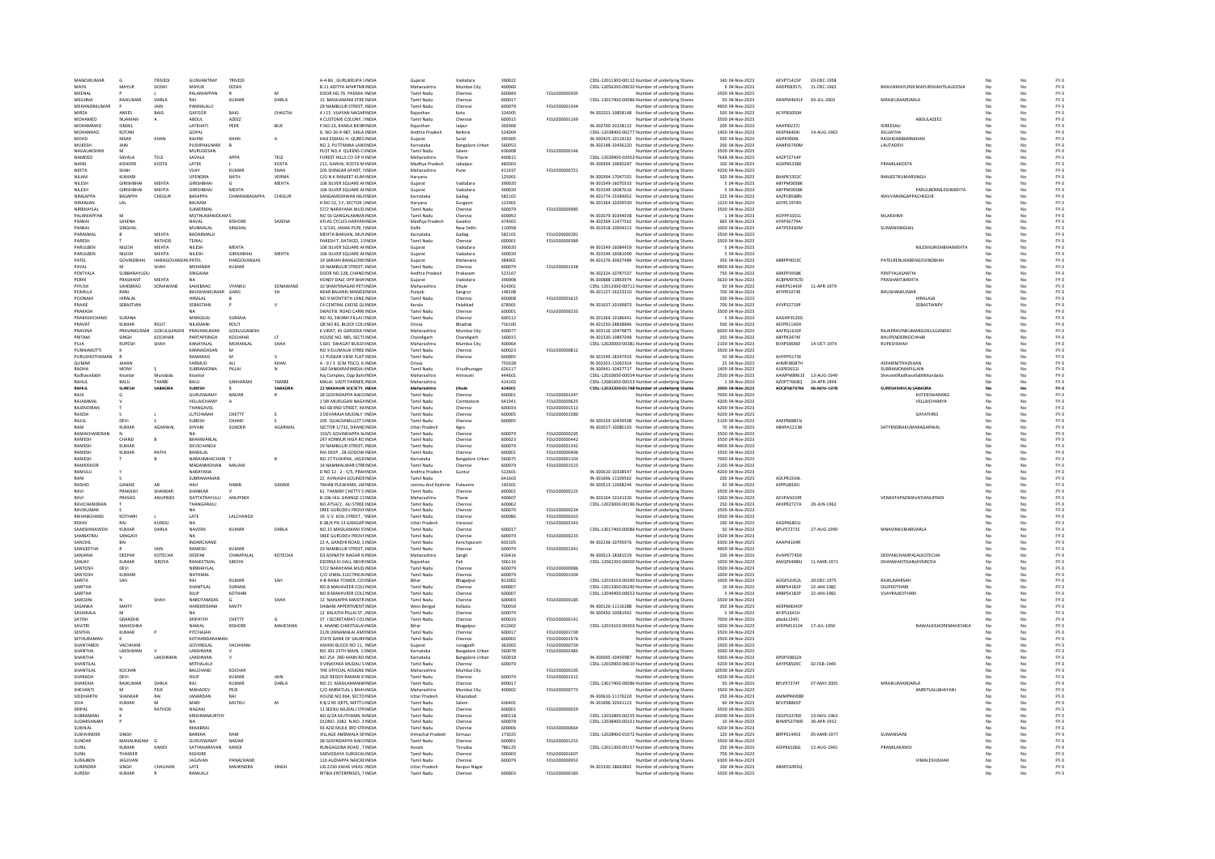| MANOJKUMAR                 | $\mathbf{G}$                 | TRIVEDL                 | <b>GUNVANTRAY</b>      | TRIVED                                       |              | A-4-86 . GURUKRUPA VINDIA                                       |                                    | Vadodara               | 390022 |                      | CDSL-12011300-00112 Number of underlying Share                                | 140 04-Nov-2023                     | AEVPT1415P        | 03-DEC-1958 |                                  |     |    |              |
|----------------------------|------------------------------|-------------------------|------------------------|----------------------------------------------|--------------|-----------------------------------------------------------------|------------------------------------|------------------------|--------|----------------------|-------------------------------------------------------------------------------|-------------------------------------|-------------------|-------------|----------------------------------|-----|----|--------------|
|                            |                              |                         |                        |                                              |              |                                                                 | Gujarat                            |                        |        |                      |                                                                               |                                     |                   |             |                                  |     |    |              |
| <b>MAVA</b>                | MAYUR                        | DOSHI                   | MAYUR                  | DOSHI                                        |              | <b>B-11 ADITYA APARTMEINDIA</b>                                 | Maharashtra                        | Mumbai City            | 400069 |                      | CDSL-12056200-00020 Number of underlying Share                                | 9 04-Nov-2023                       | AADPD8357L        | 21-DEC-1962 | BHAVIKMAYURD(MAYURSHANTILALDOSHI | No  |    | $FY-3$       |
| MEENAL                     |                              |                         | PALANIAPPAN            |                                              |              | DOOR NO.76 PADMA IINDIA                                         | Tamil Nadu                         | Chenna                 | 600049 | FOLIO00000305        | Number of underlying Shares                                                   | 3500 04-Nov-2023                    |                   |             |                                  |     |    | FY-3         |
| <b>MEGHN</b>               | RAJKUMAI                     | <b>DARLA</b>            | RAI                    | KUMAR                                        | DARLA        | 15 MASILAMANI STREINDIA                                         | <b>Tamil Nadu</b>                  | Chenna                 | 600017 |                      | CDSL-13017400-00086 Number of underlying Shares                               | 50 04-Nov-2023                      | ARHPM4641F        | 03-JUL-2003 | MRAJKUMARDARLA                   |     |    | $FY-3$       |
| MEHANDRKUMAR               |                              | <b>JAIN</b>             | PANNALALII             |                                              |              | 29 NAMBULIR STREET INDIA                                        | Tamil Nadu                         | Chennai                | 600079 | FOLIO00001344        | Number of underlying Shares                                                   | 4900.04-Nov-2023                    |                   |             |                                  |     | No | FY-3         |
| MIRZA                      | ANEES                        | BAIG                    | GAFOOR                 | BAIG                                         | CHAGTA       | 4 J 15 VIJAYAN NAGARINDIA                                       | Raiasthan                          | Kota                   | 324005 |                      | IN-302201-10858148 Number of underlying Shares                                | 500 04-Nov-2023                     | ACYPB3050H        |             |                                  | No  | No | FY-3         |
| MOHAMED                    |                              |                         |                        | AZEEZ                                        |              | 4 CUSTOMS COLONY, SINDIA                                        |                                    |                        |        | FOLIO00001169        |                                                                               | 3500 04-Nov-2023                    |                   |             | ABDULAZEEZ                       | No  | No | $FY-3$       |
|                            | NUAMAN                       | $\mathsf{A}$            | ABDUL                  |                                              |              |                                                                 | Tamil Nadu                         | Chenna                 | 600015 |                      | Number of underlying Shares                                                   |                                     |                   |             |                                  |     |    |              |
| MOHAMMAI                   | <b>ISMAIL</b>                |                         | LATEHAT                | PEER                                         | BUX          | P.NO.23, KAMLA NEHRINDIA                                        |                                    | Jaipur                 | 302006 |                      | IN-302700-20228122 Number of underlying Shares                                | 200 04-Nov-2023                     | <b>AAHPI0227</b>  |             | <b>IDREESAL</b>                  |     |    | $FY-3$       |
| <b>MOHANRAO</b>            | KOTARI                       |                         | GOPAL                  |                                              |              | D. NO-26-9-987, SAILA INDIA                                     | Andhra Pradesh                     | Nellore                | 524004 |                      | CDSL-12038400-00277. Number of underlying Share                               | 1400 04-Nov-2023                    | <b>AEKPK6404J</b> | 14-AUG-1963 | KSUJATHA                         | No  | No | $FY-3$       |
| MOHD                       | NISAR                        | KHAN                    | RAHIM                  | KHAN                                         | A            | HAJI ESMAIL H. QURES INDIA                                      | Gujarat                            | Surat                  | 395005 |                      | IN-300425-10119162 Number of underlying Shares                                | 500 04-Nov-2023                     | ASIPK9909L        |             | RASHIDABIBIMNKHAM                | No  | No | $FY-3$       |
| MUKESH                     | JAIN                         |                         | PUSHPAKUMAF            |                                              |              | NO 2, PUTTANNA LANEINDI                                         | Karnataka                          | <b>Bangalore Uri</b>   | 560053 |                      | IN-302148-10436220 Number of underlying Shares                                | 200 04-Nov-2023                     | AANPJ0740M        |             | LALITADEVI                       |     | No | $FY-3$       |
| NAGALAKSHMI                | M                            |                         | MURUGESAN              |                                              |              | PLOT NO.4 QUEENS CHNDIA                                         | <b>Tamil Nadu</b>                  |                        | 636008 | FOU 000000146        |                                                                               |                                     |                   |             |                                  |     | No | EY-3         |
|                            |                              |                         |                        |                                              |              |                                                                 |                                    | Salem                  |        |                      | Number of underlying Share                                                    | 3500 04-Nov-2023                    |                   |             |                                  |     |    |              |
| <b>NAMDEO</b>              | SAVALA                       | <b>TFIF</b>             | SAVALA                 | <b>APPA</b>                                  | TFIF         | FOREST HILLS CO OP H INDIA                                      | Maharashtra                        | Thane                  | 400615 |                      | CDSL-12029900-02952 Number of underlying Shares                               | 7648 04-Nov-2023                    | AA7PT2734F        |             |                                  |     | No | FY-3         |
| <b>NAND</b>                | KISHORE                      | KOSTA                   | LATEK                  |                                              | <b>KOSTA</b> | 212. GARHA, KOSTA M INDIA                                       | Madhya Pradesh                     | Jabalou                | 482003 |                      | IN-300394-10690287 Number of underlying Shares                                | 100 04-Nov-2023                     | AGXPK6338E        |             | PRAMILAKOSTA                     | No  | No | FY-3         |
| NEETA                      |                              |                         | VIJAY                  | KUMAR                                        | SHAH         | 205 SHINGAR APART, SINDIA                                       | Maharashtra                        | Pune                   | 411037 | FOLIO00000721        | Number of underlying Share                                                    | 4200 04-Nov-2023                    |                   |             |                                  |     |    | FY-3         |
| NILAM                      | KUMARI                       |                         | <b>UPENDRA</b>         | NATH                                         | VFRMA        | C/O N K RANIEET KUM INDIA                                       | Haryana                            |                        | 125001 |                      | IN-300394-17047555 Number of underlying Share                                 | 320.04-Nov-2023                     | <b>RAAPKS352C</b> |             | <b>RANIFFTKUMARSINGE</b>         |     | No | EY-3         |
|                            |                              |                         |                        |                                              |              |                                                                 |                                    |                        |        |                      |                                                                               |                                     |                   |             |                                  |     |    |              |
| NILESH                     | GIRISHBHAI                   | <b>MEHTA</b>            | <b>GIRISHBHAI</b>      | $\mathbf{G}$                                 | MEHTA        | 106 SILVER SQUARE AFINDIA                                       | Guiarat                            | Vadodara               | 390020 |                      | IN-301549-16070333 Number of underlying Shares                                | 5 04-Nov-2023                       | ABYPM0038K        |             |                                  | No  | No | $FY-3$       |
| NILESH                     | GIRISHBHAI                   | MEHTA                   | GIRISHBHAI             | <b>MEHTA</b>                                 |              | 106 SILVER SQUARE AFINDIA                                       | Gujarat                            | Vadodara               | 390020 |                      | IN-301549-16067616 Number of underlying Shares                                | 5 04-Nov-2023                       | ABYPM0038K        |             | PARULBENNILESHMEHTA              | No  | No | $FY-3$       |
| <b>NINGAPPA</b>            | BASAPPA                      | CHEGUR                  | BASAPPA                | CHANNABASAPPA                                | CHEGUR       | SANGAMESHWAR NIL/INDI                                           | Karnataka                          | Gadag                  | 582102 |                      | IN-301774-15584652 Number of underlying Share                                 | 225 04-Nov-2023                     | AAZPC8588M        |             | IRAVVANINGAPPACHEGUF             |     |    | $FY-3$       |
| NIRANIAN                   | LAL                          |                         | <b>BALRAM</b>          |                                              |              | H NO 52, S F, SECTOR 2 NDIA                                     | Haryana                            | Gurgaor                | 122001 |                      | IN-301364-10209530 Number of underlying Shares                                | 1220 04-Nov-2023                    | ADYPL1974H        |             |                                  |     | No | $FY-3$       |
| NIRBHAYLAI                 |                              |                         | SUMERMAL               |                                              |              | 57/2 NARAYANA MUDJINDIA                                         | <b>Tamil Nadu</b>                  | Chennai                | 600079 | FOLIO00000985        | Number of underlying Shares                                                   | 3500 04-Nov-2023                    |                   |             |                                  | No. | No | $FY-3$       |
|                            |                              |                         |                        |                                              |              |                                                                 |                                    |                        |        |                      |                                                                               |                                     |                   |             |                                  |     |    |              |
| PALANIAPPAN                | M                            |                         | MUTHUMANICKAMS         |                                              |              | NO 56 GANGALAMMA INDIA                                          | Tamil Nadu                         | Chennai                | 600092 |                      | IN-302679-30344038 Number of underlying Shares                                | 1 04-Nov-2023                       | AOYPP1001         |             | MLAKSHM                          |     | No | $FY-3$       |
| PANKAL                     | SAXENA                       |                         | NAVAL                  | KISHORE                                      | SAXENA       | ATLAS CYCLES HARYAN INDIA                                       | Madhya Pradesh                     | Gwalion                | 474002 |                      | IN-302269-11477562 Number of underlying Share                                 | 665 04-Nov-2023                     | AYKPS6779A        |             |                                  |     | No | $FY-3$       |
| PANKAL                     | SINGHAL                      |                         | MUNNALAI               | SINGHAI                                      |              | C3/191 JANAK PURL NNDIA                                         | Delhi                              | New Delhi              | 110058 |                      | IN-301918-10004313 Number of underlying Shares                                | 1000.04-Nov-2023                    | AATPSS430M        |             | SUMANSINGHAL                     | No  | No | FY-3         |
| PARASMAL                   |                              | MEHTA                   | BADARMALII             |                                              |              | MEHTA BHAVAN, MUNINDIA                                          | Karnataka                          | Gadag                  | 582101 | FOLIO00000281        | Number of underlying Shares                                                   | 3500 04-Nov-2023                    |                   |             |                                  | No  | No | FY-3         |
| PARESH                     |                              | RATHOD                  | TEJRAJ                 |                                              |              | PARESH T. RATHOD, 11INDIA                                       | <b>Tamil Nadu</b>                  | Chenna                 | 600001 | FOLIO00000389        | Number of underlying Shares                                                   | 3500 04-Nov-2023                    |                   |             |                                  |     | No | $FY-3$       |
|                            |                              |                         |                        |                                              |              |                                                                 |                                    |                        |        |                      |                                                                               |                                     |                   |             |                                  |     |    |              |
| PARULBER                   | NILESH                       | MEHTA                   | NILESH                 | MEHTA                                        |              | 106 SILVER SQUARE AFINDIA                                       | Gujarat                            | Vadodara               | 390020 |                      | IN-301549-16084459 Number of underlying Shares                                | 5 04-Nov-2023                       |                   |             | NILESHGIRISHBHAIMEHTA            |     |    | $FY-3$       |
| PARULBEN                   | NILESH                       | <b>MEHTA</b>            | NILESH                 | <b>GIRISHBHAI</b>                            | <b>MEHTA</b> | 106 SILVER SQUARE AFINDIA                                       | Guiarat                            | Vadodara               | 390020 |                      | IN-301549-16081090 Number of underlying Share                                 | 5 04-Nov-2023                       |                   |             |                                  | No  | No | $FY-3$       |
| PATEL                      | GOVINDBHA                    | HARAGOVA                | <b>DAS PATEL</b>       | HARGOVANDAS                                  |              | 19 SARJAN BANGLOWSINDIA                                         | Gujarat                            | Mahesana               | 384001 |                      | IN-301276-30427484 Number of underlying Shares                                | 350 04-Nov-2023                     | ABRPP9023C        |             | PATELRENUKABENGOVINDBHA          | No  | No | FY-3         |
| PAYAL                      |                              | SHAH                    | MEHANDR                | KUMAR                                        |              | 29 NAMBULIR STREET, INDIA                                       | Tamil Nadu                         | Chennai                | 600079 | FOLIO00001338        | Number of underlying Shares                                                   | 4900 04-Nov-2023                    |                   |             |                                  |     | No | $FY-3$       |
| PENTYALA                   | SUBBARAYUDU                  |                         | SINGAIAH               |                                              |              | DOOR NO 228, CHAND INDIA                                        | Andhra Pradesh                     | Prakasan               | 523167 |                      | IN-302324-10787537 Number of underlying Share:                                | 750 04-Nov-2023                     | ADVDD3QCRV        |             | <b>DENTVALASANTH</b>             |     | No | EY-3         |
| PERIN                      | PRASHANT                     | <b>MEHTA</b>            | <b>NA</b>              |                                              |              | HONEY DALE OPP BHA'INDIA                                        | Guiarat                            | Vadodara               | 390008 |                      | IN-300888-13893974 Number of underlying Share                                 | 3630.04-Nov-2023                    | ACRPM9767D        |             | PRASHANTIMEHTA                   | No  | No | FY-3         |
|                            |                              |                         |                        |                                              |              |                                                                 |                                    |                        |        |                      |                                                                               |                                     |                   |             |                                  |     |    |              |
| PIVIISH                    | SAHEBRAO                     | SONAWANE                | SAHEBRAO               | VYANKU                                       | SONAWANE     | 10 SHANTINAGAR PETHNDIA                                         | Maharashtra                        | Dhule                  | 424001 |                      | CDSL-12013300-00711: Number of underlying Shares                              | 50 04-Nov-2023                      | AWEPS1443F        | 11-APR-1979 |                                  | No  | No | FY-3         |
| <b>POMILLA</b>             | RANI                         |                         | BHUSHANKUMAR           | GARG                                         |              | NEAR BALMIKI MANDIHNDIA                                         | Punjab                             | Sangrur                | 148108 |                      | IN-301127-16223310 Number of underlying Share                                 | 700 04-Nov-2023                     | AFYPR1074E        |             | BHUSHANKUMAR                     |     | No | FY-3         |
| POONAM                     | <b>HIRALAI</b>               |                         | HIRALAI                |                                              |              | NO 9 MONTIFTH LANE INDIA                                        | Tamil Nadu                         | Chennai                | 600008 | <b>FOLIO00001615</b> | Number of underlying Share                                                    | 200 04-Nov-2023                     |                   |             | <b>HIRALALR</b>                  | No  | No | FY-3         |
| PRAISE                     | SEBASTIAN                    |                         | SEBASTIAN              |                                              | $\vee$       | C4 CENTRAL EXCISE OLINDIA                                       | Kerala                             | Palakkad               | 678001 |                      | IN-301637-10199873 Number of underlying Shares                                | 700 04-Nov-2023                     | AYVPS2719F        |             | SEBASTIANPV                      | No  | No | $FY-3$       |
| PRAKASH                    |                              |                         | NA                     |                                              |              | SWASTIK ROAD CARRI INDIA                                        | Tamil Nadu                         | Chennai                | 600001 | FOLIO00000233        | Number of underlying Shares                                                   | 3500 04-Nov-2023                    |                   |             |                                  |     | No | $FY-3$       |
| PRAKASHCHAND               | SURANA                       |                         | MANGILAL               | SURANA                                       |              | NO 43, SWAMI PILLAI SINDIA                                      | Tamil Nadu                         |                        | 600112 |                      | IN-301364-10186441 Number of underlying Shares                                | 5 04-Nov-2023                       | AAGHP35200        |             |                                  |     |    | $FY-3$       |
|                            |                              |                         |                        |                                              |              |                                                                 |                                    | Chenna                 |        |                      |                                                                               |                                     |                   |             |                                  |     |    |              |
| PRAVAT                     | KUMAR                        | ROUT                    | NII AMANI              | ROUT                                         |              | QR NO 83, BLOCK COL(INDIA                                       | Orissa                             | Bhadrak                | 756100 |                      | IN-301250-28838846 Number of underlying Shares                                | 500 04-Nov-2023                     | AEFPR1140H        |             |                                  |     | No | $FY-3$       |
| PRAVINA                    |                              | PRAVINKUMAR GOKULGANDHI | PRAVINKUMAR            | GOKULGANDH                                   |              | 6 VIRAT, 45 GARODIA NINDIA                                      | Maharashtra                        | Mumbai City            | 400077 |                      | IN-303116-10479875 Number of underlying Share                                 | 6000 04-Nov-2023                    | AAFPG1610F        |             | RAJAPRAVINKUMARGOKULGANDHI       | No  | No | $FY-3$       |
| PRITAM                     | SINGH                        | KOCHHAR                 | PARTAPSINGH            | KOCHHAR                                      |              | HOUSE NO. 485, SECTCINDIA                                       | Chandigarh                         | Chandigarh             | 160015 |                      | IN-301330-19897048 Number of underlying Shares                                | 350 04-Nov-2023                     | ABYPK3474         |             | BHUPENDERKOCHHAR                 |     | No | $FY-3$       |
|                            | <b>RUPESH</b>                | SHAH                    | KANAYALAL              | MOHANLAI                                     | <b>SHA</b>   | S 601 SWAGAT BUILDI INDIA                                       | Maharashtra                        | Mumbai City            | 400064 |                      | CDSL-12020000-00381 Number of underlying Share                                | 2100 04-Nov-2023                    | BVXPS9696F        | 14-OCT-1974 | RUPESHSHAH                       |     |    | $FY-3$       |
| ΡΗΝΝΙΔΚΟΤΤΙ                |                              |                         | KANNADASAN             | M                                            |              | NO 9 FLUMALAL STREE INDIA                                       | Tamil Nadu                         | Chennai                | 600023 | <b>EQUO0000812</b>   | Number of underlying Share:                                                   | 3500.04-Nov-2023                    |                   |             |                                  |     | No | FY-3         |
|                            |                              |                         |                        |                                              |              |                                                                 |                                    |                        |        |                      | IN-301549-18247433 Number of underlying Shares                                |                                     |                   |             |                                  |     |    |              |
| PURUSHOTHAMAN              |                              |                         | RAMARAO                |                                              |              | 11 PUSKAR VIEW FLAT: INDIA                                      | Tamil Nadu                         | Chennai                | 600005 |                      |                                                                               | 50 04-Nov-2023                      | AHYPP9173E        |             |                                  | No  | No | FY-3         |
| <b>QUMAR</b>               | <b>JAHAN</b>                 |                         | FARMUD                 |                                              | KHAN         | A - 9 / 3 SCM TISCO, KINDIA                                     | Orissa                             |                        | 755028 |                      | IN-302201-11092914 Number of underlying Shares                                | 25 04-Nov-2023                      | <b>AHMPJ8087H</b> |             | ASFARIMTIYAZKHAM                 | No  | No | $FY-3$       |
| RADHA                      | MONY                         |                         | <b>SUBRAMONIA</b>      | PILLAI                                       |              | 160 SANKARAPANDIA IINDIA                                        | Tamil Nadu                         | Virudhunaga            | 626117 |                      | IN-300441-10427717 Number of underlying Share                                 | 1400 04-Nov-2023                    | AJSPR2652J        |             | <b>UBRAMONIAPILLAIN</b>          |     | No | $FY-3$       |
| Radhavallabh               | Kisanlal                     | Mundada                 | Kisanlal               |                                              |              | Rai Complex, Opp BahelNDIA                                      | Maharashtra                        | Amravati               | 444601 |                      | CDSL-12010600-00054 Number of underlying Share                                | 2500 04-Nov-2023                    | AAWPM8961E        | 13-AUG-1949 | ShevantiRadhavallabhMundada      | No  | No | $FY-3$       |
| RAHUL                      | BALU                         | TAMBE                   | BALU                   | SAKHARAM                                     | TAMBE        | MALAI VASTI PARNER, INDIA                                       | Maharashtra                        |                        | 414103 |                      | CDSL-12081600-00553 Number of underlying Shares                               | 1 04-Nov-2023                       | AZOPT7668Q        | 24-APR-1994 |                                  | No  | No | $FY-3$       |
| RAHUL                      | <b>SURESH</b>                | SABADRA                 | <b>SURESH</b>          |                                              | SABADRA      | 22 MAHAVIR SOCIETY, INDIA                                       | Maharashtra                        | Dhule                  | 424001 |                      | CDSL-12033200-01748 Number of underlying Share                                | 2000 04-Nov-2023                    | ADQPS8797M        | 06-NOV-1978 | SURESHSHIVLALSABADRA             |     | No | $FY-3$       |
| RAIA                       |                              |                         | GURUSWAMY              | NADAR                                        |              | 28 GOVINDAPPA NAICHNDIA                                         | Tamil Nadu                         |                        | 600001 | 5011000001247        |                                                                               | 7000 04-Nov-2023                    |                   |             | KOTEESWARANG                     | N.  | No | EY-3         |
|                            |                              |                         |                        |                                              |              |                                                                 |                                    | Chenna                 |        |                      | Number of underlying Share                                                    |                                     |                   |             |                                  |     |    |              |
| RAIAMMAI                   |                              |                         | <b>VELLAICHAMY</b>     |                                              |              | 1 SRI MURUGAN NAGAINDIA                                         | Tamil Nadu                         | Coimbatore             | 641041 | EQUIO00000625        | Number of underlying Shares                                                   | 4200.04-Nov-2023                    |                   |             | <b>VELLAICHAMYA</b>              | No  | No | FY-3         |
| RAJENDIRAN                 |                              |                         | THANGAVEL              |                                              |              | NO 68 IIND STREET. KAINDIA                                      | Tamil Nadu                         | Chennai                | 600034 | FOLIO00001513        | Number of underlying Shares                                                   | 4200 04-Nov-2023                    |                   |             |                                  | No  | No | FY-3         |
| RAJESH                     |                              |                         | LUTCHMIAH              | CHETTY                                       |              | 3 DEVARAJA MUDALY (INDIA                                        | Tamil Nadu                         | Chenna                 | 600005 | FOLIO00001580        | Number of underlying Share                                                    | 4200 04-Nov-2023                    |                   |             | <b>GAYATHRIS</b>                 |     |    | FY-3         |
| RAJUL                      | DEVI                         |                         | <b>SLIRESH</b>         | CHAND                                        |              | 205 QUALDAMLLLET SINDIA                                         | Tamil Nadu                         | Chennai                | 600005 |                      | IN-300159-10439508 Number of underlying Share                                 | 2100 04-Nov-2023                    | AAFPR6881M        |             |                                  | No  | No | $FY-3$       |
| RAM                        | <b>KUMAR</b>                 | AGARWAI                 | SHYAM                  | SUNDER                                       | AGARWAL      | SECTOR 1/732, SIKANDINDIA                                       | <b>Uttar Pradesh</b>               | Agra                   |        |                      | IN-302017-10080103 Number of underlying Shares                                | 70 04-Nov-2023                      | <b>ABHPA1223B</b> |             | SATYENDRAKUMARAGARWAL            | No  | No | $FY-3$       |
| RAMACHANDRAN               |                              |                         | NA                     |                                              |              |                                                                 | Tamil Nadu                         |                        | 600079 | FOLIO00000295        | Number of underlying Shares                                                   | 3500 04-Nov-2023                    |                   |             |                                  |     | No | $FY-3$       |
|                            |                              |                         |                        |                                              |              | 150/5 GOVINDAPPA N/INDIA                                        |                                    | Chenna                 |        |                      |                                                                               |                                     |                   |             |                                  |     |    |              |
| RAMESH                     | CHAND                        | B                       | BHANWARLAI             |                                              |              | 247 KONNUR HIGH RO.INDIA                                        | Tamil Nadu                         | Chenna                 | 600023 | FOLIO00000442        | Number of underlying Share                                                    | 3500 04-Nov-2023                    |                   |             |                                  |     |    | $FY-3$       |
| RAMESH                     | KUMAR                        |                         | DEVICHANDJI            |                                              |              | 29 NAMBULIR STREET. INDIA                                       | Tamil Nadu                         | Chenna                 | 600079 | FOLIO00001342        | Number of underlying Share                                                    | 4900 04-Nov-2023                    |                   |             |                                  |     | No | $FY-3$       |
| RAMESH                     | <b>KUMAR</b>                 | RATHI                   | BANSILAL               |                                              |              | RAJ DEEP . 28 GODOW INDIA                                       | Tamil Nadu                         | Chennai                | 600001 | FOLIO00000406        | Number of underlying Shares                                                   | 3500 04-Nov-2023                    |                   |             |                                  |     | No | $FY-3$       |
| RAMESH                     |                              |                         | NARAJIMHACHARI         |                                              |              | NO 27 PUSHPAK, JAGD INDIA                                       | Karnataka                          | <b>Bangalore Urba</b>  | 560075 | FOLIO00001103        | Number of underlying Shares                                                   | 7000 04-Nov-2023                    |                   |             |                                  |     | No | $FY-3$       |
| RAMKISHOR                  |                              |                         | MADANMOHAN             | MALAN                                        |              | 14 NAMMALWAR STREINDIA                                          | <b>Tamil Nadu</b>                  | Chenna                 | 600079 | FOLIO00001523        | Number of underlying Share                                                    | 2100 04-Nov-2023                    |                   |             |                                  |     | No | $FY-3$       |
|                            |                              |                         |                        |                                              |              |                                                                 |                                    |                        |        |                      |                                                                               |                                     |                   |             |                                  |     |    |              |
| RAMILLI                    |                              |                         | NARAYANA               |                                              |              | D NO 12 - 2 - 5/5, PRANNDIA                                     | Andhra Pradesh                     | Guntur                 | 522601 |                      | IN-300610-10338547 Number of underlying Shares                                | 4200.04-Nov-2023                    |                   |             |                                  | No  | No | FY-3         |
| RANI                       |                              |                         | SUBRAMANIAN            |                                              |              | 22 AVINASHI GOUNDEINDIA                                         | Tamil Nadu                         |                        | 641603 |                      | IN-301696-11109562 Number of underlying Shares                                | 200 04-Nov-2023                     | ADLPR1934L        |             |                                  | No  | No | FY-3         |
| RASHID                     | GANAIE                       | AB                      | HAJI                   | HABIB                                        | GANAIE       | TAHAB PULWAMA, JANINDIA                                         | Jammu And Kashmir                  | Pulwama                | 192301 |                      | IN-300513-12668244 Number of underlying Shares                                | 92 04-Nov-2023                      | AJPPG8420J        |             |                                  |     | No | $FY-3$       |
| RAVI                       | PRAKASH                      | SHANKAR                 | HANKAR                 |                                              |              | 61 THAMBY CHETTY S'INDIA                                        | Tamil Nadu                         | Chenna                 | 600001 | FOLIO00000125        | Number of underlying Share                                                    | 3500 04-Nov-202                     |                   |             |                                  |     |    | $FY-3$       |
| RAVI                       | PRASAD                       | <b>ANUPIND</b>          | DATTATRAYULU           | ANUPINDI                                     |              | <b>B-106 HILL GRANGE CCINDIA</b>                                | Maharashtra                        | Thane                  | 400607 |                      | IN-302164-10141326 Number of underlying Share                                 | 1260 04-Nov-2023                    | AEVPAS010R        |             | VENKATAPADMAVATIANUPINDI         | No  | No | $FY-3$       |
|                            |                              |                         |                        |                                              |              |                                                                 |                                    |                        |        |                      |                                                                               |                                     |                   |             |                                  |     |    |              |
| RAVICHANDRAN               |                              |                         | THANGARAJU             |                                              |              | NO.475A/2, ALI STREE INDIA                                      | Tamil Nadu                         | Chenna                 | 600062 |                      | CDSL-12023000-00196 Number of underlying Shares                               | 250 04-Nov-2023                     | AKXPR2727A        | 20-JUN-1962 |                                  | No  | No | $FY-3$       |
| RAVIKUMAR                  |                              |                         |                        |                                              |              | SREE GURUDEV PROVI:INDI                                         | Tamil Nadu                         | Chenna                 | 600079 | FOLIO00000234        | Number of underlying Share                                                    | 3500 04-Nov-2023                    |                   |             |                                  |     | No | $FY-3$       |
| RIKHABCHAND                | KOTHARI                      |                         | LATE                   | LALCHANDI                                    |              | 39 V.V. KOIL STREET, INDIA                                      | <b>Tamil Nadu</b>                  | Chenna                 | 600086 | <b>EQUIO0000263</b>  | Number of underlying Share                                                    | 3500 04-Nov-2023                    |                   |             |                                  |     | No | $FY-3$       |
| RISHIV                     | RAI                          | KUNDU                   | <b>NA</b>              |                                              |              | B 38/4 PN 13 GANGAPUNDIA                                        | <b>Uttar Pradesh</b>               | Varanasi               |        | FOI IO00002543       | Number of underlying Share:                                                   | 100.04-Nov-2023                     | AXGPK6801L        |             |                                  | No  | No | FY-3         |
|                            |                              |                         |                        |                                              |              |                                                                 |                                    |                        | 600017 |                      | CDSL-13017400-00086 Number of underlying Shares                               |                                     |                   | 27-AUG-1999 |                                  | No  |    |              |
| SAAKSHINAVEEN<br>SAMBATRAJ | <b>KUMAR</b><br>SANGAVI      | DARLA                   | NAVEEN                 | KUMAR                                        | DARLA        | NO.15 MASILAMANI STINDIA<br>SREE GURUDEV PROVI:INDIA            | Tamil Nadu<br>Tamil Nadu           | Chennai<br>Chenna      | 600079 | FOLIO00000235        | Number of underlying Share                                                    | 50 04-Nov-2023<br>3500 04-Nov-2023  | BPLPS7273C        |             | MNAVINKUMARDARLA                 |     | No | FY-3<br>FY-3 |
|                            |                              |                         |                        |                                              |              |                                                                 |                                    |                        |        |                      |                                                                               |                                     |                   |             |                                  |     |    |              |
| SANCHIL                    | RAI                          |                         | <b>INDARCHAND</b>      |                                              |              | 22 A. GANDHI ROAD, SINDIA                                       | Tamil Nadu                         | Kanchipuran            | 602105 |                      | IN-302236-10795976 Number of underlying Share                                 | 6300 04-Nov-2023                    | AAAPI41048        |             |                                  | No  | No | FY-3         |
| SANGEETHA                  |                              | JAIN                    | RAMESH                 | KUMAR                                        |              | 29 NAMBULIR STREET. INDIA                                       | Tamil Nadu                         | Chennai                | 600079 | FOLIO00001341        | Number of underlying Shares                                                   | 4900 04-Nov-2023                    |                   |             |                                  | No  | No | $FY-3$       |
| SANJANA                    | DEEPA                        | <b>КОТЕСНА</b>          | DEEPAK                 | CHAMPALAL                                    | KOTECHA      | <b>D3 ADINATH NAGAR N INDIA</b>                                 | Maharashtra                        | Sangli                 | 416416 |                      | IN-300513-18381529 Number of underlying Shares                                | 200 04-Nov-2023                     | AVAPK7745D        |             | DEEPAKCHAMPALALKOTECHA           | No  | No | $FY-3$       |
| SANJAY                     | KUMAF                        | SIROYA                  | RANJEETMAI             | SIROYA                                       |              | DEORSA KI GALI, NEHR INDI                                       | Rajasthar                          | Pali                   | 306116 |                      | CDSL-12062200-00000 Number of underlying Share                                | 1000 04-Nov-2023                    | AMQPS4989J        | 11-MAR-1971 | <b>DHANWANTISANJAYSIROYA</b>     |     |    | $FY-3$       |
| SANTOSH                    |                              |                         |                        |                                              |              | 57/2 NARAYANA MUD INDIA                                         | <b>Tamil Nadu</b>                  |                        |        | FOLIOD0000986        |                                                                               |                                     |                   |             |                                  |     |    |              |
|                            | DEVI                         |                         | NIRBHAYLAL             |                                              |              |                                                                 |                                    | Chenna                 | 600079 |                      | Number of underlying Share                                                    | 3500 04-Nov-2023                    |                   |             |                                  |     | No | $FY-3$       |
| SANTOSH                    | KUMARI                       |                         | NATHMAL                |                                              |              | C/O VIMAL FLECTRICALINDIA                                       | Tamil Nadu                         | Chennai                | 600079 | EQUIO00001304        | Number of underlying Share                                                    | 1000 04-Nov-2023                    |                   |             |                                  | No  | No | FY-3         |
| SARITA                     | SAH                          |                         | RAJ                    | KUMAR                                        | SAH          | 4-B-RANA TOWER, COUNDIA                                         |                                    | Bhagalpu               | 812002 |                      | CDSL-12019103-00390 Number of underlying Shares                               | 1000 04-Nov-2023                    | AOGPS3452L        | 20-DEC-1975 | RAJKUMARSAH                      |     | No | $FY-3$       |
| SARITHA                    |                              |                         | SHANTILAL              | SURANA                                       |              | NO.8 MAHAVEER COLCINDIA                                         | <b>Tamil Nadu</b>                  | Chenna                 | 600007 |                      | CDSL-12013300-00240 Number of underlying Share                                | 10 04-Nov-2023                      | ARBPS4182P        | 22-JAN-1982 | DILIPKOTHARI                     |     | No | $FY-3$       |
| SARITHA                    |                              |                         | <b>DILIP</b>           | KOTHARI                                      |              | NO 8 MAHAVEER COLCINDIA                                         | Tamil Nadu                         | Chennai                | 600007 |                      | CDSL-12049400-00052 Number of underlying Share                                | 5.04-Nov-2023                       | ARRPS4182P        | 22-JAN-1982 | VIIAYRAIKOTHAR                   | No  | No | FY-3         |
| SAROJINI                   |                              | SHAH                    | NAROTAMDAS             |                                              | SHAH         | 12 NAINAPPA MAISTR INDIA                                        | Tamil Nadu                         | Chennai                | 600003 | FOLIO00000185        | Number of underlying Shares                                                   | 3500 04-Nov-2023                    |                   |             |                                  | No  | No | FY-3         |
|                            |                              |                         |                        | MAITY                                        |              | SHIBANI APPERTMENT INDIA                                        |                                    |                        |        |                      |                                                                               |                                     | AERPM8345         |             |                                  |     |    | $FY-3$       |
| SASANKA                    |                              |                         | HAREKRISHNA            |                                              |              |                                                                 | West Bengal                        | Kolkata                | 700059 |                      | IN-300126-11116288 Number of underlying Shares                                | 350 04-Nov-2023                     |                   |             |                                  |     | No |              |
|                            | MAITY                        |                         |                        |                                              |              | 12 KALATHI PILLAI ST., INDIA                                    | Tamil Nadu                         | Chenna                 | 600079 |                      | IN-300450-10081942 Number of underlying Share                                 | 5 04-Nov-2023                       | AFJPS1641H        |             |                                  |     |    | $FY-3$       |
| SASHIKALA                  |                              |                         |                        |                                              |              |                                                                 |                                    | Chennai                | 600010 |                      |                                                                               |                                     |                   |             |                                  |     | No | $FY-3$       |
| SATISH                     | GRANDHE                      |                         | SRIPATHY               | CHETTY                                       | G.           | 37   SECRETARIAT COL INDIA                                      | Tamil Nadu                         |                        |        | FOLIO00000141        | Number of underlying Share:                                                   | 7000 04-Nov-2023                    | abcde12451        |             |                                  |     | No | FY-3         |
| SAVITRI                    | MAHESHKA                     |                         | NAWAL                  | KISHORE                                      | MAHESHKA     | 6 ANAND CHIKITSALAYINDIA                                        | Bihar                              | Bhagalpur              | 812002 |                      | CDSL-12019103-00403 Number of underlying Shares                               | 1000 04-Nov-2023                    | AFKPM5312A        | 17-JUL-1950 | NAWALKISHOREMAHESHKA             | No  |    |              |
|                            |                              |                         |                        |                                              |              |                                                                 |                                    |                        |        |                      |                                                                               |                                     |                   |             |                                  |     |    |              |
| SENTHIL                    | KUMAR                        |                         | PITCHAIAH              |                                              |              | 31/8 UNNAMALAI AMIINDI                                          | Tamil Nadu                         | Chenna                 | 600017 | FOLIO00001700        | Number of underlying Shares                                                   | 3500 04-Nov-2023                    |                   |             |                                  |     | No | $FY-3$       |
| SETHURAMAN                 |                              |                         | KOTHANDARAMAN          |                                              |              | STATE BANK OF SAURAINDIA                                        | <b>Tamil Nadu</b>                  | Chenna                 | 600002 | FOLIO00001576        | Number of underlying Share                                                    | 3500 04-Nov-2023                    |                   |             |                                  |     | No | EY-3         |
| SHANTAREN                  | VACHHANI                     |                         | GOVINDLAL              | VACHHANI                                     |              | ASHISH BLOCK NO 11 INDIA                                        | Guiarat                            | Junagadh               | 362002 | EQUIO00000730        | Number of underlying Shares                                                   | 3500.04-Nov-2023                    |                   |             |                                  |     | No | FY-3         |
| SHANTHA                    | LAKSHMAN                     |                         | LAKSHMAN               |                                              |              | NO 391 25TH MAIN, 11INDIA                                       | Karnataka                          | <b>Bangalore Urbar</b> | 560078 | FOLIO00002485        | Number of underlying Shares                                                   | 2000 04-Nov-2023                    |                   |             |                                  | No  | No | FY-3         |
| SHANTHA                    |                              | LAKSHMAN                | LAKSHMAN               |                                              |              | NO 254 3RD MAIN ROINDIA                                         | Karnataka                          | <b>Bangalore Urban</b> | 560018 |                      | IN-300095-10459987 Number of underlying Shares                                | 5000 04-Nov-2023                    | APDPS9832A        |             |                                  |     | No | FY-3         |
| <b>SHANTILAL</b>           |                              |                         | MITHALALL              |                                              |              | 9 VINAYAKA MUDALI SINDIA                                        | Tamil Nadu                         | Chennai                | 600079 |                      | CDSL-12010900-00619 Number of underlying Share                                | 4200 04-Nov-2023                    | AAYPS8509C        | 02-FFR-1949 |                                  |     | No | $FY-3$       |
|                            |                              |                         |                        |                                              |              |                                                                 |                                    |                        |        |                      |                                                                               |                                     |                   |             |                                  |     |    |              |
| SHANTILAL                  | KOCHAR                       |                         | <b>BALCHAND</b>        | KOCHAR                                       |              | THE OFFICIAL ASSIGNE INDIA                                      | Maharashtra                        | Mumbai City            |        | FOLIO00000105        | Number of underlying Shares                                                   | 10500 04-Nov-2023                   |                   |             |                                  |     | No | $FY-3$       |
| SHARADA                    | DEVI                         |                         | DILIP                  | KUMAR                                        | JAIN         | 26/E REDDY RAMAN STINDIA                                        | Tamil Nadu                         | Chennai                | 600079 | FOLIO00001312        | Number of underlying Shares                                                   | 4200 04-Nov-2023                    |                   |             |                                  |     | No | $FY-3$       |
| SHARDHA                    | RAJKUMAI                     | DARLA                   | RAJ                    | KUMAR                                        | DARLA        | NO.15 MASILAMANIMINDI                                           | Tamil Nadu                         | Chenna                 | 600017 |                      | CDSL-13017400-00086 Number of underlying Share                                | 50 04-Nov-2023                      | BPLPS7274F        | 07-MAY-2005 | MRAJKUMARDARLA                   |     |    | $FY-3$       |
| <b>SHEVANTI</b>            |                              | PEJE                    | MAHADEV                | PEJE                                         |              | C/O AMRATLAL L BHAYINDIA                                        | Maharashtra                        | Mumbai City            | 400002 | FOLIO00000773        | Number of underlying Share                                                    | 3500 04-Nov-2023                    |                   |             | AMRITLALLBHAYANI                 |     | No | $FY-3$       |
| SIDDHARTH                  | SHANKAR                      | RAI                     | <b>IANARDAN</b>        | RAI                                          |              | HOUSE NO 964 SECTOINDIA                                         | <b>Uttar Pradesh</b>               | Ghaziahad              |        |                      | IN-300610-11176220 Number of underlying Share                                 | 250.04-Nov-2023                     | AMMPRADOR         |             |                                  | No. | No | FY-3         |
| SIVA                       | KUMAR                        |                         | MARI                   | MUTHU                                        |              | R 8/2 RE ORTS, METTU INDIA                                      | Tamil Nadu                         | Salem                  | 636401 |                      | IN-301696-10541123 Number of underlying Shares                                | 60 04-Nov-2023                      | BFUPS8865F        |             |                                  |     | No | $FY-3$       |
| SRIPAL                     |                              | RATHOD                  | NAGRAJ                 |                                              |              |                                                                 |                                    |                        |        |                      |                                                                               |                                     |                   |             |                                  |     |    | $FY-3$       |
|                            |                              |                         |                        |                                              |              | 11 SEENU MUDALI STRINDIA                                        | <b>Tamil Nadu</b>                  | Chenna                 | 600001 | FOLIO00000029        | Number of underlying Share                                                    | 3500 04-Nov-2023                    |                   |             |                                  |     |    |              |
| SURRAMANI                  |                              |                         | <b>KRISHNAMLIRTHY</b>  |                                              |              | NO 6/2A MUTHAMIL NINDIA                                         | Tamil Nadu                         | Chennai                | 600118 |                      | CDSL-12032800-00255. Number of underlying Shares                              | 20300.04-Nov-2023                   | CKGPS3376D        | 23-NOV-1963 |                                  |     | No | FY-3         |
| SUDARSANAM                 |                              |                         | NA.                    |                                              |              | OLDNO, 1082 N.NO. 2 INDIA                                       | Tamil Nadu                         | Chennai                | 600078 |                      | CDSL-12038400-00321 Number of underlying Shares                               | 10 04-Nov-2023                      | BHMPS3796R        | 30-APR-1932 |                                  | No  | No | $FY-3$       |
| SUKHLAL                    |                              |                         | RKKABRAJ               |                                              |              | 93 AZIZ MULK 3RD STRINDIA                                       | Tamil Nadu                         | Chenna                 | 600006 | FOLIO00000664        | Number of underlying Shares                                                   | 4200 04-Nov-2023                    |                   |             |                                  |     | No | $FY-3$       |
| SUKHVINDEI                 | SINGH                        |                         | BARKHA                 | RAN                                          |              | VILLAGE AMBWALA SINNDIA                                         | Himachal Pradesh                   | Sirmaur                | 173025 |                      | CDSL-12028900-01072 Number of underlying Share                                | 120 04-Nov-2023                     | BRPPS1445E        | 05-MAR-1977 | SUMANSAIN                        |     |    | $FY-3$       |
| SUNDAR                     | MAHALINGAM                   |                         | GURUSWAMY              | NADAR                                        |              | 28 GOVINDAPPA NAICHNDIA                                         | Tamil Nadu                         | Chennai                | 600001 | FOLIO00001255        | Number of underlying Share:                                                   | 3500 04-Nov-2023                    |                   |             |                                  |     | No | $FY-3$       |
|                            |                              | KANOI                   |                        | KANOI                                        |              |                                                                 |                                    |                        |        |                      |                                                                               |                                     |                   |             | PRAMILAKANOI                     |     |    |              |
| SUNIL                      | KUMAR                        |                         | SATYANARAYAN           |                                              |              | RUNGAGORA ROAD, TINDIA                                          | Assam                              | Tinsukia               | 786125 |                      | CDSL-12011300-00157 Number of underlying Shares                               | 250 04-Nov-2023                     | ADIPK6106G        | 12-AUG-1965 |                                  |     |    | FY-3         |
| SUNIL                      | THAKKER                      |                         | KISHORE                | <b><i><u><u><b>DANACHAND</b></u></u></i></b> |              | ARVODAYA SURGICALINDIA                                          | Tamil Nadu                         | Chenna                 | 600003 | FOLIO00001607        | Number of underlying Share                                                    | 700 04-Nov-2023                     |                   |             |                                  |     |    | $FY-3$       |
| SURAIREN                   | <b>JAGJIVAN</b>              |                         | JAGJIVAN               |                                              |              | 110 ΔΗΣΙΔΡΡΑ ΝΑΙΣΚΕΙΝΕΙΑ                                        | <b>Tamil Nadu</b>                  | Chennai                | 600079 | FOLIO00000953        | Number of underlying Share                                                    | 6300 04-Nov-2023                    |                   |             | VIMALESHISHAH                    |     |    | $FY-3$       |
| SURENDRA<br>SURESH         | <b>SINGH</b><br><b>KUMAR</b> | CHALIHAN                | <b>LATE</b><br>RAMLALI | <b>MAHENDRA</b>                              | <b>SINGH</b> | <b>LIG 2230 AWAS VIKAS UNDIA</b><br>RITIKA ENTERPRISES, 7 INDIA | <b>Uttar Pradesh</b><br>Tamil Nadu | Kanpur Naga<br>Chennai | 600003 | FOLIO00000183        | IN-301330-18663842 Number of underlying Shares<br>Number of underlying Shares | 100.04-Nov-2023<br>3500 04-Nov-2023 | ARAPC64950        |             |                                  | No. | No | FY-3<br>FY-3 |